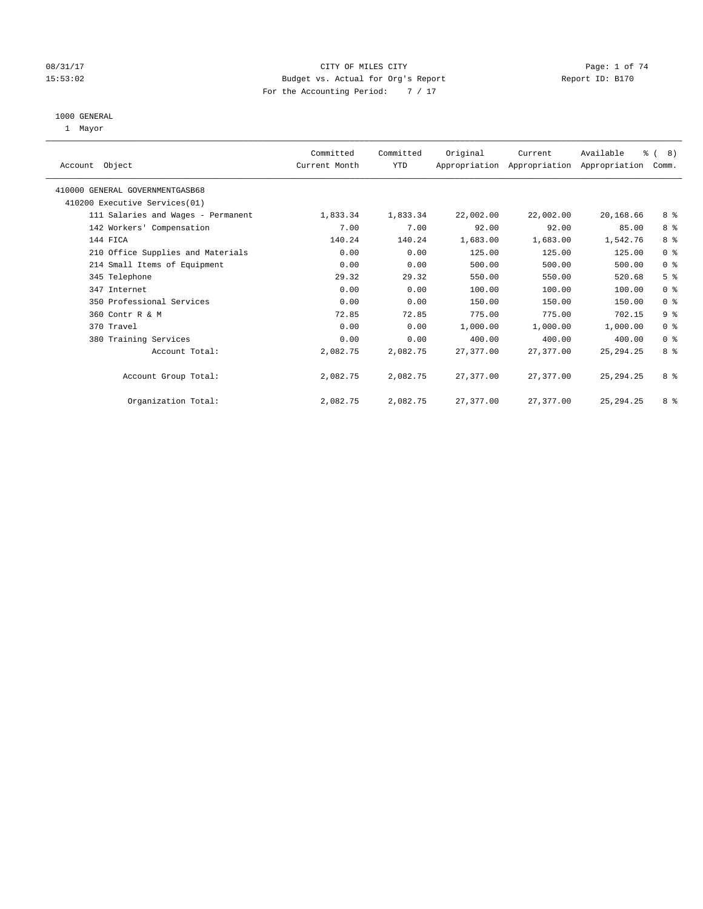# 08/31/17 Page: 1 of 74 15:53:02 Budget vs. Actual for Org's Report Report ID: B170 For the Accounting Period: 7 / 17

#### 1000 GENERAL

1 Mayor

| Account Object                  |                                    | Committed<br>Current Month | Committed<br><b>YTD</b> | Original  | Current<br>Appropriation Appropriation Appropriation | Available   | $\frac{6}{6}$ ( 8)<br>Comm. |  |
|---------------------------------|------------------------------------|----------------------------|-------------------------|-----------|------------------------------------------------------|-------------|-----------------------------|--|
| 410000 GENERAL GOVERNMENTGASB68 |                                    |                            |                         |           |                                                      |             |                             |  |
|                                 | 410200 Executive Services (01)     |                            |                         |           |                                                      |             |                             |  |
|                                 | 111 Salaries and Wages - Permanent | 1,833.34                   | 1,833.34                | 22,002.00 | 22,002.00                                            | 20,168.66   | 8 %                         |  |
|                                 | 142 Workers' Compensation          | 7.00                       | 7.00                    | 92.00     | 92.00                                                | 85.00       | 8 %                         |  |
| 144 FICA                        |                                    | 140.24                     | 140.24                  | 1,683.00  | 1,683.00                                             | 1,542.76    | 8 %                         |  |
|                                 | 210 Office Supplies and Materials  | 0.00                       | 0.00                    | 125.00    | 125.00                                               | 125.00      | 0 <sup>8</sup>              |  |
|                                 | 214 Small Items of Equipment       | 0.00                       | 0.00                    | 500.00    | 500.00                                               | 500.00      | 0 <sup>8</sup>              |  |
| 345 Telephone                   |                                    | 29.32                      | 29.32                   | 550.00    | 550.00                                               | 520.68      | 5 <sup>8</sup>              |  |
| 347 Internet                    |                                    | 0.00                       | 0.00                    | 100.00    | 100.00                                               | 100.00      | 0 <sup>8</sup>              |  |
|                                 | 350 Professional Services          | 0.00                       | 0.00                    | 150.00    | 150.00                                               | 150.00      | 0 <sup>8</sup>              |  |
| 360 Contr R & M                 |                                    | 72.85                      | 72.85                   | 775.00    | 775.00                                               | 702.15      | 9%                          |  |
| 370 Travel                      |                                    | 0.00                       | 0.00                    | 1,000.00  | 1,000.00                                             | 1,000.00    | 0 <sup>8</sup>              |  |
|                                 | 380 Training Services              | 0.00                       | 0.00                    | 400.00    | 400.00                                               | 400.00      | 0 <sup>8</sup>              |  |
|                                 | Account Total:                     | 2,082.75                   | 2,082.75                | 27,377.00 | 27, 377, 00                                          | 25, 294. 25 | 8 <sup>8</sup>              |  |
|                                 | Account Group Total:               | 2,082.75                   | 2,082.75                | 27,377.00 | 27,377.00                                            | 25, 294. 25 | 8 %                         |  |
|                                 | Organization Total:                | 2,082.75                   | 2,082.75                | 27,377.00 | 27,377.00                                            | 25, 294. 25 | 8 %                         |  |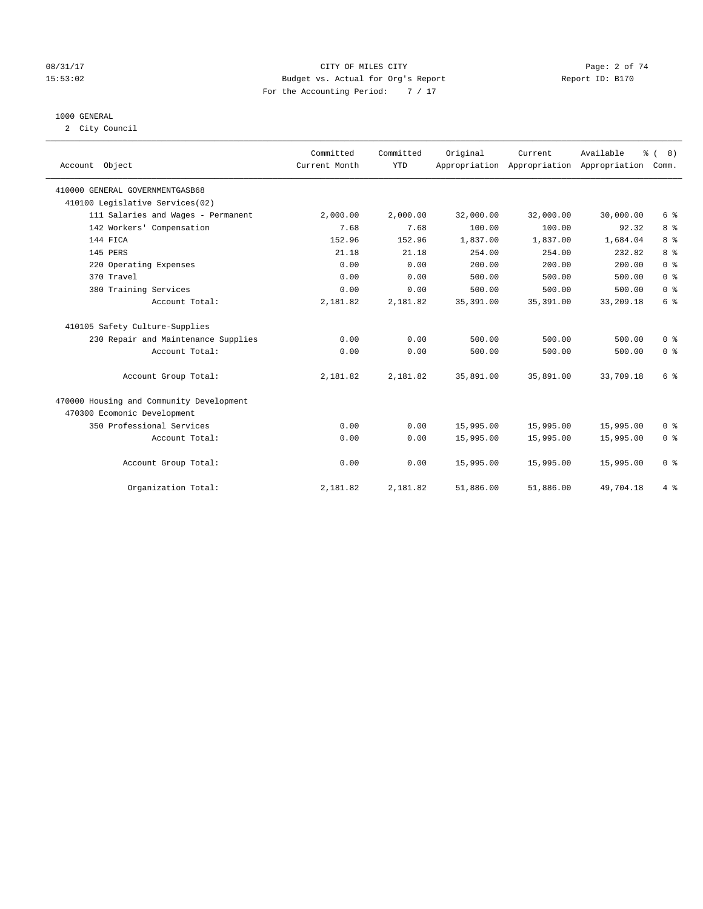# 08/31/17 Page: 2 of 74 15:53:02 Budget vs. Actual for Org's Report Report ID: B170 For the Accounting Period: 7 / 17

# 1000 GENERAL

2 City Council

| Account Object                           | Committed<br>Current Month | Committed<br><b>YTD</b> | Original   | Current<br>Appropriation Appropriation Appropriation | Available | % (8)<br>Comm. |
|------------------------------------------|----------------------------|-------------------------|------------|------------------------------------------------------|-----------|----------------|
| 410000 GENERAL GOVERNMENTGASB68          |                            |                         |            |                                                      |           |                |
| 410100 Legislative Services(02)          |                            |                         |            |                                                      |           |                |
| 111 Salaries and Wages - Permanent       | 2,000.00                   | 2,000.00                | 32,000.00  | 32,000.00                                            | 30,000.00 | 6 <sup>°</sup> |
| 142 Workers' Compensation                | 7.68                       | 7.68                    | 100.00     | 100.00                                               | 92.32     | 8 <sup>°</sup> |
| 144 FICA                                 | 152.96                     | 152.96                  | 1,837.00   | 1,837.00                                             | 1,684.04  | 8 %            |
| 145 PERS                                 | 21.18                      | 21.18                   | 254.00     | 254.00                                               | 232.82    | 8 %            |
| 220 Operating Expenses                   | 0.00                       | 0.00                    | 200.00     | 200.00                                               | 200.00    | 0 <sup>8</sup> |
| 370 Travel                               | 0.00                       | 0.00                    | 500.00     | 500.00                                               | 500.00    | 0 <sup>8</sup> |
| 380 Training Services                    | 0.00                       | 0.00                    | 500.00     | 500.00                                               | 500.00    | 0 <sup>8</sup> |
| Account Total:                           | 2,181.82                   | 2,181.82                | 35, 391.00 | 35, 391.00                                           | 33,209.18 | 6 <sup>°</sup> |
| 410105 Safety Culture-Supplies           |                            |                         |            |                                                      |           |                |
| 230 Repair and Maintenance Supplies      | 0.00                       | 0.00                    | 500.00     | 500.00                                               | 500.00    | 0 <sup>8</sup> |
| Account Total:                           | 0.00                       | 0.00                    | 500.00     | 500.00                                               | 500.00    | 0 <sup>8</sup> |
| Account Group Total:                     | 2,181.82                   | 2,181.82                | 35,891.00  | 35,891.00                                            | 33,709.18 | 6 <sup>°</sup> |
| 470000 Housing and Community Development |                            |                         |            |                                                      |           |                |
| 470300 Ecomonic Development              |                            |                         |            |                                                      |           |                |
| 350 Professional Services                | 0.00                       | 0.00                    | 15,995.00  | 15,995.00                                            | 15,995.00 | 0 <sup>8</sup> |
| Account Total:                           | 0.00                       | 0.00                    | 15,995.00  | 15,995.00                                            | 15,995.00 | 0 <sup>8</sup> |
| Account Group Total:                     | 0.00                       | 0.00                    | 15,995.00  | 15,995.00                                            | 15,995.00 | 0 <sup>8</sup> |
| Organization Total:                      | 2,181.82                   | 2,181.82                | 51,886.00  | 51,886.00                                            | 49,704.18 | 4%             |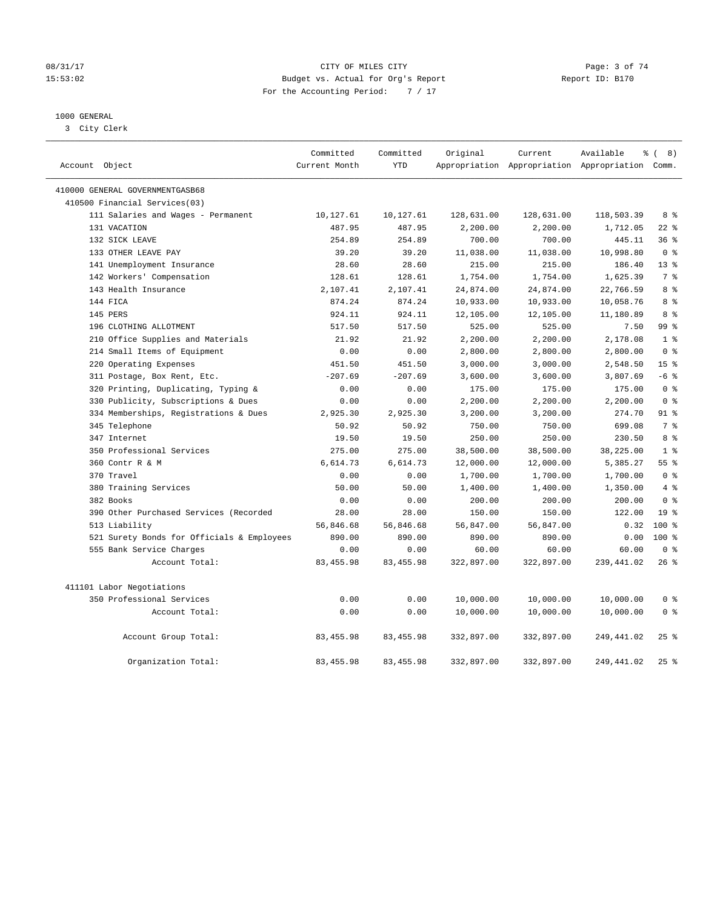# 08/31/17 Page: 3 of 74 15:53:02 Budget vs. Actual for Org's Report Report ID: B170 For the Accounting Period: 7 / 17

# 1000 GENERAL

3 City Clerk

|                                            | Committed     | Committed  | Original   | Current    | Available                                       | $\frac{6}{6}$ ( 8) |
|--------------------------------------------|---------------|------------|------------|------------|-------------------------------------------------|--------------------|
| Account Object                             | Current Month | <b>YTD</b> |            |            | Appropriation Appropriation Appropriation Comm. |                    |
| 410000 GENERAL GOVERNMENTGASB68            |               |            |            |            |                                                 |                    |
| 410500 Financial Services(03)              |               |            |            |            |                                                 |                    |
| 111 Salaries and Wages - Permanent         | 10,127.61     | 10,127.61  | 128,631.00 | 128,631.00 | 118,503.39                                      | 8 %                |
| 131 VACATION                               | 487.95        | 487.95     | 2,200.00   | 2,200.00   | 1,712.05                                        | $22$ %             |
| 132 SICK LEAVE                             | 254.89        | 254.89     | 700.00     | 700.00     | 445.11                                          | 36%                |
| 133 OTHER LEAVE PAY                        | 39.20         | 39.20      | 11,038.00  | 11,038.00  | 10,998.80                                       | 0 <sup>8</sup>     |
| 141 Unemployment Insurance                 | 28.60         | 28.60      | 215.00     | 215.00     | 186.40                                          | $13*$              |
| 142 Workers' Compensation                  | 128.61        | 128.61     | 1,754.00   | 1,754.00   | 1,625.39                                        | 7%                 |
| 143 Health Insurance                       | 2,107.41      | 2,107.41   | 24,874.00  | 24,874.00  | 22,766.59                                       | 8 %                |
| 144 FICA                                   | 874.24        | 874.24     | 10,933.00  | 10,933.00  | 10,058.76                                       | 8 %                |
| 145 PERS                                   | 924.11        | 924.11     | 12,105.00  | 12,105.00  | 11,180.89                                       | 8 <sup>8</sup>     |
| 196 CLOTHING ALLOTMENT                     | 517.50        | 517.50     | 525.00     | 525.00     | 7.50                                            | 99 <sub>8</sub>    |
| 210 Office Supplies and Materials          | 21.92         | 21.92      | 2,200.00   | 2,200.00   | 2,178.08                                        | 1 <sup>8</sup>     |
| 214 Small Items of Equipment               | 0.00          | 0.00       | 2,800.00   | 2,800.00   | 2,800.00                                        | 0 <sup>8</sup>     |
| 220 Operating Expenses                     | 451.50        | 451.50     | 3,000.00   | 3,000.00   | 2,548.50                                        | 15 <sup>8</sup>    |
| 311 Postage, Box Rent, Etc.                | $-207.69$     | $-207.69$  | 3,600.00   | 3,600.00   | 3,807.69                                        | $-6$ %             |
| 320 Printing, Duplicating, Typing &        | 0.00          | 0.00       | 175.00     | 175.00     | 175.00                                          | 0 <sup>8</sup>     |
| 330 Publicity, Subscriptions & Dues        | 0.00          | 0.00       | 2,200.00   | 2,200.00   | 2,200.00                                        | 0 <sup>8</sup>     |
| 334 Memberships, Registrations & Dues      | 2,925.30      | 2,925.30   | 3,200.00   | 3,200.00   | 274.70                                          | $91$ %             |
| 345 Telephone                              | 50.92         | 50.92      | 750.00     | 750.00     | 699.08                                          | 7 <sup>°</sup>     |
| 347 Internet                               | 19.50         | 19.50      | 250.00     | 250.00     | 230.50                                          | 8 <sup>8</sup>     |
| 350 Professional Services                  | 275.00        | 275.00     | 38,500.00  | 38,500.00  | 38,225.00                                       | 1 <sup>8</sup>     |
| 360 Contr R & M                            | 6,614.73      | 6,614.73   | 12,000.00  | 12,000.00  | 5,385.27                                        | 55 <sup>8</sup>    |
| 370 Travel                                 | 0.00          | 0.00       | 1,700.00   | 1,700.00   | 1,700.00                                        | 0 <sup>8</sup>     |
| 380 Training Services                      | 50.00         | 50.00      | 1,400.00   | 1,400.00   | 1,350.00                                        | 4%                 |
| 382 Books                                  | 0.00          | 0.00       | 200.00     | 200.00     | 200.00                                          | 0 <sup>8</sup>     |
| 390 Other Purchased Services (Recorded     | 28.00         | 28.00      | 150.00     | 150.00     | 122.00                                          | 19 <sup>8</sup>    |
| 513 Liability                              | 56,846.68     | 56,846.68  | 56,847.00  | 56,847.00  | 0.32                                            | $100*$             |
| 521 Surety Bonds for Officials & Employees | 890.00        | 890.00     | 890.00     | 890.00     | 0.00                                            | $100*$             |
| 555 Bank Service Charges                   | 0.00          | 0.00       | 60.00      | 60.00      | 60.00                                           | 0 <sup>8</sup>     |
| Account Total:                             | 83, 455.98    | 83, 455.98 | 322,897.00 | 322,897.00 | 239, 441.02                                     | 26%                |
| 411101 Labor Negotiations                  |               |            |            |            |                                                 |                    |
| 350 Professional Services                  | 0.00          | 0.00       | 10,000.00  | 10,000.00  | 10,000.00                                       | 0 <sup>8</sup>     |
| Account Total:                             | 0.00          | 0.00       | 10,000.00  | 10,000.00  | 10,000.00                                       | 0 <sup>8</sup>     |
| Account Group Total:                       | 83, 455.98    | 83, 455.98 | 332,897.00 | 332,897.00 | 249, 441.02                                     | 25%                |
| Organization Total:                        | 83, 455.98    | 83, 455.98 | 332,897.00 | 332,897.00 | 249, 441, 02                                    | 25%                |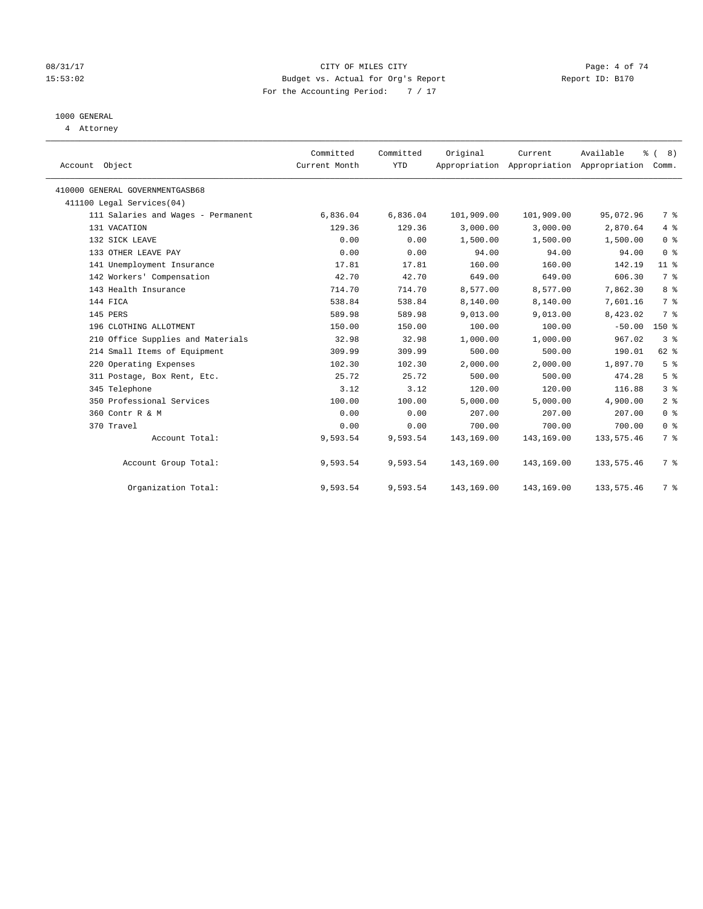# 08/31/17 Page: 4 of 74 15:53:02 Budget vs. Actual for Org's Report Report ID: B170 For the Accounting Period: 7 / 17

# 1000 GENERAL

4 Attorney

| Account Object                     | Committed<br>Current Month | Committed<br><b>YTD</b> | Original   | Current    | Available<br>Appropriation Appropriation Appropriation | % (8)<br>Comm.  |
|------------------------------------|----------------------------|-------------------------|------------|------------|--------------------------------------------------------|-----------------|
| 410000 GENERAL GOVERNMENTGASB68    |                            |                         |            |            |                                                        |                 |
| 411100 Legal Services(04)          |                            |                         |            |            |                                                        |                 |
| 111 Salaries and Wages - Permanent | 6,836.04                   | 6,836.04                | 101,909.00 | 101,909.00 | 95,072.96                                              | 7 %             |
| 131 VACATION                       | 129.36                     | 129.36                  | 3,000.00   | 3,000.00   | 2,870.64                                               | 4%              |
| 132 SICK LEAVE                     | 0.00                       | 0.00                    | 1,500.00   | 1,500.00   | 1,500.00                                               | 0 <sup>8</sup>  |
| 133 OTHER LEAVE PAY                | 0.00                       | 0.00                    | 94.00      | 94.00      | 94.00                                                  | 0 <sup>8</sup>  |
| 141 Unemployment Insurance         | 17.81                      | 17.81                   | 160.00     | 160.00     | 142.19                                                 | 11 <sup>8</sup> |
| 142 Workers' Compensation          | 42.70                      | 42.70                   | 649.00     | 649.00     | 606.30                                                 | 7 <sup>°</sup>  |
| 143 Health Insurance               | 714.70                     | 714.70                  | 8,577.00   | 8,577.00   | 7,862.30                                               | 8 <sup>°</sup>  |
| 144 FICA                           | 538.84                     | 538.84                  | 8,140.00   | 8,140.00   | 7,601.16                                               | 7 <sup>°</sup>  |
| 145 PERS                           | 589.98                     | 589.98                  | 9,013.00   | 9,013.00   | 8,423.02                                               | 7 <sup>°</sup>  |
| 196 CLOTHING ALLOTMENT             | 150.00                     | 150.00                  | 100.00     | 100.00     | $-50.00$                                               | $150*$          |
| 210 Office Supplies and Materials  | 32.98                      | 32.98                   | 1,000.00   | 1,000.00   | 967.02                                                 | 3 <sup>°</sup>  |
| 214 Small Items of Equipment       | 309.99                     | 309.99                  | 500.00     | 500.00     | 190.01                                                 | 62 %            |
| 220 Operating Expenses             | 102.30                     | 102.30                  | 2,000.00   | 2,000.00   | 1,897.70                                               | 5 <sup>°</sup>  |
| 311 Postage, Box Rent, Etc.        | 25.72                      | 25.72                   | 500.00     | 500.00     | 474.28                                                 | 5 <sup>°</sup>  |
| 345 Telephone                      | 3.12                       | 3.12                    | 120.00     | 120.00     | 116.88                                                 | 3 <sup>°</sup>  |
| 350 Professional Services          | 100.00                     | 100.00                  | 5,000.00   | 5,000.00   | 4,900.00                                               | 2 <sup>8</sup>  |
| 360 Contr R & M                    | 0.00                       | 0.00                    | 207.00     | 207.00     | 207.00                                                 | 0 <sup>8</sup>  |
| 370 Travel                         | 0.00                       | 0.00                    | 700.00     | 700.00     | 700.00                                                 | 0 <sup>8</sup>  |
| Account Total:                     | 9,593.54                   | 9,593.54                | 143,169.00 | 143,169.00 | 133, 575.46                                            | 7 %             |
| Account Group Total:               | 9,593.54                   | 9,593.54                | 143,169.00 | 143,169.00 | 133, 575.46                                            | 7 %             |
| Organization Total:                | 9,593.54                   | 9,593.54                | 143,169.00 | 143,169.00 | 133, 575.46                                            | 7 %             |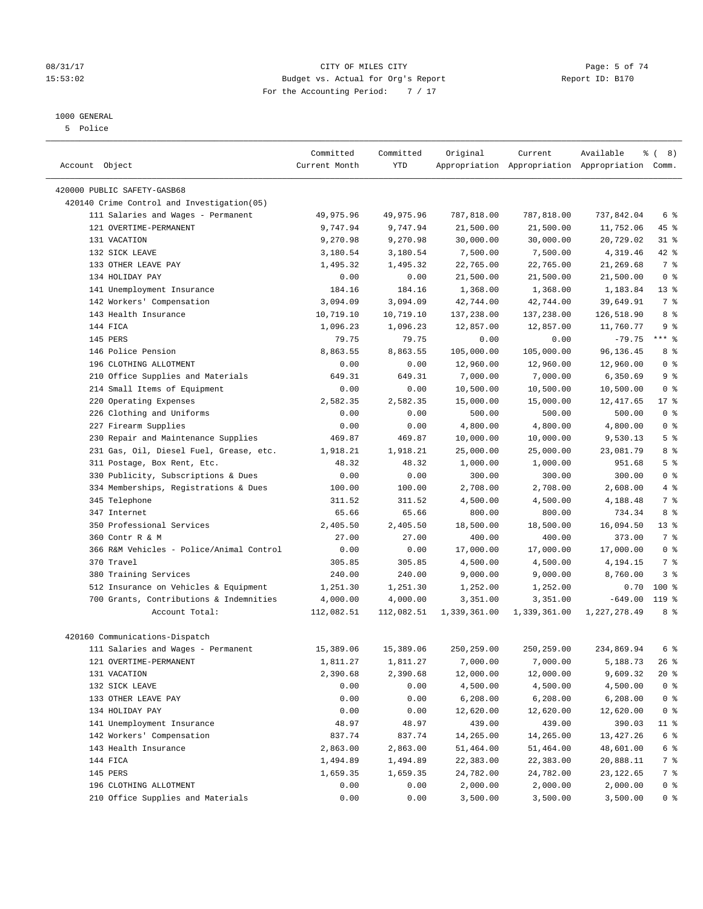# 08/31/17 Page: 5 of 74 15:53:02 Budget vs. Actual for Org's Report Report ID: B170 For the Accounting Period: 7 / 17

————————————————————————————————————————————————————————————————————————————————————————————————————————————————————————————————————

# 1000 GENERAL

5 Police

|                                                        | Committed     | Committed        | Original     | Current      | Available                                       | ී (<br>8)               |
|--------------------------------------------------------|---------------|------------------|--------------|--------------|-------------------------------------------------|-------------------------|
| Account Object                                         | Current Month | YTD              |              |              | Appropriation Appropriation Appropriation Comm. |                         |
| 420000 PUBLIC SAFETY-GASB68                            |               |                  |              |              |                                                 |                         |
| 420140 Crime Control and Investigation(05)             |               |                  |              |              |                                                 |                         |
| 111 Salaries and Wages - Permanent                     | 49,975.96     | 49,975.96        | 787,818.00   | 787,818.00   | 737,842.04                                      | 6 %                     |
| 121 OVERTIME-PERMANENT                                 | 9,747.94      | 9,747.94         | 21,500.00    | 21,500.00    | 11,752.06                                       | 45 %                    |
| 131 VACATION                                           | 9,270.98      | 9,270.98         | 30,000.00    | 30,000.00    | 20,729.02                                       | $31$ %                  |
| 132 SICK LEAVE                                         | 3,180.54      | 3,180.54         | 7,500.00     | 7,500.00     | 4,319.46                                        | $42$ %                  |
| 133 OTHER LEAVE PAY                                    | 1,495.32      | 1,495.32         | 22,765.00    | 22,765.00    | 21,269.68                                       | 7 %                     |
| 134 HOLIDAY PAY                                        | 0.00          | 0.00             | 21,500.00    | 21,500.00    | 21,500.00                                       | 0 <sup>8</sup>          |
| 141 Unemployment Insurance                             | 184.16        | 184.16           | 1,368.00     | 1,368.00     | 1,183.84                                        | $13*$                   |
| 142 Workers' Compensation                              | 3,094.09      | 3,094.09         | 42,744.00    | 42,744.00    | 39,649.91                                       | 7 %                     |
| 143 Health Insurance                                   | 10,719.10     | 10,719.10        | 137,238.00   | 137,238.00   | 126,518.90                                      | 8 %                     |
| 144 FICA                                               | 1,096.23      | 1,096.23         | 12,857.00    | 12,857.00    | 11,760.77                                       | 9 <sup>°</sup>          |
| 145 PERS                                               | 79.75         | 79.75            | 0.00         | 0.00         | $-79.75$                                        | $***$ $-$               |
| 146 Police Pension                                     | 8,863.55      | 8,863.55         | 105,000.00   | 105,000.00   | 96,136.45                                       | 8 %                     |
| 196 CLOTHING ALLOTMENT                                 | 0.00          | 0.00             | 12,960.00    | 12,960.00    |                                                 | 0 <sup>8</sup>          |
|                                                        | 649.31        | 649.31           | 7,000.00     | 7,000.00     | 12,960.00<br>6,350.69                           | 9%                      |
| 210 Office Supplies and Materials                      |               |                  |              |              |                                                 | 0 <sup>8</sup>          |
| 214 Small Items of Equipment<br>220 Operating Expenses | 0.00          | 0.00<br>2,582.35 | 10,500.00    | 10,500.00    | 10,500.00                                       |                         |
|                                                        | 2,582.35      |                  | 15,000.00    | 15,000.00    | 12,417.65                                       | $17*$<br>0 <sup>8</sup> |
| 226 Clothing and Uniforms                              | 0.00          | 0.00             | 500.00       | 500.00       | 500.00                                          |                         |
| 227 Firearm Supplies                                   | 0.00          | 0.00             | 4,800.00     | 4,800.00     | 4,800.00                                        | 0 <sup>8</sup>          |
| 230 Repair and Maintenance Supplies                    | 469.87        | 469.87           | 10,000.00    | 10,000.00    | 9,530.13                                        | 5 <sup>°</sup>          |
| 231 Gas, Oil, Diesel Fuel, Grease, etc.                | 1,918.21      | 1,918.21         | 25,000.00    | 25,000.00    | 23,081.79                                       | 8 %                     |
| 311 Postage, Box Rent, Etc.                            | 48.32         | 48.32            | 1,000.00     | 1,000.00     | 951.68                                          | 5 <sup>°</sup>          |
| 330 Publicity, Subscriptions & Dues                    | 0.00          | 0.00             | 300.00       | 300.00       | 300.00                                          | 0 <sup>8</sup>          |
| 334 Memberships, Registrations & Dues                  | 100.00        | 100.00           | 2,708.00     | 2,708.00     | 2,608.00                                        | $4\degree$              |
| 345 Telephone                                          | 311.52        | 311.52           | 4,500.00     | 4,500.00     | 4,188.48                                        | 7 %                     |
| 347 Internet                                           | 65.66         | 65.66            | 800.00       | 800.00       | 734.34                                          | 8 %                     |
| 350 Professional Services                              | 2,405.50      | 2,405.50         | 18,500.00    | 18,500.00    | 16,094.50                                       | $13*$                   |
| 360 Contr R & M                                        | 27.00         | 27.00            | 400.00       | 400.00       | 373.00                                          | 7 %                     |
| 366 R&M Vehicles - Police/Animal Control               | 0.00          | 0.00             | 17,000.00    | 17,000.00    | 17,000.00                                       | 0 <sup>8</sup>          |
| 370 Travel                                             | 305.85        | 305.85           | 4,500.00     | 4,500.00     | 4,194.15                                        | 7 %                     |
| 380 Training Services                                  | 240.00        | 240.00           | 9,000.00     | 9,000.00     | 8,760.00                                        | 3 <sup>°</sup>          |
| 512 Insurance on Vehicles & Equipment                  | 1,251.30      | 1,251.30         | 1,252.00     | 1,252.00     | 0.70                                            | $100$ %                 |
| 700 Grants, Contributions & Indemnities                | 4,000.00      | 4,000.00         | 3,351.00     | 3,351.00     | $-649.00$                                       | $119$ %                 |
| Account Total:                                         | 112,082.51    | 112,082.51       | 1,339,361.00 | 1,339,361.00 | 1, 227, 278.49                                  | 8 %                     |
| 420160 Communications-Dispatch                         |               |                  |              |              |                                                 |                         |
| 111 Salaries and Wages - Permanent                     | 15,389.06     | 15,389.06        | 250,259.00   | 250,259.00   | 234,869.94                                      | 6 %                     |
| 121 OVERTIME-PERMANENT                                 | 1,811.27      | 1,811.27         | 7,000.00     | 7,000.00     | 5,188.73                                        | $26$ %                  |
| 131 VACATION                                           | 2,390.68      | 2,390.68         | 12,000.00    | 12,000.00    | 9,609.32                                        | 20 %                    |
| 132 SICK LEAVE                                         | 0.00          | 0.00             | 4,500.00     | 4,500.00     | 4,500.00                                        | 0 <sup>8</sup>          |
| 133 OTHER LEAVE PAY                                    | 0.00          | 0.00             | 6,208.00     | 6,208.00     | 6,208.00                                        | 0 <sup>8</sup>          |
| 134 HOLIDAY PAY                                        | 0.00          | 0.00             | 12,620.00    | 12,620.00    | 12,620.00                                       | 0 <sup>8</sup>          |
| 141 Unemployment Insurance                             | 48.97         | 48.97            | 439.00       | 439.00       | 390.03                                          | 11 %                    |
| 142 Workers' Compensation                              | 837.74        | 837.74           | 14,265.00    | 14,265.00    | 13, 427. 26                                     | 6 %                     |
| 143 Health Insurance                                   | 2,863.00      | 2,863.00         | 51,464.00    | 51,464.00    | 48,601.00                                       | 6 %                     |
| 144 FICA                                               | 1,494.89      | 1,494.89         | 22,383.00    | 22,383.00    | 20,888.11                                       | 7 %                     |
| 145 PERS                                               | 1,659.35      | 1,659.35         | 24,782.00    | 24,782.00    | 23, 122.65                                      | 7 %                     |
| 196 CLOTHING ALLOTMENT                                 | 0.00          | 0.00             | 2,000.00     | 2,000.00     | 2,000.00                                        | 0 %                     |
| 210 Office Supplies and Materials                      | 0.00          | 0.00             | 3,500.00     | 3,500.00     | 3,500.00                                        | 0 %                     |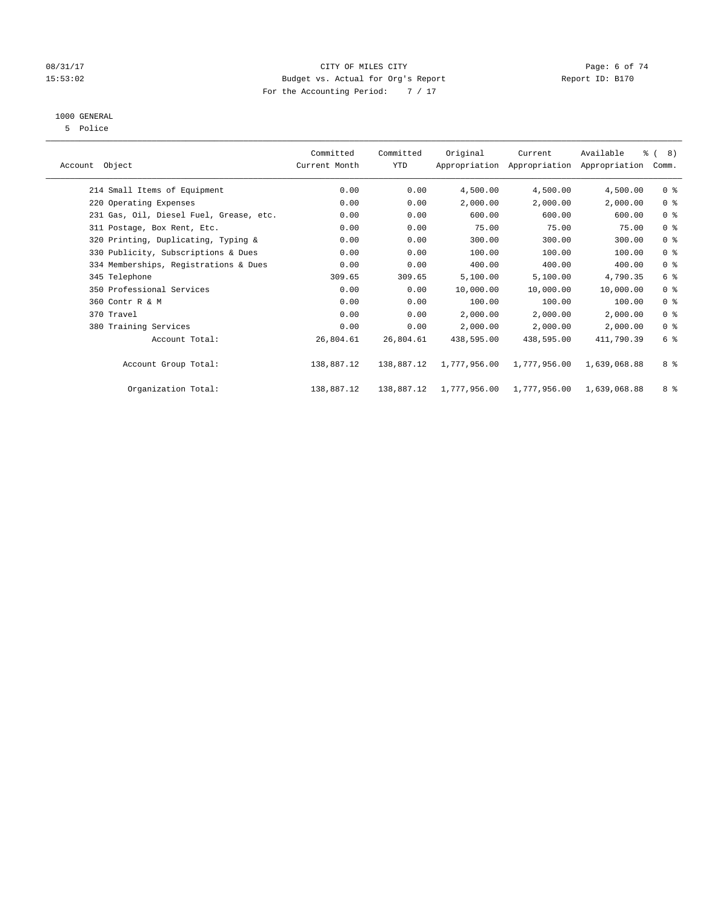# 08/31/17 Page: 6 of 74 15:53:02 Budget vs. Actual for Org's Report Report ID: B170 For the Accounting Period: 7 / 17

# 1000 GENERAL

5 Police

|                                         | Committed     | Committed  | Original     | Current      | Available                                 | $\frac{6}{6}$ ( 8) |  |
|-----------------------------------------|---------------|------------|--------------|--------------|-------------------------------------------|--------------------|--|
| Account Object                          | Current Month | YTD        |              |              | Appropriation Appropriation Appropriation | Comm.              |  |
| 214 Small Items of Equipment            | 0.00          | 0.00       | 4,500.00     | 4,500.00     | 4,500.00                                  | 0 <sup>8</sup>     |  |
| 220 Operating Expenses                  | 0.00          | 0.00       | 2,000.00     | 2,000.00     | 2,000.00                                  | 0 <sup>8</sup>     |  |
| 231 Gas, Oil, Diesel Fuel, Grease, etc. | 0.00          | 0.00       | 600.00       | 600.00       | 600.00                                    | 0 <sup>8</sup>     |  |
| 311 Postage, Box Rent, Etc.             | 0.00          | 0.00       | 75.00        | 75.00        | 75.00                                     | 0 <sup>8</sup>     |  |
| 320 Printing, Duplicating, Typing &     | 0.00          | 0.00       | 300.00       | 300.00       | 300.00                                    | 0 <sup>8</sup>     |  |
| 330 Publicity, Subscriptions & Dues     | 0.00          | 0.00       | 100.00       | 100.00       | 100.00                                    | 0 <sup>8</sup>     |  |
| 334 Memberships, Registrations & Dues   | 0.00          | 0.00       | 400.00       | 400.00       | 400.00                                    | 0 <sup>8</sup>     |  |
| 345 Telephone                           | 309.65        | 309.65     | 5,100.00     | 5,100.00     | 4,790.35                                  | 6 %                |  |
| 350 Professional Services               | 0.00          | 0.00       | 10,000.00    | 10,000.00    | 10,000.00                                 | 0 <sup>8</sup>     |  |
| 360 Contr R & M                         | 0.00          | 0.00       | 100.00       | 100.00       | 100.00                                    | 0 <sup>8</sup>     |  |
| 370 Travel                              | 0.00          | 0.00       | 2,000.00     | 2,000.00     | 2,000.00                                  | 0 <sup>8</sup>     |  |
| 380 Training Services                   | 0.00          | 0.00       | 2,000.00     | 2,000.00     | 2,000.00                                  | 0 <sup>8</sup>     |  |
| Account Total:                          | 26,804.61     | 26,804.61  | 438,595.00   | 438,595.00   | 411,790.39                                | 6 %                |  |
| Account Group Total:                    | 138,887.12    | 138,887.12 | 1,777,956.00 | 1,777,956.00 | 1,639,068.88                              | 8 %                |  |
| Organization Total:                     | 138,887.12    | 138,887.12 | 1,777,956.00 | 1,777,956.00 | 1,639,068.88                              | 8 %                |  |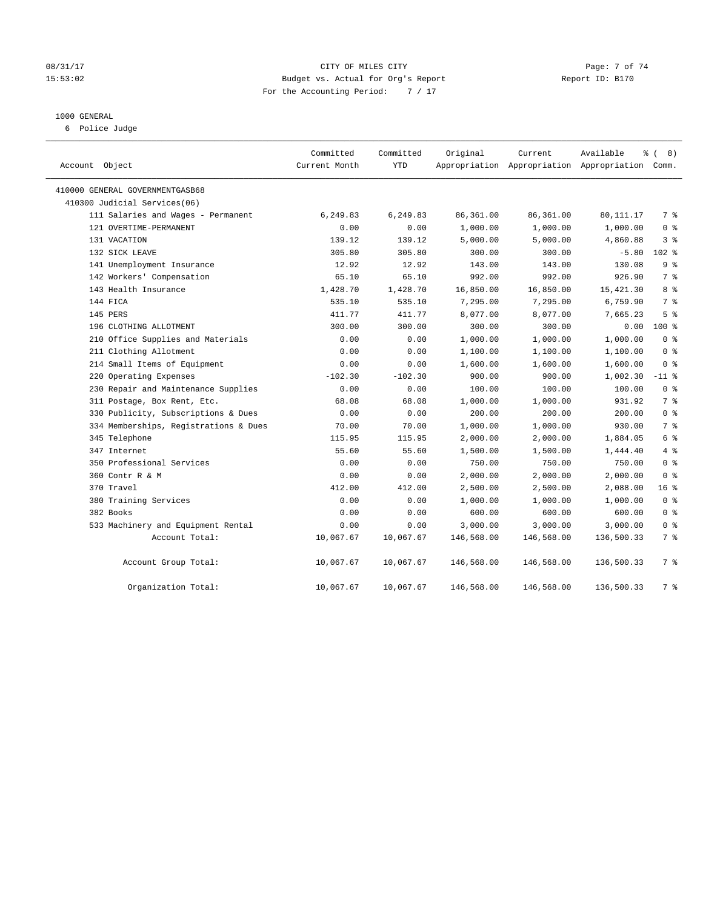# 08/31/17 Page: 7 of 74 15:53:02 Budget vs. Actual for Org's Report Report ID: B170 For the Accounting Period: 7 / 17

#### 1000 GENERAL

6 Police Judge

| Account Object                        | Committed<br>Current Month | Committed<br><b>YTD</b> | Original   | Current    | Available<br>Appropriation Appropriation Appropriation Comm. | $\frac{6}{6}$ ( 8) |
|---------------------------------------|----------------------------|-------------------------|------------|------------|--------------------------------------------------------------|--------------------|
| 410000 GENERAL GOVERNMENTGASB68       |                            |                         |            |            |                                                              |                    |
| 410300 Judicial Services(06)          |                            |                         |            |            |                                                              |                    |
| 111 Salaries and Wages - Permanent    | 6,249.83                   | 6,249.83                | 86,361.00  | 86,361.00  | 80,111.17                                                    | 7 %                |
| 121 OVERTIME-PERMANENT                | 0.00                       | 0.00                    | 1,000.00   | 1,000.00   | 1,000.00                                                     | 0 <sup>8</sup>     |
| 131 VACATION                          | 139.12                     | 139.12                  | 5,000.00   | 5,000.00   | 4,860.88                                                     | 3 <sup>8</sup>     |
| 132 SICK LEAVE                        | 305.80                     | 305.80                  | 300.00     | 300.00     | $-5.80$                                                      | $102$ %            |
| 141 Unemployment Insurance            | 12.92                      | 12.92                   | 143.00     | 143.00     | 130.08                                                       | 9 <sup>°</sup>     |
| 142 Workers' Compensation             | 65.10                      | 65.10                   | 992.00     | 992.00     | 926.90                                                       | 7 <sup>°</sup>     |
| 143 Health Insurance                  | 1,428.70                   | 1,428.70                | 16,850.00  | 16,850.00  | 15, 421.30                                                   | 8 %                |
| 144 FICA                              | 535.10                     | 535.10                  | 7,295.00   | 7,295.00   | 6,759.90                                                     | 7 %                |
| 145 PERS                              | 411.77                     | 411.77                  | 8,077.00   | 8,077.00   | 7,665.23                                                     | 5 <sup>8</sup>     |
| 196 CLOTHING ALLOTMENT                | 300.00                     | 300.00                  | 300.00     | 300.00     | 0.00                                                         | $100*$             |
| 210 Office Supplies and Materials     | 0.00                       | 0.00                    | 1,000.00   | 1,000.00   | 1,000.00                                                     | 0 <sup>8</sup>     |
| 211 Clothing Allotment                | 0.00                       | 0.00                    | 1,100.00   | 1,100.00   | 1,100.00                                                     | 0 <sup>8</sup>     |
| 214 Small Items of Equipment          | 0.00                       | 0.00                    | 1,600.00   | 1,600.00   | 1,600.00                                                     | 0 <sup>8</sup>     |
| 220 Operating Expenses                | $-102.30$                  | $-102.30$               | 900.00     | 900.00     | 1,002.30                                                     | $-11$ %            |
| 230 Repair and Maintenance Supplies   | 0.00                       | 0.00                    | 100.00     | 100.00     | 100.00                                                       | 0 <sup>8</sup>     |
| 311 Postage, Box Rent, Etc.           | 68.08                      | 68.08                   | 1,000.00   | 1,000.00   | 931.92                                                       | 7 %                |
| 330 Publicity, Subscriptions & Dues   | 0.00                       | 0.00                    | 200.00     | 200.00     | 200.00                                                       | 0 <sup>8</sup>     |
| 334 Memberships, Registrations & Dues | 70.00                      | 70.00                   | 1,000.00   | 1,000.00   | 930.00                                                       | 7 <sup>°</sup>     |
| 345 Telephone                         | 115.95                     | 115.95                  | 2,000.00   | 2,000.00   | 1,884.05                                                     | 6 %                |
| 347 Internet                          | 55.60                      | 55.60                   | 1,500.00   | 1,500.00   | 1,444.40                                                     | 4%                 |
| 350 Professional Services             | 0.00                       | 0.00                    | 750.00     | 750.00     | 750.00                                                       | 0 <sup>8</sup>     |
| 360 Contr R & M                       | 0.00                       | 0.00                    | 2,000.00   | 2,000.00   | 2,000.00                                                     | 0 <sup>8</sup>     |
| 370 Travel                            | 412.00                     | 412.00                  | 2,500.00   | 2,500.00   | 2,088.00                                                     | 16 <sup>8</sup>    |
| 380 Training Services                 | 0.00                       | 0.00                    | 1,000.00   | 1,000.00   | 1,000.00                                                     | 0 <sup>8</sup>     |
| 382 Books                             | 0.00                       | 0.00                    | 600.00     | 600.00     | 600.00                                                       | 0 <sup>8</sup>     |
| 533 Machinery and Equipment Rental    | 0.00                       | 0.00                    | 3,000.00   | 3,000.00   | 3,000.00                                                     | 0 <sup>8</sup>     |
| Account Total:                        | 10,067.67                  | 10,067.67               | 146,568.00 | 146,568.00 | 136,500.33                                                   | 7 %                |
| Account Group Total:                  | 10,067.67                  | 10,067.67               | 146,568.00 | 146,568.00 | 136,500.33                                                   | 7 %                |
| Organization Total:                   | 10,067.67                  | 10,067.67               | 146,568.00 | 146,568.00 | 136,500.33                                                   | 7 <sup>8</sup>     |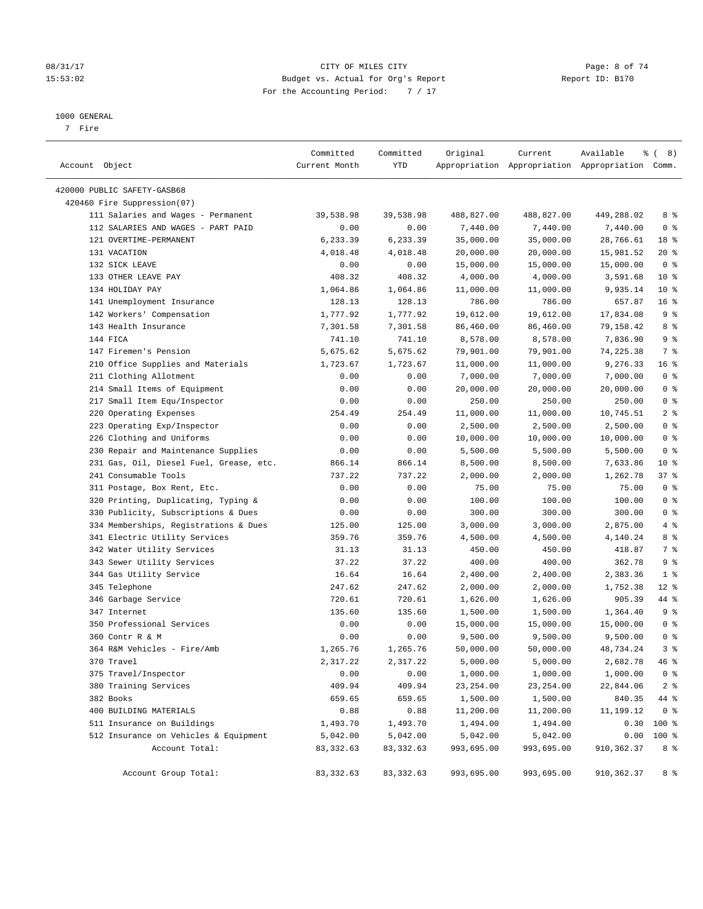# 08/31/17 Page: 8 of 74 15:53:02 Budget vs. Actual for Org's Report Report ID: B170 For the Accounting Period: 7 / 17

————————————————————————————————————————————————————————————————————————————————————————————————————————————————————————————————————

#### 1000 GENERAL

7 Fire

|                                         | Committed     | Committed  | Original   | Current                                         | Available   | <sub>රි</sub> ( 8 ) |
|-----------------------------------------|---------------|------------|------------|-------------------------------------------------|-------------|---------------------|
| Account Object                          | Current Month | YTD        |            | Appropriation Appropriation Appropriation Comm. |             |                     |
| 420000 PUBLIC SAFETY-GASB68             |               |            |            |                                                 |             |                     |
| 420460 Fire Suppression(07)             |               |            |            |                                                 |             |                     |
| 111 Salaries and Wages - Permanent      | 39,538.98     | 39,538.98  | 488,827.00 | 488,827.00                                      | 449,288.02  | 8 %                 |
| 112 SALARIES AND WAGES - PART PAID      | 0.00          | 0.00       | 7,440.00   | 7,440.00                                        | 7,440.00    | 0 <sup>8</sup>      |
| 121 OVERTIME-PERMANENT                  | 6,233.39      | 6,233.39   | 35,000.00  | 35,000.00                                       | 28,766.61   | 18 %                |
| 131 VACATION                            | 4,018.48      | 4,018.48   | 20,000.00  | 20,000.00                                       | 15,981.52   | $20*$               |
| 132 SICK LEAVE                          | 0.00          | 0.00       | 15,000.00  | 15,000.00                                       | 15,000.00   | 0 <sup>8</sup>      |
| 133 OTHER LEAVE PAY                     | 408.32        | 408.32     | 4,000.00   | 4,000.00                                        | 3,591.68    | $10*$               |
| 134 HOLIDAY PAY                         | 1,064.86      | 1,064.86   | 11,000.00  | 11,000.00                                       | 9,935.14    | $10*$               |
| 141 Unemployment Insurance              | 128.13        | 128.13     | 786.00     | 786.00                                          | 657.87      | 16 <sup>°</sup>     |
| 142 Workers' Compensation               | 1,777.92      | 1,777.92   | 19,612.00  | 19,612.00                                       | 17,834.08   | 9%                  |
| 143 Health Insurance                    | 7,301.58      | 7,301.58   | 86,460.00  | 86,460.00                                       | 79,158.42   | 8 %                 |
| 144 FICA                                | 741.10        | 741.10     | 8,578.00   | 8,578.00                                        | 7,836.90    | 9 %                 |
| 147 Firemen's Pension                   | 5,675.62      | 5,675.62   | 79,901.00  | 79,901.00                                       | 74,225.38   | 7 %                 |
| 210 Office Supplies and Materials       | 1,723.67      | 1,723.67   | 11,000.00  | 11,000.00                                       | 9,276.33    | 16%                 |
| 211 Clothing Allotment                  | 0.00          | 0.00       | 7,000.00   | 7,000.00                                        | 7,000.00    | 0 <sup>8</sup>      |
| 214 Small Items of Equipment            | 0.00          | 0.00       | 20,000.00  | 20,000.00                                       | 20,000.00   | 0 <sup>8</sup>      |
| 217 Small Item Equ/Inspector            | 0.00          | 0.00       | 250.00     | 250.00                                          | 250.00      | 0 <sup>°</sup>      |
| 220 Operating Expenses                  | 254.49        | 254.49     | 11,000.00  | 11,000.00                                       | 10,745.51   | 2 <sup>8</sup>      |
| 223 Operating Exp/Inspector             | 0.00          | 0.00       | 2,500.00   | 2,500.00                                        | 2,500.00    | 0 <sup>8</sup>      |
| 226 Clothing and Uniforms               | 0.00          | 0.00       | 10,000.00  | 10,000.00                                       | 10,000.00   | 0 <sup>8</sup>      |
| 230 Repair and Maintenance Supplies     | 0.00          | 0.00       | 5,500.00   | 5,500.00                                        | 5,500.00    | 0 <sup>8</sup>      |
| 231 Gas, Oil, Diesel Fuel, Grease, etc. | 866.14        | 866.14     | 8,500.00   | 8,500.00                                        | 7,633.86    | $10*$               |
| 241 Consumable Tools                    | 737.22        | 737.22     | 2,000.00   | 2,000.00                                        | 1,262.78    | 37%                 |
| 311 Postage, Box Rent, Etc.             | 0.00          | 0.00       | 75.00      | 75.00                                           | 75.00       | 0 <sup>8</sup>      |
| 320 Printing, Duplicating, Typing &     | 0.00          | 0.00       | 100.00     | 100.00                                          | 100.00      | 0 <sup>8</sup>      |
| 330 Publicity, Subscriptions & Dues     | 0.00          | 0.00       | 300.00     | 300.00                                          | 300.00      | 0 <sup>8</sup>      |
| 334 Memberships, Registrations & Dues   | 125.00        | 125.00     | 3,000.00   | 3,000.00                                        | 2,875.00    | 4%                  |
| 341 Electric Utility Services           | 359.76        | 359.76     | 4,500.00   | 4,500.00                                        | 4,140.24    | 8 %                 |
| 342 Water Utility Services              | 31.13         | 31.13      | 450.00     | 450.00                                          | 418.87      | 7%                  |
| 343 Sewer Utility Services              | 37.22         | 37.22      | 400.00     | 400.00                                          | 362.78      | 9 <sup>°</sup>      |
| 344 Gas Utility Service                 | 16.64         | 16.64      | 2,400.00   | 2,400.00                                        | 2,383.36    | 1 <sup>8</sup>      |
| 345 Telephone                           | 247.62        | 247.62     | 2,000.00   | 2,000.00                                        | 1,752.38    | $12$ %              |
| 346 Garbage Service                     | 720.61        | 720.61     | 1,626.00   | 1,626.00                                        | 905.39      | 44 %                |
| 347 Internet                            | 135.60        | 135.60     | 1,500.00   | 1,500.00                                        | 1,364.40    | 9%                  |
| 350 Professional Services               | 0.00          | 0.00       | 15,000.00  | 15,000.00                                       | 15,000.00   | 0 <sup>8</sup>      |
| 360 Contr R & M                         | 0.00          | 0.00       | 9,500.00   | 9,500.00                                        | 9,500.00    | 0 <sup>8</sup>      |
| 364 R&M Vehicles - Fire/Amb             | 1,265.76      | 1,265.76   | 50,000.00  | 50,000.00                                       | 48,734.24   | 3 <sup>°</sup>      |
| 370 Travel                              | 2,317.22      | 2,317.22   | 5,000.00   | 5,000.00                                        | 2,682.78    | $46$ %              |
| 375 Travel/Inspector                    | 0.00          | 0.00       | 1,000.00   | 1,000.00                                        | 1,000.00    | 0 <sup>8</sup>      |
| 380 Training Services                   | 409.94        | 409.94     | 23, 254.00 | 23, 254.00                                      | 22,844.06   | 2 <sup>8</sup>      |
| 382 Books                               | 659.65        | 659.65     | 1,500.00   | 1,500.00                                        | 840.35      | 44 %                |
| 400 BUILDING MATERIALS                  | 0.88          | 0.88       | 11,200.00  | 11,200.00                                       | 11,199.12   | 0 <sup>8</sup>      |
| 511 Insurance on Buildings              | 1,493.70      | 1,493.70   | 1,494.00   | 1,494.00                                        | 0.30        | 100 %               |
| 512 Insurance on Vehicles & Equipment   | 5,042.00      | 5,042.00   | 5,042.00   | 5,042.00                                        | 0.00        | 100 %               |
| Account Total:                          | 83, 332.63    | 83, 332.63 | 993,695.00 | 993,695.00                                      | 910, 362.37 | 8 %                 |
| Account Group Total:                    | 83, 332.63    | 83, 332.63 | 993,695.00 | 993,695.00                                      | 910, 362.37 | 8 %                 |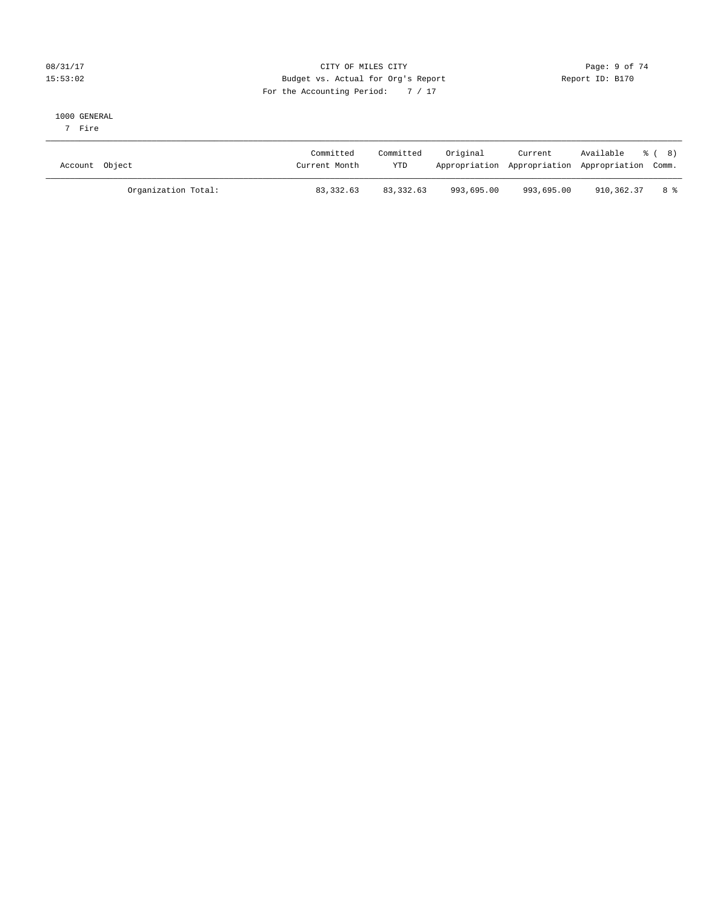# 08/31/17 Page: 9 of 74 15:53:02 Budget vs. Actual for Org's Report Report ID: B170 For the Accounting Period: 7 / 17

#### 1000 GENERAL

7 Fire

| Account Object |                     | Committed<br>Current Month | Committed<br>YTD | Original   | Current<br>Appropriation Appropriation Appropriation Comm. | Available % (8) |      |
|----------------|---------------------|----------------------------|------------------|------------|------------------------------------------------------------|-----------------|------|
|                | Organization Total: | 83, 332.63                 | 83,332.63        | 993,695.00 | 993,695.00                                                 | 910,362.37      | 8 දි |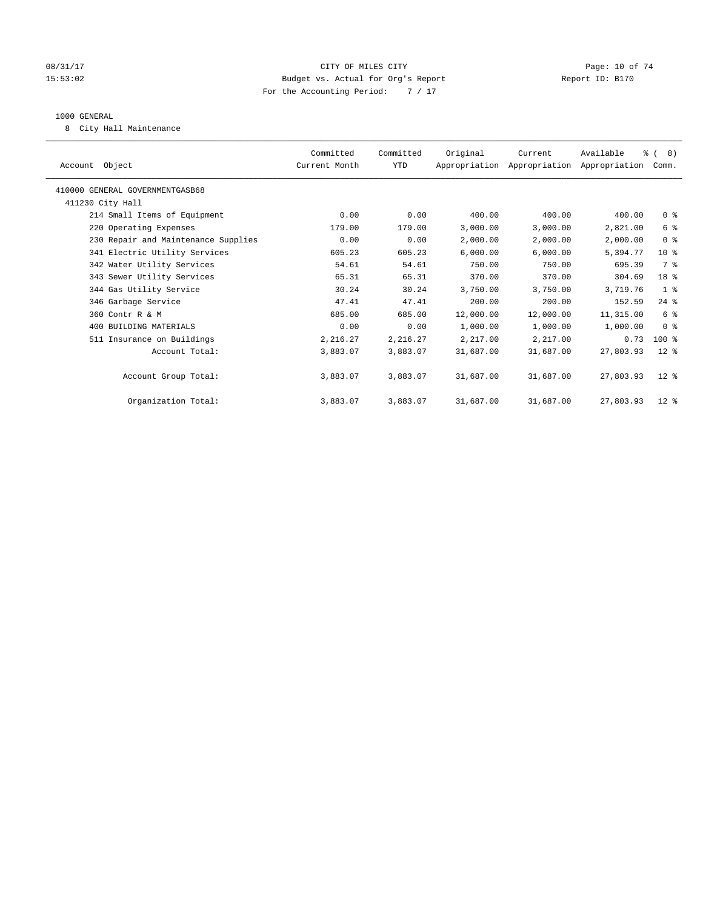# 08/31/17 Page: 10 of 74 15:53:02 Budget vs. Actual for Org's Report Report ID: B170 For the Accounting Period: 7 / 17

#### 1000 GENERAL

8 City Hall Maintenance

| Account Object                      | Committed<br>Current Month | Committed<br><b>YTD</b> | Original  | Current<br>Appropriation Appropriation Appropriation | Available | $\frac{6}{6}$ ( 8)<br>Comm. |  |
|-------------------------------------|----------------------------|-------------------------|-----------|------------------------------------------------------|-----------|-----------------------------|--|
| 410000 GENERAL GOVERNMENTGASB68     |                            |                         |           |                                                      |           |                             |  |
| 411230 City Hall                    |                            |                         |           |                                                      |           |                             |  |
| 214 Small Items of Equipment        | 0.00                       | 0.00                    | 400.00    | 400.00                                               | 400.00    | 0 <sup>8</sup>              |  |
| 220 Operating Expenses              | 179.00                     | 179.00                  | 3,000.00  | 3,000.00                                             | 2,821.00  | 6 %                         |  |
| 230 Repair and Maintenance Supplies | 0.00                       | 0.00                    | 2,000.00  | 2,000.00                                             | 2,000.00  | 0 <sup>8</sup>              |  |
| 341 Electric Utility Services       | 605.23                     | 605.23                  | 6,000.00  | 6,000.00                                             | 5,394.77  | 10 <sup>8</sup>             |  |
| 342 Water Utility Services          | 54.61                      | 54.61                   | 750.00    | 750.00                                               | 695.39    | 7 %                         |  |
| 343 Sewer Utility Services          | 65.31                      | 65.31                   | 370.00    | 370.00                                               | 304.69    | 18 %                        |  |
| 344 Gas Utility Service             | 30.24                      | 30.24                   | 3,750.00  | 3,750.00                                             | 3,719.76  | 1 <sup>8</sup>              |  |
| 346 Garbage Service                 | 47.41                      | 47.41                   | 200.00    | 200.00                                               | 152.59    | $24$ %                      |  |
| 360 Contr R & M                     | 685.00                     | 685.00                  | 12,000.00 | 12,000.00                                            | 11,315.00 | 6 %                         |  |
| 400 BUILDING MATERIALS              | 0.00                       | 0.00                    | 1,000.00  | 1,000.00                                             | 1,000.00  | 0 <sup>8</sup>              |  |
| 511 Insurance on Buildings          | 2,216.27                   | 2,216.27                | 2,217.00  | 2,217.00                                             | 0.73      | $100$ %                     |  |
| Account Total:                      | 3,883.07                   | 3,883.07                | 31,687.00 | 31,687.00                                            | 27,803.93 | $12$ %                      |  |
| Account Group Total:                | 3,883.07                   | 3,883.07                | 31,687.00 | 31,687.00                                            | 27,803.93 | $12*$                       |  |
| Organization Total:                 | 3,883.07                   | 3,883.07                | 31,687.00 | 31,687.00                                            | 27,803.93 | $12$ %                      |  |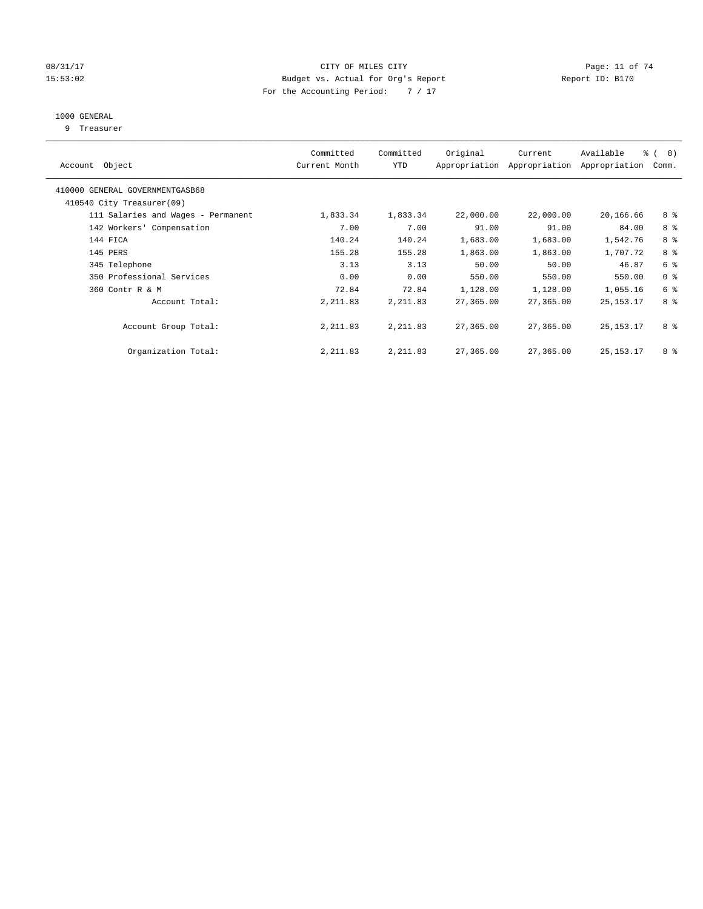# 08/31/17 Page: 11 of 74 15:53:02 Budget vs. Actual for Org's Report Report ID: B170 For the Accounting Period: 7 / 17

# 1000 GENERAL

9 Treasurer

| Account Object                                               | Committed<br>Current Month | Committed<br><b>YTD</b> | Original  | Current<br>Appropriation Appropriation | Available<br>Appropriation | $\frac{6}{6}$ ( 8)<br>Comm. |
|--------------------------------------------------------------|----------------------------|-------------------------|-----------|----------------------------------------|----------------------------|-----------------------------|
| 410000 GENERAL GOVERNMENTGASB68<br>410540 City Treasurer(09) |                            |                         |           |                                        |                            |                             |
| 111 Salaries and Wages - Permanent                           | 1,833.34                   | 1,833.34                | 22,000.00 | 22,000.00                              | 20,166.66                  | 8 %                         |
|                                                              |                            |                         |           |                                        |                            |                             |
| 142 Workers' Compensation                                    | 7.00                       | 7.00                    | 91.00     | 91.00                                  | 84.00                      | 8 %                         |
| 144 FICA                                                     | 140.24                     | 140.24                  | 1,683.00  | 1,683.00                               | 1,542.76                   | 8 %                         |
| 145 PERS                                                     | 155.28                     | 155.28                  | 1,863.00  | 1,863.00                               | 1,707.72                   | 8 %                         |
| 345 Telephone                                                | 3.13                       | 3.13                    | 50.00     | 50.00                                  | 46.87                      | 6 %                         |
| 350 Professional Services                                    | 0.00                       | 0.00                    | 550.00    | 550.00                                 | 550.00                     | 0 <sup>8</sup>              |
| 360 Contr R & M                                              | 72.84                      | 72.84                   | 1,128.00  | 1,128.00                               | 1,055.16                   | 6 %                         |
| Account Total:                                               | 2, 211.83                  | 2, 211.83               | 27,365.00 | 27,365.00                              | 25, 153. 17                | 8 %                         |
| Account Group Total:                                         | 2, 211.83                  | 2, 211.83               | 27,365.00 | 27,365.00                              | 25, 153. 17                | 8 %                         |
| Organization Total:                                          | 2, 211.83                  | 2,211.83                | 27,365.00 | 27,365.00                              | 25, 153. 17                | 8 %                         |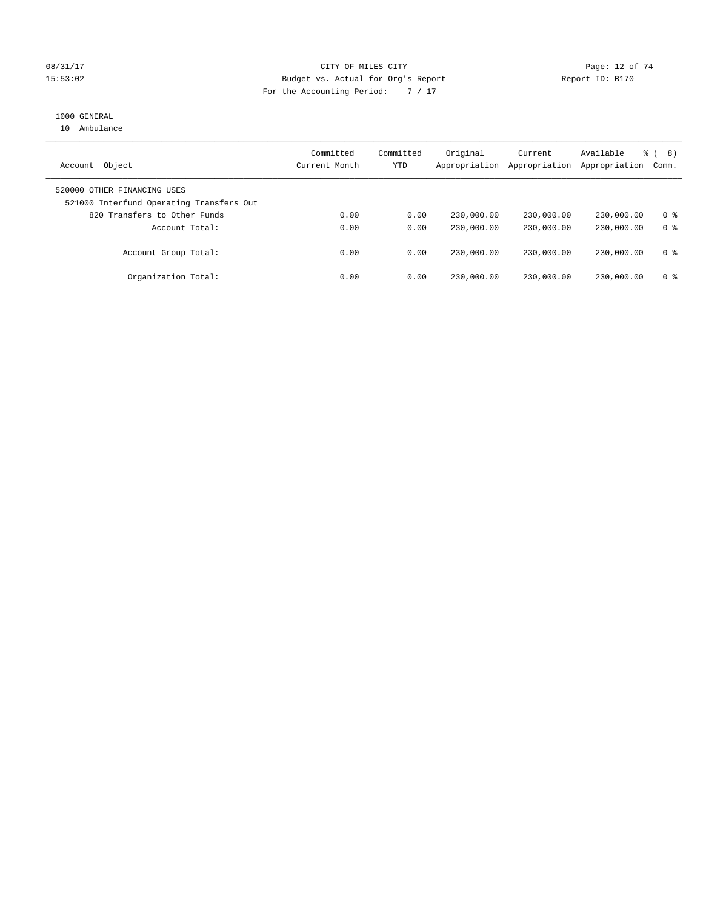# 08/31/17 Page: 12 of 74 15:53:02 Budget vs. Actual for Org's Report Report ID: B170 For the Accounting Period: 7 / 17

# 1000 GENERAL

10 Ambulance

| Object<br>Account                                                       | Committed<br>Current Month | Committed<br><b>YTD</b> | Original<br>Appropriation | Current<br>Appropriation | Available<br>Appropriation | 8)<br>ී (<br>Comm. |
|-------------------------------------------------------------------------|----------------------------|-------------------------|---------------------------|--------------------------|----------------------------|--------------------|
| 520000 OTHER FINANCING USES<br>521000 Interfund Operating Transfers Out |                            |                         |                           |                          |                            |                    |
| 820 Transfers to Other Funds                                            | 0.00                       | 0.00                    | 230,000.00                | 230,000.00               | 230,000.00                 | 0 <sup>8</sup>     |
| Account Total:                                                          | 0.00                       | 0.00                    | 230,000.00                | 230,000.00               | 230,000.00                 | 0 <sup>8</sup>     |
| Account Group Total:                                                    | 0.00                       | 0.00                    | 230,000.00                | 230,000.00               | 230,000.00                 | 0 <sup>8</sup>     |
| Organization Total:                                                     | 0.00                       | 0.00                    | 230,000.00                | 230,000.00               | 230,000.00                 | 0 <sup>8</sup>     |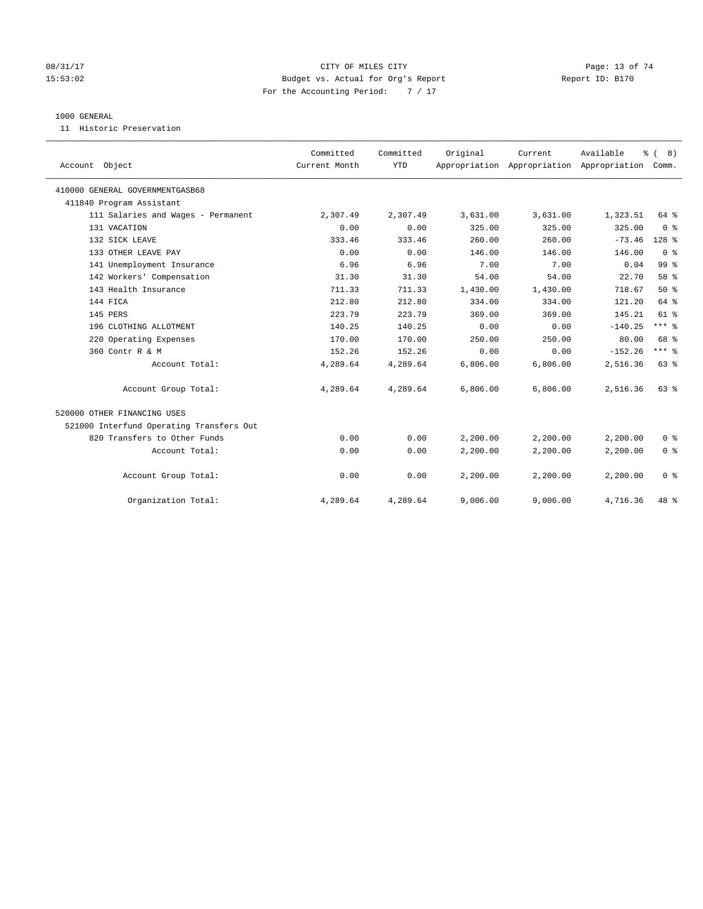# 08/31/17 Page: 13 of 74 15:53:02 Budget vs. Actual for Org's Report Report ID: B170 For the Accounting Period: 7 / 17

#### 1000 GENERAL

11 Historic Preservation

| Account Object                           | Committed<br>Current Month | Committed<br><b>YTD</b> | Original | Current<br>Appropriation Appropriation Appropriation | Available | % (8)<br>Comm. |
|------------------------------------------|----------------------------|-------------------------|----------|------------------------------------------------------|-----------|----------------|
| 410000 GENERAL GOVERNMENTGASB68          |                            |                         |          |                                                      |           |                |
| 411840 Program Assistant                 |                            |                         |          |                                                      |           |                |
| 111 Salaries and Wages - Permanent       | 2,307.49                   | 2,307.49                | 3,631.00 | 3,631.00                                             | 1,323.51  | 64 %           |
| 131 VACATION                             | 0.00                       | 0.00                    | 325.00   | 325.00                                               | 325.00    | 0 <sup>8</sup> |
| 132 SICK LEAVE                           | 333.46                     | 333.46                  | 260.00   | 260.00                                               | $-73.46$  | $128$ %        |
| 133 OTHER LEAVE PAY                      | 0.00                       | 0.00                    | 146.00   | 146.00                                               | 146.00    | 0 <sup>8</sup> |
| 141 Unemployment Insurance               | 6.96                       | 6.96                    | 7.00     | 7.00                                                 | 0.04      | 99 %           |
| 142 Workers' Compensation                | 31.30                      | 31.30                   | 54.00    | 54.00                                                | 22.70     | 58 %           |
| 143 Health Insurance                     | 711.33                     | 711.33                  | 1,430.00 | 1,430.00                                             | 718.67    | 50%            |
| 144 FICA                                 | 212.80                     | 212.80                  | 334.00   | 334.00                                               | 121.20    | 64 %           |
| 145 PERS                                 | 223.79                     | 223.79                  | 369.00   | 369.00                                               | 145.21    | $61$ $%$       |
| 196 CLOTHING ALLOTMENT                   | 140.25                     | 140.25                  | 0.00     | 0.00                                                 | $-140.25$ | $***$ $%$      |
| 220 Operating Expenses                   | 170.00                     | 170.00                  | 250.00   | 250.00                                               | 80.00     | 68 %           |
| 360 Contr R & M                          | 152.26                     | 152.26                  | 0.00     | 0.00                                                 | $-152.26$ | $***$ $_{8}$   |
| Account Total:                           | 4,289.64                   | 4,289.64                | 6,806.00 | 6,806.00                                             | 2,516.36  | 63 %           |
| Account Group Total:                     | 4,289.64                   | 4,289.64                | 6,806.00 | 6,806.00                                             | 2,516.36  | $63$ $%$       |
| 520000 OTHER FINANCING USES              |                            |                         |          |                                                      |           |                |
| 521000 Interfund Operating Transfers Out |                            |                         |          |                                                      |           |                |
| 820 Transfers to Other Funds             | 0.00                       | 0.00                    | 2,200.00 | 2,200.00                                             | 2,200.00  | 0 <sup>8</sup> |
| Account Total:                           | 0.00                       | 0.00                    | 2,200.00 | 2,200.00                                             | 2,200.00  | 0 <sup>8</sup> |
| Account Group Total:                     | 0.00                       | 0.00                    | 2,200.00 | 2,200.00                                             | 2,200.00  | 0 <sup>8</sup> |
| Organization Total:                      | 4,289.64                   | 4,289.64                | 9,006.00 | 9,006.00                                             | 4,716.36  | 48 %           |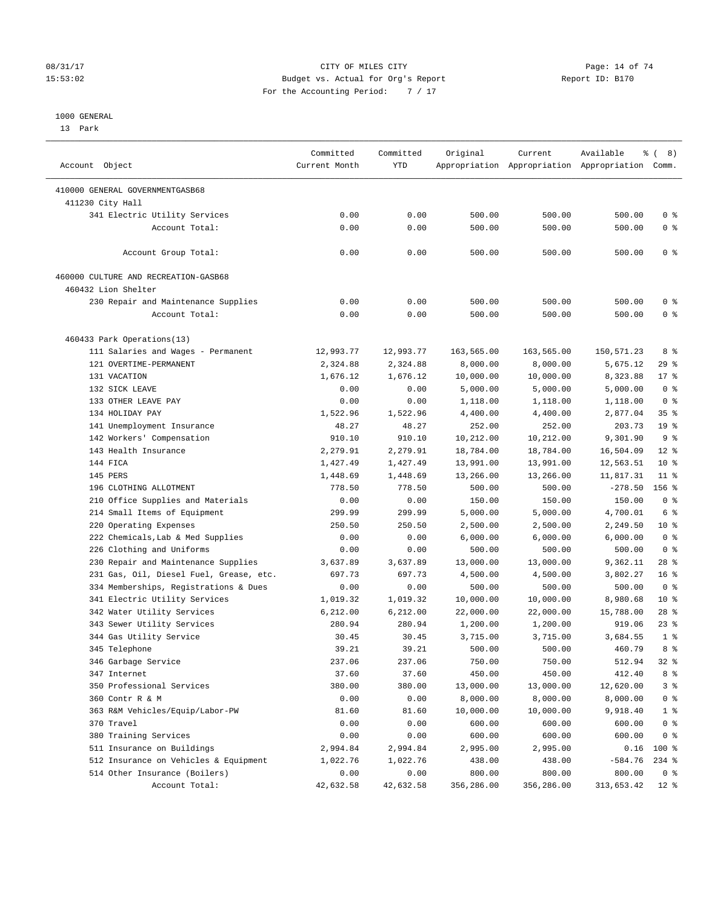# 08/31/17 Page: 14 of 74 15:53:02 Budget vs. Actual for Org's Report Report ID: B170 For the Accounting Period: 7 / 17

————————————————————————————————————————————————————————————————————————————————————————————————————————————————————————————————————

#### 1000 GENERAL

13 Park

|                                         | Committed     | Committed  | Original   | Current    | Available                                       | $\frac{6}{6}$ ( 8) |
|-----------------------------------------|---------------|------------|------------|------------|-------------------------------------------------|--------------------|
| Account Object                          | Current Month | <b>YTD</b> |            |            | Appropriation Appropriation Appropriation Comm. |                    |
| 410000 GENERAL GOVERNMENTGASB68         |               |            |            |            |                                                 |                    |
| 411230 City Hall                        |               |            |            |            |                                                 |                    |
| 341 Electric Utility Services           | 0.00          | 0.00       | 500.00     | 500.00     | 500.00                                          | 0 <sup>8</sup>     |
| Account Total:                          | 0.00          | 0.00       | 500.00     | 500.00     | 500.00                                          | 0 <sup>8</sup>     |
| Account Group Total:                    | 0.00          | 0.00       | 500.00     | 500.00     | 500.00                                          | 0 <sup>8</sup>     |
| 460000 CULTURE AND RECREATION-GASB68    |               |            |            |            |                                                 |                    |
| 460432 Lion Shelter                     |               |            |            |            |                                                 |                    |
| 230 Repair and Maintenance Supplies     | 0.00          | 0.00       | 500.00     | 500.00     | 500.00                                          | 0 <sup>8</sup>     |
| Account Total:                          | 0.00          | 0.00       | 500.00     | 500.00     | 500.00                                          | 0 <sup>8</sup>     |
| 460433 Park Operations(13)              |               |            |            |            |                                                 |                    |
| 111 Salaries and Wages - Permanent      | 12,993.77     | 12,993.77  | 163,565.00 | 163,565.00 | 150,571.23                                      | 8 %                |
| 121 OVERTIME-PERMANENT                  | 2,324.88      | 2,324.88   | 8,000.00   | 8,000.00   | 5,675.12                                        | $29$ %             |
| 131 VACATION                            | 1,676.12      | 1,676.12   | 10,000.00  | 10,000.00  | 8,323.88                                        | $17*$              |
| 132 SICK LEAVE                          | 0.00          | 0.00       | 5,000.00   | 5,000.00   | 5,000.00                                        | 0 <sup>8</sup>     |
| 133 OTHER LEAVE PAY                     | 0.00          | 0.00       | 1,118.00   | 1,118.00   | 1,118.00                                        | 0 <sup>8</sup>     |
| 134 HOLIDAY PAY                         | 1,522.96      | 1,522.96   | 4,400.00   | 4,400.00   | 2,877.04                                        | 35%                |
| 141 Unemployment Insurance              | 48.27         | 48.27      | 252.00     | 252.00     | 203.73                                          | 19 <sup>°</sup>    |
| 142 Workers' Compensation               | 910.10        | 910.10     | 10,212.00  | 10,212.00  | 9,301.90                                        | 9 <sup>°</sup>     |
| 143 Health Insurance                    | 2,279.91      | 2,279.91   | 18,784.00  | 18,784.00  | 16,504.09                                       | $12*$              |
| 144 FICA                                | 1,427.49      | 1,427.49   | 13,991.00  | 13,991.00  | 12,563.51                                       | $10*$              |
| 145 PERS                                | 1,448.69      | 1,448.69   | 13,266.00  | 13,266.00  | 11,817.31                                       | $11$ %             |
| 196 CLOTHING ALLOTMENT                  | 778.50        | 778.50     | 500.00     | 500.00     | $-278.50$                                       | 156 %              |
| 210 Office Supplies and Materials       | 0.00          | 0.00       | 150.00     | 150.00     | 150.00                                          | 0 <sup>8</sup>     |
| 214 Small Items of Equipment            | 299.99        | 299.99     | 5,000.00   | 5,000.00   | 4,700.01                                        | 6 %                |
| 220 Operating Expenses                  | 250.50        | 250.50     | 2,500.00   | 2,500.00   | 2,249.50                                        | 10 <sup>°</sup>    |
| 222 Chemicals, Lab & Med Supplies       | 0.00          | 0.00       | 6,000.00   | 6,000.00   | 6,000.00                                        | 0 <sup>8</sup>     |
| 226 Clothing and Uniforms               | 0.00          | 0.00       | 500.00     | 500.00     | 500.00                                          | 0 <sup>8</sup>     |
| 230 Repair and Maintenance Supplies     | 3,637.89      | 3,637.89   | 13,000.00  | 13,000.00  | 9,362.11                                        | $28$ %             |
| 231 Gas, Oil, Diesel Fuel, Grease, etc. | 697.73        | 697.73     | 4,500.00   | 4,500.00   | 3,802.27                                        | 16 <sup>°</sup>    |
| 334 Memberships, Registrations & Dues   | 0.00          | 0.00       | 500.00     | 500.00     | 500.00                                          | 0 <sup>8</sup>     |
| 341 Electric Utility Services           | 1,019.32      | 1,019.32   | 10,000.00  | 10,000.00  | 8,980.68                                        | $10*$              |
| 342 Water Utility Services              | 6,212.00      | 6,212.00   | 22,000.00  | 22,000.00  | 15,788.00                                       | $28$ %             |
| 343 Sewer Utility Services              | 280.94        | 280.94     | 1,200.00   | 1,200.00   | 919.06                                          | $23$ $%$           |
| 344 Gas Utility Service                 | 30.45         | 30.45      | 3,715.00   | 3,715.00   | 3,684.55                                        | 1 <sup>8</sup>     |
| 345 Telephone                           | 39.21         | 39.21      | 500.00     | 500.00     | 460.79                                          | 8%                 |
| 346 Garbage Service                     | 237.06        | 237.06     | 750.00     | 750.00     | 512.94                                          | $32$ $%$           |
| 347 Internet                            | 37.60         | 37.60      | 450.00     | 450.00     | 412.40                                          | 8 %                |
| 350 Professional Services               | 380.00        | 380.00     | 13,000.00  | 13,000.00  | 12,620.00                                       | 3 <sup>°</sup>     |
| 360 Contr R & M                         | 0.00          | 0.00       | 8,000.00   | 8,000.00   | 8,000.00                                        | 0 <sup>8</sup>     |
| 363 R&M Vehicles/Equip/Labor-PW         | 81.60         | 81.60      | 10,000.00  | 10,000.00  | 9,918.40                                        | $1$ %              |
| 370 Travel                              | 0.00          | 0.00       | 600.00     | 600.00     | 600.00                                          | 0 <sup>8</sup>     |
| 380 Training Services                   | 0.00          | 0.00       | 600.00     | 600.00     | 600.00                                          | 0 <sup>8</sup>     |
| 511 Insurance on Buildings              | 2,994.84      | 2,994.84   | 2,995.00   | 2,995.00   | 0.16                                            | 100 %              |
| 512 Insurance on Vehicles & Equipment   | 1,022.76      | 1,022.76   | 438.00     | 438.00     | $-584.76$                                       | $234$ %            |
| 514 Other Insurance (Boilers)           | 0.00          | 0.00       | 800.00     | 800.00     | 800.00                                          | 0 <sup>8</sup>     |
| Account Total:                          | 42,632.58     | 42,632.58  | 356,286.00 | 356,286.00 | 313,653.42                                      | $12$ %             |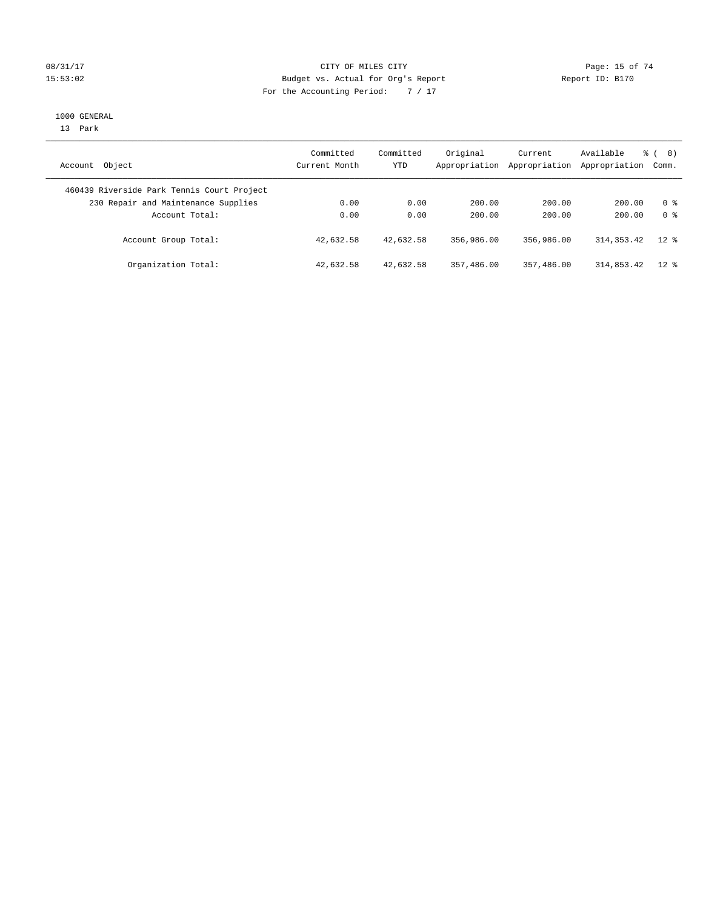# 08/31/17 Page: 15 of 74 15:53:02 Budget vs. Actual for Org's Report Report ID: B170 For the Accounting Period: 7 / 17

#### 1000 GENERAL

13 Park

| Account Object                             | Committed<br>Current Month | Committed<br><b>YTD</b> | Original<br>Appropriation | Current<br>Appropriation | Available<br>Appropriation Comm. | ී (<br>8)      |
|--------------------------------------------|----------------------------|-------------------------|---------------------------|--------------------------|----------------------------------|----------------|
| 460439 Riverside Park Tennis Court Project |                            |                         |                           |                          |                                  |                |
| 230 Repair and Maintenance Supplies        | 0.00                       | 0.00                    | 200.00                    | 200.00                   | 200.00                           | 0 %            |
| Account Total:                             | 0.00                       | 0.00                    | 200.00                    | 200.00                   | 200.00                           | 0 <sup>8</sup> |
| Account Group Total:                       | 42,632.58                  | 42,632.58               | 356,986.00                | 356,986.00               | 314, 353, 42                     | $12*$          |
| Organization Total:                        | 42,632.58                  | 42,632.58               | 357,486.00                | 357,486.00               | 314,853.42                       | $12$ %         |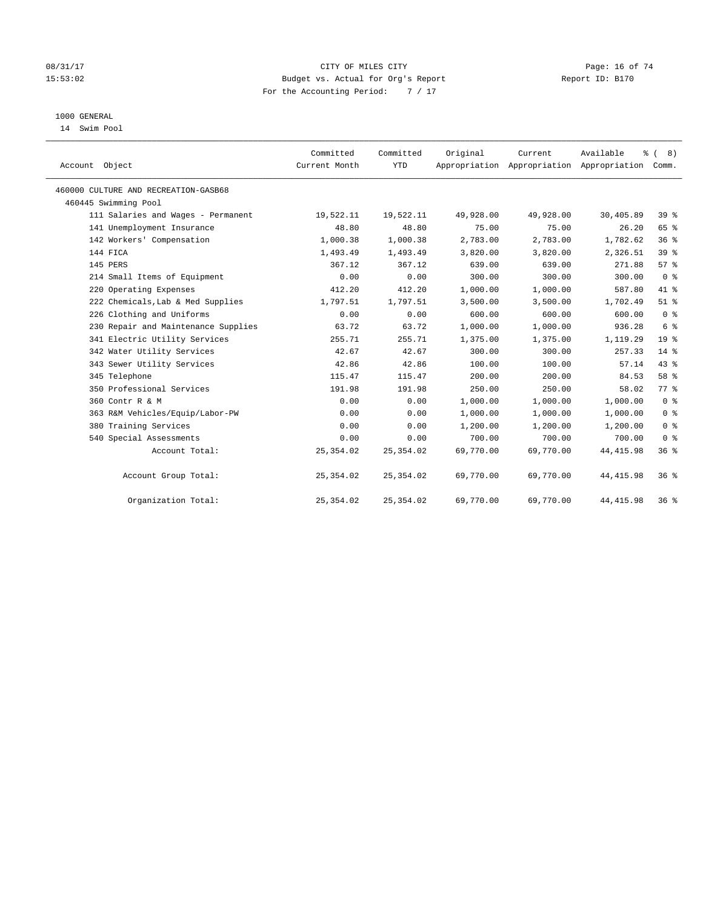# 08/31/17 Page: 16 of 74 15:53:02 Budget vs. Actual for Org's Report Report ID: B170 For the Accounting Period: 7 / 17

# 1000 GENERAL

14 Swim Pool

| Account Object                       | Committed<br>Current Month | Committed<br><b>YTD</b> | Original  | Current   | Available<br>Appropriation Appropriation Appropriation Comm. | % (8)           |
|--------------------------------------|----------------------------|-------------------------|-----------|-----------|--------------------------------------------------------------|-----------------|
| 460000 CULTURE AND RECREATION-GASB68 |                            |                         |           |           |                                                              |                 |
| 460445 Swimming Pool                 |                            |                         |           |           |                                                              |                 |
| 111 Salaries and Wages - Permanent   | 19,522.11                  | 19,522.11               | 49,928.00 | 49,928.00 | 30,405.89                                                    | 39 <sup>8</sup> |
| 141 Unemployment Insurance           | 48.80                      | 48.80                   | 75.00     | 75.00     | 26.20                                                        | 65 %            |
| 142 Workers' Compensation            | 1,000.38                   | 1,000.38                | 2,783.00  | 2,783.00  | 1,782.62                                                     | 36%             |
| 144 FICA                             | 1,493.49                   | 1,493.49                | 3,820.00  | 3,820.00  | 2,326.51                                                     | 39 <sup>°</sup> |
| 145 PERS                             | 367.12                     | 367.12                  | 639.00    | 639.00    | 271.88                                                       | 57%             |
| 214 Small Items of Equipment         | 0.00                       | 0.00                    | 300.00    | 300.00    | 300.00                                                       | 0 <sup>8</sup>  |
| 220 Operating Expenses               | 412.20                     | 412.20                  | 1,000.00  | 1,000.00  | 587.80                                                       | 41 %            |
| 222 Chemicals, Lab & Med Supplies    | 1,797.51                   | 1,797.51                | 3,500.00  | 3,500.00  | 1,702.49                                                     | $51$ %          |
| 226 Clothing and Uniforms            | 0.00                       | 0.00                    | 600.00    | 600.00    | 600.00                                                       | 0 <sup>8</sup>  |
| 230 Repair and Maintenance Supplies  | 63.72                      | 63.72                   | 1,000.00  | 1,000.00  | 936.28                                                       | 6 <sup>°</sup>  |
| 341 Electric Utility Services        | 255.71                     | 255.71                  | 1,375.00  | 1,375.00  | 1,119.29                                                     | 19 <sup>°</sup> |
| 342 Water Utility Services           | 42.67                      | 42.67                   | 300.00    | 300.00    | 257.33                                                       | $14*$           |
| 343 Sewer Utility Services           | 42.86                      | 42.86                   | 100.00    | 100.00    | 57.14                                                        | 43 %            |
| 345 Telephone                        | 115.47                     | 115.47                  | 200.00    | 200.00    | 84.53                                                        | 58 %            |
| 350 Professional Services            | 191.98                     | 191.98                  | 250.00    | 250.00    | 58.02                                                        | 77.8            |
| 360 Contr R & M                      | 0.00                       | 0.00                    | 1,000.00  | 1,000.00  | 1,000.00                                                     | 0 <sup>8</sup>  |
| 363 R&M Vehicles/Equip/Labor-PW      | 0.00                       | 0.00                    | 1,000.00  | 1,000.00  | 1,000.00                                                     | 0 <sup>8</sup>  |
| 380 Training Services                | 0.00                       | 0.00                    | 1,200.00  | 1,200.00  | 1,200.00                                                     | 0 <sup>8</sup>  |
| 540 Special Assessments              | 0.00                       | 0.00                    | 700.00    | 700.00    | 700.00                                                       | 0 <sup>8</sup>  |
| Account Total:                       | 25, 354.02                 | 25, 354.02              | 69,770.00 | 69,770.00 | 44, 415.98                                                   | 36%             |
| Account Group Total:                 | 25, 354.02                 | 25, 354.02              | 69,770.00 | 69,770.00 | 44, 415.98                                                   | 36 <sup>8</sup> |
| Organization Total:                  | 25, 354.02                 | 25, 354.02              | 69,770.00 | 69,770.00 | 44, 415.98                                                   | 36%             |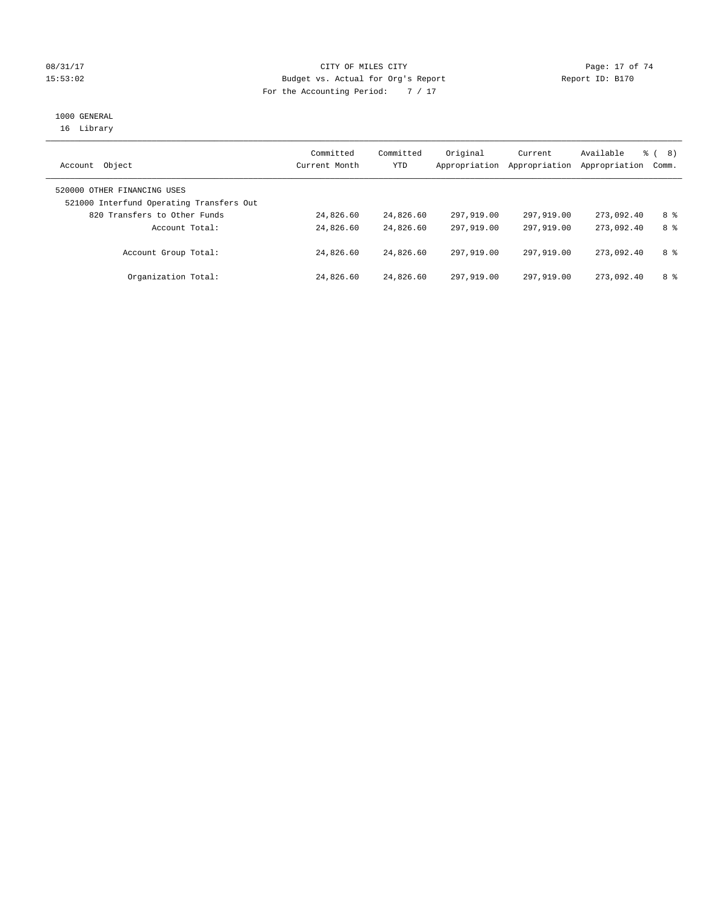# 08/31/17 Page: 17 of 74 15:53:02 Budget vs. Actual for Org's Report Report ID: B170 For the Accounting Period: 7 / 17

# 1000 GENERAL

16 Library

| Object<br>Account                                                       | Committed<br>Current Month | Committed<br>YTD | Original<br>Appropriation | Current<br>Appropriation | Available<br>Appropriation | 8)<br>ී (<br>Comm. |
|-------------------------------------------------------------------------|----------------------------|------------------|---------------------------|--------------------------|----------------------------|--------------------|
| 520000 OTHER FINANCING USES<br>521000 Interfund Operating Transfers Out |                            |                  |                           |                          |                            |                    |
|                                                                         |                            |                  |                           |                          |                            |                    |
| 820 Transfers to Other Funds                                            | 24,826.60                  | 24,826.60        | 297,919.00                | 297,919.00               | 273,092.40                 | 8 %                |
| Account Total:                                                          | 24,826.60                  | 24,826.60        | 297,919,00                | 297,919.00               | 273,092.40                 | 8 %                |
| Account Group Total:                                                    | 24,826.60                  | 24,826.60        | 297,919.00                | 297,919.00               | 273,092.40                 | 8 %                |
| Organization Total:                                                     | 24,826.60                  | 24,826.60        | 297,919.00                | 297,919.00               | 273,092.40                 | 8 %                |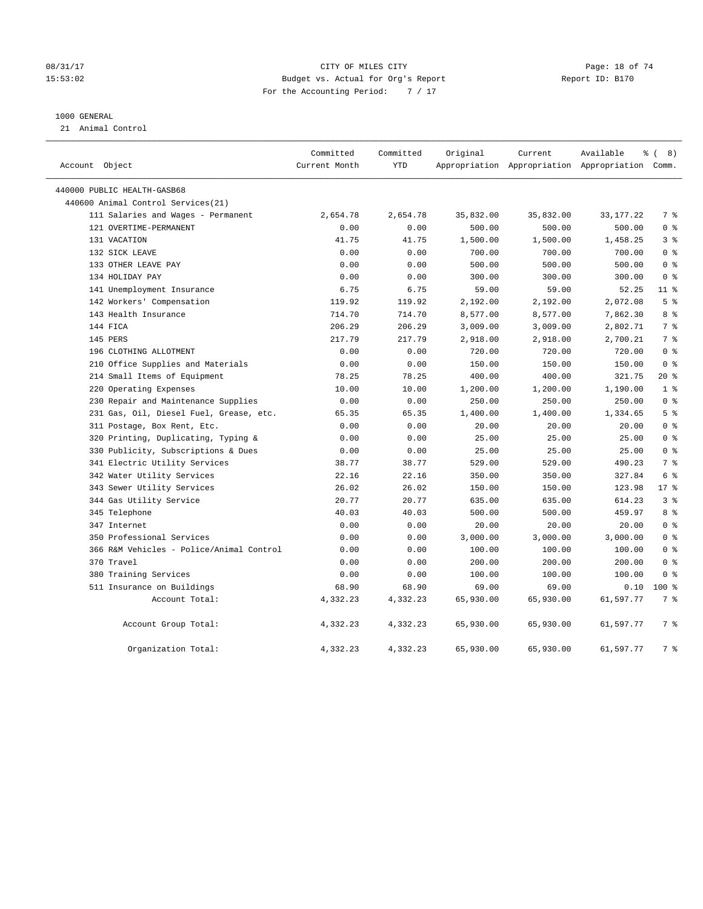# 08/31/17 Page: 18 of 74 15:53:02 Budget vs. Actual for Org's Report Report ID: B170 For the Accounting Period: 7 / 17

#### 1000 GENERAL

21 Animal Control

| Account Object                           | Committed<br>Current Month | Committed<br>YTD | Original  | Current   | Available<br>Appropriation Appropriation Appropriation Comm. | $\frac{6}{6}$ ( 8) |
|------------------------------------------|----------------------------|------------------|-----------|-----------|--------------------------------------------------------------|--------------------|
| 440000 PUBLIC HEALTH-GASB68              |                            |                  |           |           |                                                              |                    |
| 440600 Animal Control Services(21)       |                            |                  |           |           |                                                              |                    |
| 111 Salaries and Wages - Permanent       | 2,654.78                   | 2,654.78         | 35,832.00 | 35,832.00 | 33, 177. 22                                                  | 7 %                |
| 121 OVERTIME-PERMANENT                   | 0.00                       | 0.00             | 500.00    | 500.00    | 500.00                                                       | 0 <sup>8</sup>     |
| 131 VACATION                             | 41.75                      | 41.75            | 1,500.00  | 1,500.00  | 1,458.25                                                     | 3 <sup>°</sup>     |
| 132 SICK LEAVE                           | 0.00                       | 0.00             | 700.00    | 700.00    | 700.00                                                       | 0 <sup>8</sup>     |
| 133 OTHER LEAVE PAY                      | 0.00                       | 0.00             | 500.00    | 500.00    | 500.00                                                       | 0 <sup>8</sup>     |
| 134 HOLIDAY PAY                          | 0.00                       | 0.00             | 300.00    | 300.00    | 300.00                                                       | 0 <sup>8</sup>     |
| 141 Unemployment Insurance               | 6.75                       | 6.75             | 59.00     | 59.00     | 52.25                                                        | $11$ %             |
| 142 Workers' Compensation                | 119.92                     | 119.92           | 2,192.00  | 2,192.00  | 2,072.08                                                     | 5 <sup>°</sup>     |
| 143 Health Insurance                     | 714.70                     | 714.70           | 8,577.00  | 8,577.00  | 7,862.30                                                     | 8 %                |
| 144 FICA                                 | 206.29                     | 206.29           | 3,009.00  | 3,009.00  | 2,802.71                                                     | 7 %                |
| 145 PERS                                 | 217.79                     | 217.79           | 2,918.00  | 2,918.00  | 2,700.21                                                     | 7 %                |
| 196 CLOTHING ALLOTMENT                   | 0.00                       | 0.00             | 720.00    | 720.00    | 720.00                                                       | 0 <sup>8</sup>     |
| 210 Office Supplies and Materials        | 0.00                       | 0.00             | 150.00    | 150.00    | 150.00                                                       | 0 <sup>8</sup>     |
| 214 Small Items of Equipment             | 78.25                      | 78.25            | 400.00    | 400.00    | 321.75                                                       | 20 %               |
| 220 Operating Expenses                   | 10.00                      | 10.00            | 1,200.00  | 1,200.00  | 1,190.00                                                     | 1 <sup>°</sup>     |
| 230 Repair and Maintenance Supplies      | 0.00                       | 0.00             | 250.00    | 250.00    | 250.00                                                       | 0 <sup>8</sup>     |
| 231 Gas, Oil, Diesel Fuel, Grease, etc.  | 65.35                      | 65.35            | 1,400.00  | 1,400.00  | 1,334.65                                                     | 5%                 |
| 311 Postage, Box Rent, Etc.              | 0.00                       | 0.00             | 20.00     | 20.00     | 20.00                                                        | 0 <sup>8</sup>     |
| 320 Printing, Duplicating, Typing &      | 0.00                       | 0.00             | 25.00     | 25.00     | 25.00                                                        | 0 <sup>8</sup>     |
| 330 Publicity, Subscriptions & Dues      | 0.00                       | 0.00             | 25.00     | 25.00     | 25.00                                                        | 0 <sup>8</sup>     |
| 341 Electric Utility Services            | 38.77                      | 38.77            | 529.00    | 529.00    | 490.23                                                       | 7 %                |
| 342 Water Utility Services               | 22.16                      | 22.16            | 350.00    | 350.00    | 327.84                                                       | 6 %                |
| 343 Sewer Utility Services               | 26.02                      | 26.02            | 150.00    | 150.00    | 123.98                                                       | $17*$              |
| 344 Gas Utility Service                  | 20.77                      | 20.77            | 635.00    | 635.00    | 614.23                                                       | 3 <sup>°</sup>     |
| 345 Telephone                            | 40.03                      | 40.03            | 500.00    | 500.00    | 459.97                                                       | 8 %                |
| 347 Internet                             | 0.00                       | 0.00             | 20.00     | 20.00     | 20.00                                                        | 0 <sup>8</sup>     |
| 350 Professional Services                | 0.00                       | 0.00             | 3,000.00  | 3,000.00  | 3,000.00                                                     | 0 <sup>8</sup>     |
| 366 R&M Vehicles - Police/Animal Control | 0.00                       | 0.00             | 100.00    | 100.00    | 100.00                                                       | 0 <sup>8</sup>     |
| 370 Travel                               | 0.00                       | 0.00             | 200.00    | 200.00    | 200.00                                                       | 0 <sup>8</sup>     |
| 380 Training Services                    | 0.00                       | 0.00             | 100.00    | 100.00    | 100.00                                                       | 0 <sup>8</sup>     |
| 511 Insurance on Buildings               | 68.90                      | 68.90            | 69.00     | 69.00     | 0.10                                                         | $100*$             |
| Account Total:                           | 4,332.23                   | 4,332.23         | 65,930.00 | 65,930.00 | 61,597.77                                                    | 7 %                |
| Account Group Total:                     | 4,332.23                   | 4,332.23         | 65,930.00 | 65,930.00 | 61,597.77                                                    | 7 %                |
| Organization Total:                      | 4,332.23                   | 4,332.23         | 65,930.00 | 65,930.00 | 61,597.77                                                    | 7 %                |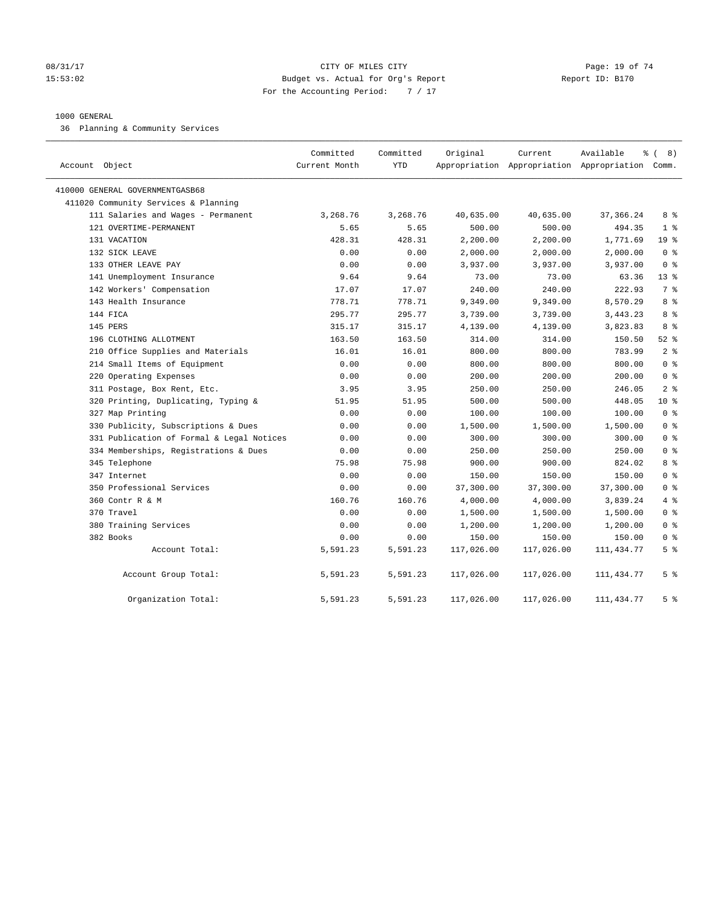# 08/31/17 Page: 19 of 74 15:53:02 Budget vs. Actual for Org's Report Report ID: B170 For the Accounting Period: 7 / 17

#### 1000 GENERAL

36 Planning & Community Services

| Account Object                            | Committed<br>Current Month | Committed<br><b>YTD</b> | Original   | Current    | Available<br>Appropriation Appropriation Appropriation Comm. | $\frac{6}{6}$ ( 8) |
|-------------------------------------------|----------------------------|-------------------------|------------|------------|--------------------------------------------------------------|--------------------|
| 410000 GENERAL GOVERNMENTGASB68           |                            |                         |            |            |                                                              |                    |
| 411020 Community Services & Planning      |                            |                         |            |            |                                                              |                    |
| 111 Salaries and Wages - Permanent        | 3,268.76                   | 3,268.76                | 40,635.00  | 40,635.00  | 37, 366.24                                                   | 8 %                |
| 121 OVERTIME-PERMANENT                    | 5.65                       | 5.65                    | 500.00     | 500.00     | 494.35                                                       | 1 <sup>8</sup>     |
| 131 VACATION                              | 428.31                     | 428.31                  | 2,200.00   | 2,200.00   | 1,771.69                                                     | 19 <sup>°</sup>    |
| 132 SICK LEAVE                            | 0.00                       | 0.00                    | 2,000.00   | 2,000.00   | 2,000.00                                                     | 0 <sup>8</sup>     |
| 133 OTHER LEAVE PAY                       | 0.00                       | 0.00                    | 3,937.00   | 3,937.00   | 3,937.00                                                     | 0 <sup>8</sup>     |
| 141 Unemployment Insurance                | 9.64                       | 9.64                    | 73.00      | 73.00      | 63.36                                                        | $13*$              |
| 142 Workers' Compensation                 | 17.07                      | 17.07                   | 240.00     | 240.00     | 222.93                                                       | 7 <sup>°</sup>     |
| 143 Health Insurance                      | 778.71                     | 778.71                  | 9,349.00   | 9,349.00   | 8,570.29                                                     | 8 %                |
| 144 FICA                                  | 295.77                     | 295.77                  | 3,739.00   | 3,739.00   | 3,443.23                                                     | 8 %                |
| 145 PERS                                  | 315.17                     | 315.17                  | 4,139.00   | 4,139.00   | 3,823.83                                                     | 8 %                |
| 196 CLOTHING ALLOTMENT                    | 163.50                     | 163.50                  | 314.00     | 314.00     | 150.50                                                       | 52 $%$             |
| 210 Office Supplies and Materials         | 16.01                      | 16.01                   | 800.00     | 800.00     | 783.99                                                       | 2 <sup>°</sup>     |
| 214 Small Items of Equipment              | 0.00                       | 0.00                    | 800.00     | 800.00     | 800.00                                                       | 0 <sup>8</sup>     |
| 220 Operating Expenses                    | 0.00                       | 0.00                    | 200.00     | 200.00     | 200.00                                                       | 0 <sup>8</sup>     |
| 311 Postage, Box Rent, Etc.               | 3.95                       | 3.95                    | 250.00     | 250.00     | 246.05                                                       | 2 <sup>°</sup>     |
| 320 Printing, Duplicating, Typing &       | 51.95                      | 51.95                   | 500.00     | 500.00     | 448.05                                                       | $10*$              |
| 327 Map Printing                          | 0.00                       | 0.00                    | 100.00     | 100.00     | 100.00                                                       | 0 <sup>8</sup>     |
| 330 Publicity, Subscriptions & Dues       | 0.00                       | 0.00                    | 1,500.00   | 1,500.00   | 1,500.00                                                     | 0 <sup>8</sup>     |
| 331 Publication of Formal & Legal Notices | 0.00                       | 0.00                    | 300.00     | 300.00     | 300.00                                                       | 0 <sup>8</sup>     |
| 334 Memberships, Registrations & Dues     | 0.00                       | 0.00                    | 250.00     | 250.00     | 250.00                                                       | 0 <sup>8</sup>     |
| 345 Telephone                             | 75.98                      | 75.98                   | 900.00     | 900.00     | 824.02                                                       | 8 %                |
| 347 Internet                              | 0.00                       | 0.00                    | 150.00     | 150.00     | 150.00                                                       | 0 <sup>8</sup>     |
| 350 Professional Services                 | 0.00                       | 0.00                    | 37,300.00  | 37,300.00  | 37,300.00                                                    | 0 <sup>8</sup>     |
| 360 Contr R & M                           | 160.76                     | 160.76                  | 4,000.00   | 4,000.00   | 3,839.24                                                     | 4%                 |
| 370 Travel                                | 0.00                       | 0.00                    | 1,500.00   | 1,500.00   | 1,500.00                                                     | 0 <sup>8</sup>     |
| 380 Training Services                     | 0.00                       | 0.00                    | 1,200.00   | 1,200.00   | 1,200.00                                                     | 0 <sup>8</sup>     |
| 382 Books                                 | 0.00                       | 0.00                    | 150.00     | 150.00     | 150.00                                                       | 0 <sup>8</sup>     |
| Account Total:                            | 5,591.23                   | 5,591.23                | 117,026.00 | 117,026.00 | 111, 434.77                                                  | 5 <sup>8</sup>     |
| Account Group Total:                      | 5,591.23                   | 5,591.23                | 117,026.00 | 117,026.00 | 111, 434.77                                                  | 5 <sup>8</sup>     |
| Organization Total:                       | 5,591.23                   | 5,591.23                | 117,026.00 | 117,026.00 | 111, 434. 77                                                 | 5 <sup>8</sup>     |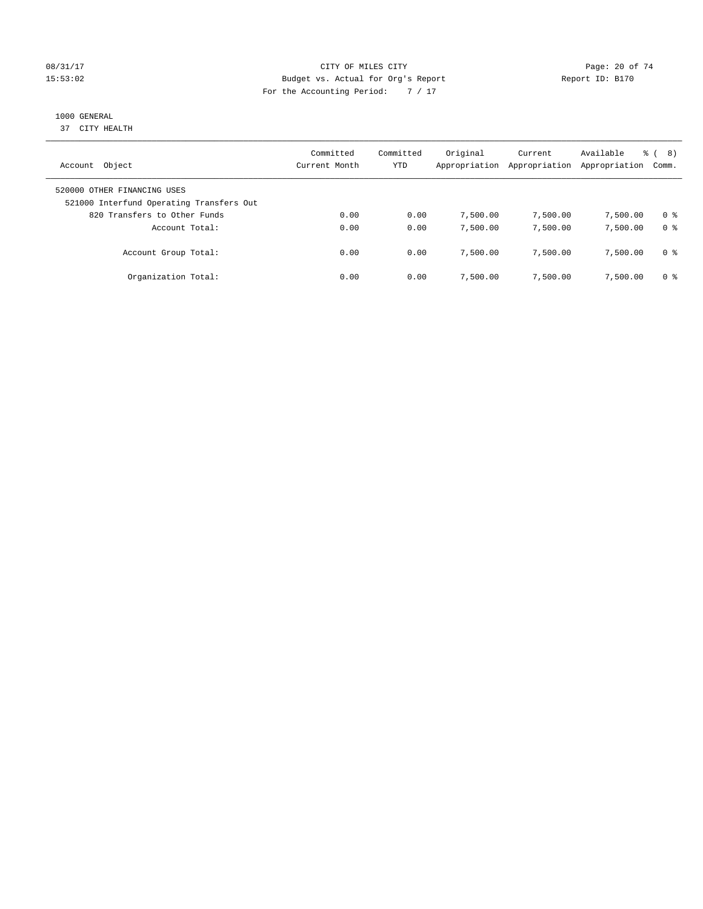# 08/31/17 Page: 20 of 74 15:53:02 Budget vs. Actual for Org's Report Report ID: B170 For the Accounting Period: 7 / 17

# 1000 GENERAL

37 CITY HEALTH

| Object<br>Account                                                                                       | Committed<br>Current Month | Committed<br>YTD | Original<br>Appropriation | Current<br>Appropriation | Available<br>Appropriation | 8)<br>응 (<br>Comm. |
|---------------------------------------------------------------------------------------------------------|----------------------------|------------------|---------------------------|--------------------------|----------------------------|--------------------|
| 520000 OTHER FINANCING USES<br>521000 Interfund Operating Transfers Out<br>820 Transfers to Other Funds | 0.00                       | 0.00             | 7,500.00                  | 7,500.00                 | 7,500.00                   | 0 %                |
| Account Total:                                                                                          | 0.00                       | 0.00             | 7,500.00                  | 7,500.00                 | 7,500.00                   | 0 <sup>8</sup>     |
| Account Group Total:                                                                                    | 0.00                       | 0.00             | 7,500.00                  | 7,500.00                 | 7,500.00                   | 0 %                |
| Organization Total:                                                                                     | 0.00                       | 0.00             | 7,500.00                  | 7,500.00                 | 7,500.00                   | 0 %                |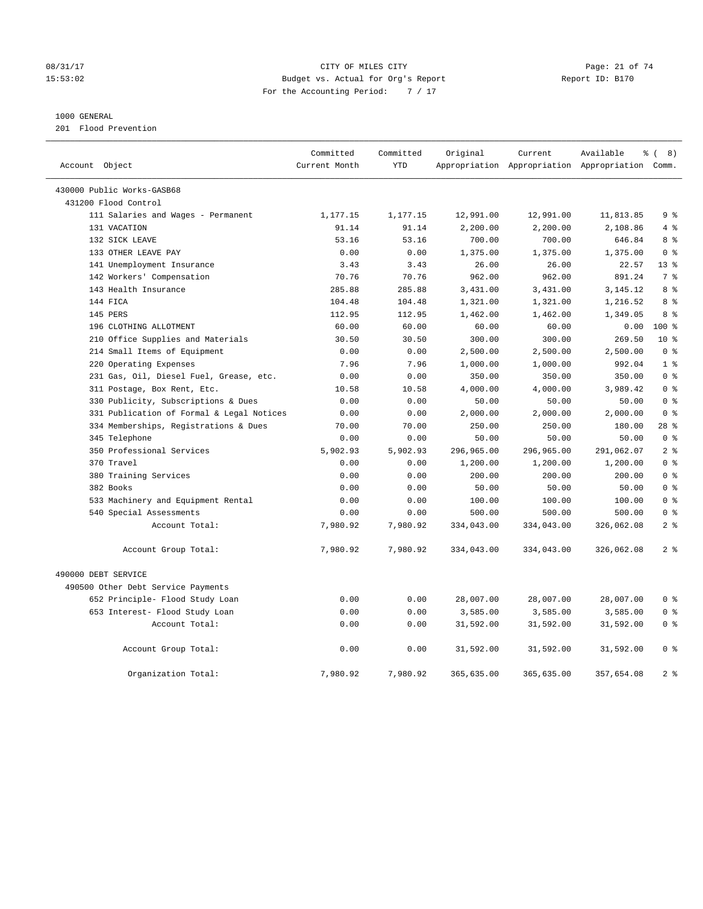# 08/31/17 Page: 21 of 74 15:53:02 Budget vs. Actual for Org's Report Report ID: B170 For the Accounting Period: 7 / 17

#### 1000 GENERAL

201 Flood Prevention

|                |                                           | Committed     | Committed  | Original   | Current    | Available                                 | <u>ေ</u> (<br>8) |
|----------------|-------------------------------------------|---------------|------------|------------|------------|-------------------------------------------|------------------|
| Account Object |                                           | Current Month | <b>YTD</b> |            |            | Appropriation Appropriation Appropriation | Comm.            |
|                | 430000 Public Works-GASB68                |               |            |            |            |                                           |                  |
|                | 431200 Flood Control                      |               |            |            |            |                                           |                  |
|                | 111 Salaries and Wages - Permanent        | 1,177.15      | 1,177.15   | 12,991.00  | 12,991.00  | 11,813.85                                 | 9 <sup>°</sup>   |
|                | 131 VACATION                              | 91.14         | 91.14      | 2,200.00   | 2,200.00   | 2,108.86                                  | 4%               |
|                | 132 SICK LEAVE                            | 53.16         | 53.16      | 700.00     | 700.00     | 646.84                                    | 8 %              |
|                | 133 OTHER LEAVE PAY                       | 0.00          | 0.00       | 1,375.00   | 1,375.00   | 1,375.00                                  | 0 <sup>8</sup>   |
|                | 141 Unemployment Insurance                | 3.43          | 3.43       | 26.00      | 26.00      | 22.57                                     | $13*$            |
|                | 142 Workers' Compensation                 | 70.76         | 70.76      | 962.00     | 962.00     | 891.24                                    | 7 <sup>°</sup>   |
|                | 143 Health Insurance                      | 285.88        | 285.88     | 3,431.00   | 3,431.00   | 3, 145. 12                                | 8 <sup>8</sup>   |
|                | 144 FICA                                  | 104.48        | 104.48     | 1,321.00   | 1,321.00   | 1,216.52                                  | 8 %              |
|                | 145 PERS                                  | 112.95        | 112.95     | 1,462.00   | 1,462.00   | 1,349.05                                  | 8 <sup>8</sup>   |
|                | 196 CLOTHING ALLOTMENT                    | 60.00         | 60.00      | 60.00      | 60.00      | 0.00                                      | $100*$           |
|                | 210 Office Supplies and Materials         | 30.50         | 30.50      | 300.00     | 300.00     | 269.50                                    | 10 <sup>°</sup>  |
|                | 214 Small Items of Equipment              | 0.00          | 0.00       | 2,500.00   | 2,500.00   | 2,500.00                                  | 0 <sup>8</sup>   |
|                | 220 Operating Expenses                    | 7.96          | 7.96       | 1,000.00   | 1,000.00   | 992.04                                    | 1 <sup>°</sup>   |
|                | 231 Gas, Oil, Diesel Fuel, Grease, etc.   | 0.00          | 0.00       | 350.00     | 350.00     | 350.00                                    | 0 <sup>8</sup>   |
|                | 311 Postage, Box Rent, Etc.               | 10.58         | 10.58      | 4,000.00   | 4,000.00   | 3,989.42                                  | 0 <sup>8</sup>   |
|                | 330 Publicity, Subscriptions & Dues       | 0.00          | 0.00       | 50.00      | 50.00      | 50.00                                     | 0 <sup>8</sup>   |
|                | 331 Publication of Formal & Legal Notices | 0.00          | 0.00       | 2,000.00   | 2,000.00   | 2,000.00                                  | 0 <sup>8</sup>   |
|                | 334 Memberships, Registrations & Dues     | 70.00         | 70.00      | 250.00     | 250.00     | 180.00                                    | $28$ %           |
|                | 345 Telephone                             | 0.00          | 0.00       | 50.00      | 50.00      | 50.00                                     | 0 <sup>8</sup>   |
|                | 350 Professional Services                 | 5,902.93      | 5,902.93   | 296,965.00 | 296,965.00 | 291,062.07                                | 2 <sup>°</sup>   |
|                | 370 Travel                                | 0.00          | 0.00       | 1,200.00   | 1,200.00   | 1,200.00                                  | 0 <sup>8</sup>   |
|                | 380 Training Services                     | 0.00          | 0.00       | 200.00     | 200.00     | 200.00                                    | 0 <sup>8</sup>   |
|                | 382 Books                                 | 0.00          | 0.00       | 50.00      | 50.00      | 50.00                                     | 0 <sup>8</sup>   |
|                | 533 Machinery and Equipment Rental        | 0.00          | 0.00       | 100.00     | 100.00     | 100.00                                    | 0 <sup>8</sup>   |
|                | 540 Special Assessments                   | 0.00          | 0.00       | 500.00     | 500.00     | 500.00                                    | 0 <sup>8</sup>   |
|                | Account Total:                            | 7,980.92      | 7,980.92   | 334,043.00 | 334,043.00 | 326,062.08                                | 2 <sup>°</sup>   |
|                | Account Group Total:                      | 7,980.92      | 7,980.92   | 334,043.00 | 334,043.00 | 326,062.08                                | 2 <sup>8</sup>   |
|                | 490000 DEBT SERVICE                       |               |            |            |            |                                           |                  |
|                | 490500 Other Debt Service Payments        |               |            |            |            |                                           |                  |
|                | 652 Principle- Flood Study Loan           | 0.00          | 0.00       | 28,007.00  | 28,007.00  | 28,007.00                                 | 0 <sup>8</sup>   |
|                | 653 Interest- Flood Study Loan            | 0.00          | 0.00       | 3,585.00   | 3,585.00   | 3,585.00                                  | 0 <sup>8</sup>   |
|                | Account Total:                            | 0.00          | 0.00       | 31,592.00  | 31,592.00  | 31,592.00                                 | 0 <sup>8</sup>   |
|                | Account Group Total:                      | 0.00          | 0.00       | 31,592.00  | 31,592.00  | 31,592.00                                 | 0 <sup>8</sup>   |
|                | Organization Total:                       | 7,980.92      | 7.980.92   | 365,635.00 | 365,635.00 | 357,654.08                                | 2 <sup>8</sup>   |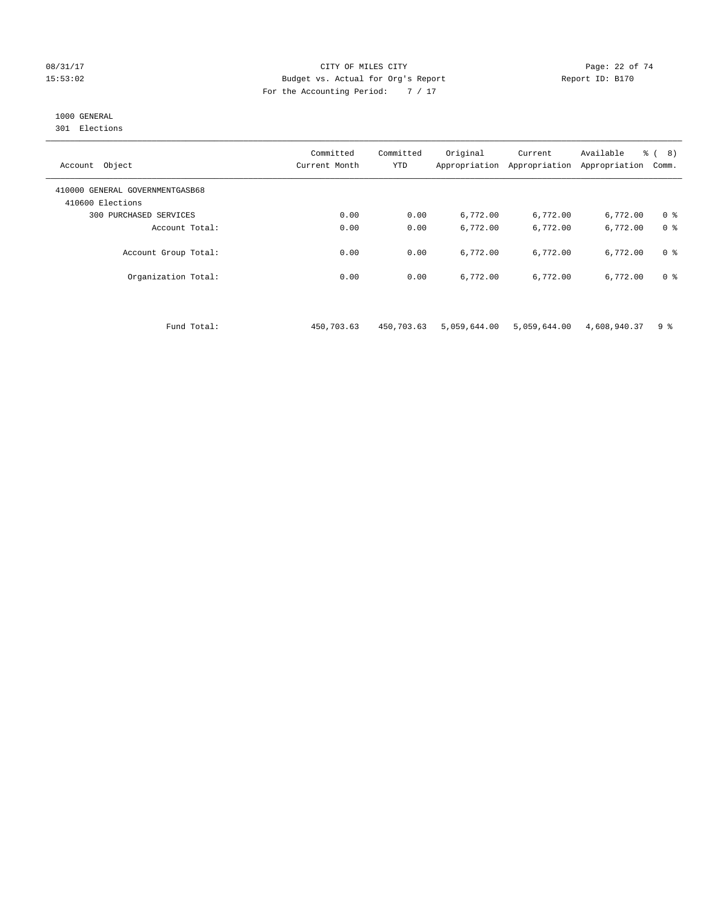#### 08/31/17 Page: 22 of 74 15:53:02 Budget vs. Actual for Org's Report Report ID: B170 For the Accounting Period: 7 / 17

# 1000 GENERAL

301 Elections

| Object<br>Account                                   | Committed<br>Current Month | Committed<br><b>YTD</b> | Original<br>Appropriation | Current<br>Appropriation | Available<br>Appropriation | % (8)<br>Comm. |
|-----------------------------------------------------|----------------------------|-------------------------|---------------------------|--------------------------|----------------------------|----------------|
| 410000 GENERAL GOVERNMENTGASB68<br>410600 Elections |                            |                         |                           |                          |                            |                |
| PURCHASED SERVICES<br>300                           | 0.00                       | 0.00                    | 6,772.00                  | 6,772.00                 | 6,772.00                   | 0 <sup>8</sup> |
| Account Total:                                      | 0.00                       | 0.00                    | 6,772.00                  | 6,772.00                 | 6,772.00                   | 0 <sup>8</sup> |
| Account Group Total:                                | 0.00                       | 0.00                    | 6,772.00                  | 6,772.00                 | 6,772.00                   | 0 <sup>8</sup> |
| Organization Total:                                 | 0.00                       | 0.00                    | 6,772.00                  | 6,772.00                 | 6,772.00                   | 0 <sup>8</sup> |

Fund Total: 450,703.63 450,703.63 5,059,644.00 5,059,644.00 4,608,940.37 9 %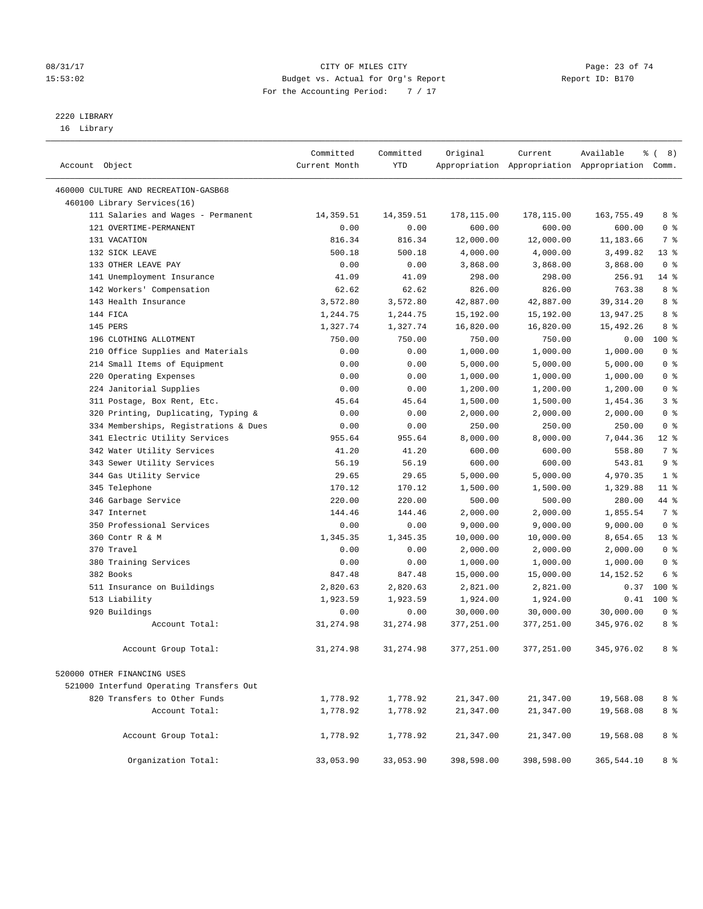# 08/31/17 Page: 23 of 74 15:53:02 Budget vs. Actual for Org's Report Report ID: B170 For the Accounting Period: 7 / 17

————————————————————————————————————————————————————————————————————————————————————————————————————————————————————————————————————

# 2220 LIBRARY

16 Library

|                                          | Committed     | Committed  | Original   | Current    | Available                                       | <sub>රි</sub> ( 8 ) |
|------------------------------------------|---------------|------------|------------|------------|-------------------------------------------------|---------------------|
| Account Object                           | Current Month | YTD        |            |            | Appropriation Appropriation Appropriation Comm. |                     |
|                                          |               |            |            |            |                                                 |                     |
| 460000 CULTURE AND RECREATION-GASB68     |               |            |            |            |                                                 |                     |
| 460100 Library Services(16)              |               |            |            |            |                                                 |                     |
| 111 Salaries and Wages - Permanent       | 14,359.51     | 14,359.51  | 178,115.00 | 178,115.00 | 163,755.49                                      | 8 %                 |
| 121 OVERTIME-PERMANENT                   | 0.00          | 0.00       | 600.00     | 600.00     | 600.00                                          | 0 <sup>8</sup>      |
| 131 VACATION                             | 816.34        | 816.34     | 12,000.00  | 12,000.00  | 11,183.66                                       | 7 %                 |
| 132 SICK LEAVE                           | 500.18        | 500.18     | 4,000.00   | 4,000.00   | 3,499.82                                        | $13*$               |
| 133 OTHER LEAVE PAY                      | 0.00          | 0.00       | 3,868.00   | 3,868.00   | 3,868.00                                        | 0 <sup>8</sup>      |
| 141 Unemployment Insurance               | 41.09         | 41.09      | 298.00     | 298.00     | 256.91                                          | $14*$               |
| 142 Workers' Compensation                | 62.62         | 62.62      | 826.00     | 826.00     | 763.38                                          | 8 %                 |
| 143 Health Insurance                     | 3,572.80      | 3,572.80   | 42,887.00  | 42,887.00  | 39, 314.20                                      | 8 %                 |
| 144 FICA                                 | 1,244.75      | 1,244.75   | 15,192.00  | 15,192.00  | 13,947.25                                       | 8 %                 |
| 145 PERS                                 | 1,327.74      | 1,327.74   | 16,820.00  | 16,820.00  | 15,492.26                                       | 8%                  |
| 196 CLOTHING ALLOTMENT                   | 750.00        | 750.00     | 750.00     | 750.00     | 0.00                                            | $100$ %             |
| 210 Office Supplies and Materials        | 0.00          | 0.00       | 1,000.00   | 1,000.00   | 1,000.00                                        | 0 <sup>8</sup>      |
| 214 Small Items of Equipment             | 0.00          | 0.00       | 5,000.00   | 5,000.00   | 5,000.00                                        | 0 <sup>8</sup>      |
| 220 Operating Expenses                   | 0.00          | 0.00       | 1,000.00   | 1,000.00   | 1,000.00                                        | 0 <sup>8</sup>      |
| 224 Janitorial Supplies                  | 0.00          | 0.00       | 1,200.00   | 1,200.00   | 1,200.00                                        | 0 <sup>8</sup>      |
| 311 Postage, Box Rent, Etc.              | 45.64         | 45.64      | 1,500.00   | 1,500.00   | 1,454.36                                        | 3 <sup>°</sup>      |
| 320 Printing, Duplicating, Typing &      | 0.00          | 0.00       | 2,000.00   | 2,000.00   | 2,000.00                                        | 0 <sup>8</sup>      |
| 334 Memberships, Registrations & Dues    | 0.00          | 0.00       | 250.00     | 250.00     | 250.00                                          | 0 <sup>8</sup>      |
| 341 Electric Utility Services            | 955.64        | 955.64     | 8,000.00   | 8,000.00   | 7,044.36                                        | $12*$               |
| 342 Water Utility Services               | 41.20         | 41.20      | 600.00     | 600.00     | 558.80                                          | 7 %                 |
| 343 Sewer Utility Services               | 56.19         | 56.19      | 600.00     | 600.00     | 543.81                                          | 9 <sup>°</sup>      |
| 344 Gas Utility Service                  | 29.65         | 29.65      | 5,000.00   | 5,000.00   | 4,970.35                                        | 1 <sup>8</sup>      |
| 345 Telephone                            | 170.12        | 170.12     | 1,500.00   | 1,500.00   | 1,329.88                                        | $11$ %              |
| 346 Garbage Service                      | 220.00        | 220.00     | 500.00     | 500.00     | 280.00                                          | 44 %                |
| 347 Internet                             | 144.46        | 144.46     | 2,000.00   | 2,000.00   | 1,855.54                                        | 7 %                 |
| 350 Professional Services                | 0.00          | 0.00       | 9,000.00   | 9,000.00   | 9,000.00                                        | 0 <sup>8</sup>      |
| 360 Contr R & M                          | 1,345.35      | 1,345.35   | 10,000.00  | 10,000.00  | 8,654.65                                        | $13*$               |
| 370 Travel                               | 0.00          | 0.00       | 2,000.00   | 2,000.00   | 2,000.00                                        | 0 <sup>8</sup>      |
| 380 Training Services                    | 0.00          | 0.00       | 1,000.00   | 1,000.00   | 1,000.00                                        | 0 <sup>8</sup>      |
| 382 Books                                | 847.48        | 847.48     | 15,000.00  | 15,000.00  | 14, 152. 52                                     | 6 %                 |
| 511 Insurance on Buildings               | 2,820.63      | 2,820.63   | 2,821.00   | 2,821.00   | 0.37                                            | $100$ %             |
| 513 Liability                            | 1,923.59      | 1,923.59   | 1,924.00   | 1,924.00   |                                                 | $0.41$ 100 %        |
| 920 Buildings                            | 0.00          | 0.00       | 30,000.00  | 30,000.00  | 30,000.00                                       | 0 <sup>8</sup>      |
| Account Total:                           | 31,274.98     | 31,274.98  | 377,251.00 | 377,251.00 | 345,976.02                                      | 8 %                 |
| Account Group Total:                     | 31,274.98     | 31, 274.98 | 377,251.00 | 377,251.00 | 345,976.02                                      | 8 %                 |
| 520000 OTHER FINANCING USES              |               |            |            |            |                                                 |                     |
| 521000 Interfund Operating Transfers Out |               |            |            |            |                                                 |                     |
| 820 Transfers to Other Funds             | 1,778.92      | 1,778.92   | 21,347.00  | 21,347.00  | 19,568.08                                       | 8 %                 |
| Account Total:                           | 1,778.92      | 1,778.92   | 21,347.00  | 21,347.00  | 19,568.08                                       | 8 %                 |
|                                          |               |            |            |            |                                                 |                     |
| Account Group Total:                     | 1,778.92      | 1,778.92   | 21,347.00  | 21,347.00  | 19,568.08                                       | 8 %                 |
| Organization Total:                      | 33,053.90     | 33,053.90  | 398,598.00 | 398,598.00 | 365,544.10                                      | 8 %                 |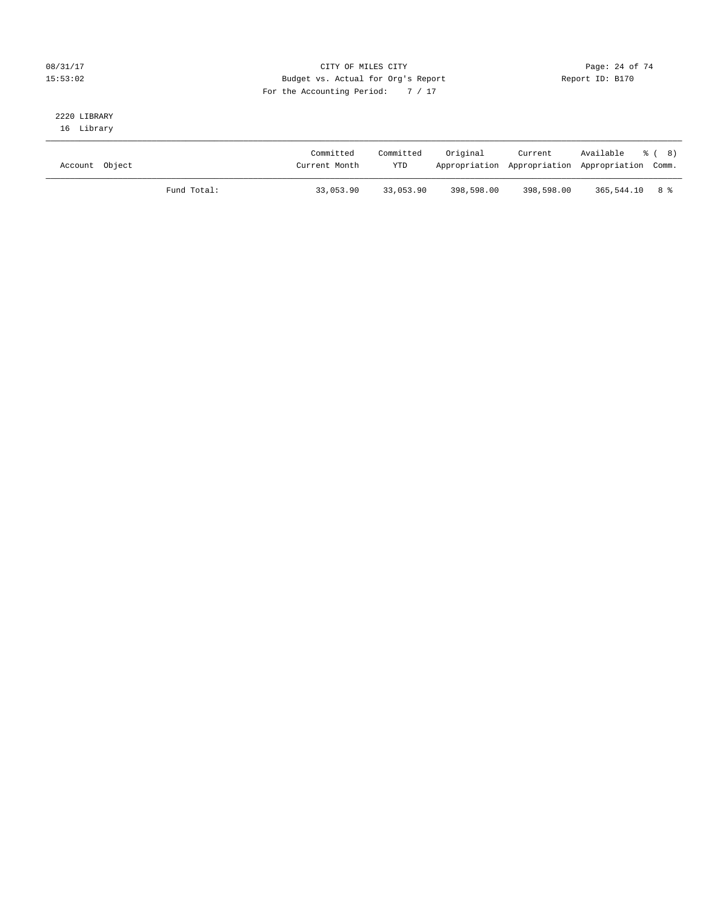# 08/31/17 Page: 24 of 74 15:53:02 Budget vs. Actual for Org's Report Report ID: B170 For the Accounting Period: 7 / 17

# 2220 LIBRARY

16 Library

| Account Object |             | Committed<br>Current Month | Committed<br><b>YTD</b> | Original   | Current    | Available<br>Appropriation Appropriation Appropriation Comm. | - දී ( 8) |
|----------------|-------------|----------------------------|-------------------------|------------|------------|--------------------------------------------------------------|-----------|
|                | Fund Total: | 33,053.90                  | 33,053.90               | 398,598.00 | 398,598.00 | 365,544.10 8 %                                               |           |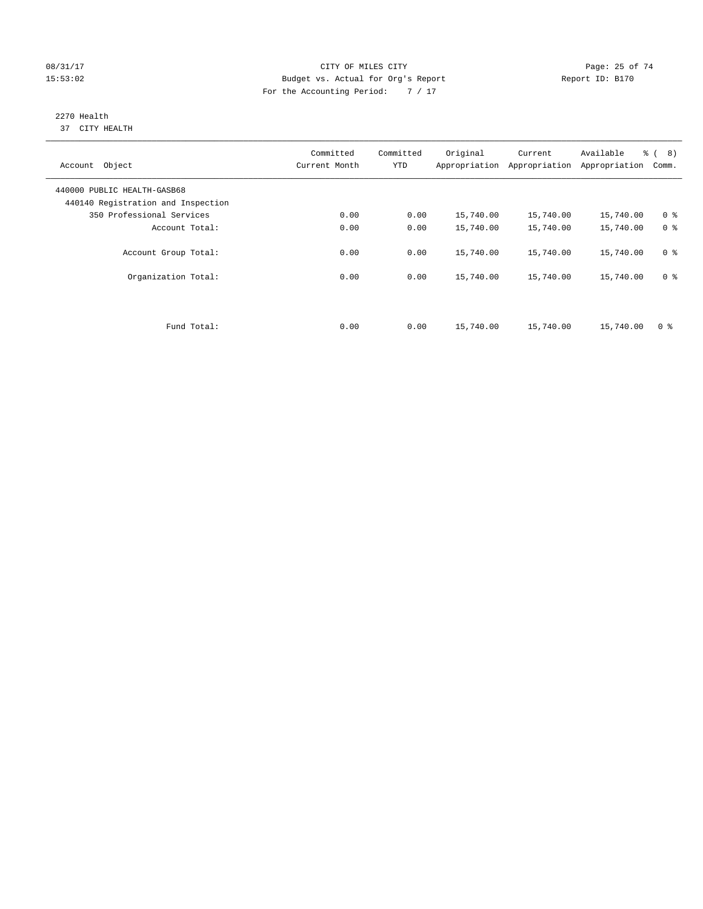# 08/31/17 Page: 25 of 74 15:53:02 Budget vs. Actual for Org's Report Report ID: B170 For the Accounting Period: 7 / 17

#### 2270 Health 37 CITY HEALTH

| Account Object                                                    | Committed<br>Current Month | Committed<br><b>YTD</b> | Original  | Current<br>Appropriation Appropriation | Available<br>Appropriation | $\frac{6}{6}$ ( 8)<br>Comm. |
|-------------------------------------------------------------------|----------------------------|-------------------------|-----------|----------------------------------------|----------------------------|-----------------------------|
| 440000 PUBLIC HEALTH-GASB68<br>440140 Registration and Inspection |                            |                         |           |                                        |                            |                             |
| 350 Professional Services                                         | 0.00                       | 0.00                    | 15,740.00 | 15,740.00                              | 15,740.00                  | 0 <sup>8</sup>              |
| Account Total:                                                    | 0.00                       | 0.00                    | 15,740.00 | 15,740.00                              | 15,740.00                  | 0 <sup>8</sup>              |
| Account Group Total:                                              | 0.00                       | 0.00                    | 15,740.00 | 15,740.00                              | 15,740.00                  | 0 <sup>8</sup>              |
| Organization Total:                                               | 0.00                       | 0.00                    | 15,740.00 | 15,740.00                              | 15,740.00                  | 0 <sup>8</sup>              |
|                                                                   |                            |                         |           |                                        |                            |                             |
| Fund Total:                                                       | 0.00                       | 0.00                    | 15,740.00 | 15,740.00                              | 15,740.00                  | 0 %                         |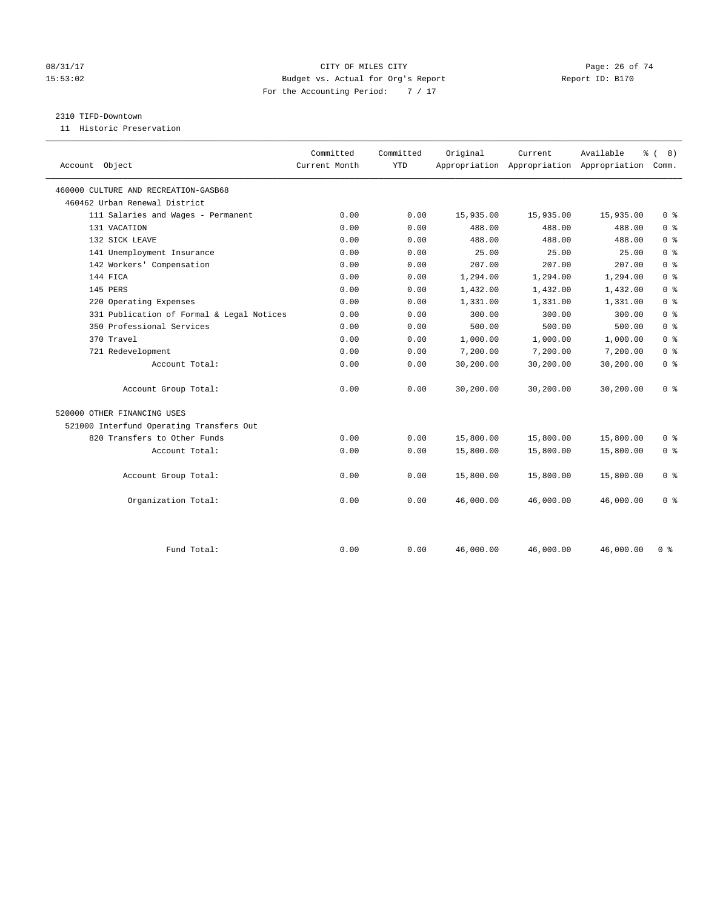# 08/31/17 Page: 26 of 74 15:53:02 Budget vs. Actual for Org's Report Report ID: B170 For the Accounting Period: 7 / 17

#### 2310 TIFD-Downtown

11 Historic Preservation

|                                           | Committed     | Committed  | Original  | Current   | Available                                 | ී (<br>8)      |  |
|-------------------------------------------|---------------|------------|-----------|-----------|-------------------------------------------|----------------|--|
| Account Object                            | Current Month | <b>YTD</b> |           |           | Appropriation Appropriation Appropriation | Comm.          |  |
| 460000 CULTURE AND RECREATION-GASB68      |               |            |           |           |                                           |                |  |
| 460462 Urban Renewal District             |               |            |           |           |                                           |                |  |
| 111 Salaries and Wages - Permanent        | 0.00          | 0.00       | 15,935.00 | 15,935.00 | 15,935.00                                 | 0 <sup>8</sup> |  |
| 131 VACATION                              | 0.00          | 0.00       | 488.00    | 488.00    | 488.00                                    | 0 <sup>8</sup> |  |
| 132 SICK LEAVE                            | 0.00          | 0.00       | 488.00    | 488.00    | 488.00                                    | 0 <sup>8</sup> |  |
| 141 Unemployment Insurance                | 0.00          | 0.00       | 25.00     | 25.00     | 25.00                                     | 0 <sup>8</sup> |  |
| 142 Workers' Compensation                 | 0.00          | 0.00       | 207.00    | 207.00    | 207.00                                    | 0 <sup>8</sup> |  |
| 144 FICA                                  | 0.00          | 0.00       | 1,294.00  | 1,294.00  | 1,294.00                                  | 0 <sup>8</sup> |  |
| 145 PERS                                  | 0.00          | 0.00       | 1,432.00  | 1,432.00  | 1,432.00                                  | 0 <sup>8</sup> |  |
| 220 Operating Expenses                    | 0.00          | 0.00       | 1,331.00  | 1,331.00  | 1,331.00                                  | 0 <sup>8</sup> |  |
| 331 Publication of Formal & Legal Notices | 0.00          | 0.00       | 300.00    | 300.00    | 300.00                                    | 0 <sup>8</sup> |  |
| 350 Professional Services                 | 0.00          | 0.00       | 500.00    | 500.00    | 500.00                                    | 0 <sup>8</sup> |  |
| 370 Travel                                | 0.00          | 0.00       | 1,000.00  | 1,000.00  | 1,000.00                                  | 0 <sup>8</sup> |  |
| 721 Redevelopment                         | 0.00          | 0.00       | 7,200.00  | 7,200.00  | 7,200.00                                  | 0 <sup>8</sup> |  |
| Account Total:                            | 0.00          | 0.00       | 30,200.00 | 30,200.00 | 30,200.00                                 | 0 <sup>8</sup> |  |
| Account Group Total:                      | 0.00          | 0.00       | 30,200.00 | 30,200.00 | 30,200.00                                 | 0 <sup>8</sup> |  |
| 520000 OTHER FINANCING USES               |               |            |           |           |                                           |                |  |
| 521000 Interfund Operating Transfers Out  |               |            |           |           |                                           |                |  |
| 820 Transfers to Other Funds              | 0.00          | 0.00       | 15,800.00 | 15,800.00 | 15,800.00                                 | 0 <sup>8</sup> |  |
| Account Total:                            | 0.00          | 0.00       | 15,800.00 | 15,800.00 | 15,800.00                                 | 0 <sup>8</sup> |  |
| Account Group Total:                      | 0.00          | 0.00       | 15,800.00 | 15,800.00 | 15,800.00                                 | 0 <sup>8</sup> |  |
| Organization Total:                       | 0.00          | 0.00       | 46,000.00 | 46,000.00 | 46,000.00                                 | 0 <sup>8</sup> |  |
|                                           |               |            |           |           |                                           |                |  |
| Fund Total:                               | 0.00          | 0.00       | 46,000.00 | 46,000.00 | 46,000.00                                 | 0 <sup>8</sup> |  |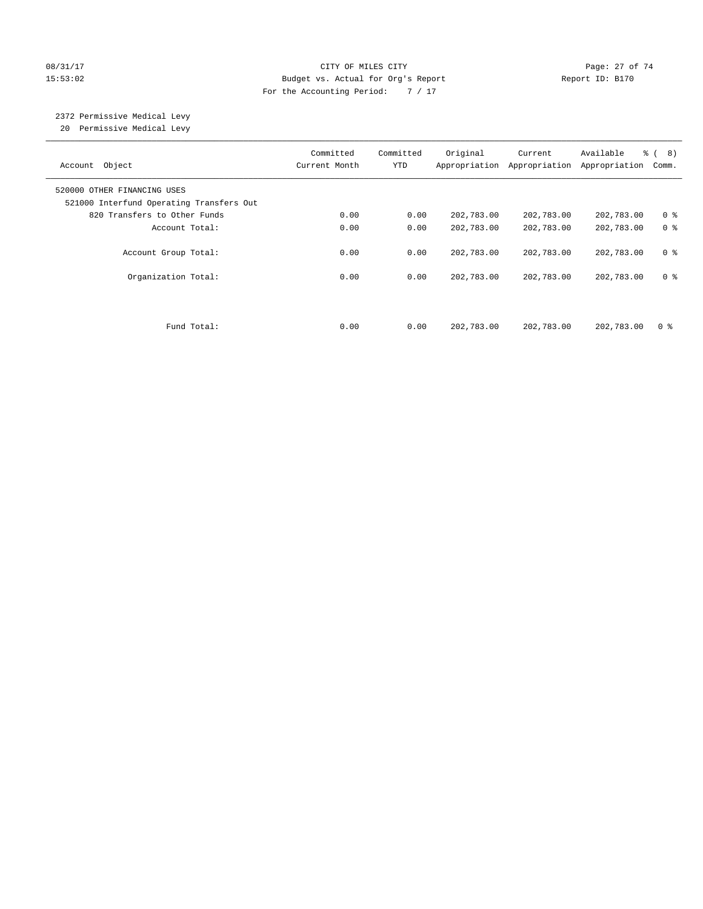#### 08/31/17 Page: 27 of 74 15:53:02 Budget vs. Actual for Org's Report Report ID: B170 For the Accounting Period: 7 / 17

#### 2372 Permissive Medical Levy 20 Permissive Medical Levy

———————————————————————————————————————————————————————————————————————————————————————————————————————————————————————————————————— Committed Committed Original Current Available % ( 8) Account Object **Current Month** YTD Appropriation Appropriation Appropriation Comm. ———————————————————————————————————————————————————————————————————————————————————————————————————————————————————————————————————— 520000 OTHER FINANCING USES 521000 Interfund Operating Transfers Out 820 Transfers to Other Funds 0.00 0.00 202,783.00 202,783.00 202,783.00 0 % Account Total: 0.00 0.00 0.00 202,783.00 202,783.00 0 % Account Group Total: 0.00 0.00 202,783.00 202,783.00 202,783.00 0 % Organization Total: 0.00 0.00 202,783.00 202,783.00 202,783.00 0 % Fund Total: 0.00 0.00 202,783.00 202,783.00 202,783.00 0 %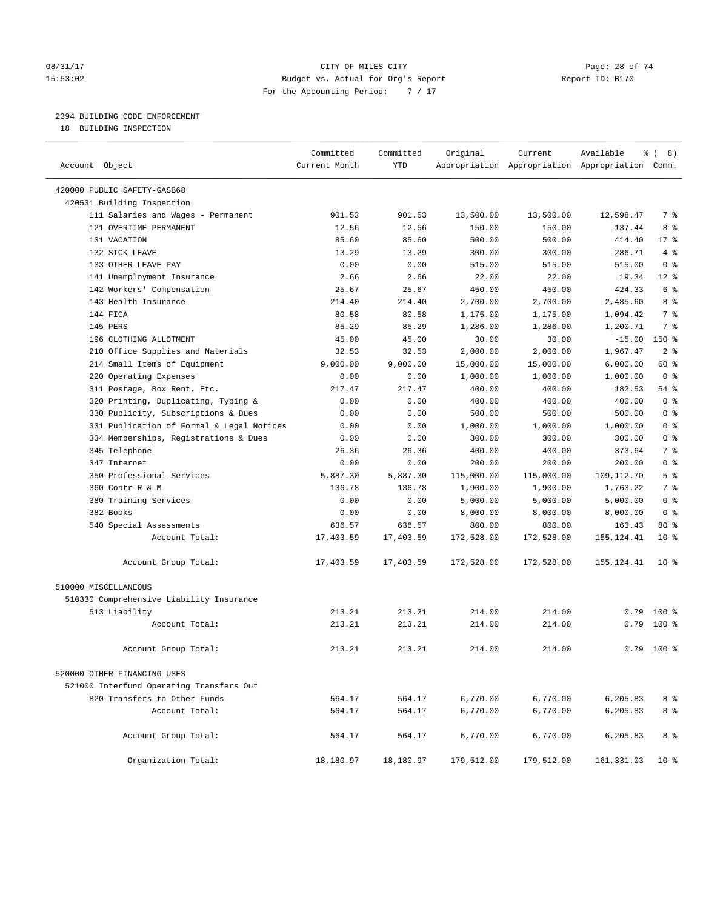# 08/31/17 Page: 28 of 74 15:53:02 Budget vs. Actual for Org's Report Report ID: B170 For the Accounting Period: 7 / 17

————————————————————————————————————————————————————————————————————————————————————————————————————————————————————————————————————

# 2394 BUILDING CODE ENFORCEMENT

18 BUILDING INSPECTION

|                                           | Committed     | Committed  | Original   | Current                                         | Available   | ී (<br>8)      |
|-------------------------------------------|---------------|------------|------------|-------------------------------------------------|-------------|----------------|
| Account Object                            | Current Month | <b>YTD</b> |            | Appropriation Appropriation Appropriation Comm. |             |                |
| 420000 PUBLIC SAFETY-GASB68               |               |            |            |                                                 |             |                |
| 420531 Building Inspection                |               |            |            |                                                 |             |                |
| 111 Salaries and Wages - Permanent        | 901.53        | 901.53     | 13,500.00  | 13,500.00                                       | 12,598.47   | 7 %            |
| 121 OVERTIME-PERMANENT                    | 12.56         | 12.56      | 150.00     | 150.00                                          | 137.44      | 8 %            |
| 131 VACATION                              | 85.60         | 85.60      | 500.00     | 500.00                                          | 414.40      | $17$ %         |
| 132 SICK LEAVE                            | 13.29         | 13.29      | 300.00     | 300.00                                          | 286.71      | 4%             |
| 133 OTHER LEAVE PAY                       | 0.00          | 0.00       | 515.00     | 515.00                                          | 515.00      | 0 <sup>8</sup> |
| 141 Unemployment Insurance                | 2.66          | 2.66       | 22.00      | 22.00                                           | 19.34       | $12*$          |
| 142 Workers' Compensation                 | 25.67         | 25.67      | 450.00     | 450.00                                          | 424.33      | 6 %            |
| 143 Health Insurance                      | 214.40        | 214.40     | 2,700.00   | 2,700.00                                        | 2,485.60    | 8 %            |
| 144 FICA                                  | 80.58         | 80.58      | 1,175.00   | 1,175.00                                        | 1,094.42    | 7 <sup>°</sup> |
| 145 PERS                                  | 85.29         | 85.29      | 1,286.00   | 1,286.00                                        | 1,200.71    | 7 %            |
| 196 CLOTHING ALLOTMENT                    | 45.00         | 45.00      | 30.00      | 30.00                                           | $-15.00$    | $150*$         |
| 210 Office Supplies and Materials         | 32.53         | 32.53      | 2,000.00   | 2,000.00                                        | 1,967.47    | 2 <sup>°</sup> |
| 214 Small Items of Equipment              | 9,000.00      | 9,000.00   | 15,000.00  | 15,000.00                                       | 6,000.00    | 60 %           |
| 220 Operating Expenses                    | 0.00          | 0.00       | 1,000.00   | 1,000.00                                        | 1,000.00    | 0 <sup>8</sup> |
| 311 Postage, Box Rent, Etc.               | 217.47        | 217.47     | 400.00     | 400.00                                          | 182.53      | 54 %           |
| 320 Printing, Duplicating, Typing &       | 0.00          | 0.00       | 400.00     | 400.00                                          | 400.00      | 0 <sup>8</sup> |
| 330 Publicity, Subscriptions & Dues       | 0.00          | 0.00       | 500.00     | 500.00                                          | 500.00      | 0 <sup>8</sup> |
| 331 Publication of Formal & Legal Notices | 0.00          | 0.00       | 1,000.00   | 1,000.00                                        | 1,000.00    | 0 <sup>8</sup> |
| 334 Memberships, Registrations & Dues     | 0.00          | 0.00       | 300.00     | 300.00                                          | 300.00      | 0 <sup>8</sup> |
| 345 Telephone                             | 26.36         | 26.36      | 400.00     | 400.00                                          | 373.64      | 7 %            |
| 347 Internet                              | 0.00          | 0.00       | 200.00     | 200.00                                          | 200.00      | 0 <sup>8</sup> |
| 350 Professional Services                 | 5,887.30      | 5,887.30   | 115,000.00 | 115,000.00                                      | 109,112.70  | 5 <sup>°</sup> |
| 360 Contr R & M                           | 136.78        | 136.78     | 1,900.00   | 1,900.00                                        | 1,763.22    | 7 %            |
| 380 Training Services                     | 0.00          | 0.00       | 5,000.00   | 5,000.00                                        | 5,000.00    | 0 <sup>8</sup> |
| 382 Books                                 | 0.00          | 0.00       | 8,000.00   | 8,000.00                                        | 8,000.00    | 0 <sup>8</sup> |
| 540 Special Assessments                   | 636.57        | 636.57     | 800.00     | 800.00                                          | 163.43      | $80*$          |
| Account Total:                            | 17,403.59     | 17,403.59  | 172,528.00 | 172,528.00                                      | 155, 124.41 | $10*$          |
|                                           |               |            |            |                                                 |             |                |
| Account Group Total:                      | 17,403.59     | 17,403.59  | 172,528.00 | 172,528.00                                      | 155, 124.41 | $10*$          |
| 510000 MISCELLANEOUS                      |               |            |            |                                                 |             |                |
| 510330 Comprehensive Liability Insurance  |               |            |            |                                                 |             |                |
| 513 Liability                             | 213.21        | 213.21     | 214.00     | 214.00                                          |             | $0.79$ 100 %   |
| Account Total:                            | 213.21        | 213.21     | 214.00     | 214.00                                          | 0.79        | $100*$         |
| Account Group Total:                      | 213.21        | 213.21     | 214.00     | 214.00                                          | 0.79        | $100$ %        |
| 520000 OTHER FINANCING USES               |               |            |            |                                                 |             |                |
| 521000 Interfund Operating Transfers Out  |               |            |            |                                                 |             |                |
| 820 Transfers to Other Funds              | 564.17        | 564.17     | 6,770.00   | 6,770.00                                        | 6,205.83    | 8 %            |
| Account Total:                            | 564.17        | 564.17     | 6,770.00   | 6,770.00                                        | 6,205.83    | 8 %            |
|                                           |               |            |            |                                                 |             |                |
| Account Group Total:                      | 564.17        | 564.17     | 6,770.00   | 6,770.00                                        | 6,205.83    | 8 %            |
| Organization Total:                       | 18,180.97     | 18,180.97  | 179,512.00 | 179,512.00                                      | 161, 331.03 | $10*$          |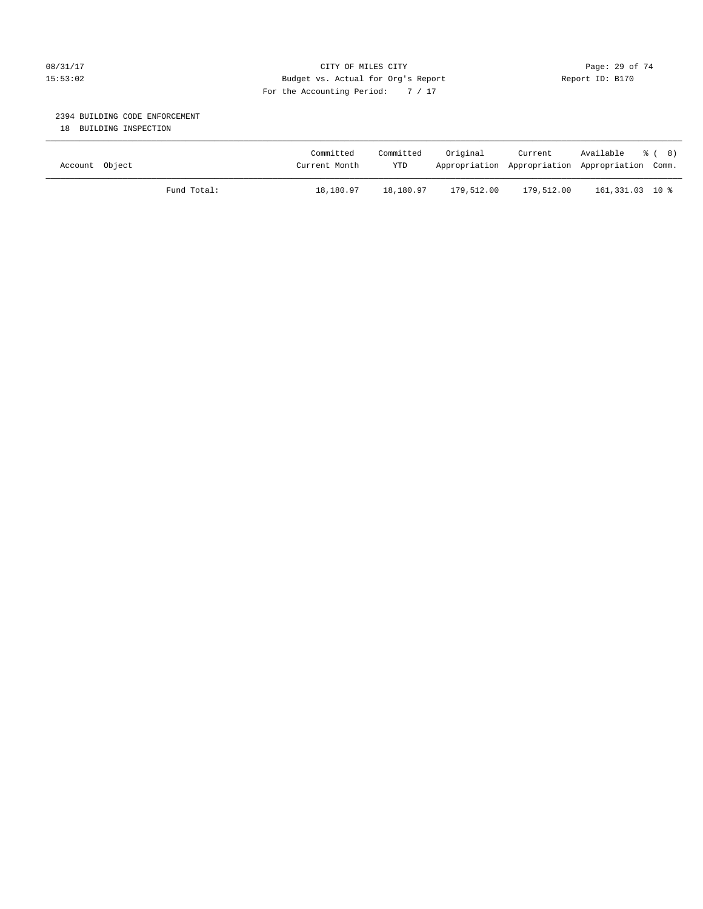# 08/31/17 Page: 29 of 74 15:53:02 Budget vs. Actual for Org's Report Report ID: B170 For the Accounting Period: 7 / 17

# 2394 BUILDING CODE ENFORCEMENT

18 BUILDING INSPECTION

| Account Object |             | Committed<br>Current Month | Committed<br><b>YTD</b> | Original   | Current    | Available % (8)<br>Appropriation Appropriation Appropriation Comm. |  |
|----------------|-------------|----------------------------|-------------------------|------------|------------|--------------------------------------------------------------------|--|
|                | Fund Total: | 18,180.97                  | 18,180.97               | 179,512.00 | 179,512.00 | 161,331.03 10 %                                                    |  |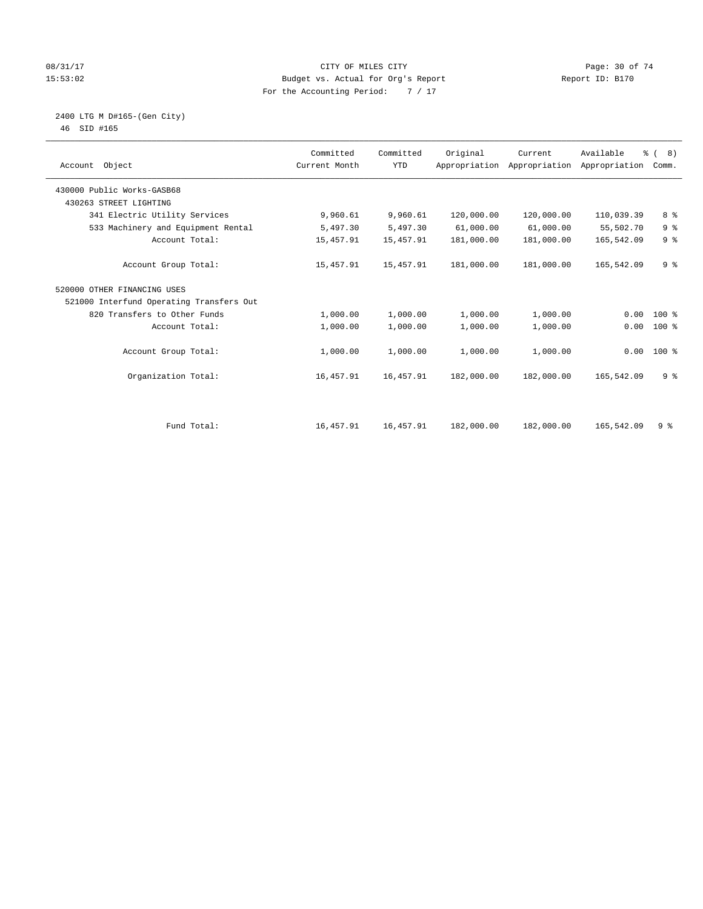# 08/31/17 Page: 30 of 74 15:53:02 Budget vs. Actual for Org's Report Report ID: B170 For the Accounting Period: 7 / 17

#### 2400 LTG M D#165-(Gen City) 46 SID #165

| Account Object                           | Committed<br>Current Month | Committed<br><b>YTD</b> | Original   | Current<br>Appropriation Appropriation | Available<br>Appropriation | % (8)<br>Comm. |
|------------------------------------------|----------------------------|-------------------------|------------|----------------------------------------|----------------------------|----------------|
| 430000 Public Works-GASB68               |                            |                         |            |                                        |                            |                |
| 430263 STREET LIGHTING                   |                            |                         |            |                                        |                            |                |
| 341 Electric Utility Services            | 9,960.61                   | 9,960.61                | 120,000.00 | 120,000.00                             | 110,039.39                 | 8 %            |
| 533 Machinery and Equipment Rental       | 5,497.30                   | 5,497.30                | 61,000.00  | 61,000.00                              | 55,502.70                  | 9 <sup>°</sup> |
| Account Total:                           | 15,457.91                  | 15,457.91               | 181,000.00 | 181,000.00                             | 165,542.09                 | 9 <sup>°</sup> |
| Account Group Total:                     | 15,457.91                  | 15,457.91               | 181,000.00 | 181,000.00                             | 165,542.09                 | 9 <sup>°</sup> |
| 520000 OTHER FINANCING USES              |                            |                         |            |                                        |                            |                |
| 521000 Interfund Operating Transfers Out |                            |                         |            |                                        |                            |                |
| 820 Transfers to Other Funds             | 1,000.00                   | 1,000.00                | 1,000.00   | 1,000.00                               | 0.00                       | $100*$         |
| Account Total:                           | 1,000.00                   | 1,000.00                | 1,000.00   | 1,000.00                               | 0.00                       | $100$ %        |
| Account Group Total:                     | 1,000.00                   | 1,000.00                | 1,000.00   | 1,000.00                               | 0.00                       | $100*$         |
| Organization Total:                      | 16,457.91                  | 16,457.91               | 182,000.00 | 182,000.00                             | 165,542.09                 | 9 <sup>°</sup> |
|                                          |                            |                         |            |                                        |                            |                |
| Fund Total:                              | 16,457.91                  | 16,457.91               | 182,000.00 | 182,000.00                             | 165,542.09                 | 9%             |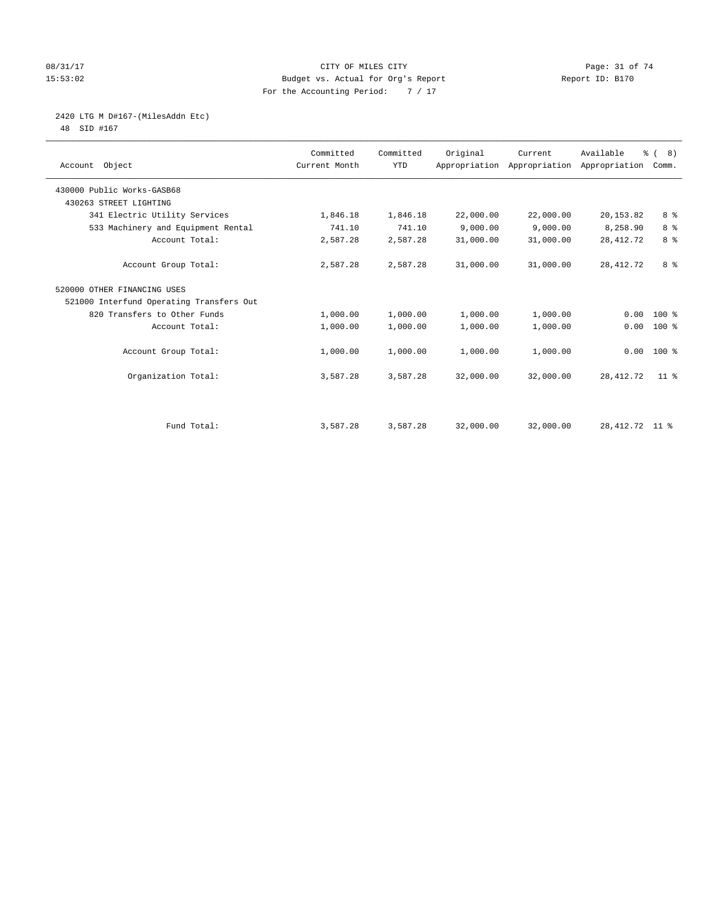# 08/31/17 Page: 31 of 74 15:53:02 Budget vs. Actual for Org's Report Report ID: B170 For the Accounting Period: 7 / 17

# 2420 LTG M D#167-(MilesAddn Etc)

48 SID #167

| Account Object                           | Committed<br>Current Month | Committed<br><b>YTD</b> | Original  | Current<br>Appropriation Appropriation Appropriation | Available        | % (8)<br>Comm. |
|------------------------------------------|----------------------------|-------------------------|-----------|------------------------------------------------------|------------------|----------------|
| 430000 Public Works-GASB68               |                            |                         |           |                                                      |                  |                |
| 430263 STREET LIGHTING                   |                            |                         |           |                                                      |                  |                |
| 341 Electric Utility Services            | 1,846.18                   | 1,846.18                | 22,000.00 | 22,000.00                                            | 20, 153.82       | 8 %            |
| 533 Machinery and Equipment Rental       | 741.10                     | 741.10                  | 9.000.00  | 9.000.00                                             | 8,258.90         | 8 <sup>°</sup> |
| Account Total:                           | 2,587.28                   | 2,587.28                | 31,000.00 | 31,000.00                                            | 28, 412. 72      | 8 %            |
| Account Group Total:                     | 2,587.28                   | 2,587.28                | 31,000.00 | 31,000.00                                            | 28, 412. 72      | 8 %            |
| 520000 OTHER FINANCING USES              |                            |                         |           |                                                      |                  |                |
| 521000 Interfund Operating Transfers Out |                            |                         |           |                                                      |                  |                |
| 820 Transfers to Other Funds             | 1,000.00                   | 1,000.00                | 1,000.00  | 1,000.00                                             | 0.00             | $100*$         |
| Account Total:                           | 1,000.00                   | 1,000.00                | 1,000.00  | 1,000.00                                             | 0.00             | $100$ %        |
| Account Group Total:                     | 1,000.00                   | 1,000.00                | 1,000.00  | 1,000.00                                             | 0.00             | $100*$         |
| Organization Total:                      | 3,587.28                   | 3,587.28                | 32,000.00 | 32,000.00                                            | 28, 412. 72      | $11$ %         |
|                                          |                            |                         |           |                                                      |                  |                |
| Fund Total:                              | 3,587.28                   | 3,587.28                | 32,000.00 | 32,000.00                                            | 28, 412. 72 11 % |                |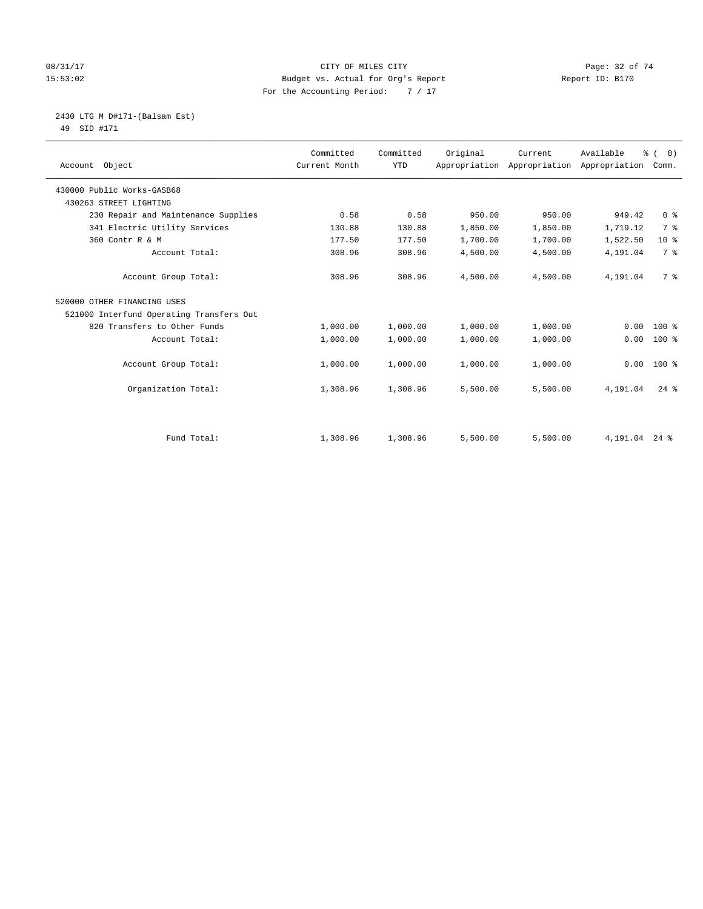# 08/31/17 Page: 32 of 74 15:53:02 Budget vs. Actual for Org's Report Report ID: B170 For the Accounting Period: 7 / 17

#### 2430 LTG M D#171-(Balsam Est) 49 SID #171

| Account Object                           | Committed<br>Current Month | Committed<br><b>YTD</b> | Original | Current<br>Appropriation Appropriation | Available<br>Appropriation | % (8)<br>Comm.  |
|------------------------------------------|----------------------------|-------------------------|----------|----------------------------------------|----------------------------|-----------------|
|                                          |                            |                         |          |                                        |                            |                 |
| 430000 Public Works-GASB68               |                            |                         |          |                                        |                            |                 |
| 430263 STREET LIGHTING                   |                            |                         |          |                                        |                            |                 |
| 230 Repair and Maintenance Supplies      | 0.58                       | 0.58                    | 950.00   | 950.00                                 | 949.42                     | 0 <sup>8</sup>  |
| 341 Electric Utility Services            | 130.88                     | 130.88                  | 1,850.00 | 1,850.00                               | 1,719.12                   | 7 <sup>°</sup>  |
| 360 Contr R & M                          | 177.50                     | 177.50                  | 1,700.00 | 1,700.00                               | 1,522.50                   | 10 <sup>°</sup> |
| Account Total:                           | 308.96                     | 308.96                  | 4,500.00 | 4,500.00                               | 4,191.04                   | 7 <sup>°</sup>  |
| Account Group Total:                     | 308.96                     | 308.96                  | 4,500.00 | 4,500.00                               | 4,191.04                   | 7 <sup>°</sup>  |
| 520000 OTHER FINANCING USES              |                            |                         |          |                                        |                            |                 |
| 521000 Interfund Operating Transfers Out |                            |                         |          |                                        |                            |                 |
| 820 Transfers to Other Funds             | 1,000.00                   | 1,000.00                | 1,000.00 | 1,000.00                               | 0.00                       | 100 %           |
| Account Total:                           | 1,000.00                   | 1,000.00                | 1,000.00 | 1,000.00                               | 0.00                       | $100$ %         |
| Account Group Total:                     | 1,000.00                   | 1,000.00                | 1,000.00 | 1,000.00                               | 0.00                       | $100*$          |
| Organization Total:                      | 1,308.96                   | 1,308.96                | 5,500.00 | 5,500.00                               | 4,191.04                   | $24$ $%$        |
|                                          |                            |                         |          |                                        |                            |                 |
| Fund Total:                              | 1,308.96                   | 1,308.96                | 5,500.00 | 5,500.00                               | 4, 191.04 24 %             |                 |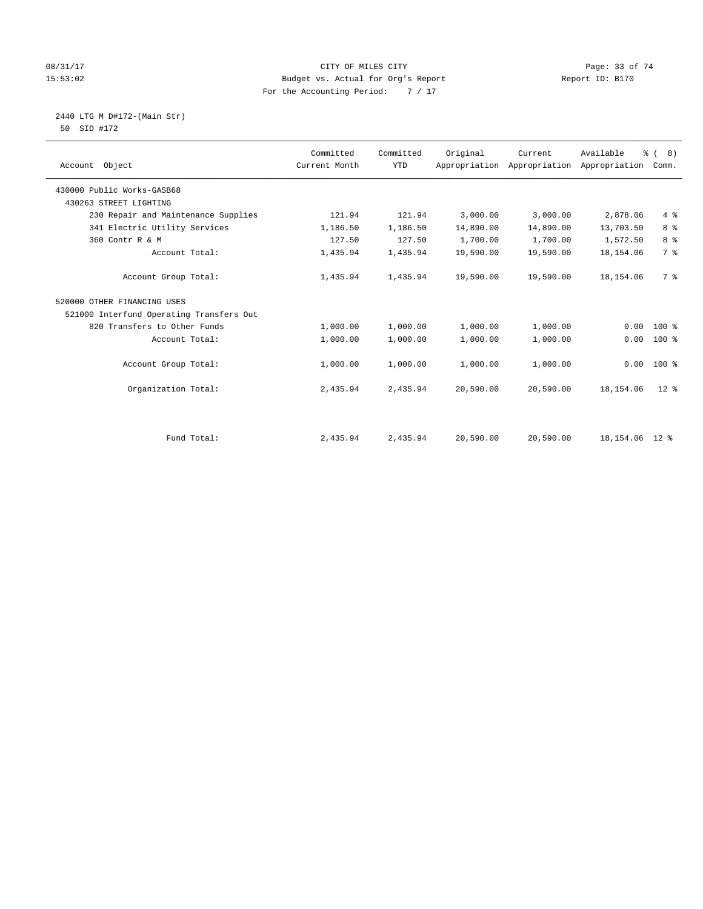# 08/31/17 Page: 33 of 74 15:53:02 Budget vs. Actual for Org's Report Report ID: B170 For the Accounting Period: 7 / 17

#### 2440 LTG M D#172-(Main Str) 50 SID #172

| Account Object                           | Committed<br>Current Month | Committed<br><b>YTD</b> | Original  | Current<br>Appropriation Appropriation | Available<br>Appropriation | % (8)<br>Comm. |
|------------------------------------------|----------------------------|-------------------------|-----------|----------------------------------------|----------------------------|----------------|
| 430000 Public Works-GASB68               |                            |                         |           |                                        |                            |                |
| 430263 STREET LIGHTING                   |                            |                         |           |                                        |                            |                |
| 230 Repair and Maintenance Supplies      | 121.94                     | 121.94                  | 3,000.00  | 3,000.00                               | 2,878.06                   | 4%             |
| 341 Electric Utility Services            | 1,186.50                   | 1,186.50                | 14,890.00 | 14,890.00                              | 13,703.50                  | 8 <sup>°</sup> |
| 360 Contr R & M                          | 127.50                     | 127.50                  | 1,700.00  | 1,700.00                               | 1,572.50                   | 8 <sup>°</sup> |
| Account Total:                           | 1,435.94                   | 1,435.94                | 19,590.00 | 19,590.00                              | 18,154.06                  | 7 <sup>°</sup> |
| Account Group Total:                     | 1,435.94                   | 1,435.94                | 19,590.00 | 19,590.00                              | 18,154.06                  | 7 %            |
| 520000 OTHER FINANCING USES              |                            |                         |           |                                        |                            |                |
| 521000 Interfund Operating Transfers Out |                            |                         |           |                                        |                            |                |
| 820 Transfers to Other Funds             | 1,000.00                   | 1,000.00                | 1,000.00  | 1,000.00                               | 0.00                       | $100*$         |
| Account Total:                           | 1,000.00                   | 1,000.00                | 1,000.00  | 1,000.00                               | 0.00                       | $100$ %        |
| Account Group Total:                     | 1,000.00                   | 1,000.00                | 1,000.00  | 1,000.00                               | 0.00                       | $100*$         |
| Organization Total:                      | 2,435.94                   | 2,435.94                | 20,590.00 | 20,590.00                              | 18,154.06                  | $12*$          |
|                                          |                            |                         |           |                                        |                            |                |
| Fund Total:                              | 2,435.94                   | 2,435.94                | 20,590.00 | 20,590.00                              | 18, 154.06 12 %            |                |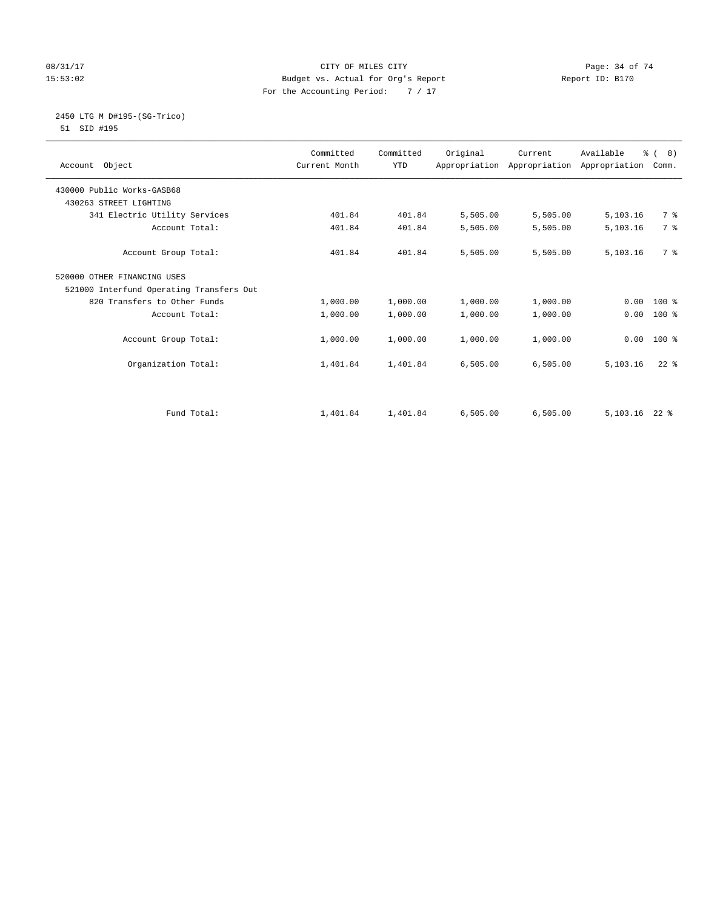# 08/31/17 Page: 34 of 74 15:53:02 Budget vs. Actual for Org's Report Report ID: B170 For the Accounting Period: 7 / 17

#### 2450 LTG M D#195-(SG-Trico) 51 SID #195

|                                          | Committed     | Committed  | Original | Current  | Available                                 | $\frac{6}{6}$ ( 8) |  |
|------------------------------------------|---------------|------------|----------|----------|-------------------------------------------|--------------------|--|
| Account Object                           | Current Month | <b>YTD</b> |          |          | Appropriation Appropriation Appropriation | Comm.              |  |
|                                          |               |            |          |          |                                           |                    |  |
| 430000 Public Works-GASB68               |               |            |          |          |                                           |                    |  |
| 430263 STREET LIGHTING                   |               |            |          |          |                                           |                    |  |
| 341 Electric Utility Services            | 401.84        | 401.84     | 5,505.00 | 5,505.00 | 5,103.16                                  | 7 %                |  |
| Account Total:                           | 401.84        | 401.84     | 5,505.00 | 5,505.00 | 5,103.16                                  | 7 %                |  |
|                                          |               |            |          |          |                                           |                    |  |
| Account Group Total:                     | 401.84        | 401.84     | 5,505.00 | 5,505.00 | 5,103.16                                  | 7 %                |  |
| 520000 OTHER FINANCING USES              |               |            |          |          |                                           |                    |  |
| 521000 Interfund Operating Transfers Out |               |            |          |          |                                           |                    |  |
| 820 Transfers to Other Funds             | 1,000.00      | 1,000.00   | 1,000.00 | 1,000.00 | 0.00                                      | $100*$             |  |
| Account Total:                           | 1,000.00      | 1,000.00   | 1,000.00 | 1,000.00 | 0.00                                      | $100*$             |  |
|                                          |               |            |          |          |                                           |                    |  |
| Account Group Total:                     | 1,000.00      | 1,000.00   | 1,000.00 | 1,000.00 | 0.00                                      | $100*$             |  |
|                                          |               |            |          |          |                                           |                    |  |
| Organization Total:                      | 1,401.84      | 1,401.84   | 6,505.00 | 6,505.00 | 5,103.16                                  | $22$ $%$           |  |
|                                          |               |            |          |          |                                           |                    |  |
|                                          |               |            |          |          |                                           |                    |  |
|                                          |               |            |          |          |                                           |                    |  |
| Fund Total:                              | 1,401.84      | 1,401.84   | 6,505.00 | 6,505.00 | 5,103.16                                  | $22$ %             |  |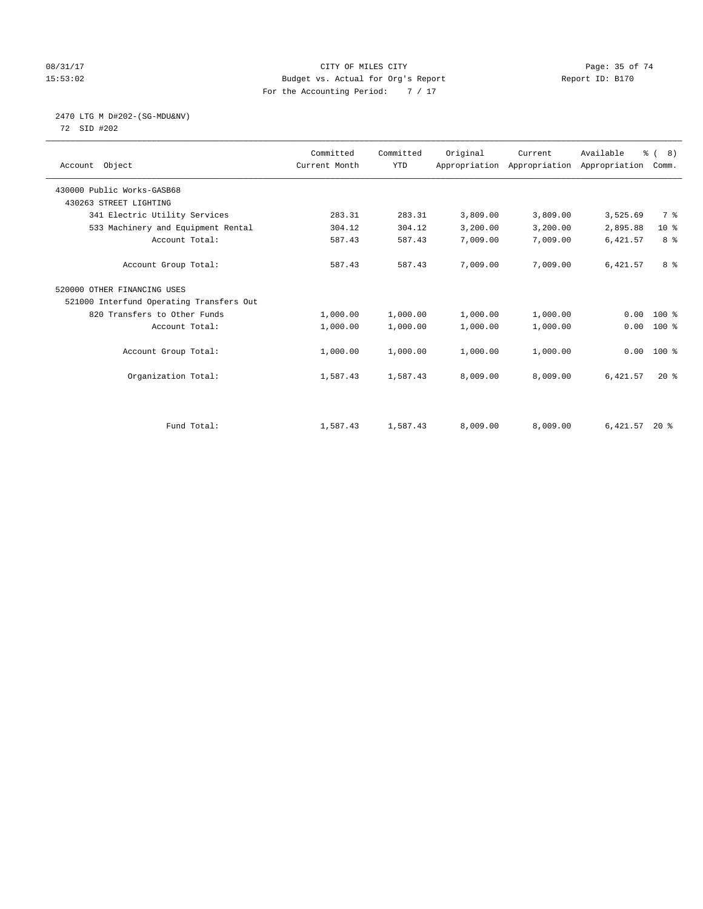# 08/31/17 Page: 35 of 74 15:53:02 Budget vs. Actual for Org's Report Report ID: B170 For the Accounting Period: 7 / 17

# 2470 LTG M D#202-(SG-MDU&NV)

72 SID #202

| Account Object                           | Committed<br>Current Month | Committed<br><b>YTD</b> | Original | Current<br>Appropriation Appropriation Appropriation | Available | % (8)<br>Comm. |
|------------------------------------------|----------------------------|-------------------------|----------|------------------------------------------------------|-----------|----------------|
| 430000 Public Works-GASB68               |                            |                         |          |                                                      |           |                |
| 430263 STREET LIGHTING                   |                            |                         |          |                                                      |           |                |
| 341 Electric Utility Services            | 283.31                     | 283.31                  | 3,809.00 | 3,809.00                                             | 3,525.69  | 7 %            |
| 533 Machinery and Equipment Rental       | 304.12                     | 304.12                  | 3,200.00 | 3,200.00                                             | 2,895.88  | $10*$          |
| Account Total:                           | 587.43                     | 587.43                  | 7,009.00 | 7,009.00                                             | 6,421.57  | 8%             |
| Account Group Total:                     | 587.43                     | 587.43                  | 7,009.00 | 7,009.00                                             | 6,421.57  | 8 %            |
| 520000 OTHER FINANCING USES              |                            |                         |          |                                                      |           |                |
| 521000 Interfund Operating Transfers Out |                            |                         |          |                                                      |           |                |
| 820 Transfers to Other Funds             | 1,000.00                   | 1,000.00                | 1,000.00 | 1,000.00                                             | 0.00      | $100*$         |
| Account Total:                           | 1,000.00                   | 1,000.00                | 1,000.00 | 1,000.00                                             | 0.00      | $100$ %        |
| Account Group Total:                     | 1,000.00                   | 1,000.00                | 1,000.00 | 1,000.00                                             | 0.00      | $100*$         |
| Organization Total:                      | 1,587.43                   | 1,587.43                | 8,009.00 | 8,009.00                                             | 6,421.57  | $20*$          |
|                                          |                            |                         |          |                                                      |           |                |
| Fund Total:                              | 1,587.43                   | 1,587.43                | 8,009.00 | 8,009.00                                             | 6,421.57  | $20*$          |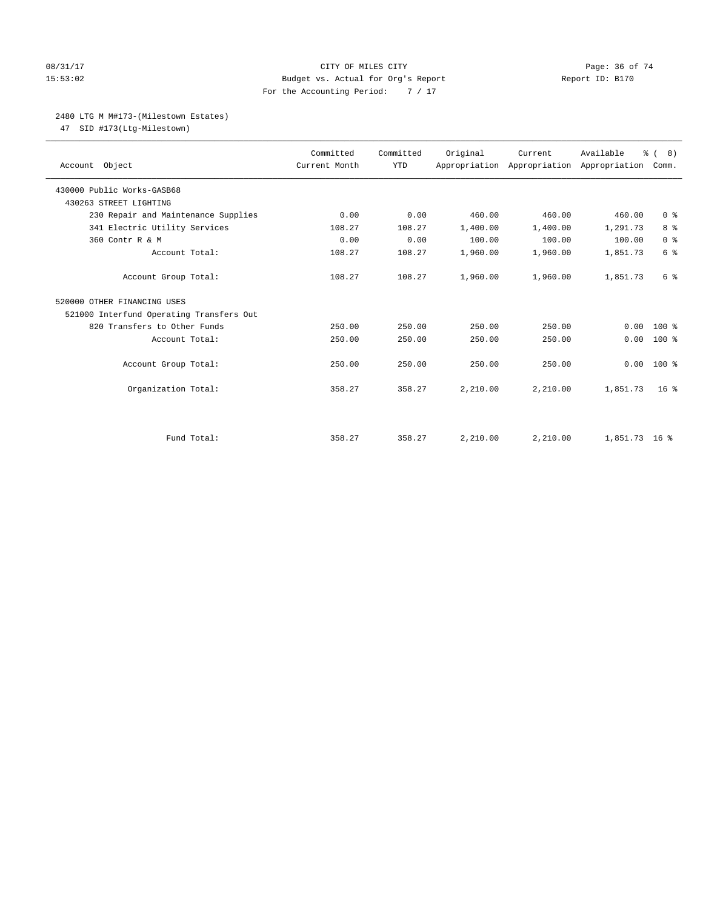# 08/31/17 Page: 36 of 74 15:53:02 Budget vs. Actual for Org's Report Report ID: B170 For the Accounting Period: 7 / 17

#### 2480 LTG M M#173-(Milestown Estates)

47 SID #173(Ltg-Milestown)

| Account Object                           | Committed<br>Current Month | Committed<br><b>YTD</b> | Original | Current<br>Appropriation Appropriation Appropriation | Available     | $\frac{6}{6}$ ( 8)<br>Comm. |
|------------------------------------------|----------------------------|-------------------------|----------|------------------------------------------------------|---------------|-----------------------------|
| 430000 Public Works-GASB68               |                            |                         |          |                                                      |               |                             |
| 430263 STREET LIGHTING                   |                            |                         |          |                                                      |               |                             |
| 230 Repair and Maintenance Supplies      | 0.00                       | 0.00                    | 460.00   | 460.00                                               | 460.00        | 0 <sup>8</sup>              |
| 341 Electric Utility Services            | 108.27                     | 108.27                  | 1,400.00 | 1,400.00                                             | 1,291.73      | 8 %                         |
| 360 Contr R & M                          | 0.00                       | 0.00                    | 100.00   | 100.00                                               | 100.00        | 0 <sup>8</sup>              |
| Account Total:                           | 108.27                     | 108.27                  | 1,960.00 | 1,960.00                                             | 1,851.73      | 6 <sup>°</sup>              |
| Account Group Total:                     | 108.27                     | 108.27                  | 1,960.00 | 1,960.00                                             | 1,851.73      | 6 %                         |
| 520000 OTHER FINANCING USES              |                            |                         |          |                                                      |               |                             |
| 521000 Interfund Operating Transfers Out |                            |                         |          |                                                      |               |                             |
| 820 Transfers to Other Funds             | 250.00                     | 250.00                  | 250.00   | 250.00                                               | 0.00          | $100*$                      |
| Account Total:                           | 250.00                     | 250.00                  | 250.00   | 250.00                                               | 0.00          | $100*$                      |
| Account Group Total:                     | 250.00                     | 250.00                  | 250.00   | 250.00                                               | 0.00          | $100*$                      |
| Organization Total:                      | 358.27                     | 358.27                  | 2,210.00 | 2,210.00                                             | 1,851.73      | 16 <sup>8</sup>             |
|                                          |                            |                         |          |                                                      |               |                             |
| Fund Total:                              | 358.27                     | 358.27                  | 2,210.00 | 2,210.00                                             | 1,851.73 16 % |                             |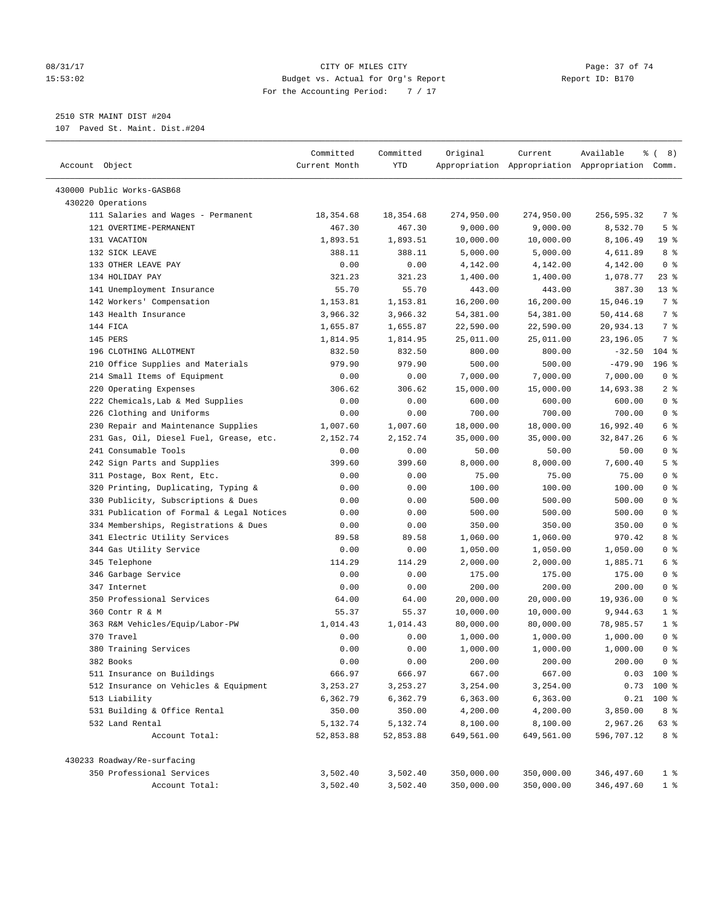#### 08/31/17 Page: 37 of 74 15:53:02 Budget vs. Actual for Org's Report Report ID: B170 For the Accounting Period: 7 / 17

————————————————————————————————————————————————————————————————————————————————————————————————————————————————————————————————————

2510 STR MAINT DIST #204

107 Paved St. Maint. Dist.#204

|                                                              | Committed      | Committed      | Original             | Current                                         | Available          | $\frac{6}{6}$ ( 8)    |
|--------------------------------------------------------------|----------------|----------------|----------------------|-------------------------------------------------|--------------------|-----------------------|
| Account Object                                               | Current Month  | <b>YTD</b>     |                      | Appropriation Appropriation Appropriation Comm. |                    |                       |
|                                                              |                |                |                      |                                                 |                    |                       |
| 430000 Public Works-GASB68                                   |                |                |                      |                                                 |                    |                       |
| 430220 Operations                                            |                |                |                      |                                                 |                    |                       |
| 111 Salaries and Wages - Permanent<br>121 OVERTIME-PERMANENT | 18,354.68      | 18,354.68      | 274,950.00           | 274,950.00<br>9,000.00                          | 256,595.32         | 7 %<br>5 <sup>°</sup> |
|                                                              | 467.30         | 467.30         | 9,000.00             |                                                 | 8,532.70           |                       |
| 131 VACATION<br>132 SICK LEAVE                               | 1,893.51       | 1,893.51       | 10,000.00            | 10,000.00                                       | 8,106.49           | 19 <sup>°</sup><br>8% |
| 133 OTHER LEAVE PAY                                          | 388.11         | 388.11         | 5,000.00             | 5,000.00                                        | 4,611.89           | 0 <sup>8</sup>        |
| 134 HOLIDAY PAY                                              | 0.00<br>321.23 | 0.00<br>321.23 | 4,142.00<br>1,400.00 | 4,142.00                                        | 4,142.00           | $23$ $%$              |
|                                                              | 55.70          | 55.70          | 443.00               | 1,400.00<br>443.00                              | 1,078.77<br>387.30 | $13*$                 |
| 141 Unemployment Insurance                                   |                |                |                      |                                                 |                    | 7 %                   |
| 142 Workers' Compensation                                    | 1,153.81       | 1,153.81       | 16,200.00            | 16,200.00                                       | 15,046.19          | 7 %                   |
| 143 Health Insurance                                         | 3,966.32       | 3,966.32       | 54,381.00            | 54,381.00                                       | 50,414.68          |                       |
| 144 FICA                                                     | 1,655.87       | 1,655.87       | 22,590.00            | 22,590.00                                       | 20,934.13          | 7 %                   |
| 145 PERS                                                     | 1,814.95       | 1,814.95       | 25,011.00            | 25,011.00                                       | 23,196.05          | 7 %                   |
| 196 CLOTHING ALLOTMENT                                       | 832.50         | 832.50         | 800.00               | 800.00                                          | $-32.50$           | $104$ %               |
| 210 Office Supplies and Materials                            | 979.90         | 979.90         | 500.00               | 500.00                                          | $-479.90$          | $196$ %               |
| 214 Small Items of Equipment                                 | 0.00           | 0.00           | 7,000.00             | 7,000.00                                        | 7,000.00           | 0 <sup>8</sup>        |
| 220 Operating Expenses                                       | 306.62         | 306.62         | 15,000.00            | 15,000.00                                       | 14,693.38          | 2 <sup>°</sup>        |
| 222 Chemicals, Lab & Med Supplies                            | 0.00           | 0.00           | 600.00               | 600.00                                          | 600.00             | 0 <sup>8</sup>        |
| 226 Clothing and Uniforms                                    | 0.00           | 0.00           | 700.00               | 700.00                                          | 700.00             | 0 <sup>8</sup>        |
| 230 Repair and Maintenance Supplies                          | 1,007.60       | 1,007.60       | 18,000.00            | 18,000.00                                       | 16,992.40          | 6 %                   |
| 231 Gas, Oil, Diesel Fuel, Grease, etc.                      | 2,152.74       | 2,152.74       | 35,000.00            | 35,000.00                                       | 32,847.26          | 6 %                   |
| 241 Consumable Tools                                         | 0.00           | 0.00           | 50.00                | 50.00                                           | 50.00              | 0 <sup>8</sup>        |
| 242 Sign Parts and Supplies                                  | 399.60         | 399.60         | 8,000.00             | 8,000.00                                        | 7,600.40           | 5 <sup>°</sup>        |
| 311 Postage, Box Rent, Etc.                                  | 0.00           | 0.00           | 75.00                | 75.00                                           | 75.00              | 0 <sup>8</sup>        |
| 320 Printing, Duplicating, Typing &                          | 0.00           | 0.00           | 100.00               | 100.00                                          | 100.00             | 0 <sup>8</sup>        |
| 330 Publicity, Subscriptions & Dues                          | 0.00           | 0.00           | 500.00               | 500.00                                          | 500.00             | 0 <sup>8</sup>        |
| 331 Publication of Formal & Legal Notices                    | 0.00           | 0.00           | 500.00               | 500.00                                          | 500.00             | 0 <sup>8</sup>        |
| 334 Memberships, Registrations & Dues                        | 0.00           | 0.00           | 350.00               | 350.00                                          | 350.00             | 0 <sup>8</sup>        |
| 341 Electric Utility Services                                | 89.58          | 89.58          | 1,060.00             | 1,060.00                                        | 970.42             | 8%                    |
| 344 Gas Utility Service                                      | 0.00           | 0.00           | 1,050.00             | 1,050.00                                        | 1,050.00           | 0 <sup>8</sup>        |
| 345 Telephone                                                | 114.29         | 114.29         | 2,000.00             | 2,000.00                                        | 1,885.71           | 6 %                   |
| 346 Garbage Service                                          | 0.00           | 0.00           | 175.00               | 175.00                                          | 175.00             | 0 <sup>8</sup>        |
| 347 Internet                                                 | 0.00           | 0.00           | 200.00               | 200.00                                          | 200.00             | 0 <sup>8</sup>        |
| 350 Professional Services                                    | 64.00          | 64.00          | 20,000.00            | 20,000.00                                       | 19,936.00          | 0 <sup>8</sup>        |
| 360 Contr R & M                                              | 55.37          | 55.37          | 10,000.00            | 10,000.00                                       | 9,944.63           | 1 <sup>°</sup>        |
| 363 R&M Vehicles/Equip/Labor-PW                              | 1,014.43       | 1,014.43       | 80,000.00            | 80,000.00                                       | 78,985.57          | 1 <sup>°</sup>        |
| 370 Travel                                                   | 0.00           | 0.00           | 1,000.00             | 1,000.00                                        | 1,000.00           | 0 <sup>8</sup>        |
| 380 Training Services                                        | 0.00           | 0.00           | 1,000.00             | 1,000.00                                        | 1,000.00           | 0 <sup>8</sup>        |
| 382 Books                                                    | 0.00           | 0.00           | 200.00               | 200.00                                          | 200.00             | 0 <sup>8</sup>        |
| 511 Insurance on Buildings                                   | 666.97         | 666.97         | 667.00               | 667.00                                          |                    | $0.03$ 100 %          |
| 512 Insurance on Vehicles & Equipment                        | 3,253.27       | 3, 253. 27     | 3,254.00             | 3,254.00                                        | 0.73               | 100 %                 |
| 513 Liability                                                | 6,362.79       | 6,362.79       | 6,363.00             | 6,363.00                                        | 0.21               | $100*$                |
| 531 Building & Office Rental                                 | 350.00         | 350.00         | 4,200.00             | 4,200.00                                        | 3,850.00           | 8 %                   |
| 532 Land Rental                                              | 5,132.74       | 5,132.74       | 8,100.00             | 8,100.00                                        | 2,967.26           | 63 %                  |
| Account Total:                                               | 52,853.88      | 52,853.88      | 649,561.00           | 649,561.00                                      | 596,707.12         | 8 %                   |
| 430233 Roadway/Re-surfacing                                  |                |                |                      |                                                 |                    |                       |
| 350 Professional Services                                    | 3,502.40       | 3,502.40       | 350,000.00           | 350,000.00                                      | 346,497.60         | 1 <sup>°</sup>        |
| Account Total:                                               | 3,502.40       | 3,502.40       | 350,000.00           | 350,000.00                                      | 346,497.60         | 1 <sup>8</sup>        |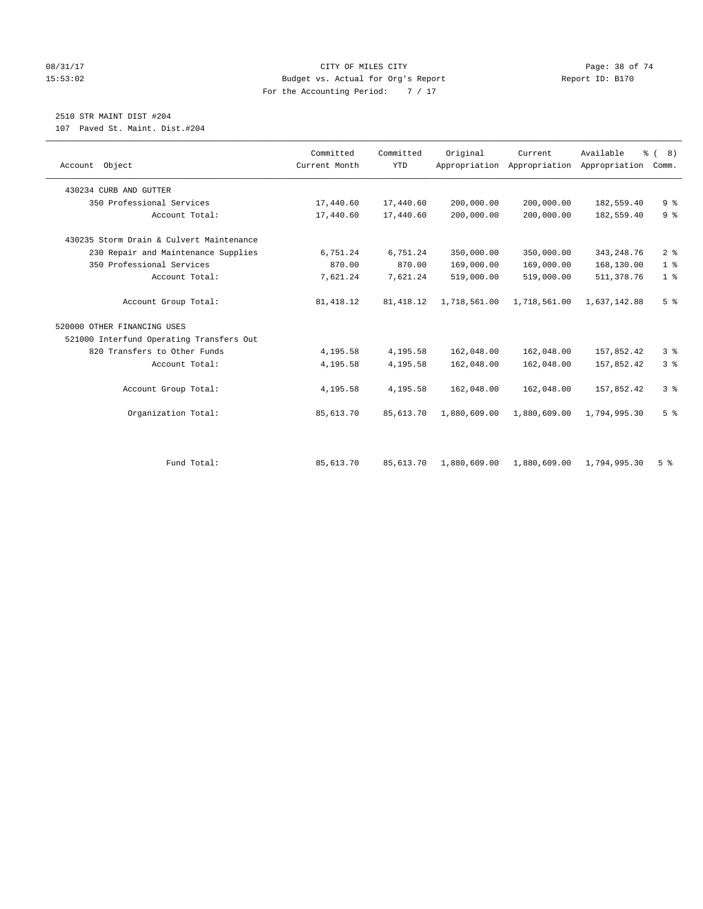#### 08/31/17 Page: 38 of 74 15:53:02 Budget vs. Actual for Org's Report Report ID: B170 For the Accounting Period: 7 / 17

# 2510 STR MAINT DIST #204

107 Paved St. Maint. Dist.#204

| Account Object                           | Committed<br>Current Month | Committed<br><b>YTD</b> | Original     | Current<br>Appropriation Appropriation | Available<br>Appropriation | % (8)<br>Comm. |
|------------------------------------------|----------------------------|-------------------------|--------------|----------------------------------------|----------------------------|----------------|
|                                          |                            |                         |              |                                        |                            |                |
| 430234 CURB AND GUTTER                   |                            |                         |              |                                        |                            |                |
| 350 Professional Services                | 17,440.60                  | 17,440.60               | 200,000.00   | 200,000.00                             | 182,559.40                 | 9 <sup>°</sup> |
| Account Total:                           | 17,440.60                  | 17,440.60               | 200,000.00   | 200,000.00                             | 182,559.40                 | 9 <sup>°</sup> |
| 430235 Storm Drain & Culvert Maintenance |                            |                         |              |                                        |                            |                |
| 230 Repair and Maintenance Supplies      | 6,751.24                   | 6,751.24                | 350,000.00   | 350,000.00                             | 343, 248. 76               | 2 <sup>°</sup> |
| 350 Professional Services                | 870.00                     | 870.00                  | 169,000.00   | 169,000.00                             | 168,130.00                 | 1 <sup>°</sup> |
| Account Total:                           | 7,621.24                   | 7,621.24                | 519,000.00   | 519,000.00                             | 511,378.76                 | 1 <sup>°</sup> |
| Account Group Total:                     | 81, 418.12                 | 81, 418.12              | 1,718,561.00 | 1,718,561.00                           | 1,637,142.88               | 5 <sup>°</sup> |
| 520000 OTHER FINANCING USES              |                            |                         |              |                                        |                            |                |
| 521000 Interfund Operating Transfers Out |                            |                         |              |                                        |                            |                |
| 820 Transfers to Other Funds             | 4,195.58                   | 4,195.58                | 162,048.00   | 162,048.00                             | 157,852.42                 | 3 <sup>°</sup> |
| Account Total:                           | 4,195.58                   | 4,195.58                | 162,048.00   | 162,048.00                             | 157,852.42                 | 3%             |
| Account Group Total:                     | 4,195.58                   | 4,195.58                | 162,048.00   | 162,048.00                             | 157,852.42                 | 3 <sup>8</sup> |
| Organization Total:                      | 85,613.70                  | 85,613.70               | 1,880,609.00 | 1,880,609.00                           | 1,794,995.30               | 5 <sup>°</sup> |
|                                          |                            |                         |              |                                        |                            |                |
| Fund Total:                              | 85,613.70                  | 85,613.70               | 1,880,609.00 | 1,880,609.00                           | 1,794,995.30               | 5 <sup>8</sup> |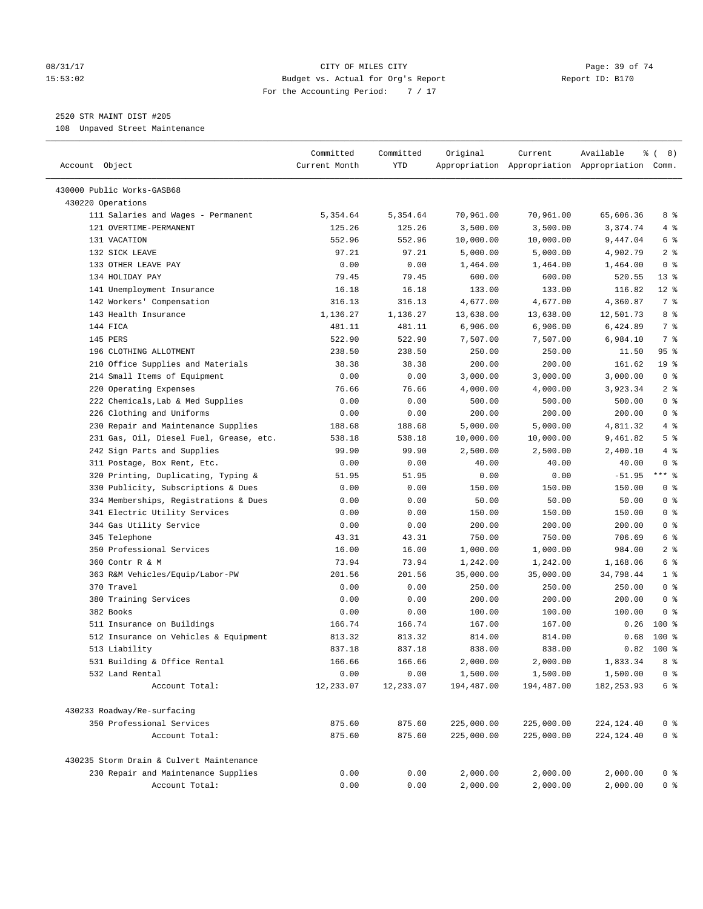#### 08/31/17 Page: 39 of 74 15:53:02 Budget vs. Actual for Org's Report Report ID: B170 For the Accounting Period: 7 / 17

————————————————————————————————————————————————————————————————————————————————————————————————————————————————————————————————————

# 2520 STR MAINT DIST #205

108 Unpaved Street Maintenance

|                                          | Committed     | Committed | Original   | Current    | Available                                       | <sub>රි</sub> ( 8 ) |
|------------------------------------------|---------------|-----------|------------|------------|-------------------------------------------------|---------------------|
| Account Object                           | Current Month | YTD       |            |            | Appropriation Appropriation Appropriation Comm. |                     |
|                                          |               |           |            |            |                                                 |                     |
| 430000 Public Works-GASB68               |               |           |            |            |                                                 |                     |
| 430220 Operations                        |               |           |            |            |                                                 |                     |
| 111 Salaries and Wages - Permanent       | 5,354.64      | 5,354.64  | 70,961.00  | 70,961.00  | 65,606.36                                       | 8 %                 |
| 121 OVERTIME-PERMANENT                   | 125.26        | 125.26    | 3,500.00   | 3,500.00   | 3,374.74                                        | 4%                  |
| 131 VACATION                             | 552.96        | 552.96    | 10,000.00  | 10,000.00  | 9,447.04                                        | 6 %                 |
| 132 SICK LEAVE                           | 97.21         | 97.21     | 5,000.00   | 5,000.00   | 4,902.79                                        | 2 <sub>8</sub>      |
| 133 OTHER LEAVE PAY                      | 0.00          | 0.00      | 1,464.00   | 1,464.00   | 1,464.00                                        | 0 <sup>8</sup>      |
| 134 HOLIDAY PAY                          | 79.45         | 79.45     | 600.00     | 600.00     | 520.55                                          | 13 <sup>°</sup>     |
| 141 Unemployment Insurance               | 16.18         | 16.18     | 133.00     | 133.00     | 116.82                                          | $12*$               |
| 142 Workers' Compensation                | 316.13        | 316.13    | 4,677.00   | 4,677.00   | 4,360.87                                        | 7 %                 |
| 143 Health Insurance                     | 1,136.27      | 1,136.27  | 13,638.00  | 13,638.00  | 12,501.73                                       | 8 %                 |
| 144 FICA                                 | 481.11        | 481.11    | 6,906.00   | 6,906.00   | 6,424.89                                        | 7 %                 |
| 145 PERS                                 | 522.90        | 522.90    | 7,507.00   | 7,507.00   | 6,984.10                                        | 7 %                 |
| 196 CLOTHING ALLOTMENT                   | 238.50        | 238.50    | 250.00     | 250.00     | 11.50                                           | 95%                 |
| 210 Office Supplies and Materials        | 38.38         | 38.38     | 200.00     | 200.00     | 161.62                                          | 19 <sup>°</sup>     |
| 214 Small Items of Equipment             | 0.00          | 0.00      | 3,000.00   | 3,000.00   | 3,000.00                                        | 0 <sup>8</sup>      |
| 220 Operating Expenses                   | 76.66         | 76.66     | 4,000.00   | 4,000.00   | 3,923.34                                        | 2 <sup>°</sup>      |
| 222 Chemicals, Lab & Med Supplies        | 0.00          | 0.00      | 500.00     | 500.00     | 500.00                                          | 0 <sup>8</sup>      |
| 226 Clothing and Uniforms                | 0.00          | 0.00      | 200.00     | 200.00     | 200.00                                          | 0 <sup>8</sup>      |
| 230 Repair and Maintenance Supplies      | 188.68        | 188.68    | 5,000.00   | 5,000.00   | 4,811.32                                        | 4%                  |
| 231 Gas, Oil, Diesel Fuel, Grease, etc.  | 538.18        | 538.18    | 10,000.00  | 10,000.00  | 9,461.82                                        | 5 <sup>8</sup>      |
| 242 Sign Parts and Supplies              | 99.90         | 99.90     | 2,500.00   | 2,500.00   | 2,400.10                                        | 4 %                 |
| 311 Postage, Box Rent, Etc.              | 0.00          | 0.00      | 40.00      | 40.00      | 40.00                                           | 0 <sup>8</sup>      |
| 320 Printing, Duplicating, Typing &      | 51.95         | 51.95     | 0.00       | 0.00       | $-51.95$                                        | $***$ $-$           |
| 330 Publicity, Subscriptions & Dues      | 0.00          | 0.00      | 150.00     | 150.00     | 150.00                                          | 0 <sup>8</sup>      |
| 334 Memberships, Registrations & Dues    | 0.00          | 0.00      | 50.00      | 50.00      | 50.00                                           | 0 <sup>8</sup>      |
| 341 Electric Utility Services            | 0.00          | 0.00      | 150.00     | 150.00     | 150.00                                          | 0 <sup>8</sup>      |
| 344 Gas Utility Service                  | 0.00          | 0.00      | 200.00     | 200.00     | 200.00                                          | 0 <sup>8</sup>      |
| 345 Telephone                            | 43.31         | 43.31     | 750.00     | 750.00     | 706.69                                          | 6 %                 |
| 350 Professional Services                | 16.00         | 16.00     | 1,000.00   | 1,000.00   | 984.00                                          | 2 <sub>8</sub>      |
| 360 Contr R & M                          | 73.94         | 73.94     | 1,242.00   | 1,242.00   | 1,168.06                                        | 6 %                 |
| 363 R&M Vehicles/Equip/Labor-PW          | 201.56        | 201.56    | 35,000.00  | 35,000.00  | 34,798.44                                       | 1 <sup>°</sup>      |
| 370 Travel                               | 0.00          | 0.00      | 250.00     | 250.00     | 250.00                                          | 0 <sup>8</sup>      |
| 380 Training Services                    | 0.00          | 0.00      | 200.00     | 200.00     | 200.00                                          | 0 <sup>8</sup>      |
| 382 Books                                | 0.00          | 0.00      | 100.00     | 100.00     | 100.00                                          | 0 <sup>8</sup>      |
| 511 Insurance on Buildings               | 166.74        | 166.74    | 167.00     | 167.00     | 0.26                                            | $100*$              |
| 512 Insurance on Vehicles & Equipment    | 813.32        | 813.32    | 814.00     | 814.00     | 0.68                                            | $100*$              |
| 513 Liability                            | 837.18        | 837.18    | 838.00     | 838.00     | 0.82                                            | $100*$              |
| 531 Building & Office Rental             | 166.66        | 166.66    | 2,000.00   | 2,000.00   | 1,833.34                                        | 8 %                 |
| 532 Land Rental                          | 0.00          | 0.00      | 1,500.00   | 1,500.00   | 1,500.00                                        | 0 <sup>8</sup>      |
| Account Total:                           | 12,233.07     | 12,233.07 | 194,487.00 | 194,487.00 | 182, 253.93                                     | $6\degree$          |
| 430233 Roadway/Re-surfacing              |               |           |            |            |                                                 |                     |
| 350 Professional Services                | 875.60        | 875.60    | 225,000.00 | 225,000.00 | 224, 124. 40                                    | 0 <sup>8</sup>      |
| Account Total:                           | 875.60        | 875.60    | 225,000.00 | 225,000.00 | 224, 124. 40                                    | 0 <sup>°</sup>      |
|                                          |               |           |            |            |                                                 |                     |
| 430235 Storm Drain & Culvert Maintenance |               |           |            |            |                                                 |                     |
| 230 Repair and Maintenance Supplies      | 0.00          | 0.00      | 2,000.00   | 2,000.00   | 2,000.00                                        | 0 <sup>8</sup>      |
| Account Total:                           | 0.00          | 0.00      | 2,000.00   | 2,000.00   | 2,000.00                                        | 0 <sup>°</sup>      |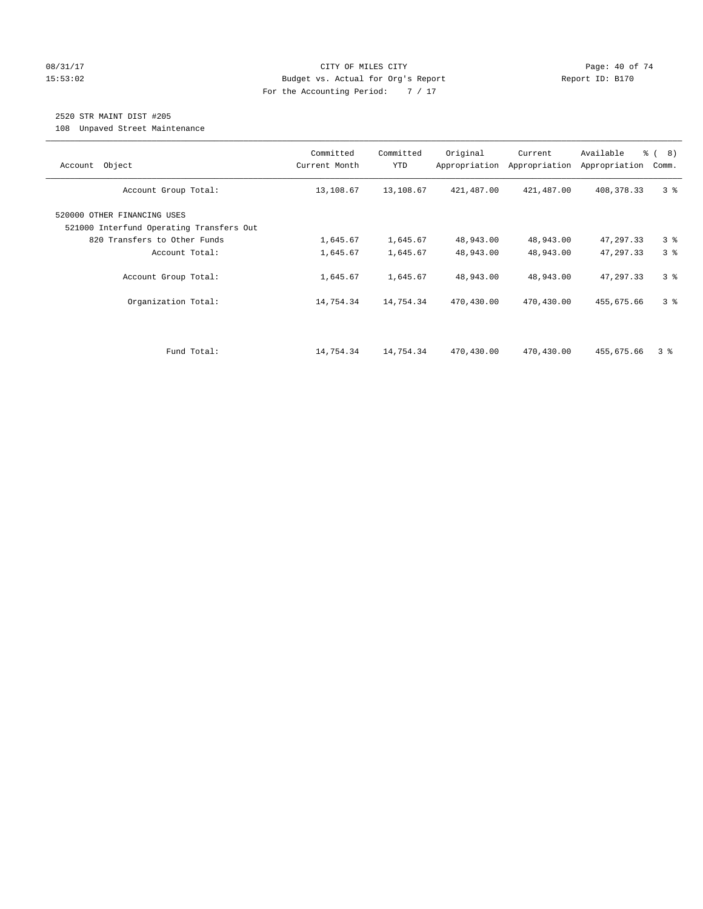#### 08/31/17 Page: 40 of 74 15:53:02 Budget vs. Actual for Org's Report Report ID: B170 For the Accounting Period: 7 / 17

# 2520 STR MAINT DIST #205

108 Unpaved Street Maintenance

| Object<br>Account                                                       | Committed<br>Current Month | Committed<br><b>YTD</b> | Original<br>Appropriation | Current<br>Appropriation | Available<br>Appropriation | % ( 8 )<br>Comm. |
|-------------------------------------------------------------------------|----------------------------|-------------------------|---------------------------|--------------------------|----------------------------|------------------|
| Account Group Total:                                                    | 13,108.67                  | 13,108.67               | 421,487.00                | 421,487.00               | 408,378.33                 | 3 <sup>8</sup>   |
| 520000 OTHER FINANCING USES<br>521000 Interfund Operating Transfers Out |                            |                         |                           |                          |                            |                  |
| 820 Transfers to Other Funds                                            | 1,645.67                   | 1,645.67                | 48,943.00                 | 48,943.00                | 47,297.33                  | 3%               |
| Account Total:                                                          | 1,645.67                   | 1,645.67                | 48,943.00                 | 48,943.00                | 47,297.33                  | 3%               |
| Account Group Total:                                                    | 1,645.67                   | 1,645.67                | 48,943.00                 | 48,943.00                | 47,297.33                  | 3 <sup>8</sup>   |
| Organization Total:                                                     | 14,754.34                  | 14,754.34               | 470,430.00                | 470,430.00               | 455,675.66                 | 3 <sup>8</sup>   |
|                                                                         |                            |                         |                           |                          |                            |                  |
| Fund Total:                                                             | 14,754.34                  | 14,754.34               | 470,430.00                | 470,430.00               | 455,675.66                 | 3 %              |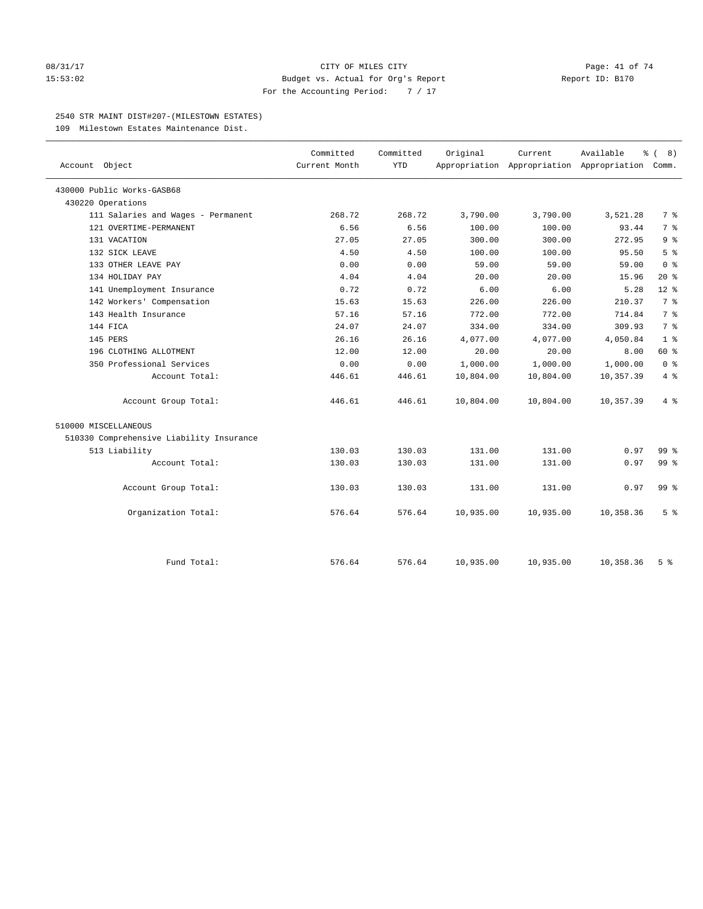#### 08/31/17 Page: 41 of 74 15:53:02 Budget vs. Actual for Org's Report Report ID: B170 For the Accounting Period: 7 / 17

#### 2540 STR MAINT DIST#207-(MILESTOWN ESTATES)

109 Milestown Estates Maintenance Dist.

| Account Object                           | Committed<br>Current Month | Committed<br><b>YTD</b> | Original  | Current   | Available<br>န့<br>Appropriation Appropriation Appropriation Comm. | 8)              |
|------------------------------------------|----------------------------|-------------------------|-----------|-----------|--------------------------------------------------------------------|-----------------|
|                                          |                            |                         |           |           |                                                                    |                 |
| 430000 Public Works-GASB68               |                            |                         |           |           |                                                                    |                 |
| 430220 Operations                        |                            |                         |           |           |                                                                    |                 |
| 111 Salaries and Wages - Permanent       | 268.72                     | 268.72                  | 3,790.00  | 3,790.00  | 3,521.28                                                           | 7 %             |
| 121 OVERTIME-PERMANENT                   | 6.56                       | 6.56                    | 100.00    | 100.00    | 93.44                                                              | 7 <sup>°</sup>  |
| 131 VACATION                             | 27.05                      | 27.05                   | 300.00    | 300.00    | 272.95                                                             | 9 <sup>°</sup>  |
| 132 SICK LEAVE                           | 4.50                       | 4.50                    | 100.00    | 100.00    | 95.50                                                              | 5 <sup>°</sup>  |
| 133 OTHER LEAVE PAY                      | 0.00                       | 0.00                    | 59.00     | 59.00     | 59.00                                                              | 0 <sup>8</sup>  |
| 134 HOLIDAY PAY                          | 4.04                       | 4.04                    | 20.00     | 20.00     | 15.96                                                              | $20*$           |
| 141 Unemployment Insurance               | 0.72                       | 0.72                    | 6.00      | 6.00      | 5.28                                                               | $12*$           |
| 142 Workers' Compensation                | 15.63                      | 15.63                   | 226.00    | 226.00    | 210.37                                                             | 7 <sup>°</sup>  |
| 143 Health Insurance                     | 57.16                      | 57.16                   | 772.00    | 772.00    | 714.84                                                             | 7 <sup>°</sup>  |
| 144 FICA                                 | 24.07                      | 24.07                   | 334.00    | 334.00    | 309.93                                                             | 7 <sup>°</sup>  |
| 145 PERS                                 | 26.16                      | 26.16                   | 4,077.00  | 4,077.00  | 4,050.84                                                           | 1 <sup>8</sup>  |
| 196 CLOTHING ALLOTMENT                   | 12.00                      | 12.00                   | 20.00     | 20.00     | 8.00                                                               | 60 %            |
| 350 Professional Services                | 0.00                       | 0.00                    | 1,000.00  | 1,000.00  | 1,000.00                                                           | 0 <sup>8</sup>  |
| Account Total:                           | 446.61                     | 446.61                  | 10,804.00 | 10,804.00 | 10,357.39                                                          | $4\degree$      |
| Account Group Total:                     | 446.61                     | 446.61                  | 10,804.00 | 10,804.00 | 10,357.39                                                          | 4%              |
| 510000 MISCELLANEOUS                     |                            |                         |           |           |                                                                    |                 |
| 510330 Comprehensive Liability Insurance |                            |                         |           |           |                                                                    |                 |
| 513 Liability                            | 130.03                     | 130.03                  | 131.00    | 131.00    | 0.97                                                               | 99 %            |
| Account Total:                           | 130.03                     | 130.03                  | 131.00    | 131.00    | 0.97                                                               | 99 <sup>°</sup> |
| Account Group Total:                     | 130.03                     | 130.03                  | 131.00    | 131.00    | 0.97                                                               | 99 <sub>8</sub> |
| Organization Total:                      | 576.64                     | 576.64                  | 10,935.00 | 10,935.00 | 10,358.36                                                          | 5 <sup>°</sup>  |
|                                          |                            |                         |           |           |                                                                    |                 |
| Fund Total:                              | 576.64                     | 576.64                  | 10,935.00 | 10,935.00 | 10,358.36                                                          | 5 <sup>8</sup>  |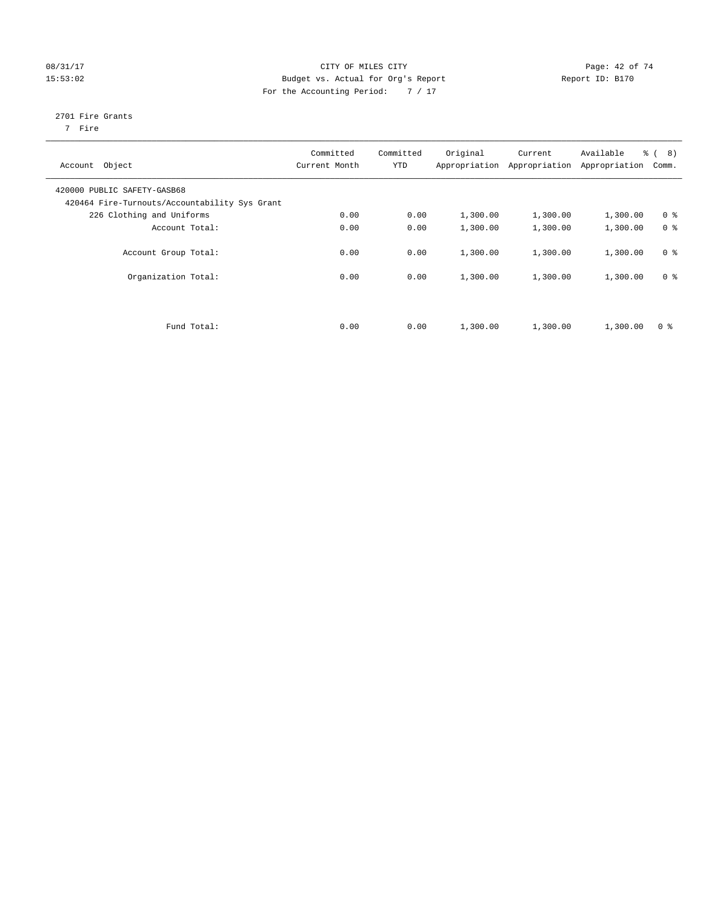#### 08/31/17 Page: 42 of 74 15:53:02 Budget vs. Actual for Org's Report Report ID: B170 For the Accounting Period: 7 / 17

# 2701 Fire Grants

7 Fire

| Account Object                                                               | Committed<br>Current Month | Committed<br><b>YTD</b> | Original | Current<br>Appropriation Appropriation | Available<br>Appropriation | $\frac{6}{6}$ ( 8)<br>Comm. |
|------------------------------------------------------------------------------|----------------------------|-------------------------|----------|----------------------------------------|----------------------------|-----------------------------|
| 420000 PUBLIC SAFETY-GASB68<br>420464 Fire-Turnouts/Accountability Sys Grant |                            |                         |          |                                        |                            |                             |
| 226 Clothing and Uniforms                                                    | 0.00                       | 0.00                    | 1,300.00 | 1,300.00                               | 1,300.00                   | 0 <sup>8</sup>              |
| Account Total:                                                               | 0.00                       | 0.00                    | 1,300.00 | 1,300.00                               | 1,300.00                   | 0 <sup>8</sup>              |
| Account Group Total:                                                         | 0.00                       | 0.00                    | 1,300.00 | 1,300.00                               | 1,300.00                   | 0 <sup>8</sup>              |
| Organization Total:                                                          | 0.00                       | 0.00                    | 1,300.00 | 1,300.00                               | 1,300.00                   | 0 <sup>8</sup>              |
|                                                                              |                            |                         |          |                                        |                            |                             |
| Fund Total:                                                                  | 0.00                       | 0.00                    | 1,300.00 | 1,300.00                               | 1,300.00                   | 0 <sup>8</sup>              |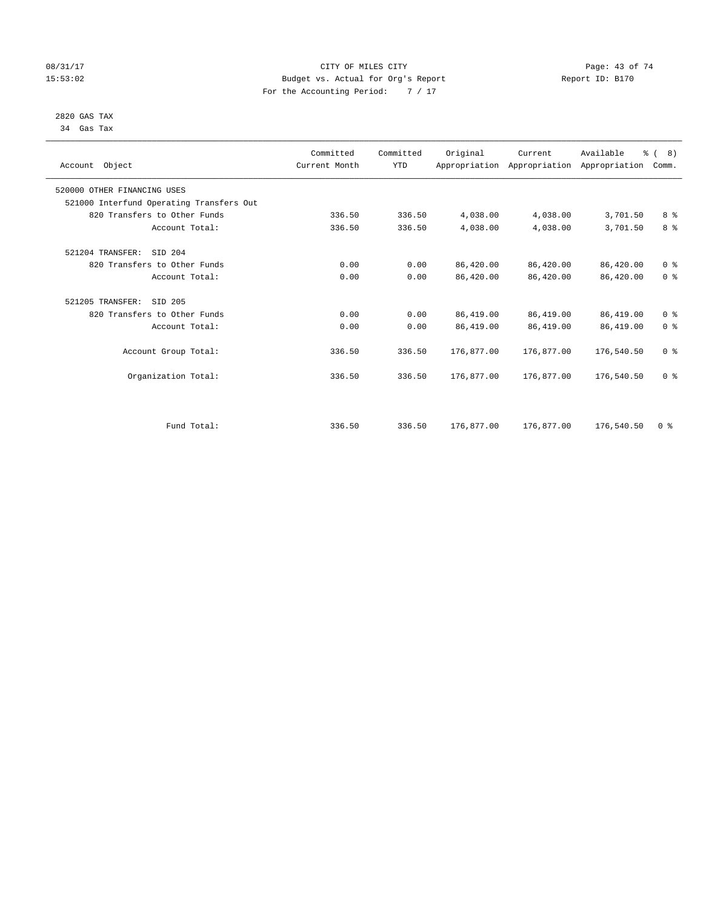#### 08/31/17 Page: 43 of 74 15:53:02 Budget vs. Actual for Org's Report Report ID: B170 For the Accounting Period: 7 / 17

#### 2820 GAS TAX 34 Gas Tax

|                                          | Committed     | Committed  | Original   | Current    | Available                                 | $\frac{6}{6}$ ( 8) |  |
|------------------------------------------|---------------|------------|------------|------------|-------------------------------------------|--------------------|--|
| Account Object                           | Current Month | <b>YTD</b> |            |            | Appropriation Appropriation Appropriation | Comm.              |  |
|                                          |               |            |            |            |                                           |                    |  |
| 520000 OTHER FINANCING USES              |               |            |            |            |                                           |                    |  |
| 521000 Interfund Operating Transfers Out |               |            |            |            |                                           |                    |  |
| 820 Transfers to Other Funds             | 336.50        | 336.50     | 4,038.00   | 4,038.00   | 3,701.50                                  | 8%                 |  |
| Account Total:                           | 336.50        | 336.50     | 4,038.00   | 4,038.00   | 3,701.50                                  | 8 <sup>°</sup>     |  |
|                                          |               |            |            |            |                                           |                    |  |
| 521204 TRANSFER:<br>SID 204              |               |            |            |            |                                           |                    |  |
| 820 Transfers to Other Funds             | 0.00          | 0.00       | 86,420.00  | 86,420.00  | 86,420.00                                 | 0 <sup>8</sup>     |  |
| Account Total:                           | 0.00          | 0.00       | 86,420.00  | 86,420.00  | 86,420.00                                 | 0 <sup>8</sup>     |  |
|                                          |               |            |            |            |                                           |                    |  |
| 521205 TRANSFER:<br>SID 205              |               |            |            |            |                                           |                    |  |
| 820 Transfers to Other Funds             | 0.00          | 0.00       | 86,419.00  | 86,419.00  | 86,419.00                                 | 0 <sup>8</sup>     |  |
| Account Total:                           | 0.00          | 0.00       | 86,419.00  | 86,419.00  | 86,419.00                                 | 0 <sup>8</sup>     |  |
|                                          |               |            |            |            |                                           |                    |  |
| Account Group Total:                     | 336.50        | 336.50     | 176,877.00 | 176,877.00 | 176,540.50                                | 0 <sup>8</sup>     |  |
|                                          |               |            |            |            |                                           |                    |  |
| Organization Total:                      | 336.50        | 336.50     | 176,877.00 | 176,877.00 | 176,540.50                                | 0 <sup>8</sup>     |  |
|                                          |               |            |            |            |                                           |                    |  |
|                                          |               |            |            |            |                                           |                    |  |
|                                          |               |            |            |            |                                           |                    |  |
| Fund Total:                              | 336.50        | 336.50     | 176,877.00 | 176,877.00 | 176,540.50                                | 0 <sup>8</sup>     |  |
|                                          |               |            |            |            |                                           |                    |  |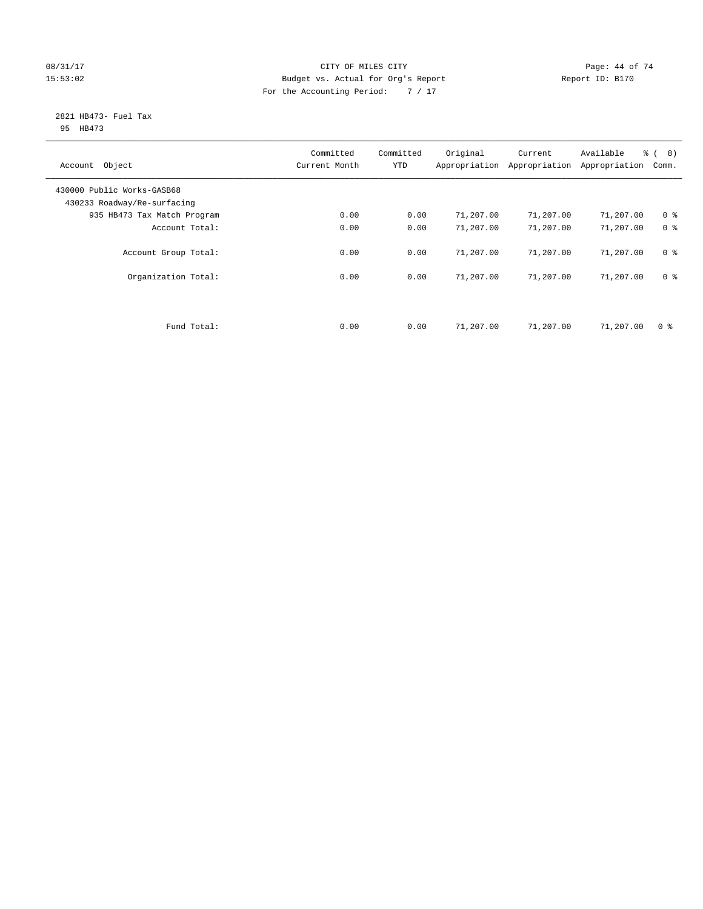#### 08/31/17 Page: 44 of 74 15:53:02 Budget vs. Actual for Org's Report Report ID: B170 For the Accounting Period: 7 / 17

#### 2821 HB473- Fuel Tax 95 HB473

| Account Object                                            | Committed<br>Current Month | Committed<br><b>YTD</b> | Original  | Current<br>Appropriation Appropriation | Available<br>Appropriation | $\frac{6}{6}$ ( 8)<br>Comm. |
|-----------------------------------------------------------|----------------------------|-------------------------|-----------|----------------------------------------|----------------------------|-----------------------------|
| 430000 Public Works-GASB68<br>430233 Roadway/Re-surfacing |                            |                         |           |                                        |                            |                             |
| 935 HB473 Tax Match Program                               | 0.00                       | 0.00                    | 71,207.00 | 71,207.00                              | 71,207.00                  | 0 <sup>8</sup>              |
| Account Total:                                            | 0.00                       | 0.00                    | 71,207.00 | 71,207.00                              | 71,207.00                  | 0 <sup>8</sup>              |
| Account Group Total:                                      | 0.00                       | 0.00                    | 71,207.00 | 71,207.00                              | 71,207.00                  | 0 <sup>8</sup>              |
| Organization Total:                                       | 0.00                       | 0.00                    | 71,207.00 | 71,207.00                              | 71,207.00                  | 0 <sup>8</sup>              |
|                                                           |                            |                         |           |                                        |                            |                             |
| Fund Total:                                               | 0.00                       | 0.00                    | 71,207.00 | 71,207.00                              | 71,207.00                  | 0 <sup>8</sup>              |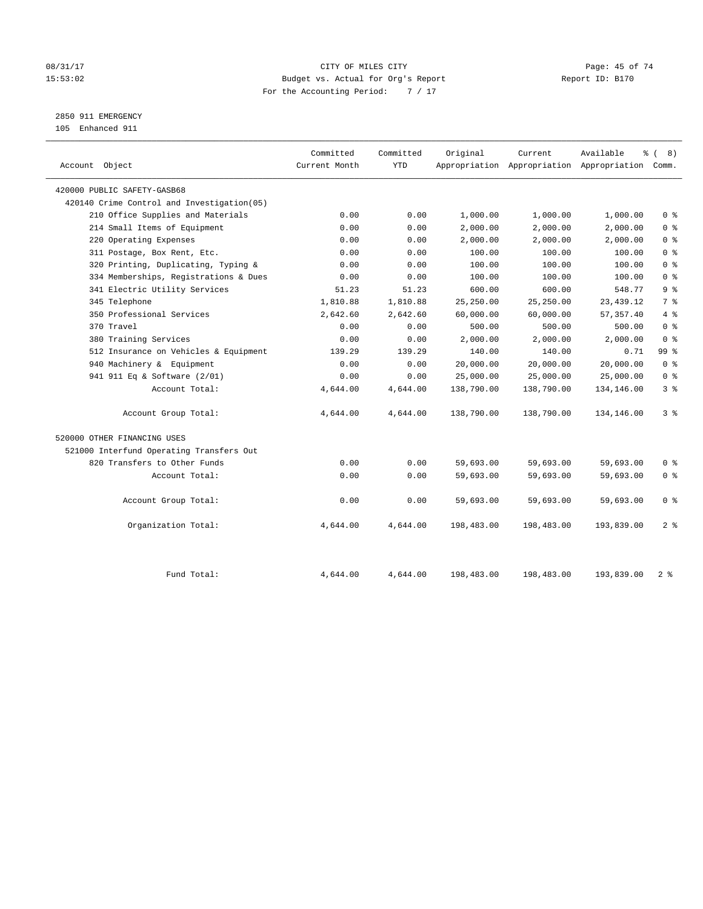#### 08/31/17 Page: 45 of 74 15:53:02 Budget vs. Actual for Org's Report Report ID: B170 For the Accounting Period: 7 / 17

# 2850 911 EMERGENCY

105 Enhanced 911

| Account Object                              | Committed<br>Current Month | Committed<br><b>YTD</b> | Original   | Current    | Available<br>Appropriation Appropriation Appropriation Comm. | $\frac{6}{6}$ ( 8) |
|---------------------------------------------|----------------------------|-------------------------|------------|------------|--------------------------------------------------------------|--------------------|
| 420000 PUBLIC SAFETY-GASB68                 |                            |                         |            |            |                                                              |                    |
| 420140 Crime Control and Investigation (05) |                            |                         |            |            |                                                              |                    |
| 210 Office Supplies and Materials           | 0.00                       | 0.00                    | 1,000.00   | 1,000.00   | 1,000.00                                                     | 0 <sup>8</sup>     |
| 214 Small Items of Equipment                | 0.00                       | 0.00                    | 2,000.00   | 2,000.00   | 2,000.00                                                     | 0 <sup>8</sup>     |
| 220 Operating Expenses                      | 0.00                       | 0.00                    | 2,000.00   | 2,000.00   | 2,000.00                                                     | 0 <sup>8</sup>     |
| 311 Postage, Box Rent, Etc.                 | 0.00                       | 0.00                    | 100.00     | 100.00     | 100.00                                                       | 0 <sup>8</sup>     |
| 320 Printing, Duplicating, Typing &         | 0.00                       | 0.00                    | 100.00     | 100.00     | 100.00                                                       | 0 <sup>8</sup>     |
| 334 Memberships, Registrations & Dues       | 0.00                       | 0.00                    | 100.00     | 100.00     | 100.00                                                       | 0 <sup>8</sup>     |
| 341 Electric Utility Services               | 51.23                      | 51.23                   | 600.00     | 600.00     | 548.77                                                       | 9 <sup>°</sup>     |
| 345 Telephone                               | 1,810.88                   | 1,810.88                | 25,250.00  | 25,250.00  | 23, 439. 12                                                  | 7 <sup>°</sup>     |
| 350 Professional Services                   | 2,642.60                   | 2,642.60                | 60,000.00  | 60,000.00  | 57, 357.40                                                   | 4%                 |
| 370 Travel                                  | 0.00                       | 0.00                    | 500.00     | 500.00     | 500.00                                                       | 0 <sup>8</sup>     |
| 380 Training Services                       | 0.00                       | 0.00                    | 2,000.00   | 2,000.00   | 2,000.00                                                     | 0 <sup>8</sup>     |
| 512 Insurance on Vehicles & Equipment       | 139.29                     | 139.29                  | 140.00     | 140.00     | 0.71                                                         | 99 <sub>8</sub>    |
| 940 Machinery & Equipment                   | 0.00                       | 0.00                    | 20,000.00  | 20,000.00  | 20,000.00                                                    | 0 <sup>8</sup>     |
| 941 911 Eq & Software (2/01)                | 0.00                       | 0.00                    | 25,000.00  | 25,000.00  | 25,000.00                                                    | 0 <sup>8</sup>     |
| Account Total:                              | 4,644.00                   | 4,644.00                | 138,790.00 | 138,790.00 | 134,146.00                                                   | 3 <sup>°</sup>     |
| Account Group Total:                        | 4,644.00                   | 4,644.00                | 138,790.00 | 138,790.00 | 134,146.00                                                   | 3 <sup>8</sup>     |
| 520000 OTHER FINANCING USES                 |                            |                         |            |            |                                                              |                    |
| 521000 Interfund Operating Transfers Out    |                            |                         |            |            |                                                              |                    |
| 820 Transfers to Other Funds                | 0.00                       | 0.00                    | 59,693.00  | 59,693.00  | 59,693.00                                                    | 0 <sup>8</sup>     |
| Account Total:                              | 0.00                       | 0.00                    | 59,693.00  | 59,693.00  | 59,693.00                                                    | 0 <sup>8</sup>     |
| Account Group Total:                        | 0.00                       | 0.00                    | 59,693.00  | 59,693.00  | 59,693.00                                                    | 0 <sup>8</sup>     |
| Organization Total:                         | 4,644.00                   | 4,644.00                | 198,483.00 | 198,483.00 | 193,839.00                                                   | 2 <sup>8</sup>     |
| Fund Total:                                 | 4,644.00                   | 4,644.00                | 198,483.00 | 198,483.00 | 193,839.00                                                   | 2 <sup>8</sup>     |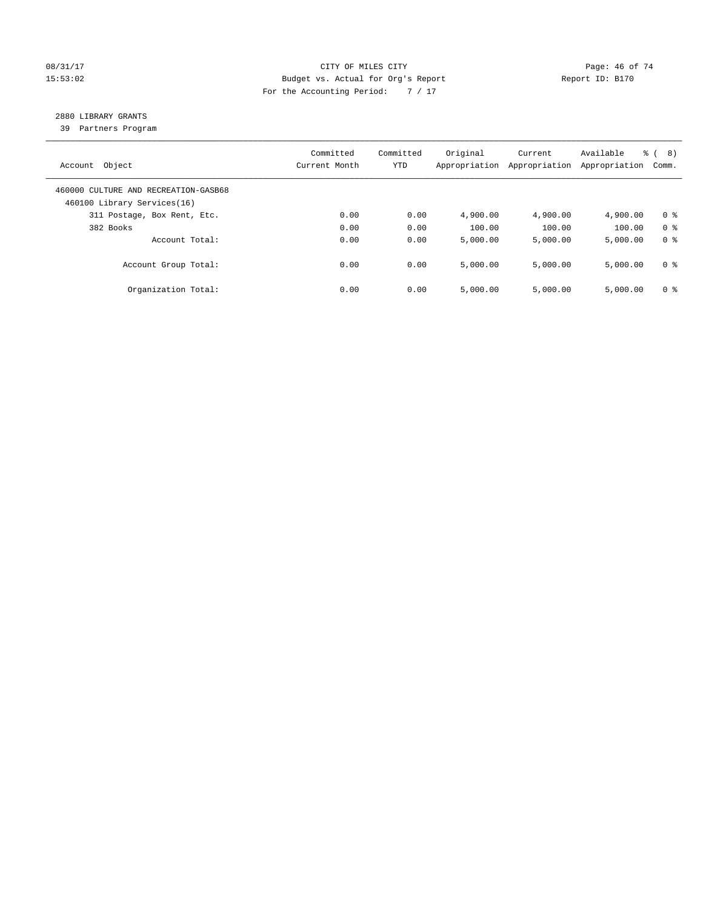#### 08/31/17 Page: 46 of 74 15:53:02 Budget vs. Actual for Org's Report Report ID: B170 For the Accounting Period: 7 / 17

# 2880 LIBRARY GRANTS

39 Partners Program

| Account Object                                                      | Committed<br>Current Month | Committed<br><b>YTD</b> | Original<br>Appropriation | Current<br>Appropriation | Available<br>Appropriation | % ( 8 )<br>Comm. |
|---------------------------------------------------------------------|----------------------------|-------------------------|---------------------------|--------------------------|----------------------------|------------------|
| 460000 CULTURE AND RECREATION-GASB68<br>460100 Library Services(16) |                            |                         |                           |                          |                            |                  |
| 311 Postage, Box Rent, Etc.                                         | 0.00                       | 0.00                    | 4,900.00                  | 4,900.00                 | 4,900.00                   | 0 <sup>8</sup>   |
| 382 Books                                                           | 0.00                       | 0.00                    | 100.00                    | 100.00                   | 100.00                     | 0 <sup>8</sup>   |
| Account Total:                                                      | 0.00                       | 0.00                    | 5,000.00                  | 5,000.00                 | 5,000.00                   | 0 <sup>8</sup>   |
| Account Group Total:                                                | 0.00                       | 0.00                    | 5.000.00                  | 5,000.00                 | 5,000.00                   | 0 <sup>8</sup>   |
| Organization Total:                                                 | 0.00                       | 0.00                    | 5,000.00                  | 5.000.00                 | 5,000.00                   | 0 <sup>8</sup>   |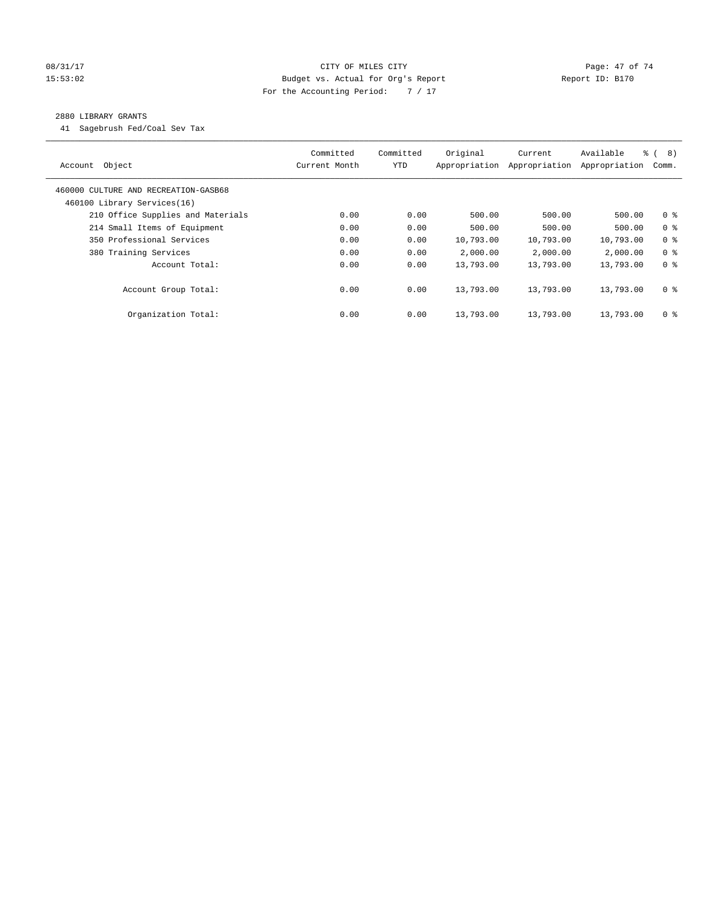#### 08/31/17 Page: 47 of 74 15:53:02 Budget vs. Actual for Org's Report Report ID: B170 For the Accounting Period: 7 / 17

#### 2880 LIBRARY GRANTS

41 Sagebrush Fed/Coal Sev Tax

| Object<br>Account                                                   | Committed<br>Current Month | Committed<br><b>YTD</b> | Original<br>Appropriation | Current<br>Appropriation | Available<br>Appropriation | $\frac{6}{6}$ ( 8)<br>Comm. |
|---------------------------------------------------------------------|----------------------------|-------------------------|---------------------------|--------------------------|----------------------------|-----------------------------|
| 460000 CULTURE AND RECREATION-GASB68<br>460100 Library Services(16) |                            |                         |                           |                          |                            |                             |
| 210 Office Supplies and Materials                                   | 0.00                       | 0.00                    | 500.00                    | 500.00                   | 500.00                     | 0 <sup>8</sup>              |
| 214 Small Items of Equipment                                        | 0.00                       | 0.00                    | 500.00                    | 500.00                   | 500.00                     | 0 <sup>8</sup>              |
| 350 Professional Services                                           | 0.00                       | 0.00                    | 10,793.00                 | 10,793.00                | 10,793.00                  | 0 <sup>8</sup>              |
| 380 Training Services                                               | 0.00                       | 0.00                    | 2,000.00                  | 2,000.00                 | 2,000.00                   | 0 <sup>8</sup>              |
| Account Total:                                                      | 0.00                       | 0.00                    | 13,793.00                 | 13,793.00                | 13,793.00                  | 0 <sup>8</sup>              |
| Account Group Total:                                                | 0.00                       | 0.00                    | 13,793.00                 | 13,793.00                | 13,793.00                  | 0 <sup>8</sup>              |
| Organization Total:                                                 | 0.00                       | 0.00                    | 13,793.00                 | 13,793.00                | 13,793.00                  | 0 <sup>8</sup>              |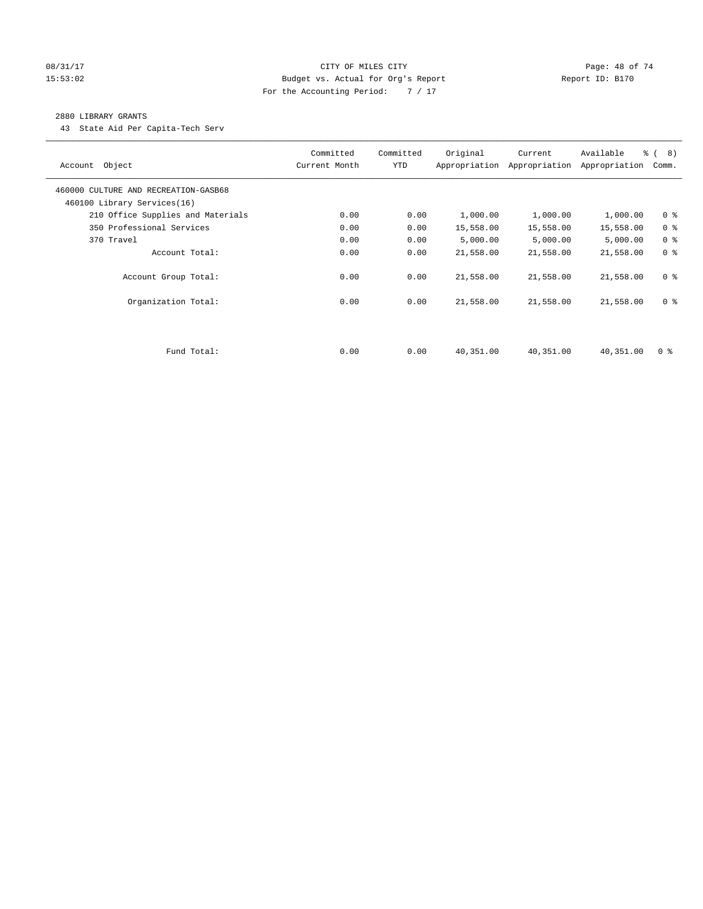#### 08/31/17 Page: 48 of 74 15:53:02 Budget vs. Actual for Org's Report Report ID: B170 For the Accounting Period: 7 / 17

#### 2880 LIBRARY GRANTS

43 State Aid Per Capita-Tech Serv

| Account Object                                                      | Committed<br>Current Month | Committed<br><b>YTD</b> | Original  | Current<br>Appropriation Appropriation | Available<br>Appropriation | % ( 8 )<br>Comm. |
|---------------------------------------------------------------------|----------------------------|-------------------------|-----------|----------------------------------------|----------------------------|------------------|
| 460000 CULTURE AND RECREATION-GASB68<br>460100 Library Services(16) |                            |                         |           |                                        |                            |                  |
| 210 Office Supplies and Materials                                   | 0.00                       | 0.00                    | 1,000.00  | 1,000.00                               | 1,000.00                   | 0 <sup>8</sup>   |
| 350 Professional Services                                           | 0.00                       | 0.00                    | 15,558.00 | 15,558.00                              | 15,558.00                  | 0 <sup>8</sup>   |
| 370 Travel                                                          | 0.00                       | 0.00                    | 5,000.00  | 5,000.00                               | 5,000.00                   | 0 <sup>8</sup>   |
| Account Total:                                                      | 0.00                       | 0.00                    | 21,558.00 | 21,558.00                              | 21,558.00                  | 0 <sup>8</sup>   |
| Account Group Total:                                                | 0.00                       | 0.00                    | 21,558.00 | 21,558.00                              | 21,558.00                  | 0 <sup>8</sup>   |
| Organization Total:                                                 | 0.00                       | 0.00                    | 21,558.00 | 21,558.00                              | 21,558.00                  | 0 <sup>8</sup>   |
|                                                                     |                            |                         |           |                                        |                            |                  |
| Fund Total:                                                         | 0.00                       | 0.00                    | 40,351.00 | 40,351.00                              | 40,351.00                  | 0 %              |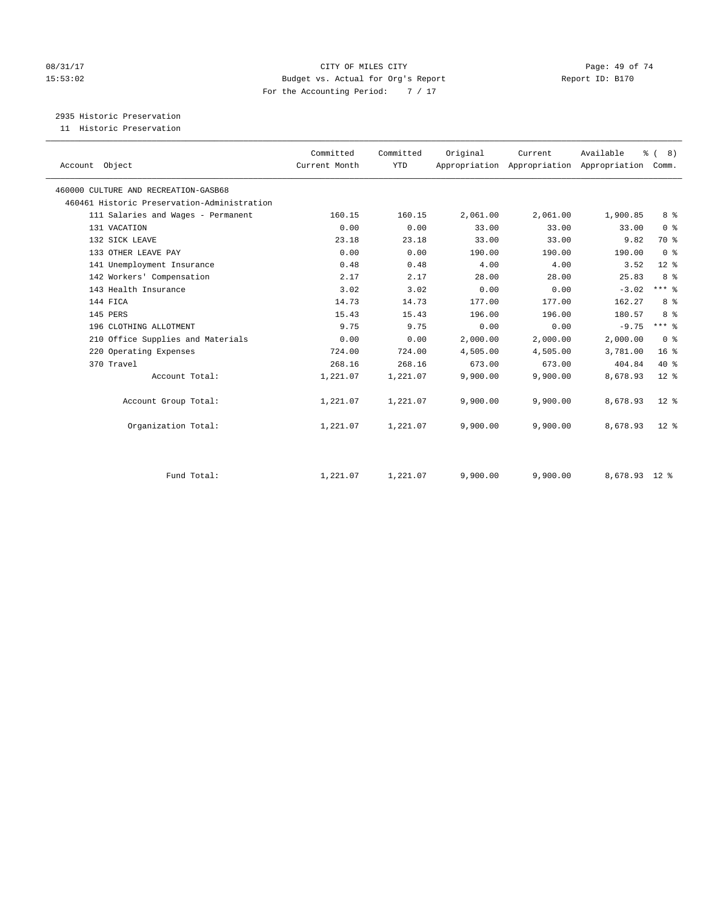#### 08/31/17 Page: 49 of 74 15:53:02 Budget vs. Actual for Org's Report Report ID: B170 For the Accounting Period: 7 / 17

2935 Historic Preservation

11 Historic Preservation

| Account Object                              | Committed<br>Current Month | Committed<br><b>YTD</b> | Original | Current<br>Appropriation Appropriation Appropriation | Available     | $\frac{6}{6}$ ( 8)<br>Comm. |  |
|---------------------------------------------|----------------------------|-------------------------|----------|------------------------------------------------------|---------------|-----------------------------|--|
| 460000 CULTURE AND RECREATION-GASB68        |                            |                         |          |                                                      |               |                             |  |
| 460461 Historic Preservation-Administration |                            |                         |          |                                                      |               |                             |  |
| 111 Salaries and Wages - Permanent          | 160.15                     | 160.15                  | 2,061.00 | 2,061.00                                             | 1,900.85      | 8 %                         |  |
| 131 VACATION                                | 0.00                       | 0.00                    | 33.00    | 33.00                                                | 33.00         | 0 <sup>8</sup>              |  |
| 132 SICK LEAVE                              | 23.18                      | 23.18                   | 33.00    | 33.00                                                | 9.82          | 70 %                        |  |
| 133 OTHER LEAVE PAY                         | 0.00                       | 0.00                    | 190.00   | 190.00                                               | 190.00        | 0 <sup>8</sup>              |  |
| 141 Unemployment Insurance                  | 0.48                       | 0.48                    | 4.00     | 4.00                                                 | 3.52          | $12*$                       |  |
| 142 Workers' Compensation                   | 2.17                       | 2.17                    | 28.00    | 28.00                                                | 25.83         | 8 %                         |  |
| 143 Health Insurance                        | 3.02                       | 3.02                    | 0.00     | 0.00                                                 | $-3.02$       | $***$ $%$                   |  |
| 144 FICA                                    | 14.73                      | 14.73                   | 177.00   | 177.00                                               | 162.27        | 8 %                         |  |
| 145 PERS                                    | 15.43                      | 15.43                   | 196.00   | 196.00                                               | 180.57        | 8 %                         |  |
| 196 CLOTHING ALLOTMENT                      | 9.75                       | 9.75                    | 0.00     | 0.00                                                 | $-9.75$       | $***$ 8                     |  |
| 210 Office Supplies and Materials           | 0.00                       | 0.00                    | 2,000.00 | 2,000.00                                             | 2,000.00      | 0 <sup>8</sup>              |  |
| 220 Operating Expenses                      | 724.00                     | 724.00                  | 4,505.00 | 4,505.00                                             | 3,781.00      | 16 <sup>°</sup>             |  |
| 370 Travel                                  | 268.16                     | 268.16                  | 673.00   | 673.00                                               | 404.84        | $40*$                       |  |
| Account Total:                              | 1,221.07                   | 1,221.07                | 9,900.00 | 9,900.00                                             | 8,678.93      | $12*$                       |  |
| Account Group Total:                        | 1,221.07                   | 1,221.07                | 9,900.00 | 9,900.00                                             | 8,678.93      | $12*$                       |  |
| Organization Total:                         | 1,221.07                   | 1,221.07                | 9,900.00 | 9,900.00                                             | 8,678.93      | $12*$                       |  |
| Fund Total:                                 | 1,221.07                   | 1,221.07                | 9,900.00 | 9,900.00                                             | 8,678.93 12 % |                             |  |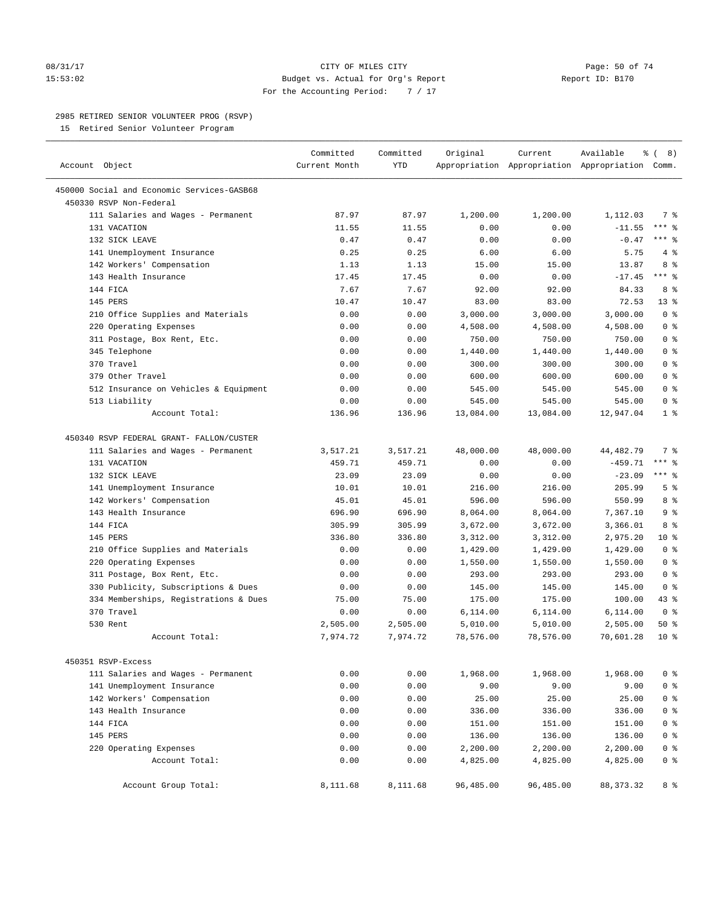#### 08/31/17 Page: 50 of 74 15:53:02 Budget vs. Actual for Org's Report Report ID: B170 For the Accounting Period: 7 / 17

————————————————————————————————————————————————————————————————————————————————————————————————————————————————————————————————————

#### 2985 RETIRED SENIOR VOLUNTEER PROG (RSVP)

15 Retired Senior Volunteer Program

|                                            | Committed     | Committed  | Original  | Current   | Available                                       | $\frac{6}{6}$ ( 8) |
|--------------------------------------------|---------------|------------|-----------|-----------|-------------------------------------------------|--------------------|
| Account Object                             | Current Month | <b>YTD</b> |           |           | Appropriation Appropriation Appropriation Comm. |                    |
| 450000 Social and Economic Services-GASB68 |               |            |           |           |                                                 |                    |
| 450330 RSVP Non-Federal                    |               |            |           |           |                                                 |                    |
| 111 Salaries and Wages - Permanent         | 87.97         | 87.97      | 1,200.00  | 1,200.00  | 1,112.03                                        | 7 %                |
| 131 VACATION                               | 11.55         | 11.55      | 0.00      | 0.00      | $-11.55$                                        | $***$ $-$          |
| 132 SICK LEAVE                             | 0.47          | 0.47       | 0.00      | 0.00      | $-0.47$                                         | *** 응              |
| 141 Unemployment Insurance                 | 0.25          | 0.25       | 6.00      | 6.00      | 5.75                                            | 4%                 |
| 142 Workers' Compensation                  | 1.13          | 1.13       | 15.00     | 15.00     | 13.87                                           | 8 %                |
| 143 Health Insurance                       | 17.45         | 17.45      | 0.00      | 0.00      | $-17.45$                                        | $***$ 8            |
| 144 FICA                                   | 7.67          | 7.67       | 92.00     | 92.00     | 84.33                                           | 8%                 |
| 145 PERS                                   | 10.47         | 10.47      | 83.00     | 83.00     | 72.53                                           | $13*$              |
| 210 Office Supplies and Materials          | 0.00          | 0.00       | 3,000.00  | 3,000.00  | 3,000.00                                        | 0 <sup>8</sup>     |
| 220 Operating Expenses                     | 0.00          | 0.00       | 4,508.00  | 4,508.00  | 4,508.00                                        | 0 <sup>8</sup>     |
| 311 Postage, Box Rent, Etc.                | 0.00          | 0.00       | 750.00    | 750.00    | 750.00                                          | 0 <sup>8</sup>     |
| 345 Telephone                              | 0.00          | 0.00       | 1,440.00  | 1,440.00  | 1,440.00                                        | 0 <sup>8</sup>     |
| 370 Travel                                 | 0.00          | 0.00       | 300.00    | 300.00    | 300.00                                          | 0 <sup>8</sup>     |
| 379 Other Travel                           | 0.00          | 0.00       | 600.00    | 600.00    | 600.00                                          | 0 <sup>8</sup>     |
| 512 Insurance on Vehicles & Equipment      | 0.00          | 0.00       | 545.00    | 545.00    | 545.00                                          | 0 <sup>8</sup>     |
| 513 Liability                              | 0.00          | 0.00       | 545.00    | 545.00    | 545.00                                          | 0 <sup>8</sup>     |
| Account Total:                             | 136.96        | 136.96     | 13,084.00 | 13,084.00 | 12,947.04                                       | 1 <sup>°</sup>     |
| 450340 RSVP FEDERAL GRANT- FALLON/CUSTER   |               |            |           |           |                                                 |                    |
| 111 Salaries and Wages - Permanent         | 3,517.21      | 3,517.21   | 48,000.00 | 48,000.00 | 44, 482. 79                                     | 7 %                |
| 131 VACATION                               | 459.71        | 459.71     | 0.00      | 0.00      | $-459.71$                                       | $***$ $8$          |
| 132 SICK LEAVE                             | 23.09         | 23.09      | 0.00      | 0.00      | $-23.09$                                        | $***$ $_{8}$       |
| 141 Unemployment Insurance                 | 10.01         | 10.01      | 216.00    | 216.00    | 205.99                                          | 5 <sup>°</sup>     |
| 142 Workers' Compensation                  | 45.01         | 45.01      | 596.00    | 596.00    | 550.99                                          | 8 %                |
| 143 Health Insurance                       | 696.90        | 696.90     | 8,064.00  | 8,064.00  | 7,367.10                                        | 9 <sup>°</sup>     |
| 144 FICA                                   | 305.99        | 305.99     | 3,672.00  | 3,672.00  | 3,366.01                                        | 8%                 |
| 145 PERS                                   | 336.80        | 336.80     | 3,312.00  | 3,312.00  | 2,975.20                                        | $10*$              |
| 210 Office Supplies and Materials          | 0.00          | 0.00       | 1,429.00  | 1,429.00  | 1,429.00                                        | 0 <sup>8</sup>     |
| 220 Operating Expenses                     | 0.00          | 0.00       | 1,550.00  | 1,550.00  | 1,550.00                                        | 0 <sup>8</sup>     |
| 311 Postage, Box Rent, Etc.                | 0.00          | 0.00       | 293.00    | 293.00    | 293.00                                          | 0 <sup>8</sup>     |
| 330 Publicity, Subscriptions & Dues        | 0.00          | 0.00       | 145.00    | 145.00    | 145.00                                          | 0 <sup>8</sup>     |
| 334 Memberships, Registrations & Dues      | 75.00         | 75.00      | 175.00    | 175.00    | 100.00                                          | $43$ %             |
| 370 Travel                                 | 0.00          | 0.00       | 6,114.00  | 6,114.00  | 6,114.00                                        | 0 <sup>8</sup>     |
| 530 Rent                                   | 2,505.00      | 2,505.00   | 5,010.00  | 5,010.00  | 2,505.00                                        | 50%                |
| Account Total:                             | 7,974.72      | 7,974.72   | 78,576.00 | 78,576.00 | 70,601.28                                       | 10 <sup>8</sup>    |
| 450351 RSVP-Excess                         |               |            |           |           |                                                 |                    |
| 111 Salaries and Wages - Permanent         | 0.00          | 0.00       | 1,968.00  | 1,968.00  | 1,968.00                                        | 0 <sup>8</sup>     |
| 141 Unemployment Insurance                 | 0.00          | 0.00       | 9.00      | 9.00      | 9.00                                            | 0 <sup>°</sup>     |
| 142 Workers' Compensation                  | 0.00          | 0.00       | 25.00     | 25.00     | 25.00                                           | 0 <sup>°</sup>     |
| 143 Health Insurance                       | 0.00          | 0.00       | 336.00    | 336.00    | 336.00                                          | 0 <sup>°</sup>     |
| 144 FICA                                   | 0.00          | 0.00       | 151.00    | 151.00    | 151.00                                          | 0 <sup>8</sup>     |
| 145 PERS                                   | 0.00          | 0.00       | 136.00    | 136.00    | 136.00                                          | 0 <sup>8</sup>     |
| 220 Operating Expenses                     | 0.00          | 0.00       | 2,200.00  | 2,200.00  | 2,200.00                                        | 0 <sup>8</sup>     |
| Account Total:                             | 0.00          | 0.00       | 4,825.00  | 4,825.00  | 4,825.00                                        | $0$ %              |
| Account Group Total:                       | 8,111.68      | 8,111.68   | 96,485.00 | 96,485.00 | 88, 373. 32                                     | 8 %                |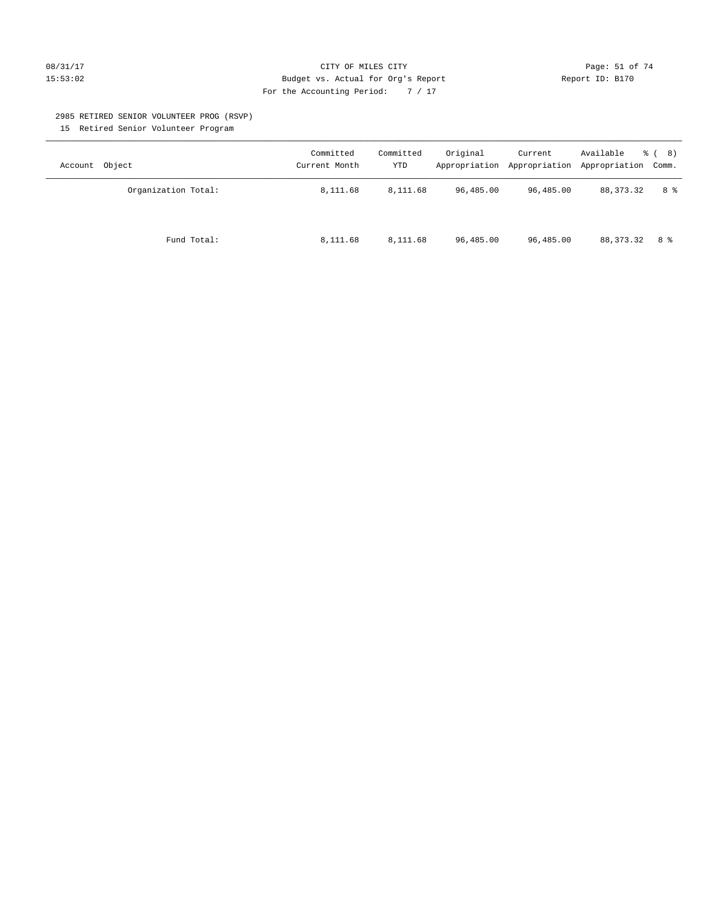#### 08/31/17 Page: 51 of 74 15:53:02 Budget vs. Actual for Org's Report Report ID: B170 For the Accounting Period: 7 / 17

#### 2985 RETIRED SENIOR VOLUNTEER PROG (RSVP)

15 Retired Senior Volunteer Program

| Account Object      | Committed<br>Current Month | Committed<br><b>YTD</b> | Original  | Current   | Available<br>Appropriation Appropriation Appropriation Comm. | <sub>රී</sub> ( 8 ) |
|---------------------|----------------------------|-------------------------|-----------|-----------|--------------------------------------------------------------|---------------------|
| Organization Total: | 8,111.68                   | 8,111.68                | 96,485.00 | 96,485.00 | 88, 373. 32                                                  | 8 %                 |
| Fund Total:         | 8,111.68                   | 8,111.68                | 96,485.00 | 96,485.00 | 88,373.32                                                    | 8 %                 |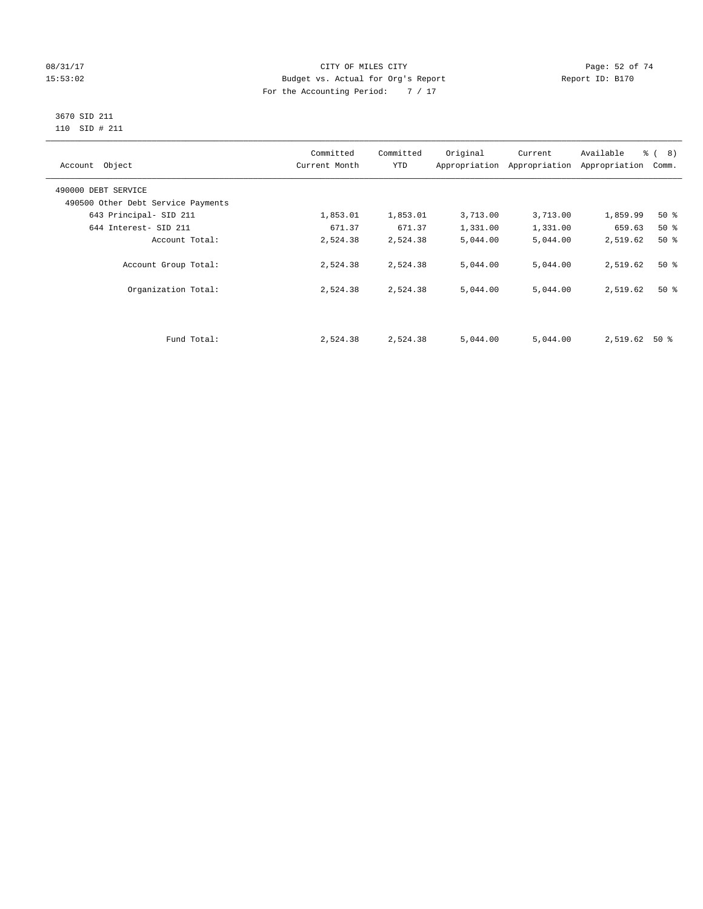#### 08/31/17 Page: 52 of 74 15:53:02 Budget vs. Actual for Org's Report Report ID: B170 For the Accounting Period: 7 / 17

#### 3670 SID 211 110 SID # 211

| Account Object                     | Committed<br>Current Month | Committed<br><b>YTD</b> | Original | Current<br>Appropriation Appropriation | Available<br>Appropriation | $\frac{6}{6}$ ( 8)<br>Comm. |
|------------------------------------|----------------------------|-------------------------|----------|----------------------------------------|----------------------------|-----------------------------|
| 490000 DEBT SERVICE                |                            |                         |          |                                        |                            |                             |
| 490500 Other Debt Service Payments |                            |                         |          |                                        |                            |                             |
| 643 Principal- SID 211             | 1,853.01                   | 1,853.01                | 3,713.00 | 3,713.00                               | 1,859.99                   | $50*$                       |
| 644 Interest- SID 211              | 671.37                     | 671.37                  | 1,331.00 | 1,331.00                               | 659.63                     | 50%                         |
| Account Total:                     | 2,524.38                   | 2,524.38                | 5,044.00 | 5,044.00                               | 2,519.62                   | $50*$                       |
| Account Group Total:               | 2,524.38                   | 2,524.38                | 5,044.00 | 5,044.00                               | 2,519.62                   | $50*$                       |
| Organization Total:                | 2,524.38                   | 2,524.38                | 5,044.00 | 5,044.00                               | 2,519.62                   | $50*$                       |
|                                    |                            |                         |          |                                        |                            |                             |
| Fund Total:                        | 2,524.38                   | 2,524.38                | 5,044.00 | 5,044.00                               | 2,519.62                   | 50 %                        |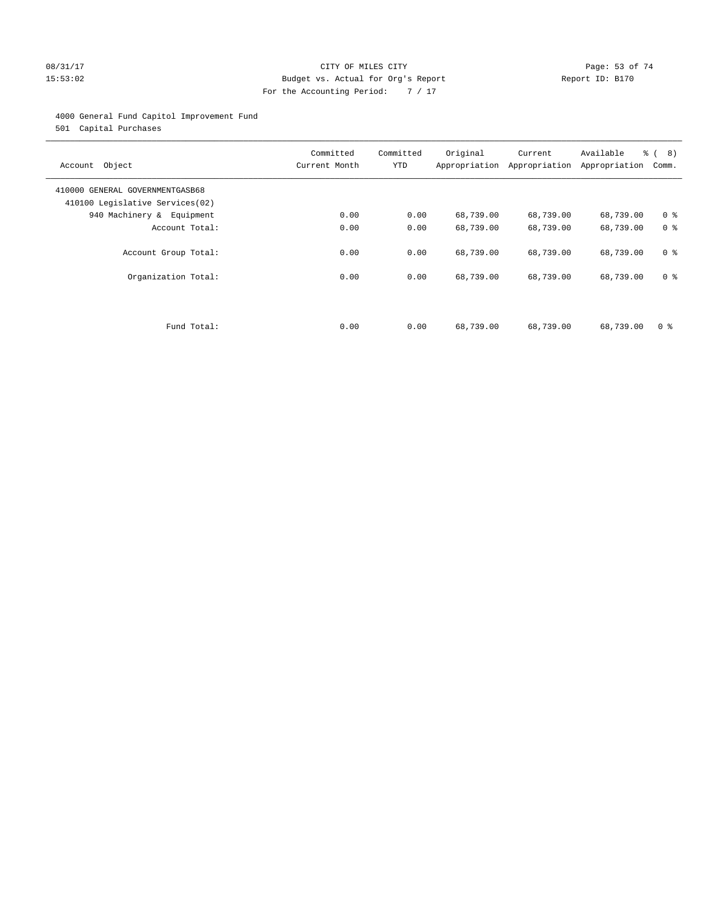#### 08/31/17 Page: 53 of 74 15:53:02 Budget vs. Actual for Org's Report Report ID: B170 For the Accounting Period: 7 / 17

#### 4000 General Fund Capitol Improvement Fund

501 Capital Purchases

| Account Object                                                     | Committed<br>Current Month | Committed<br><b>YTD</b> | Original<br>Appropriation | Current<br>Appropriation | Available<br>Appropriation | % ( 8 )<br>Comm. |
|--------------------------------------------------------------------|----------------------------|-------------------------|---------------------------|--------------------------|----------------------------|------------------|
| 410000 GENERAL GOVERNMENTGASB68<br>410100 Legislative Services(02) |                            |                         |                           |                          |                            |                  |
| 940 Machinery & Equipment                                          | 0.00                       | 0.00                    | 68,739.00                 | 68,739.00                | 68,739.00                  | 0 <sup>8</sup>   |
| Account Total:                                                     | 0.00                       | 0.00                    | 68,739.00                 | 68,739.00                | 68,739.00                  | 0 <sup>8</sup>   |
| Account Group Total:                                               | 0.00                       | 0.00                    | 68,739.00                 | 68,739.00                | 68,739.00                  | 0 <sup>8</sup>   |
| Organization Total:                                                | 0.00                       | 0.00                    | 68,739.00                 | 68,739.00                | 68,739.00                  | 0 <sup>8</sup>   |
|                                                                    |                            |                         |                           |                          |                            |                  |
| Fund Total:                                                        | 0.00                       | 0.00                    | 68,739.00                 | 68,739.00                | 68,739.00                  | 0 %              |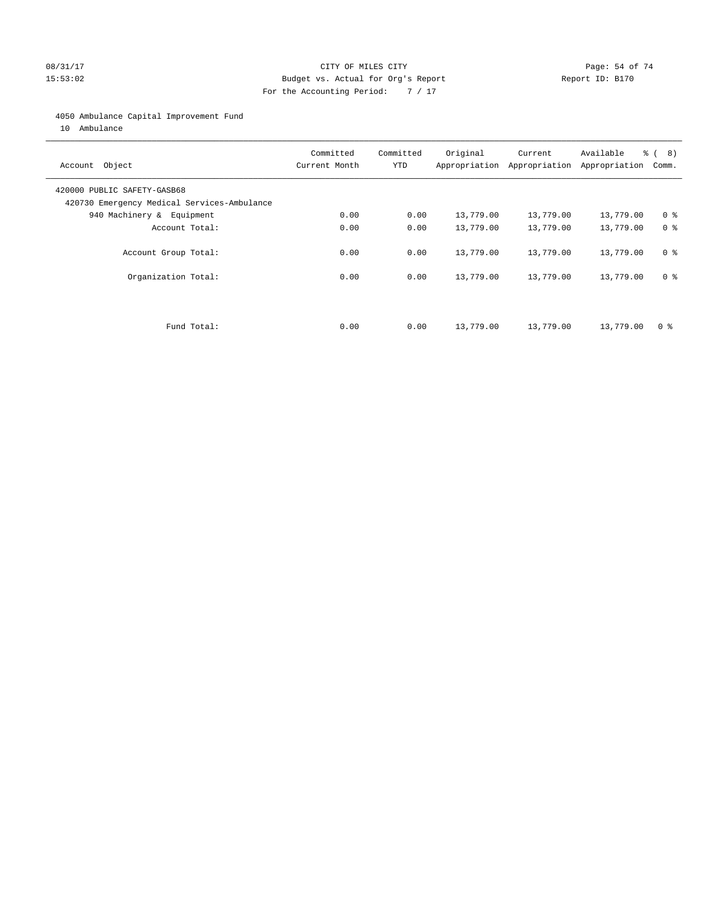#### 08/31/17 Page: 54 of 74 15:53:02 Budget vs. Actual for Org's Report Report ID: B170 For the Accounting Period: 7 / 17

#### 4050 Ambulance Capital Improvement Fund

10 Ambulance

| Account Object                                                             | Committed<br>Current Month | Committed<br><b>YTD</b> | Original  | Current<br>Appropriation Appropriation | Available<br>Appropriation | % ( 8 )<br>Comm. |
|----------------------------------------------------------------------------|----------------------------|-------------------------|-----------|----------------------------------------|----------------------------|------------------|
| 420000 PUBLIC SAFETY-GASB68<br>420730 Emergency Medical Services-Ambulance |                            |                         |           |                                        |                            |                  |
| 940 Machinery & Equipment                                                  | 0.00                       | 0.00                    | 13,779.00 | 13,779.00                              | 13,779.00                  | 0 <sup>8</sup>   |
| Account Total:                                                             | 0.00                       | 0.00                    | 13,779.00 | 13,779.00                              | 13,779.00                  | 0 <sup>8</sup>   |
| Account Group Total:                                                       | 0.00                       | 0.00                    | 13,779.00 | 13,779.00                              | 13,779.00                  | 0 <sup>8</sup>   |
| Organization Total:                                                        | 0.00                       | 0.00                    | 13,779.00 | 13,779.00                              | 13,779.00                  | 0 <sup>8</sup>   |
|                                                                            |                            |                         |           |                                        |                            |                  |
| Fund Total:                                                                | 0.00                       | 0.00                    | 13,779.00 | 13,779.00                              | 13,779.00                  | 0 %              |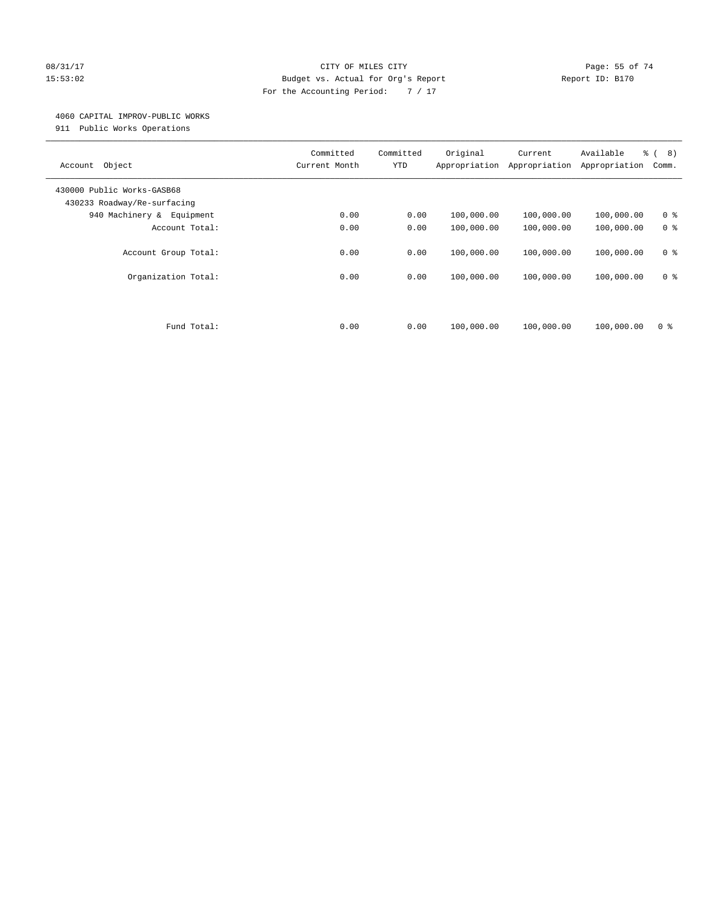#### 08/31/17 Page: 55 of 74 15:53:02 Budget vs. Actual for Org's Report Report ID: B170 For the Accounting Period: 7 / 17

#### 4060 CAPITAL IMPROV-PUBLIC WORKS

911 Public Works Operations

| Object<br>Account                                         | Committed<br>Current Month | Committed<br><b>YTD</b> | Original<br>Appropriation | Current<br>Appropriation | Available<br>Appropriation | $\frac{6}{6}$ ( 8)<br>Comm. |
|-----------------------------------------------------------|----------------------------|-------------------------|---------------------------|--------------------------|----------------------------|-----------------------------|
| 430000 Public Works-GASB68<br>430233 Roadway/Re-surfacing |                            |                         |                           |                          |                            |                             |
| 940 Machinery & Equipment                                 | 0.00                       | 0.00                    | 100,000.00                | 100,000.00               | 100,000.00                 | 0 <sup>8</sup>              |
| Account Total:                                            | 0.00                       | 0.00                    | 100,000.00                | 100,000.00               | 100,000.00                 | 0 <sup>8</sup>              |
| Account Group Total:                                      | 0.00                       | 0.00                    | 100,000.00                | 100,000.00               | 100,000.00                 | 0 <sup>8</sup>              |
| Organization Total:                                       | 0.00                       | 0.00                    | 100,000.00                | 100,000.00               | 100,000.00                 | 0 <sup>8</sup>              |
| Fund Total:                                               | 0.00                       | 0.00                    | 100,000.00                | 100,000.00               | 100,000.00                 | 0 <sup>8</sup>              |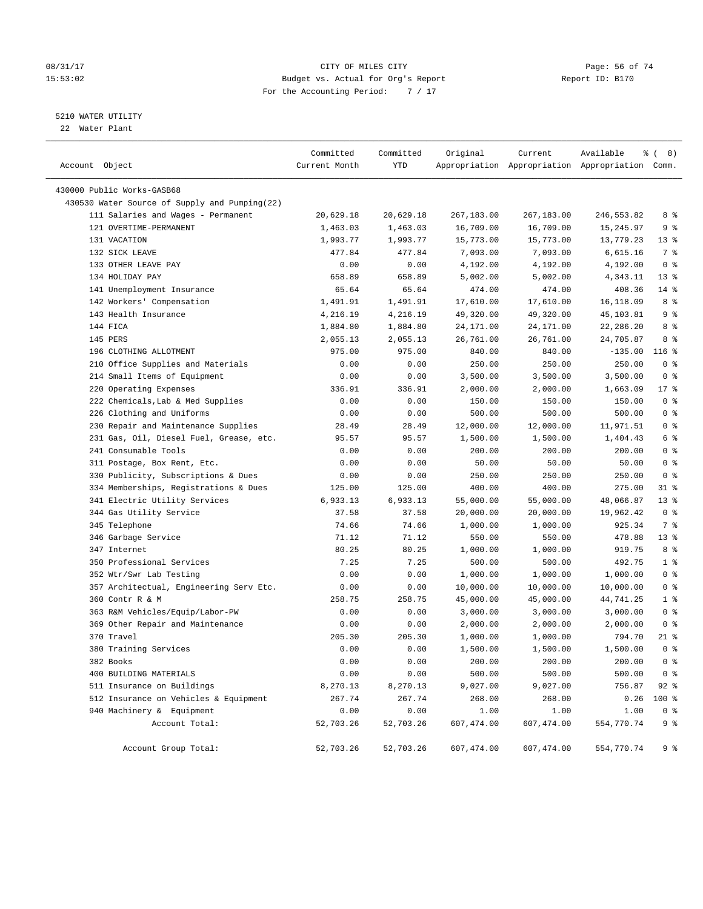#### 08/31/17 Page: 56 of 74 15:53:02 Budget vs. Actual for Org's Report Report ID: B170 For the Accounting Period: 7 / 17

————————————————————————————————————————————————————————————————————————————————————————————————————————————————————————————————————

#### 5210 WATER UTILITY

22 Water Plant

|                                               | Committed     | Committed | Original   | Current    | Available                                       | <sub>රි</sub> ( 8 ) |
|-----------------------------------------------|---------------|-----------|------------|------------|-------------------------------------------------|---------------------|
| Account Object                                | Current Month | YTD       |            |            | Appropriation Appropriation Appropriation Comm. |                     |
| 430000 Public Works-GASB68                    |               |           |            |            |                                                 |                     |
| 430530 Water Source of Supply and Pumping(22) |               |           |            |            |                                                 |                     |
| 111 Salaries and Wages - Permanent            | 20,629.18     | 20,629.18 | 267,183.00 | 267,183.00 | 246,553.82                                      | 8 %                 |
| 121 OVERTIME-PERMANENT                        | 1,463.03      | 1,463.03  | 16,709.00  | 16,709.00  | 15,245.97                                       | 9%                  |
| 131 VACATION                                  | 1,993.77      | 1,993.77  | 15,773.00  | 15,773.00  | 13,779.23                                       | $13*$               |
| 132 SICK LEAVE                                | 477.84        | 477.84    | 7,093.00   | 7,093.00   | 6,615.16                                        | 7 %                 |
| 133 OTHER LEAVE PAY                           | 0.00          | 0.00      | 4,192.00   | 4,192.00   | 4,192.00                                        | 0 <sup>8</sup>      |
| 134 HOLIDAY PAY                               | 658.89        | 658.89    | 5,002.00   | 5,002.00   | 4,343.11                                        | $13*$               |
| 141 Unemployment Insurance                    | 65.64         | 65.64     | 474.00     | 474.00     | 408.36                                          | $14$ %              |
| 142 Workers' Compensation                     | 1,491.91      | 1,491.91  | 17,610.00  | 17,610.00  | 16,118.09                                       | 8 %                 |
| 143 Health Insurance                          | 4,216.19      | 4,216.19  | 49,320.00  | 49,320.00  | 45,103.81                                       | 9 <sup>°</sup>      |
| 144 FICA                                      | 1,884.80      | 1,884.80  | 24,171.00  | 24,171.00  | 22,286.20                                       | 8 %                 |
| 145 PERS                                      | 2,055.13      | 2,055.13  | 26,761.00  | 26,761.00  | 24,705.87                                       | 8%                  |
| 196 CLOTHING ALLOTMENT                        | 975.00        | 975.00    | 840.00     | 840.00     | $-135.00$                                       | 116 %               |
| 210 Office Supplies and Materials             | 0.00          | 0.00      | 250.00     | 250.00     | 250.00                                          | 0 <sup>8</sup>      |
| 214 Small Items of Equipment                  | 0.00          | 0.00      | 3,500.00   | 3,500.00   | 3,500.00                                        | 0 <sup>8</sup>      |
| 220 Operating Expenses                        | 336.91        | 336.91    | 2,000.00   | 2,000.00   | 1,663.09                                        | $17$ %              |
| 222 Chemicals, Lab & Med Supplies             | 0.00          | 0.00      | 150.00     | 150.00     | 150.00                                          | 0 <sup>8</sup>      |
| 226 Clothing and Uniforms                     | 0.00          | 0.00      | 500.00     | 500.00     | 500.00                                          | 0 <sup>8</sup>      |
| 230 Repair and Maintenance Supplies           | 28.49         | 28.49     | 12,000.00  | 12,000.00  | 11,971.51                                       | 0 <sup>8</sup>      |
| 231 Gas, Oil, Diesel Fuel, Grease, etc.       | 95.57         | 95.57     | 1,500.00   | 1,500.00   | 1,404.43                                        | 6 <sup>°</sup>      |
| 241 Consumable Tools                          | 0.00          | 0.00      | 200.00     | 200.00     | 200.00                                          | 0 <sup>8</sup>      |
| 311 Postage, Box Rent, Etc.                   | 0.00          | 0.00      | 50.00      | 50.00      | 50.00                                           | 0 <sup>8</sup>      |
| 330 Publicity, Subscriptions & Dues           | 0.00          | 0.00      | 250.00     | 250.00     | 250.00                                          | 0 <sup>8</sup>      |
| 334 Memberships, Registrations & Dues         | 125.00        | 125.00    | 400.00     | 400.00     | 275.00                                          | $31$ %              |
| 341 Electric Utility Services                 | 6,933.13      | 6,933.13  | 55,000.00  | 55,000.00  | 48,066.87                                       | 13 <sup>8</sup>     |
| 344 Gas Utility Service                       | 37.58         | 37.58     | 20,000.00  | 20,000.00  | 19,962.42                                       | 0 <sup>8</sup>      |
| 345 Telephone                                 | 74.66         | 74.66     | 1,000.00   | 1,000.00   | 925.34                                          | 7 %                 |
| 346 Garbage Service                           | 71.12         | 71.12     | 550.00     | 550.00     | 478.88                                          | 13 <sup>8</sup>     |
| 347 Internet                                  | 80.25         | 80.25     | 1,000.00   | 1,000.00   | 919.75                                          | 8 %                 |
| 350 Professional Services                     | 7.25          | 7.25      | 500.00     | 500.00     | 492.75                                          | 1 <sup>°</sup>      |
| 352 Wtr/Swr Lab Testing                       | 0.00          | 0.00      | 1,000.00   | 1,000.00   | 1,000.00                                        | 0 <sup>8</sup>      |
| 357 Architectual, Engineering Serv Etc.       | 0.00          | 0.00      | 10,000.00  | 10,000.00  | 10,000.00                                       | 0 <sup>°</sup>      |
| 360 Contr R & M                               | 258.75        | 258.75    | 45,000.00  | 45,000.00  | 44,741.25                                       | 1 <sup>8</sup>      |
| 363 R&M Vehicles/Equip/Labor-PW               | 0.00          | 0.00      | 3,000.00   | 3,000.00   | 3,000.00                                        | 0 <sup>8</sup>      |
| 369 Other Repair and Maintenance              | 0.00          | 0.00      | 2,000.00   | 2,000.00   | 2,000.00                                        | 0 <sup>8</sup>      |
| 370 Travel                                    | 205.30        | 205.30    | 1,000.00   | 1,000.00   | 794.70                                          | $21$ %              |
| 380 Training Services                         | 0.00          | 0.00      | 1,500.00   | 1,500.00   | 1,500.00                                        | 0 <sup>8</sup>      |
| 382 Books                                     | 0.00          | 0.00      | 200.00     | 200.00     | 200.00                                          | 0 <sup>8</sup>      |
| 400 BUILDING MATERIALS                        | 0.00          | 0.00      | 500.00     | 500.00     | 500.00                                          | 0 <sup>8</sup>      |
| 511 Insurance on Buildings                    | 8,270.13      | 8,270.13  | 9,027.00   | 9,027.00   | 756.87                                          | $92$ $%$            |
| 512 Insurance on Vehicles & Equipment         | 267.74        | 267.74    | 268.00     | 268.00     | 0.26                                            | $100$ %             |
| 940 Machinery & Equipment                     | 0.00          | 0.00      | 1.00       | 1.00       | 1.00                                            | $0$ %               |
| Account Total:                                | 52,703.26     | 52,703.26 | 607,474.00 | 607,474.00 | 554,770.74                                      | 9 <sup>°</sup>      |
| Account Group Total:                          | 52,703.26     | 52,703.26 | 607,474.00 | 607,474.00 | 554,770.74                                      | 9%                  |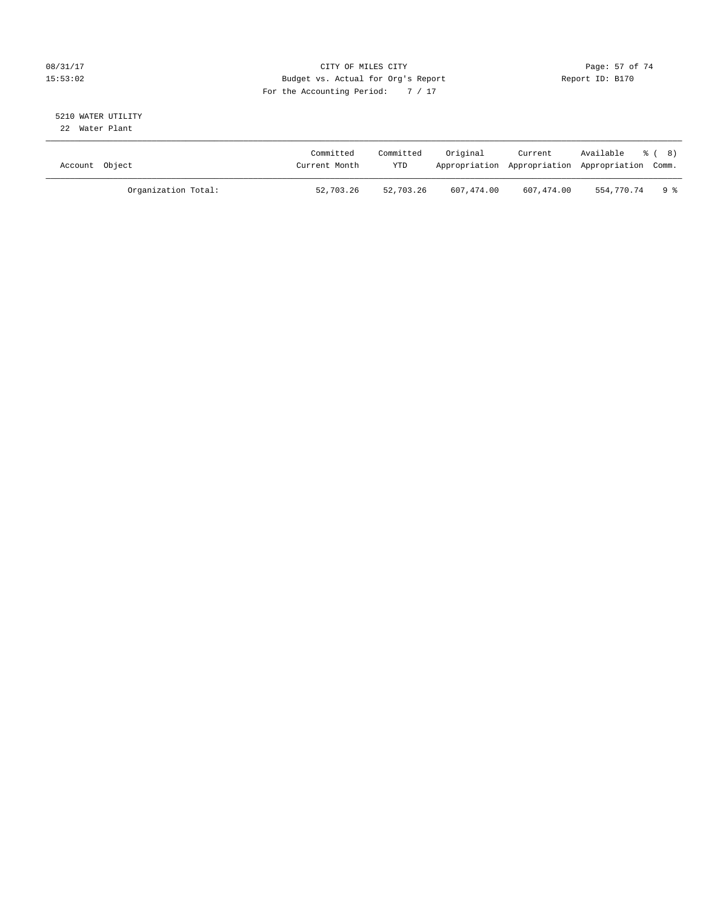#### 08/31/17 Page: 57 of 74 15:53:02 Budget vs. Actual for Org's Report Report ID: B170 For the Accounting Period: 7 / 17

# 5210 WATER UTILITY

22 Water Plant

| Account Object |                     | Committed<br>Current Month | Committed<br>YTD | Original   | Current    | Available % (8)<br>Appropriation Appropriation Appropriation Comm. |            |
|----------------|---------------------|----------------------------|------------------|------------|------------|--------------------------------------------------------------------|------------|
|                | Organization Total: | 52,703.26                  | 52,703.26        | 607,474.00 | 607,474.00 | 554,770.74                                                         | <b>9 %</b> |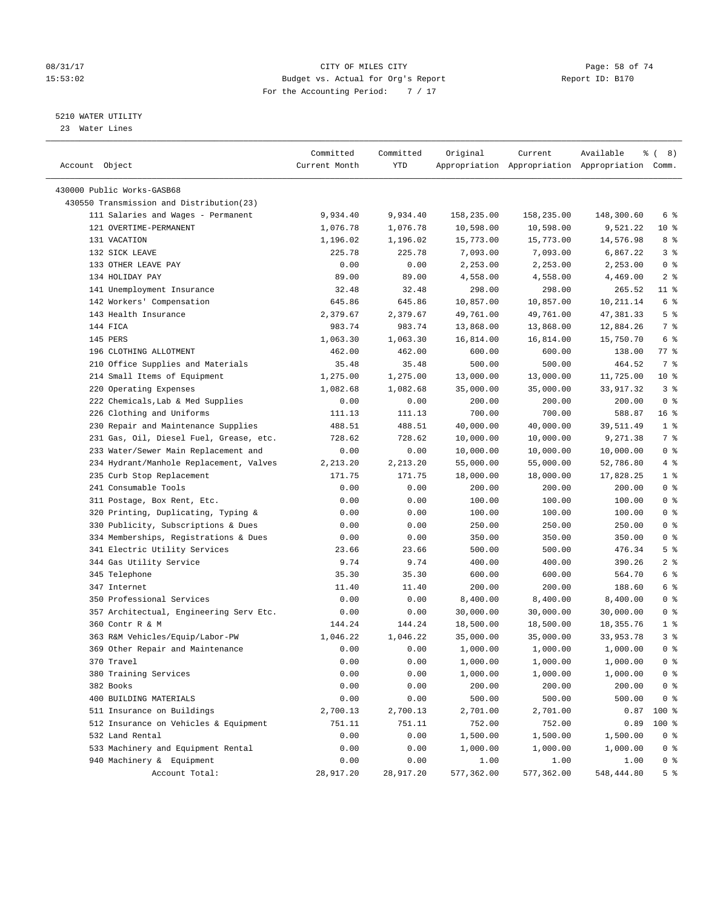#### 08/31/17 Page: 58 of 74 15:53:02 Budget vs. Actual for Org's Report Report ID: B170 For the Accounting Period: 7 / 17

————————————————————————————————————————————————————————————————————————————————————————————————————————————————————————————————————

#### 5210 WATER UTILITY

23 Water Lines

|                                          | Committed     | Committed | Original   | Current    | Available                                       | <sub>රි</sub> ( 8 ) |
|------------------------------------------|---------------|-----------|------------|------------|-------------------------------------------------|---------------------|
| Account Object                           | Current Month | YTD       |            |            | Appropriation Appropriation Appropriation Comm. |                     |
| 430000 Public Works-GASB68               |               |           |            |            |                                                 |                     |
| 430550 Transmission and Distribution(23) |               |           |            |            |                                                 |                     |
| 111 Salaries and Wages - Permanent       | 9,934.40      | 9,934.40  | 158,235.00 | 158,235.00 | 148,300.60                                      | 6 %                 |
| 121 OVERTIME-PERMANENT                   | 1,076.78      | 1,076.78  | 10,598.00  | 10,598.00  | 9,521.22                                        | $10*$               |
| 131 VACATION                             | 1,196.02      | 1,196.02  | 15,773.00  | 15,773.00  | 14,576.98                                       | 8 %                 |
| 132 SICK LEAVE                           | 225.78        | 225.78    | 7,093.00   | 7,093.00   | 6,867.22                                        | 3%                  |
| 133 OTHER LEAVE PAY                      | 0.00          | 0.00      | 2,253.00   | 2,253.00   | 2,253.00                                        | 0 <sup>8</sup>      |
| 134 HOLIDAY PAY                          | 89.00         | 89.00     | 4,558.00   | 4,558.00   | 4,469.00                                        | 2 <sup>8</sup>      |
| 141 Unemployment Insurance               | 32.48         | 32.48     | 298.00     | 298.00     | 265.52                                          | $11$ %              |
| 142 Workers' Compensation                | 645.86        | 645.86    | 10,857.00  | 10,857.00  | 10,211.14                                       | $6\degree$          |
| 143 Health Insurance                     | 2,379.67      | 2,379.67  | 49,761.00  | 49,761.00  | 47,381.33                                       | 5 <sup>°</sup>      |
| 144 FICA                                 | 983.74        | 983.74    | 13,868.00  | 13,868.00  | 12,884.26                                       | 7 %                 |
| 145 PERS                                 | 1,063.30      | 1,063.30  | 16,814.00  | 16,814.00  | 15,750.70                                       | $6\degree$          |
| 196 CLOTHING ALLOTMENT                   | 462.00        | 462.00    | 600.00     | 600.00     | 138.00                                          | 77 %                |
| 210 Office Supplies and Materials        | 35.48         | 35.48     | 500.00     | 500.00     | 464.52                                          | 7 %                 |
| 214 Small Items of Equipment             | 1,275.00      | 1,275.00  | 13,000.00  | 13,000.00  | 11,725.00                                       | $10*$               |
| 220 Operating Expenses                   | 1,082.68      | 1,082.68  | 35,000.00  | 35,000.00  | 33,917.32                                       | 3%                  |
| 222 Chemicals, Lab & Med Supplies        | 0.00          | 0.00      | 200.00     | 200.00     | 200.00                                          | 0 <sup>8</sup>      |
| 226 Clothing and Uniforms                | 111.13        | 111.13    | 700.00     | 700.00     | 588.87                                          | 16 <sup>°</sup>     |
| 230 Repair and Maintenance Supplies      | 488.51        | 488.51    | 40,000.00  | 40,000.00  | 39,511.49                                       | 1 <sup>8</sup>      |
| 231 Gas, Oil, Diesel Fuel, Grease, etc.  | 728.62        | 728.62    | 10,000.00  | 10,000.00  | 9,271.38                                        | 7%                  |
| 233 Water/Sewer Main Replacement and     | 0.00          | 0.00      | 10,000.00  | 10,000.00  | 10,000.00                                       | 0 <sup>8</sup>      |
| 234 Hydrant/Manhole Replacement, Valves  | 2,213.20      | 2,213.20  | 55,000.00  | 55,000.00  | 52,786.80                                       | $4\degree$          |
| 235 Curb Stop Replacement                | 171.75        | 171.75    | 18,000.00  | 18,000.00  | 17,828.25                                       | 1 <sup>8</sup>      |
| 241 Consumable Tools                     | 0.00          | 0.00      | 200.00     | 200.00     | 200.00                                          | 0 <sup>°</sup>      |
| 311 Postage, Box Rent, Etc.              | 0.00          | 0.00      | 100.00     | 100.00     | 100.00                                          | 0 <sup>8</sup>      |
| 320 Printing, Duplicating, Typing &      | 0.00          | 0.00      | 100.00     | 100.00     | 100.00                                          | 0 <sup>8</sup>      |
| 330 Publicity, Subscriptions & Dues      | 0.00          | 0.00      | 250.00     | 250.00     | 250.00                                          | 0 <sup>°</sup>      |
| 334 Memberships, Registrations & Dues    | 0.00          | 0.00      | 350.00     | 350.00     | 350.00                                          | 0 <sup>8</sup>      |
| 341 Electric Utility Services            | 23.66         | 23.66     | 500.00     | 500.00     | 476.34                                          | 5 <sup>°</sup>      |
| 344 Gas Utility Service                  | 9.74          | 9.74      | 400.00     | 400.00     | 390.26                                          | 2 <sup>8</sup>      |
| 345 Telephone                            | 35.30         | 35.30     | 600.00     | 600.00     | 564.70                                          | 6 %                 |
| 347 Internet                             | 11.40         | 11.40     | 200.00     | 200.00     | 188.60                                          | 6 <sup>°</sup>      |
| 350 Professional Services                | 0.00          | 0.00      | 8,400.00   | 8,400.00   | 8,400.00                                        | 0 <sup>8</sup>      |
| 357 Architectual, Engineering Serv Etc.  | 0.00          | 0.00      | 30,000.00  | 30,000.00  | 30,000.00                                       | 0 <sup>8</sup>      |
| 360 Contr R & M                          | 144.24        | 144.24    | 18,500.00  | 18,500.00  | 18, 355. 76                                     | 1 <sup>8</sup>      |
| 363 R&M Vehicles/Equip/Labor-PW          | 1,046.22      | 1,046.22  | 35,000.00  | 35,000.00  | 33,953.78                                       | 3%                  |
| 369 Other Repair and Maintenance         | 0.00          | 0.00      | 1,000.00   | 1,000.00   | 1,000.00                                        | 0 <sup>8</sup>      |
| 370 Travel                               | 0.00          | 0.00      | 1,000.00   | 1,000.00   | 1,000.00                                        | 0 <sup>8</sup>      |
| 380 Training Services                    | 0.00          | 0.00      | 1,000.00   | 1,000.00   | 1,000.00                                        | 0 <sup>8</sup>      |
| 382 Books                                | 0.00          | 0.00      | 200.00     | 200.00     | 200.00                                          | 0 <sup>8</sup>      |
| 400 BUILDING MATERIALS                   | 0.00          | 0.00      | 500.00     | 500.00     | 500.00                                          | 0 <sup>8</sup>      |
| 511 Insurance on Buildings               | 2,700.13      | 2,700.13  | 2,701.00   | 2,701.00   | 0.87                                            | 100 %               |
| 512 Insurance on Vehicles & Equipment    | 751.11        | 751.11    | 752.00     | 752.00     | 0.89                                            | 100 %               |
| 532 Land Rental                          | 0.00          | 0.00      | 1,500.00   | 1,500.00   | 1,500.00                                        | $0$ %               |
| 533 Machinery and Equipment Rental       | 0.00          | 0.00      | 1,000.00   | 1,000.00   | 1,000.00                                        | 0 <sup>8</sup>      |
| 940 Machinery & Equipment                | 0.00          | 0.00      | 1.00       | 1.00       | 1.00                                            | $0$ %               |
| Account Total:                           | 28,917.20     | 28,917.20 | 577,362.00 | 577,362.00 | 548,444.80                                      | 5 <sup>8</sup>      |
|                                          |               |           |            |            |                                                 |                     |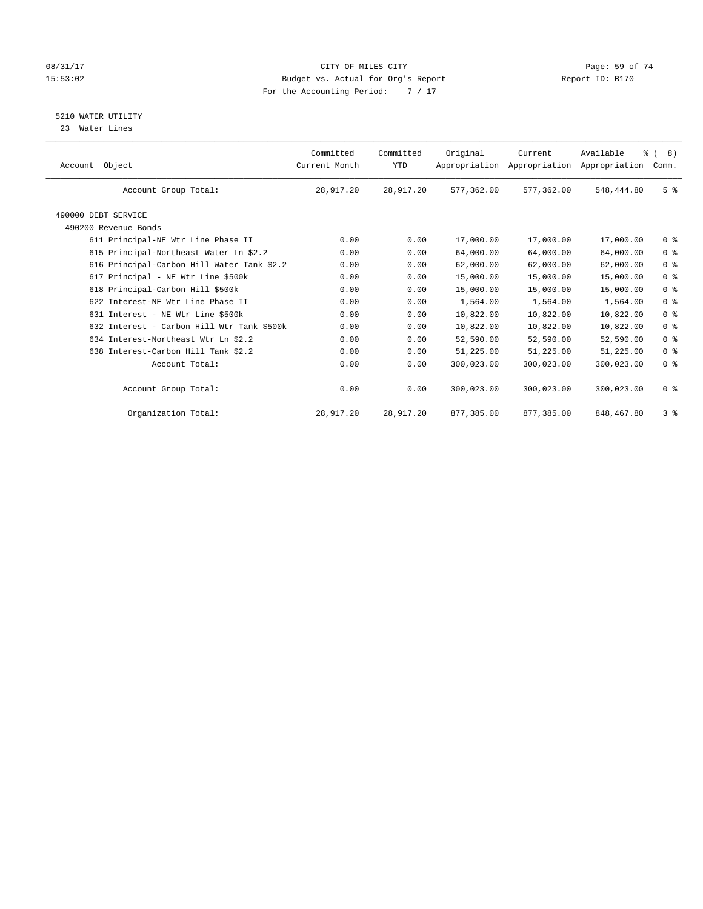#### 08/31/17 Page: 59 of 74 15:53:02 Budget vs. Actual for Org's Report Report ID: B170 For the Accounting Period: 7 / 17

5210 WATER UTILITY

23 Water Lines

| Object<br>Account                           | Committed<br>Current Month | Committed<br><b>YTD</b> | Original   | Current<br>Appropriation Appropriation | Available<br>Appropriation | $\frac{6}{6}$ ( 8)<br>Comm. |
|---------------------------------------------|----------------------------|-------------------------|------------|----------------------------------------|----------------------------|-----------------------------|
| Account Group Total:                        | 28,917.20                  | 28,917.20               | 577,362.00 | 577,362.00                             | 548,444.80                 | 5 <sup>8</sup>              |
| 490000 DEBT SERVICE<br>490200 Revenue Bonds |                            |                         |            |                                        |                            |                             |
| 611 Principal-NE Wtr Line Phase II          | 0.00                       | 0.00                    | 17,000.00  | 17,000.00                              | 17,000.00                  | 0 <sup>8</sup>              |
| 615 Principal-Northeast Water Ln \$2.2      | 0.00                       | 0.00                    | 64,000.00  | 64,000.00                              | 64,000.00                  | 0 <sup>8</sup>              |
| 616 Principal-Carbon Hill Water Tank \$2.2  | 0.00                       | 0.00                    | 62,000.00  | 62,000.00                              | 62,000.00                  | 0 <sup>8</sup>              |
| 617 Principal - NE Wtr Line \$500k          | 0.00                       | 0.00                    | 15,000.00  | 15,000.00                              | 15,000.00                  | 0 <sup>8</sup>              |
| 618 Principal-Carbon Hill \$500k            | 0.00                       | 0.00                    | 15,000.00  | 15,000.00                              | 15,000.00                  | 0 <sup>8</sup>              |
| 622 Interest-NE Wtr Line Phase II           | 0.00                       | 0.00                    | 1,564.00   | 1,564.00                               | 1,564.00                   | 0 <sup>8</sup>              |
| 631 Interest - NE Wtr Line \$500k           | 0.00                       | 0.00                    | 10,822.00  | 10,822.00                              | 10,822.00                  | 0 <sup>8</sup>              |
| 632 Interest - Carbon Hill Wtr Tank \$500k  | 0.00                       | 0.00                    | 10,822.00  | 10,822.00                              | 10,822.00                  | 0 <sup>8</sup>              |
| 634 Interest-Northeast Wtr Ln \$2.2         | 0.00                       | 0.00                    | 52,590.00  | 52,590.00                              | 52,590.00                  | 0 <sup>8</sup>              |
| 638 Interest-Carbon Hill Tank \$2.2         | 0.00                       | 0.00                    | 51,225.00  | 51,225.00                              | 51,225.00                  | 0 <sup>8</sup>              |
| Account Total:                              | 0.00                       | 0.00                    | 300,023.00 | 300,023.00                             | 300,023.00                 | 0 <sup>8</sup>              |
| Account Group Total:                        | 0.00                       | 0.00                    | 300,023.00 | 300,023.00                             | 300,023.00                 | 0 <sup>8</sup>              |
| Organization Total:                         | 28,917.20                  | 28,917.20               | 877,385.00 | 877,385.00                             | 848,467.80                 | 3%                          |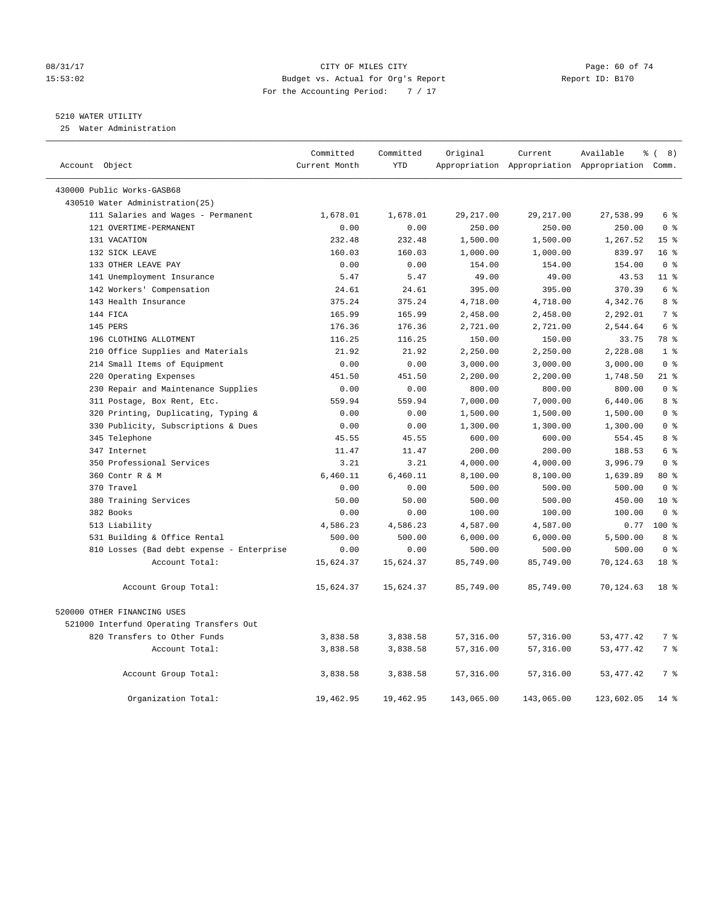#### 08/31/17 Page: 60 of 74 15:53:02 Budget vs. Actual for Org's Report Report ID: B170 For the Accounting Period: 7 / 17

#### 5210 WATER UTILITY

25 Water Administration

| Account Object |                                           | Committed<br>Current Month | Committed<br><b>YTD</b> | Original   | Current    | Available<br>Appropriation Appropriation Appropriation Comm. | $\frac{6}{6}$ ( 8) |
|----------------|-------------------------------------------|----------------------------|-------------------------|------------|------------|--------------------------------------------------------------|--------------------|
|                |                                           |                            |                         |            |            |                                                              |                    |
|                | 430000 Public Works-GASB68                |                            |                         |            |            |                                                              |                    |
|                | 430510 Water Administration(25)           |                            |                         |            |            |                                                              |                    |
|                | 111 Salaries and Wages - Permanent        | 1,678.01                   | 1,678.01                | 29, 217.00 | 29, 217.00 | 27,538.99                                                    | 6 %                |
|                | 121 OVERTIME-PERMANENT                    | 0.00                       | 0.00                    | 250.00     | 250.00     | 250.00                                                       | 0 <sup>8</sup>     |
|                | 131 VACATION                              | 232.48                     | 232.48                  | 1,500.00   | 1,500.00   | 1,267.52                                                     | 15 <sup>8</sup>    |
|                | 132 SICK LEAVE                            | 160.03                     | 160.03                  | 1,000.00   | 1,000.00   | 839.97                                                       | 16 <sup>°</sup>    |
|                | 133 OTHER LEAVE PAY                       | 0.00                       | 0.00                    | 154.00     | 154.00     | 154.00                                                       | 0 <sup>8</sup>     |
|                | 141 Unemployment Insurance                | 5.47                       | 5.47                    | 49.00      | 49.00      | 43.53                                                        | 11 <sup>8</sup>    |
|                | 142 Workers' Compensation                 | 24.61                      | 24.61                   | 395.00     | 395.00     | 370.39                                                       | 6 %                |
|                | 143 Health Insurance                      | 375.24                     | 375.24                  | 4,718.00   | 4,718.00   | 4,342.76                                                     | 8 %                |
|                | 144 FICA                                  | 165.99                     | 165.99                  | 2,458.00   | 2,458.00   | 2,292.01                                                     | 7 <sup>°</sup>     |
|                | 145 PERS                                  | 176.36                     | 176.36                  | 2,721.00   | 2,721.00   | 2,544.64                                                     | 6 %                |
|                | 196 CLOTHING ALLOTMENT                    | 116.25                     | 116.25                  | 150.00     | 150.00     | 33.75                                                        | 78 %               |
|                | 210 Office Supplies and Materials         | 21.92                      | 21.92                   | 2,250.00   | 2,250.00   | 2,228.08                                                     | 1 <sup>8</sup>     |
|                | 214 Small Items of Equipment              | 0.00                       | 0.00                    | 3,000.00   | 3,000.00   | 3,000.00                                                     | 0 <sup>8</sup>     |
|                | 220 Operating Expenses                    | 451.50                     | 451.50                  | 2,200.00   | 2,200.00   | 1,748.50                                                     | $21$ %             |
|                | 230 Repair and Maintenance Supplies       | 0.00                       | 0.00                    | 800.00     | 800.00     | 800.00                                                       | 0 <sup>8</sup>     |
|                | 311 Postage, Box Rent, Etc.               | 559.94                     | 559.94                  | 7,000.00   | 7,000.00   | 6,440.06                                                     | 8 %                |
|                | 320 Printing, Duplicating, Typing &       | 0.00                       | 0.00                    | 1,500.00   | 1,500.00   | 1,500.00                                                     | 0 <sup>8</sup>     |
|                | 330 Publicity, Subscriptions & Dues       | 0.00                       | 0.00                    | 1,300.00   | 1,300.00   | 1,300.00                                                     | 0 <sup>8</sup>     |
|                | 345 Telephone                             | 45.55                      | 45.55                   | 600.00     | 600.00     | 554.45                                                       | 8 %                |
|                | 347 Internet                              | 11.47                      | 11.47                   | 200.00     | 200.00     | 188.53                                                       | 6 %                |
|                | 350 Professional Services                 | 3.21                       | 3.21                    | 4,000.00   | 4,000.00   | 3,996.79                                                     | 0 <sup>8</sup>     |
|                | 360 Contr R & M                           | 6,460.11                   | 6,460.11                | 8,100.00   | 8,100.00   | 1,639.89                                                     | 80 %               |
|                | 370 Travel                                | 0.00                       | 0.00                    | 500.00     | 500.00     | 500.00                                                       | 0 <sup>8</sup>     |
|                | 380 Training Services                     | 50.00                      | 50.00                   | 500.00     | 500.00     | 450.00                                                       | $10*$              |
|                | 382 Books                                 | 0.00                       | 0.00                    | 100.00     | 100.00     | 100.00                                                       | 0 <sup>8</sup>     |
|                | 513 Liability                             | 4,586.23                   | 4,586.23                | 4,587.00   | 4,587.00   | 0.77                                                         | $100*$             |
|                | 531 Building & Office Rental              | 500.00                     | 500.00                  | 6,000.00   | 6,000.00   | 5,500.00                                                     | 8 %                |
|                | 810 Losses (Bad debt expense - Enterprise | 0.00                       | 0.00                    | 500.00     | 500.00     | 500.00                                                       | 0 <sup>8</sup>     |
|                | Account Total:                            | 15,624.37                  | 15,624.37               | 85,749.00  | 85,749.00  | 70,124.63                                                    | 18 <sup>8</sup>    |
|                | Account Group Total:                      | 15,624.37                  | 15,624.37               | 85,749.00  | 85,749.00  | 70,124.63                                                    | 18 <sup>8</sup>    |
|                | 520000 OTHER FINANCING USES               |                            |                         |            |            |                                                              |                    |
|                | 521000 Interfund Operating Transfers Out  |                            |                         |            |            |                                                              |                    |
|                | 820 Transfers to Other Funds              | 3,838.58                   | 3,838.58                | 57,316.00  | 57,316.00  | 53, 477. 42                                                  | 7 %                |
|                | Account Total:                            | 3,838.58                   | 3,838.58                | 57,316.00  | 57,316.00  | 53, 477. 42                                                  | $7\degree$         |
|                | Account Group Total:                      | 3,838.58                   | 3,838.58                | 57,316.00  | 57,316.00  | 53, 477. 42                                                  | 7 %                |
|                | Organization Total:                       | 19,462.95                  | 19,462.95               | 143,065.00 | 143,065.00 | 123,602.05                                                   | $14*$              |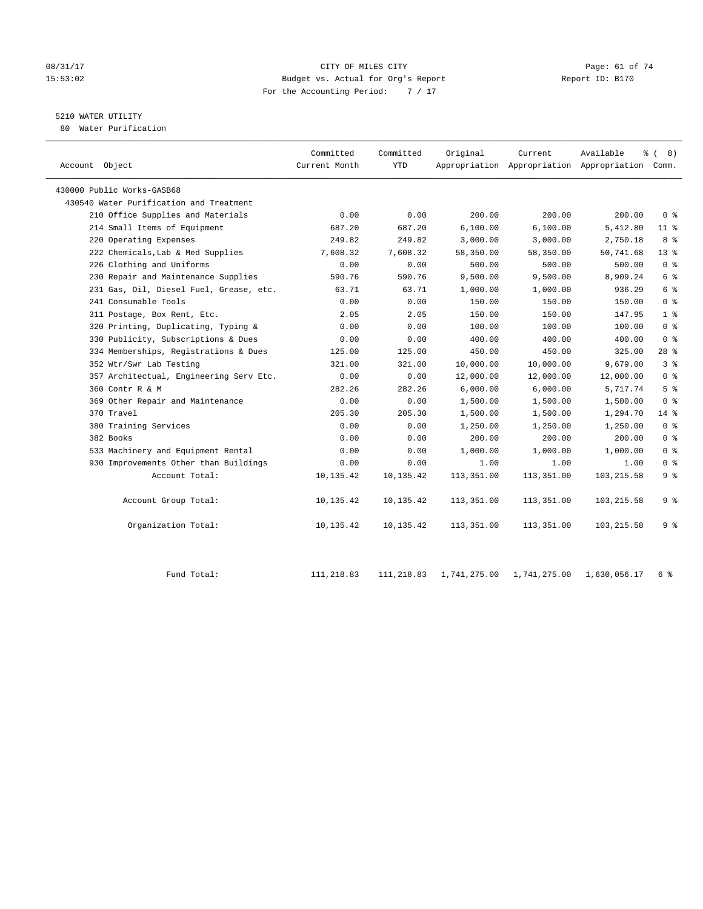#### 08/31/17 Page: 61 of 74 15:53:02 Budget vs. Actual for Org's Report Report ID: B170 For the Accounting Period: 7 / 17

# 5210 WATER UTILITY

80 Water Purification

| Account Object                          | Committed<br>Current Month | Committed<br>YTD | Original   | Current    | Available<br>Appropriation Appropriation Appropriation Comm. | % (8)           |
|-----------------------------------------|----------------------------|------------------|------------|------------|--------------------------------------------------------------|-----------------|
| 430000 Public Works-GASB68              |                            |                  |            |            |                                                              |                 |
| 430540 Water Purification and Treatment |                            |                  |            |            |                                                              |                 |
| 210 Office Supplies and Materials       | 0.00                       | 0.00             | 200.00     | 200.00     | 200.00                                                       | 0 <sup>8</sup>  |
| 214 Small Items of Equipment            | 687.20                     | 687.20           | 6,100.00   | 6,100.00   | 5,412.80                                                     | $11$ %          |
| 220 Operating Expenses                  | 249.82                     | 249.82           | 3,000.00   | 3,000.00   | 2,750.18                                                     | 8 %             |
| 222 Chemicals, Lab & Med Supplies       | 7,608.32                   | 7,608.32         | 58,350.00  | 58,350.00  | 50,741.68                                                    | 13 <sup>8</sup> |
| 226 Clothing and Uniforms               | 0.00                       | 0.00             | 500.00     | 500.00     | 500.00                                                       | 0 <sup>8</sup>  |
| 230 Repair and Maintenance Supplies     | 590.76                     | 590.76           | 9,500.00   | 9,500.00   | 8,909.24                                                     | 6 %             |
| 231 Gas, Oil, Diesel Fuel, Grease, etc. | 63.71                      | 63.71            | 1,000.00   | 1,000.00   | 936.29                                                       | 6 %             |
| 241 Consumable Tools                    | 0.00                       | 0.00             | 150.00     | 150.00     | 150.00                                                       | 0 <sup>8</sup>  |
| 311 Postage, Box Rent, Etc.             | 2.05                       | 2.05             | 150.00     | 150.00     | 147.95                                                       | 1 <sup>°</sup>  |
| 320 Printing, Duplicating, Typing &     | 0.00                       | 0.00             | 100.00     | 100.00     | 100.00                                                       | 0 <sup>8</sup>  |
| 330 Publicity, Subscriptions & Dues     | 0.00                       | 0.00             | 400.00     | 400.00     | 400.00                                                       | 0 <sup>8</sup>  |
| 334 Memberships, Registrations & Dues   | 125.00                     | 125.00           | 450.00     | 450.00     | 325.00                                                       | $28$ %          |
| 352 Wtr/Swr Lab Testing                 | 321.00                     | 321.00           | 10,000.00  | 10,000.00  | 9,679.00                                                     | 3 <sup>8</sup>  |
| 357 Architectual, Engineering Serv Etc. | 0.00                       | 0.00             | 12,000.00  | 12,000.00  | 12,000.00                                                    | 0 <sup>8</sup>  |
| 360 Contr R & M                         | 282.26                     | 282.26           | 6,000.00   | 6,000.00   | 5,717.74                                                     | 5 <sup>8</sup>  |
| 369 Other Repair and Maintenance        | 0.00                       | 0.00             | 1,500.00   | 1,500.00   | 1,500.00                                                     | 0 <sup>8</sup>  |
| 370 Travel                              | 205.30                     | 205.30           | 1,500.00   | 1,500.00   | 1,294.70                                                     | $14*$           |
| 380 Training Services                   | 0.00                       | 0.00             | 1,250.00   | 1,250.00   | 1,250.00                                                     | 0 <sup>8</sup>  |
| 382 Books                               | 0.00                       | 0.00             | 200.00     | 200.00     | 200.00                                                       | 0 <sup>8</sup>  |
| 533 Machinery and Equipment Rental      | 0.00                       | 0.00             | 1,000.00   | 1,000.00   | 1,000.00                                                     | 0 <sup>8</sup>  |
| 930 Improvements Other than Buildings   | 0.00                       | 0.00             | 1.00       | 1.00       | 1.00                                                         | 0 <sup>8</sup>  |
| Account Total:                          | 10,135.42                  | 10,135.42        | 113,351.00 | 113,351.00 | 103, 215.58                                                  | 9 <sub>8</sub>  |
| Account Group Total:                    | 10,135.42                  | 10,135.42        | 113,351.00 | 113,351.00 | 103, 215.58                                                  | 9 <sub>8</sub>  |
| Organization Total:                     | 10,135.42                  | 10,135.42        | 113,351.00 | 113,351.00 | 103, 215.58                                                  | 9%              |
|                                         |                            |                  |            |            |                                                              |                 |

Fund Total: 111,218.83 111,218.83 1,741,275.00 1,741,275.00 1,630,056.17 6 %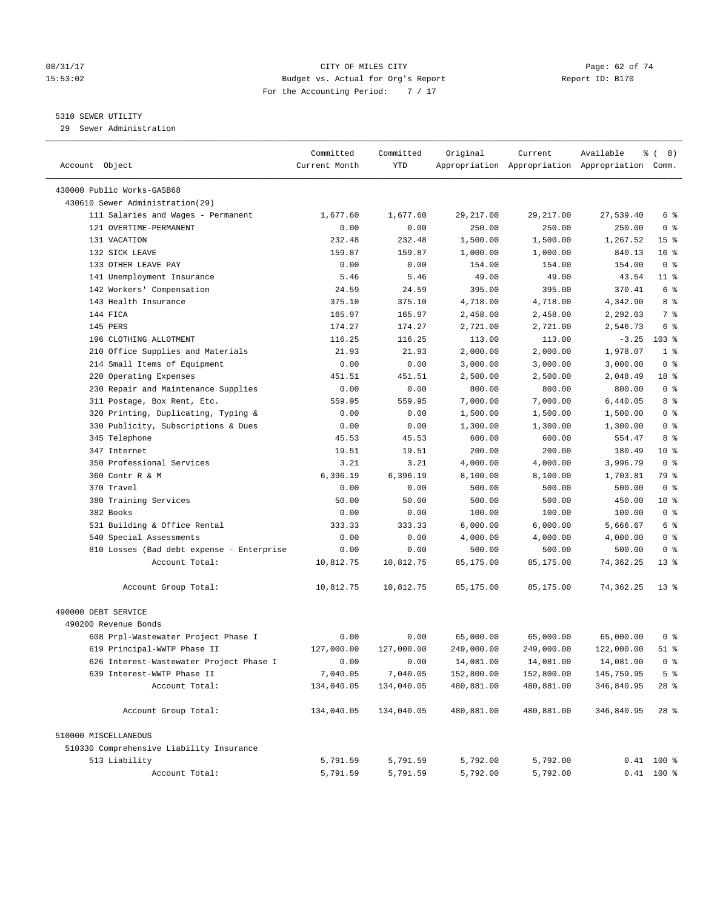#### 08/31/17 Page: 62 of 74 15:53:02 Budget vs. Actual for Org's Report Report ID: B170 For the Accounting Period: 7 / 17

————————————————————————————————————————————————————————————————————————————————————————————————————————————————————————————————————

#### 5310 SEWER UTILITY

29 Sewer Administration

|                                           | Committed     | Committed    | Original        | Current                                         | Available  | ී (<br>8)               |
|-------------------------------------------|---------------|--------------|-----------------|-------------------------------------------------|------------|-------------------------|
| Account Object                            | Current Month | YTD          |                 | Appropriation Appropriation Appropriation Comm. |            |                         |
| 430000 Public Works-GASB68                |               |              |                 |                                                 |            |                         |
| 430610 Sewer Administration(29)           |               |              |                 |                                                 |            |                         |
| 111 Salaries and Wages - Permanent        | 1,677.60      | 1,677.60     | 29,217.00       | 29,217.00                                       | 27,539.40  | 6 %                     |
| 121 OVERTIME-PERMANENT                    | 0.00          | 0.00         | 250.00          | 250.00                                          | 250.00     | 0 <sup>8</sup>          |
| 131 VACATION                              | 232.48        | 232.48       | 1,500.00        | 1,500.00                                        | 1,267.52   | 15 <sup>8</sup>         |
| 132 SICK LEAVE                            | 159.87        | 159.87       |                 | 1,000.00                                        | 840.13     | 16 <sup>°</sup>         |
| 133 OTHER LEAVE PAY                       |               |              | 1,000.00        | 154.00                                          | 154.00     | 0 <sup>8</sup>          |
| 141 Unemployment Insurance                | 0.00<br>5.46  | 0.00<br>5.46 | 154.00<br>49.00 | 49.00                                           | 43.54      | $11$ %                  |
| 142 Workers' Compensation                 | 24.59         | 24.59        | 395.00          | 395.00                                          | 370.41     | 6 %                     |
| 143 Health Insurance                      | 375.10        | 375.10       | 4,718.00        |                                                 | 4,342.90   | 8 %                     |
| 144 FICA                                  | 165.97        |              | 2,458.00        | 4,718.00                                        | 2,292.03   | 7 %                     |
| 145 PERS                                  |               | 165.97       |                 | 2,458.00                                        |            | 6 %                     |
|                                           | 174.27        | 174.27       | 2,721.00        | 2,721.00                                        | 2,546.73   | $103$ %                 |
| 196 CLOTHING ALLOTMENT                    | 116.25        | 116.25       | 113.00          | 113.00                                          | $-3.25$    | 1 <sup>°</sup>          |
| 210 Office Supplies and Materials         | 21.93         | 21.93        | 2,000.00        | 2,000.00                                        | 1,978.07   |                         |
| 214 Small Items of Equipment              | 0.00          | 0.00         | 3,000.00        | 3,000.00                                        | 3,000.00   | 0 <sup>8</sup>          |
| 220 Operating Expenses                    | 451.51        | 451.51       | 2,500.00        | 2,500.00                                        | 2,048.49   | 18 %                    |
| 230 Repair and Maintenance Supplies       | 0.00          | 0.00         | 800.00          | 800.00                                          | 800.00     | 0 <sup>8</sup>          |
| 311 Postage, Box Rent, Etc.               | 559.95        | 559.95       | 7,000.00        | 7,000.00                                        | 6,440.05   | 8 %                     |
| 320 Printing, Duplicating, Typing &       | 0.00          | 0.00         | 1,500.00        | 1,500.00                                        | 1,500.00   | 0 <sup>8</sup>          |
| 330 Publicity, Subscriptions & Dues       | 0.00          | 0.00         | 1,300.00        | 1,300.00                                        | 1,300.00   | 0 <sup>8</sup>          |
| 345 Telephone                             | 45.53         | 45.53        | 600.00          | 600.00                                          | 554.47     | 8 %                     |
| 347 Internet                              | 19.51         | 19.51        | 200.00          | 200.00                                          | 180.49     | $10*$<br>0 <sup>8</sup> |
| 350 Professional Services                 | 3.21          | 3.21         | 4,000.00        | 4,000.00                                        | 3,996.79   |                         |
| 360 Contr R & M                           | 6,396.19      | 6,396.19     | 8,100.00        | 8,100.00                                        | 1,703.81   | <b>79 응</b>             |
| 370 Travel                                | 0.00          | 0.00         | 500.00          | 500.00                                          | 500.00     | 0 <sup>8</sup>          |
| 380 Training Services                     | 50.00         | 50.00        | 500.00          | 500.00                                          | 450.00     | $10*$                   |
| 382 Books                                 | 0.00          | 0.00         | 100.00          | 100.00                                          | 100.00     | 0 <sup>8</sup>          |
| 531 Building & Office Rental              | 333.33        | 333.33       | 6,000.00        | 6,000.00                                        | 5,666.67   | 6 %                     |
| 540 Special Assessments                   | 0.00          | 0.00         | 4,000.00        | 4,000.00                                        | 4,000.00   | 0 <sup>8</sup>          |
| 810 Losses (Bad debt expense - Enterprise | 0.00          | 0.00         | 500.00          | 500.00                                          | 500.00     | 0 <sup>8</sup>          |
| Account Total:                            | 10,812.75     | 10,812.75    | 85,175.00       | 85,175.00                                       | 74,362.25  | $13*$                   |
| Account Group Total:                      | 10,812.75     | 10,812.75    | 85,175.00       | 85,175.00                                       | 74,362.25  | $13*$                   |
| 490000 DEBT SERVICE                       |               |              |                 |                                                 |            |                         |
| 490200 Revenue Bonds                      |               |              |                 |                                                 |            |                         |
| 608 Prpl-Wastewater Project Phase I       | 0.00          | 0.00         | 65,000.00       | 65,000.00                                       | 65,000.00  | 0 %                     |
| 619 Principal-WWTP Phase II               | 127,000.00    | 127,000.00   | 249,000.00      | 249,000.00                                      | 122,000.00 | 51 %                    |
| 626 Interest-Wastewater Project Phase I   | 0.00          | 0.00         | 14,081.00       | 14,081.00                                       | 14,081.00  | 0 <sup>8</sup>          |
| 639 Interest-WWTP Phase II                | 7,040.05      | 7,040.05     | 152,800.00      | 152,800.00                                      | 145,759.95 | 5 <sup>°</sup>          |
| Account Total:                            | 134,040.05    | 134,040.05   | 480,881.00      | 480,881.00                                      | 346,840.95 | 28 %                    |
|                                           |               |              |                 |                                                 |            |                         |
| Account Group Total:                      | 134,040.05    | 134,040.05   | 480,881.00      | 480,881.00                                      | 346,840.95 | $28$ %                  |
| 510000 MISCELLANEOUS                      |               |              |                 |                                                 |            |                         |
| 510330 Comprehensive Liability Insurance  |               |              |                 |                                                 |            |                         |
| 513 Liability                             | 5,791.59      | 5,791.59     | 5,792.00        | 5,792.00                                        |            | $0.41$ 100 %            |
| Account Total:                            | 5,791.59      | 5,791.59     | 5,792.00        | 5,792.00                                        |            | $0.41$ 100 %            |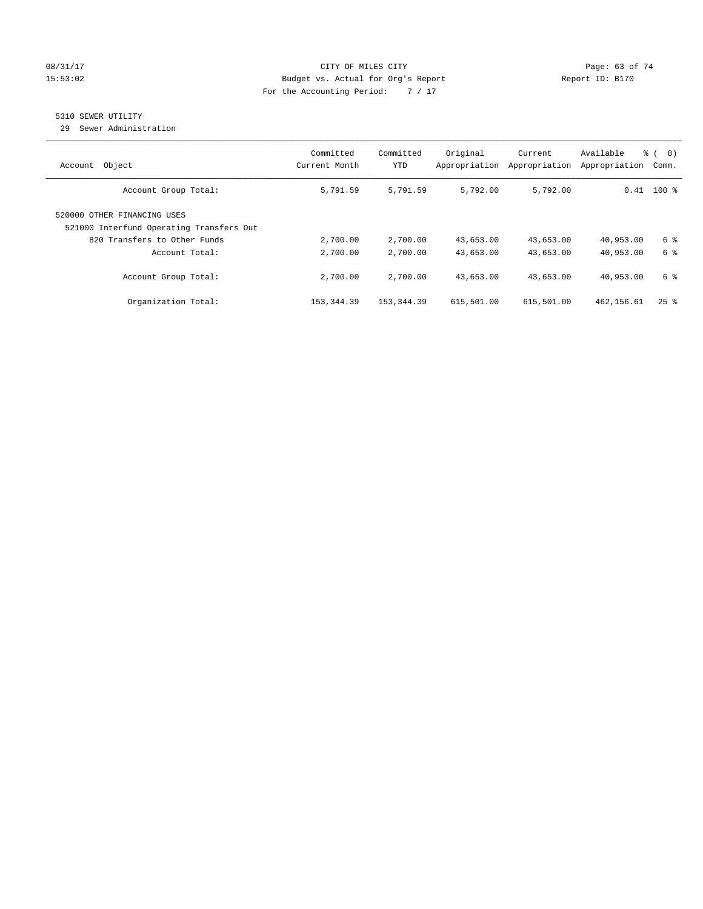#### 08/31/17 Page: 63 of 74 15:53:02 Budget vs. Actual for Org's Report Report ID: B170 For the Accounting Period: 7 / 17

### 5310 SEWER UTILITY

29 Sewer Administration

| Object<br>Account                                                       | Committed<br>Current Month | Committed<br>YTD | Original<br>Appropriation | Current<br>Appropriation | Available<br>Appropriation | ී (<br>8)<br>Comm. |
|-------------------------------------------------------------------------|----------------------------|------------------|---------------------------|--------------------------|----------------------------|--------------------|
| Account Group Total:                                                    | 5,791.59                   | 5,791.59         | 5,792.00                  | 5,792.00                 |                            | $0.41$ 100 %       |
| 520000 OTHER FINANCING USES<br>521000 Interfund Operating Transfers Out |                            |                  |                           |                          |                            |                    |
| 820 Transfers to Other Funds                                            | 2,700.00                   | 2,700.00         | 43,653.00                 | 43,653.00                | 40,953.00                  | 6 %                |
| Account Total:                                                          | 2,700.00                   | 2,700.00         | 43,653.00                 | 43,653.00                | 40,953.00                  | 6 %                |
| Account Group Total:                                                    | 2,700.00                   | 2,700.00         | 43,653.00                 | 43,653.00                | 40,953.00                  | 6 %                |
| Organization Total:                                                     | 153, 344.39                | 153, 344, 39     | 615,501.00                | 615,501.00               | 462,156.61                 | $25$ $\frac{6}{5}$ |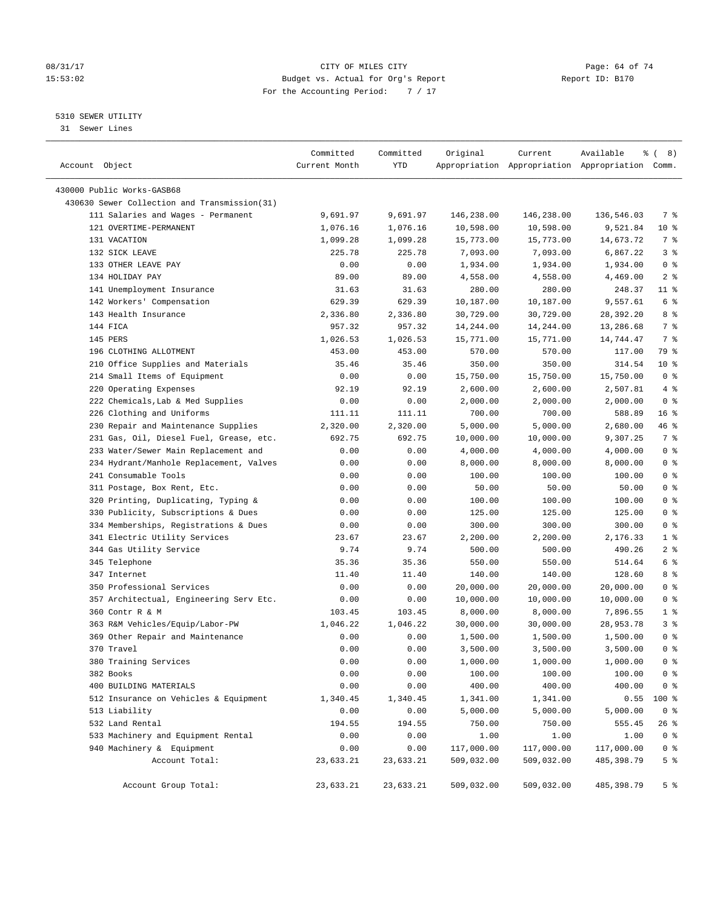#### 08/31/17 Page: 64 of 74 15:53:02 Budget vs. Actual for Org's Report Report ID: B170 For the Accounting Period: 7 / 17

————————————————————————————————————————————————————————————————————————————————————————————————————————————————————————————————————

#### 5310 SEWER UTILITY

31 Sewer Lines

| Account Object                               | Committed<br>Current Month | Committed<br>YTD | Original         | Current          | Available<br>Appropriation Appropriation Appropriation Comm. | १८) ह                            |
|----------------------------------------------|----------------------------|------------------|------------------|------------------|--------------------------------------------------------------|----------------------------------|
|                                              |                            |                  |                  |                  |                                                              |                                  |
| 430000 Public Works-GASB68                   |                            |                  |                  |                  |                                                              |                                  |
| 430630 Sewer Collection and Transmission(31) |                            |                  |                  |                  |                                                              |                                  |
| 111 Salaries and Wages - Permanent           | 9,691.97                   | 9,691.97         | 146,238.00       | 146,238.00       | 136,546.03                                                   | 7 %                              |
| 121 OVERTIME-PERMANENT                       | 1,076.16                   | 1,076.16         | 10,598.00        | 10,598.00        | 9,521.84                                                     | $10*$                            |
| 131 VACATION                                 | 1,099.28                   | 1,099.28         | 15,773.00        | 15,773.00        | 14,673.72                                                    | 7 %                              |
| 132 SICK LEAVE                               | 225.78                     | 225.78           | 7,093.00         | 7,093.00         | 6,867.22                                                     | 3 <sup>8</sup>                   |
| 133 OTHER LEAVE PAY                          | 0.00                       | 0.00             | 1,934.00         | 1,934.00         | 1,934.00                                                     | 0 <sup>8</sup>                   |
| 134 HOLIDAY PAY                              | 89.00                      | 89.00            | 4,558.00         | 4,558.00         | 4,469.00                                                     | 2 <sup>°</sup>                   |
| 141 Unemployment Insurance                   | 31.63                      | 31.63            | 280.00           | 280.00           | 248.37                                                       | $11$ %                           |
| 142 Workers' Compensation                    | 629.39                     | 629.39           | 10,187.00        | 10,187.00        | 9,557.61                                                     | 6 <sup>°</sup>                   |
| 143 Health Insurance                         | 2,336.80                   | 2,336.80         | 30,729.00        | 30,729.00        | 28,392.20                                                    | 8 %                              |
| 144 FICA                                     | 957.32                     | 957.32           | 14,244.00        | 14,244.00        | 13,286.68                                                    | 7 %                              |
| 145 PERS                                     | 1,026.53                   | 1,026.53         | 15,771.00        | 15,771.00        | 14,744.47                                                    | 7 %                              |
| 196 CLOTHING ALLOTMENT                       | 453.00                     | 453.00           | 570.00           | 570.00           | 117.00                                                       | 79 %                             |
| 210 Office Supplies and Materials            | 35.46                      | 35.46            | 350.00           | 350.00           | 314.54                                                       | $10*$                            |
| 214 Small Items of Equipment                 | 0.00                       | 0.00             | 15,750.00        | 15,750.00        | 15,750.00                                                    | 0 <sup>8</sup>                   |
| 220 Operating Expenses                       | 92.19                      | 92.19            | 2,600.00         | 2,600.00         | 2,507.81                                                     | 4%                               |
| 222 Chemicals, Lab & Med Supplies            | 0.00                       | 0.00             | 2,000.00         | 2,000.00         | 2,000.00                                                     | 0 <sup>8</sup>                   |
| 226 Clothing and Uniforms                    | 111.11                     | 111.11           | 700.00           | 700.00           | 588.89                                                       | 16 <sup>8</sup>                  |
| 230 Repair and Maintenance Supplies          | 2,320.00                   | 2,320.00         | 5,000.00         | 5,000.00         | 2,680.00                                                     | 46 %                             |
| 231 Gas, Oil, Diesel Fuel, Grease, etc.      | 692.75                     | 692.75           | 10,000.00        | 10,000.00        | 9,307.25                                                     | 7 %                              |
| 233 Water/Sewer Main Replacement and         | 0.00                       | 0.00             | 4,000.00         | 4,000.00         | 4,000.00                                                     | 0 <sup>8</sup>                   |
| 234 Hydrant/Manhole Replacement, Valves      | 0.00                       | 0.00             | 8,000.00         | 8,000.00         | 8,000.00                                                     | 0 <sup>8</sup>                   |
| 241 Consumable Tools                         | 0.00                       | 0.00             | 100.00           | 100.00           | 100.00                                                       | 0 <sup>8</sup>                   |
| 311 Postage, Box Rent, Etc.                  | 0.00                       | 0.00             | 50.00            | 50.00            | 50.00                                                        | 0 <sup>8</sup>                   |
| 320 Printing, Duplicating, Typing &          | 0.00                       | 0.00             | 100.00           | 100.00           | 100.00                                                       | 0 <sup>8</sup>                   |
| 330 Publicity, Subscriptions & Dues          | 0.00                       | 0.00             | 125.00           | 125.00           | 125.00                                                       | 0 <sup>8</sup><br>0 <sup>8</sup> |
| 334 Memberships, Registrations & Dues        | 0.00                       | 0.00             | 300.00           | 300.00           | 300.00                                                       | 1 <sup>°</sup>                   |
| 341 Electric Utility Services                | 23.67                      | 23.67            | 2,200.00         | 2,200.00         | 2,176.33<br>490.26                                           | 2 <sup>°</sup>                   |
| 344 Gas Utility Service<br>345 Telephone     | 9.74<br>35.36              | 9.74             | 500.00           | 500.00           | 514.64                                                       | 6 <sup>°</sup>                   |
| 347 Internet                                 | 11.40                      | 35.36<br>11.40   | 550.00<br>140.00 | 550.00<br>140.00 | 128.60                                                       | 8 %                              |
| 350 Professional Services                    | 0.00                       | 0.00             | 20,000.00        | 20,000.00        | 20,000.00                                                    | 0 <sup>8</sup>                   |
| 357 Architectual, Engineering Serv Etc.      | 0.00                       | 0.00             | 10,000.00        | 10,000.00        | 10,000.00                                                    | 0 <sup>8</sup>                   |
| 360 Contr R & M                              | 103.45                     | 103.45           | 8,000.00         | 8,000.00         | 7,896.55                                                     | 1 <sup>8</sup>                   |
| 363 R&M Vehicles/Equip/Labor-PW              | 1,046.22                   | 1,046.22         | 30,000.00        | 30,000.00        | 28,953.78                                                    | 3%                               |
| 369 Other Repair and Maintenance             | 0.00                       | 0.00             | 1,500.00         | 1,500.00         | 1,500.00                                                     | 0 <sup>8</sup>                   |
| 370 Travel                                   | 0.00                       | 0.00             | 3,500.00         | 3,500.00         | 3,500.00                                                     | 0 <sup>8</sup>                   |
| 380 Training Services                        | 0.00                       | 0.00             | 1,000.00         | 1,000.00         | 1,000.00                                                     | 0 <sup>8</sup>                   |
| 382 Books                                    | 0.00                       | 0.00             | 100.00           | 100.00           | 100.00                                                       | 0 <sup>8</sup>                   |
| 400 BUILDING MATERIALS                       | 0.00                       | 0.00             | 400.00           | 400.00           | 400.00                                                       | 0 <sup>°</sup>                   |
| 512 Insurance on Vehicles & Equipment        | 1,340.45                   | 1,340.45         | 1,341.00         | 1,341.00         | 0.55                                                         | 100 %                            |
| 513 Liability                                | 0.00                       | 0.00             | 5,000.00         | 5,000.00         | 5,000.00                                                     | 0 <sup>8</sup>                   |
| 532 Land Rental                              | 194.55                     | 194.55           | 750.00           | 750.00           | 555.45                                                       | $26$ %                           |
| 533 Machinery and Equipment Rental           | 0.00                       | 0.00             | 1.00             | 1.00             | 1.00                                                         | 0 <sup>°</sup>                   |
| 940 Machinery & Equipment                    | 0.00                       | 0.00             | 117,000.00       | 117,000.00       | 117,000.00                                                   | 0 <sup>°</sup>                   |
| Account Total:                               | 23,633.21                  | 23,633.21        | 509,032.00       | 509,032.00       | 485, 398.79                                                  | 5 <sup>°</sup>                   |
| Account Group Total:                         | 23,633.21                  | 23,633.21        | 509,032.00       | 509,032.00       | 485,398.79                                                   | 5 <sup>8</sup>                   |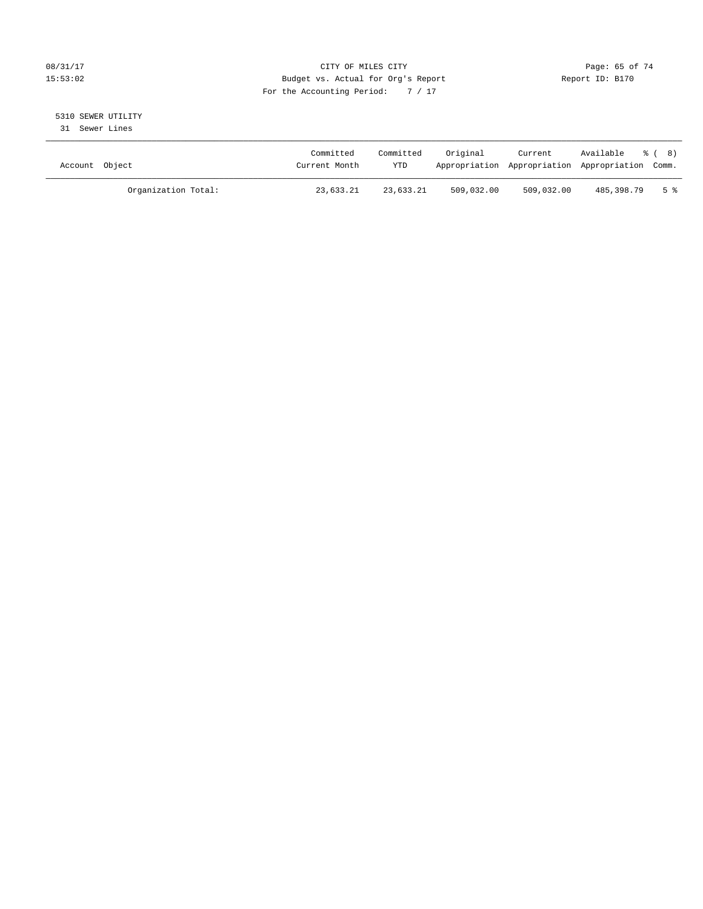#### 08/31/17 Page: 65 of 74 15:53:02 Budget vs. Actual for Org's Report Report ID: B170 For the Accounting Period: 7 / 17

# 5310 SEWER UTILITY

31 Sewer Lines

| Account Object |                     | Committed<br>Current Month | Committed<br><b>YTD</b> | Original   | Current    | Available<br>Appropriation Appropriation Appropriation Comm. | - දී ( 8) |
|----------------|---------------------|----------------------------|-------------------------|------------|------------|--------------------------------------------------------------|-----------|
|                | Organization Total: | 23,633.21                  | 23,633.21               | 509,032.00 | 509,032.00 | 485,398.79                                                   | 5 %       |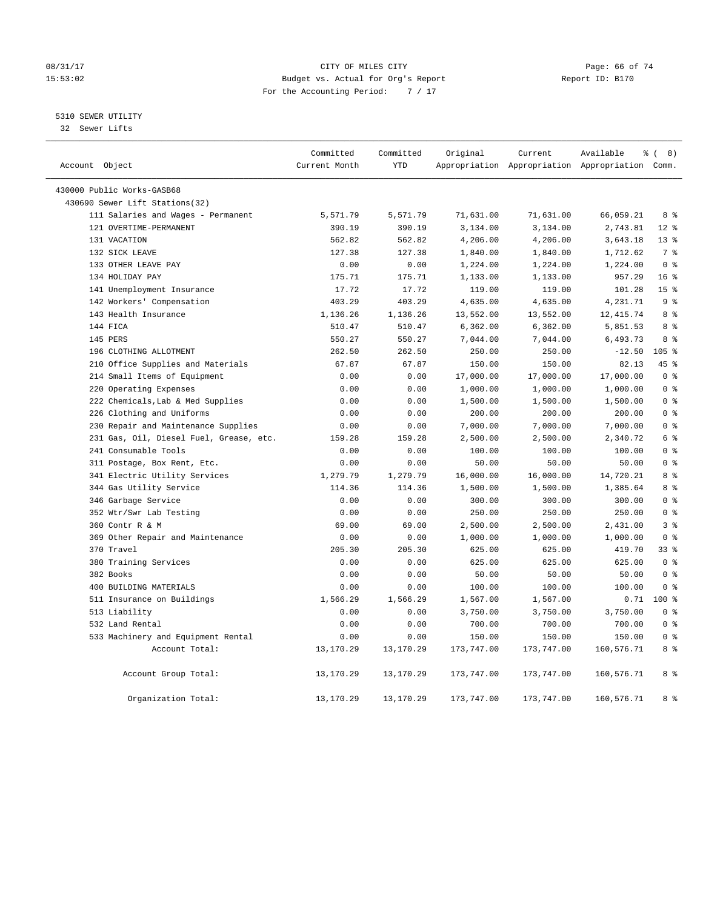#### 08/31/17 Page: 66 of 74 15:53:02 Budget vs. Actual for Org's Report Report ID: B170 For the Accounting Period: 7 / 17

### 5310 SEWER UTILITY

32 Sewer Lifts

| Account Object |                                         | Committed<br>Current Month | Committed<br><b>YTD</b> | Original   | Current    | Available<br>Appropriation Appropriation Appropriation Comm. | % (8)           |
|----------------|-----------------------------------------|----------------------------|-------------------------|------------|------------|--------------------------------------------------------------|-----------------|
|                |                                         |                            |                         |            |            |                                                              |                 |
|                | 430000 Public Works-GASB68              |                            |                         |            |            |                                                              |                 |
|                | 430690 Sewer Lift Stations(32)          |                            |                         |            |            |                                                              |                 |
|                | 111 Salaries and Wages - Permanent      | 5,571.79                   | 5,571.79                | 71,631.00  | 71,631.00  | 66,059.21                                                    | 8 %             |
|                | 121 OVERTIME-PERMANENT                  | 390.19                     | 390.19                  | 3,134.00   | 3,134.00   | 2,743.81                                                     | $12*$           |
|                | 131 VACATION                            | 562.82                     | 562.82                  | 4,206.00   | 4,206.00   | 3,643.18                                                     | $13*$           |
|                | 132 SICK LEAVE                          | 127.38                     | 127.38                  | 1,840.00   | 1,840.00   | 1,712.62                                                     | 7 %             |
|                | 133 OTHER LEAVE PAY                     | 0.00                       | 0.00                    | 1,224.00   | 1,224.00   | 1,224.00                                                     | 0 <sup>8</sup>  |
|                | 134 HOLIDAY PAY                         | 175.71                     | 175.71                  | 1,133.00   | 1,133.00   | 957.29                                                       | 16 <sup>8</sup> |
|                | 141 Unemployment Insurance              | 17.72                      | 17.72                   | 119.00     | 119.00     | 101.28                                                       | 15 <sup>°</sup> |
|                | 142 Workers' Compensation               | 403.29                     | 403.29                  | 4,635.00   | 4,635.00   | 4,231.71                                                     | 9 <sup>°</sup>  |
|                | 143 Health Insurance                    | 1,136.26                   | 1,136.26                | 13,552.00  | 13,552.00  | 12, 415.74                                                   | 8 %             |
|                | 144 FICA                                | 510.47                     | 510.47                  | 6,362.00   | 6, 362.00  | 5,851.53                                                     | 8%              |
|                | 145 PERS                                | 550.27                     | 550.27                  | 7,044.00   | 7,044.00   | 6,493.73                                                     | 8 %             |
|                | 196 CLOTHING ALLOTMENT                  | 262.50                     | 262.50                  | 250.00     | 250.00     | $-12.50$                                                     | 105 %           |
|                | 210 Office Supplies and Materials       | 67.87                      | 67.87                   | 150.00     | 150.00     | 82.13                                                        | 45%             |
|                | 214 Small Items of Equipment            | 0.00                       | 0.00                    | 17,000.00  | 17,000.00  | 17,000.00                                                    | 0 <sup>8</sup>  |
|                | 220 Operating Expenses                  | 0.00                       | 0.00                    | 1,000.00   | 1,000.00   | 1,000.00                                                     | 0 <sup>8</sup>  |
|                | 222 Chemicals, Lab & Med Supplies       | 0.00                       | 0.00                    | 1,500.00   | 1,500.00   | 1,500.00                                                     | 0 <sup>8</sup>  |
|                | 226 Clothing and Uniforms               | 0.00                       | 0.00                    | 200.00     | 200.00     | 200.00                                                       | 0 <sup>8</sup>  |
|                | 230 Repair and Maintenance Supplies     | 0.00                       | 0.00                    | 7,000.00   | 7,000.00   | 7,000.00                                                     | 0 <sup>8</sup>  |
|                | 231 Gas, Oil, Diesel Fuel, Grease, etc. | 159.28                     | 159.28                  | 2,500.00   | 2,500.00   | 2,340.72                                                     | $6\degree$      |
|                | 241 Consumable Tools                    | 0.00                       | 0.00                    | 100.00     | 100.00     | 100.00                                                       | 0 <sup>8</sup>  |
|                | 311 Postage, Box Rent, Etc.             | 0.00                       | 0.00                    | 50.00      | 50.00      | 50.00                                                        | 0 <sup>8</sup>  |
|                | 341 Electric Utility Services           | 1,279.79                   | 1,279.79                | 16,000.00  | 16,000.00  | 14,720.21                                                    | 8 <sup>8</sup>  |
|                | 344 Gas Utility Service                 | 114.36                     | 114.36                  | 1,500.00   | 1,500.00   | 1,385.64                                                     | 8 %             |
|                | 346 Garbage Service                     | 0.00                       | 0.00                    | 300.00     | 300.00     | 300.00                                                       | 0 <sup>8</sup>  |
|                | 352 Wtr/Swr Lab Testing                 | 0.00                       | 0.00                    | 250.00     | 250.00     | 250.00                                                       | 0 <sup>8</sup>  |
|                | 360 Contr R & M                         | 69.00                      | 69.00                   | 2,500.00   | 2,500.00   | 2,431.00                                                     | 3 <sup>°</sup>  |
|                | 369 Other Repair and Maintenance        | 0.00                       | 0.00                    | 1,000.00   | 1,000.00   | 1,000.00                                                     | 0 <sup>8</sup>  |
|                | 370 Travel                              | 205.30                     | 205.30                  | 625.00     | 625.00     | 419.70                                                       | 338             |
|                | 380 Training Services                   | 0.00                       | 0.00                    | 625.00     | 625.00     | 625.00                                                       | 0 <sup>8</sup>  |
|                | 382 Books                               | 0.00                       | 0.00                    | 50.00      | 50.00      | 50.00                                                        | 0 <sup>8</sup>  |
|                | 400 BUILDING MATERIALS                  | 0.00                       | 0.00                    | 100.00     | 100.00     | 100.00                                                       | 0 <sup>8</sup>  |
|                | 511 Insurance on Buildings              | 1,566.29                   | 1,566.29                | 1,567.00   | 1,567.00   |                                                              | $0.71$ 100 %    |
|                | 513 Liability                           | 0.00                       | 0.00                    | 3,750.00   | 3,750.00   | 3,750.00                                                     | 0 <sup>8</sup>  |
|                | 532 Land Rental                         | 0.00                       | 0.00                    | 700.00     | 700.00     | 700.00                                                       | 0 <sup>8</sup>  |
|                | 533 Machinery and Equipment Rental      | 0.00                       | 0.00                    | 150.00     | 150.00     | 150.00                                                       | 0 <sup>8</sup>  |
|                | Account Total:                          | 13,170.29                  | 13,170.29               | 173,747.00 | 173,747.00 | 160,576.71                                                   | 8 %             |
|                |                                         |                            |                         |            |            |                                                              |                 |
|                | Account Group Total:                    | 13,170.29                  | 13,170.29               | 173,747.00 | 173,747.00 | 160,576.71                                                   | 8 %             |
|                | Organization Total:                     | 13,170.29                  | 13,170.29               | 173,747.00 | 173,747.00 | 160,576.71                                                   | 8 %             |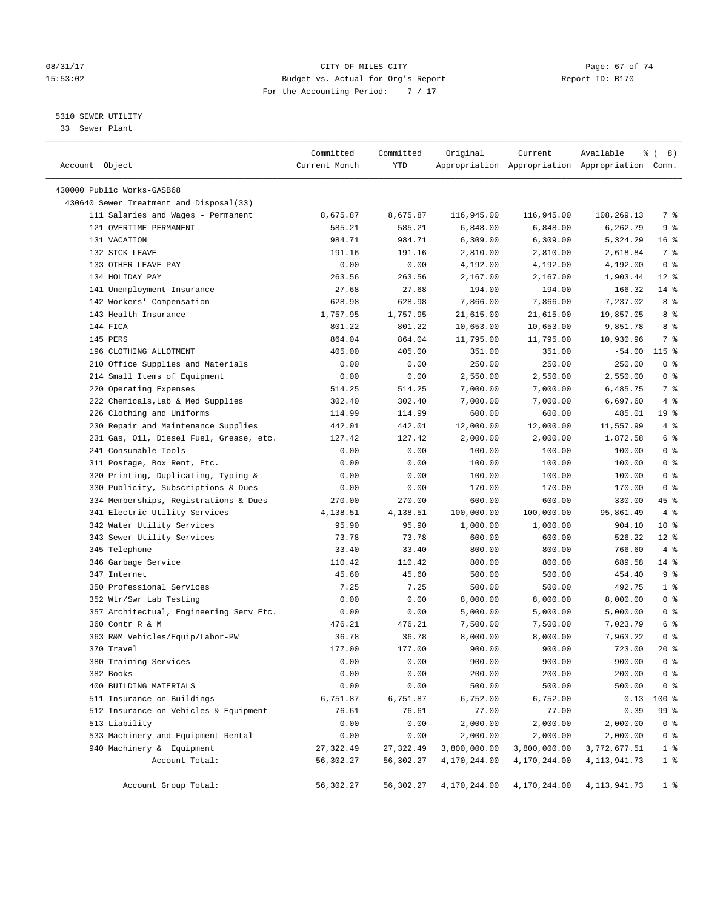#### 08/31/17 Page: 67 of 74 15:53:02 Budget vs. Actual for Org's Report Report ID: B170 For the Accounting Period: 7 / 17

————————————————————————————————————————————————————————————————————————————————————————————————————————————————————————————————————

#### 5310 SEWER UTILITY

33 Sewer Plant

|                                         | Committed     | Committed  | Original     | Current                                         | Available    | <sub>රි</sub> ( 8 ) |
|-----------------------------------------|---------------|------------|--------------|-------------------------------------------------|--------------|---------------------|
| Account Object                          | Current Month | <b>YTD</b> |              | Appropriation Appropriation Appropriation Comm. |              |                     |
| 430000 Public Works-GASB68              |               |            |              |                                                 |              |                     |
| 430640 Sewer Treatment and Disposal(33) |               |            |              |                                                 |              |                     |
| 111 Salaries and Wages - Permanent      | 8,675.87      | 8,675.87   | 116,945.00   | 116,945.00                                      | 108,269.13   | 7 %                 |
| 121 OVERTIME-PERMANENT                  | 585.21        | 585.21     | 6,848.00     | 6,848.00                                        | 6,262.79     | 9%                  |
| 131 VACATION                            | 984.71        | 984.71     | 6,309.00     | 6,309.00                                        | 5,324.29     | 16 <sup>°</sup>     |
| 132 SICK LEAVE                          | 191.16        | 191.16     | 2,810.00     | 2,810.00                                        | 2,618.84     | 7%                  |
| 133 OTHER LEAVE PAY                     | 0.00          | 0.00       | 4,192.00     | 4,192.00                                        | 4,192.00     | 0 <sup>8</sup>      |
| 134 HOLIDAY PAY                         | 263.56        | 263.56     | 2,167.00     | 2,167.00                                        | 1,903.44     | $12*$               |
| 141 Unemployment Insurance              | 27.68         | 27.68      | 194.00       | 194.00                                          | 166.32       | 14 %                |
|                                         | 628.98        | 628.98     | 7,866.00     | 7,866.00                                        | 7,237.02     | 8%                  |
| 142 Workers' Compensation               |               | 1,757.95   |              |                                                 |              | 8 %                 |
| 143 Health Insurance                    | 1,757.95      |            | 21,615.00    | 21,615.00                                       | 19,857.05    |                     |
| 144 FICA                                | 801.22        | 801.22     | 10,653.00    | 10,653.00                                       | 9,851.78     | 8 %                 |
| 145 PERS                                | 864.04        | 864.04     | 11,795.00    | 11,795.00                                       | 10,930.96    | 7 %                 |
| 196 CLOTHING ALLOTMENT                  | 405.00        | 405.00     | 351.00       | 351.00                                          | $-54.00$     | 115 %               |
| 210 Office Supplies and Materials       | 0.00          | 0.00       | 250.00       | 250.00                                          | 250.00       | 0 <sup>8</sup>      |
| 214 Small Items of Equipment            | 0.00          | 0.00       | 2,550.00     | 2,550.00                                        | 2,550.00     | 0 <sup>8</sup>      |
| 220 Operating Expenses                  | 514.25        | 514.25     | 7,000.00     | 7,000.00                                        | 6,485.75     | 7 %                 |
| 222 Chemicals, Lab & Med Supplies       | 302.40        | 302.40     | 7,000.00     | 7,000.00                                        | 6,697.60     | 4%                  |
| 226 Clothing and Uniforms               | 114.99        | 114.99     | 600.00       | 600.00                                          | 485.01       | 19 %                |
| 230 Repair and Maintenance Supplies     | 442.01        | 442.01     | 12,000.00    | 12,000.00                                       | 11,557.99    | 4%                  |
| 231 Gas, Oil, Diesel Fuel, Grease, etc. | 127.42        | 127.42     | 2,000.00     | 2,000.00                                        | 1,872.58     | 6 <sup>°</sup>      |
| 241 Consumable Tools                    | 0.00          | 0.00       | 100.00       | 100.00                                          | 100.00       | 0 <sup>8</sup>      |
| 311 Postage, Box Rent, Etc.             | 0.00          | 0.00       | 100.00       | 100.00                                          | 100.00       | 0 <sup>8</sup>      |
| 320 Printing, Duplicating, Typing &     | 0.00          | 0.00       | 100.00       | 100.00                                          | 100.00       | 0 <sup>8</sup>      |
| 330 Publicity, Subscriptions & Dues     | 0.00          | 0.00       | 170.00       | 170.00                                          | 170.00       | 0 <sup>8</sup>      |
| 334 Memberships, Registrations & Dues   | 270.00        | 270.00     | 600.00       | 600.00                                          | 330.00       | 45 %                |
| 341 Electric Utility Services           | 4,138.51      | 4,138.51   | 100,000.00   | 100,000.00                                      | 95,861.49    | $4\degree$          |
| 342 Water Utility Services              | 95.90         | 95.90      | 1,000.00     | 1,000.00                                        | 904.10       | $10*$               |
| 343 Sewer Utility Services              | 73.78         | 73.78      | 600.00       | 600.00                                          | 526.22       | $12*$               |
| 345 Telephone                           | 33.40         | 33.40      | 800.00       | 800.00                                          | 766.60       | 4%                  |
| 346 Garbage Service                     | 110.42        | 110.42     | 800.00       | 800.00                                          | 689.58       | 14 %                |
| 347 Internet                            | 45.60         | 45.60      | 500.00       | 500.00                                          | 454.40       | 9%                  |
| 350 Professional Services               | 7.25          | 7.25       | 500.00       | 500.00                                          | 492.75       | 1 <sup>°</sup>      |
| 352 Wtr/Swr Lab Testing                 | 0.00          | 0.00       | 8,000.00     | 8,000.00                                        | 8,000.00     | 0 <sup>8</sup>      |
| 357 Architectual, Engineering Serv Etc. | 0.00          | 0.00       | 5,000.00     | 5,000.00                                        | 5,000.00     | 0 <sup>8</sup>      |
| 360 Contr R & M                         | 476.21        | 476.21     | 7,500.00     | 7,500.00                                        | 7,023.79     | 6 %                 |
| 363 R&M Vehicles/Equip/Labor-PW         | 36.78         | 36.78      | 8,000.00     | 8,000.00                                        | 7,963.22     | 0 <sup>8</sup>      |
| 370 Travel                              | 177.00        | 177.00     | 900.00       | 900.00                                          | 723.00       | $20*$               |
| 380 Training Services                   | 0.00          | 0.00       | 900.00       | 900.00                                          | 900.00       | 0 <sup>°</sup>      |
| 382 Books                               | 0.00          | 0.00       | 200.00       | 200.00                                          | 200.00       | $0$ %               |
| 400 BUILDING MATERIALS                  | 0.00          | 0.00       | 500.00       | 500.00                                          | 500.00       | $0$ %               |
| 511 Insurance on Buildings              | 6,751.87      | 6,751.87   | 6,752.00     | 6,752.00                                        | 0.13         | 100 %               |
| 512 Insurance on Vehicles & Equipment   | 76.61         | 76.61      | 77.00        | 77.00                                           | 0.39         | 99 %                |
| 513 Liability                           | 0.00          | 0.00       | 2,000.00     | 2,000.00                                        | 2,000.00     | 0 <sup>8</sup>      |
| 533 Machinery and Equipment Rental      | 0.00          | 0.00       | 2,000.00     | 2,000.00                                        | 2,000.00     | $0$ %               |
| 940 Machinery & Equipment               | 27, 322.49    | 27,322.49  | 3,800,000.00 | 3,800,000.00                                    | 3,772,677.51 | 1 <sup>8</sup>      |
| Account Total:                          | 56,302.27     | 56,302.27  | 4,170,244.00 | 4,170,244.00                                    | 4,113,941.73 | 1 <sup>°</sup>      |
| Account Group Total:                    | 56,302.27     | 56,302.27  | 4,170,244.00 | 4,170,244.00                                    | 4,113,941.73 | 1 <sup>8</sup>      |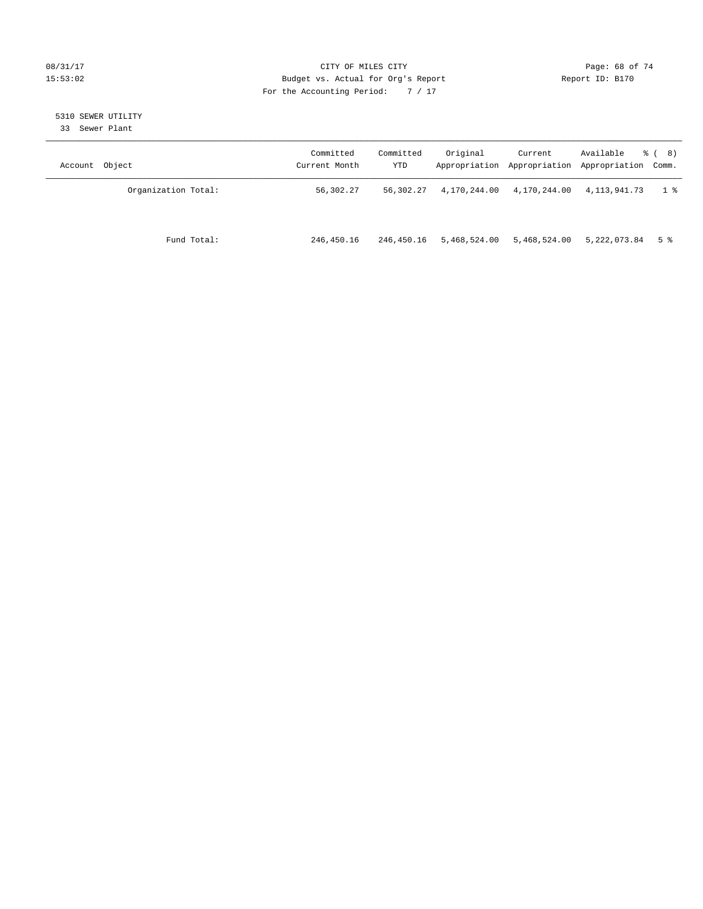#### 08/31/17 Page: 68 of 74 15:53:02 Budget vs. Actual for Org's Report Report ID: B170 For the Accounting Period: 7 / 17

# 5310 SEWER UTILITY

33 Sewer Plant

| Account Object      | Committed<br>Current Month | Committed<br>YTD | Original     | Current      | Available<br>Appropriation Appropriation Appropriation Comm. | $\frac{6}{6}$ ( 8) |
|---------------------|----------------------------|------------------|--------------|--------------|--------------------------------------------------------------|--------------------|
| Organization Total: | 56,302.27                  | 56,302.27        | 4,170,244.00 | 4,170,244.00 | 4,113,941.73                                                 | 1 %                |
| Fund Total:         | 246,450.16                 | 246,450.16       | 5,468,524.00 | 5,468,524.00 | 5,222,073.84                                                 | 5 %                |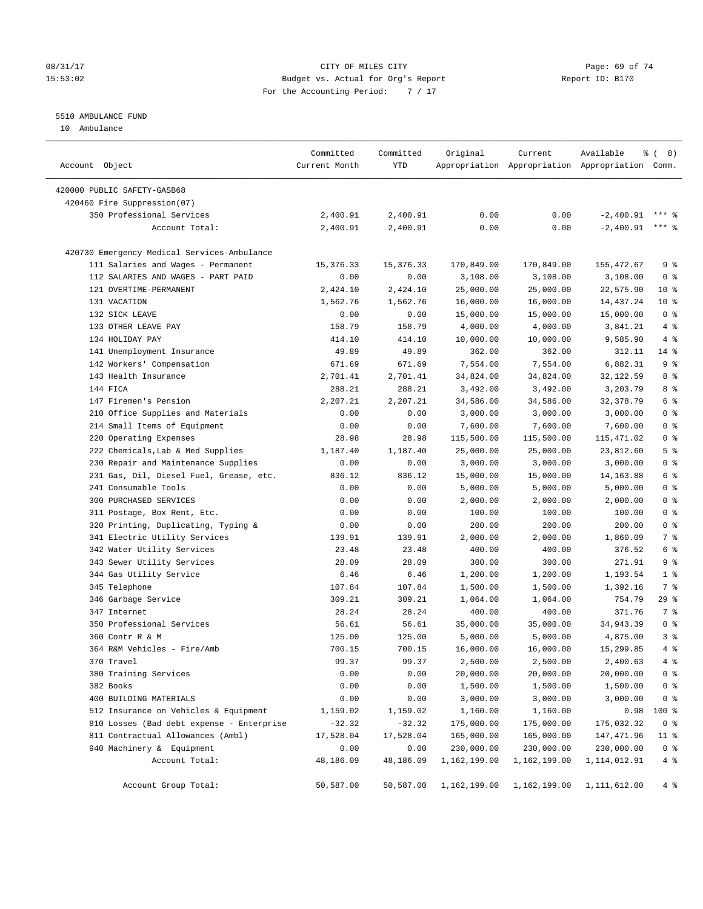#### 08/31/17 Page: 69 of 74 15:53:02 Budget vs. Actual for Org's Report Report ID: B170 For the Accounting Period: 7 / 17

#### 5510 AMBULANCE FUND

10 Ambulance

| Account Object                              | Committed<br>Current Month | Committed<br>YTD | Original     | Current      | Available<br>Appropriation Appropriation Appropriation Comm. | $\frac{6}{6}$ ( 8) |
|---------------------------------------------|----------------------------|------------------|--------------|--------------|--------------------------------------------------------------|--------------------|
| 420000 PUBLIC SAFETY-GASB68                 |                            |                  |              |              |                                                              |                    |
| 420460 Fire Suppression(07)                 |                            |                  |              |              |                                                              |                    |
| 350 Professional Services                   | 2,400.91                   | 2,400.91         | 0.00         | 0.00         | $-2,400.91$                                                  |                    |
| Account Total:                              | 2,400.91                   | 2,400.91         | 0.00         | 0.00         | $-2,400.91$                                                  | $***$ $%$          |
|                                             |                            |                  |              |              |                                                              |                    |
| 420730 Emergency Medical Services-Ambulance |                            |                  |              |              |                                                              |                    |
| 111 Salaries and Wages - Permanent          | 15,376.33                  | 15,376.33        | 170,849.00   | 170,849.00   | 155,472.67                                                   | 9 <sup>°</sup>     |
| 112 SALARIES AND WAGES - PART PAID          | 0.00                       | 0.00             | 3,108.00     | 3,108.00     | 3,108.00                                                     | 0 <sup>8</sup>     |
| 121 OVERTIME-PERMANENT                      | 2,424.10                   | 2,424.10         | 25,000.00    | 25,000.00    | 22,575.90                                                    | $10*$              |
| 131 VACATION                                | 1,562.76                   | 1,562.76         | 16,000.00    | 16,000.00    | 14,437.24                                                    | $10*$              |
| 132 SICK LEAVE                              | 0.00                       | 0.00             | 15,000.00    | 15,000.00    | 15,000.00                                                    | 0 <sup>8</sup>     |
| 133 OTHER LEAVE PAY                         | 158.79                     | 158.79           | 4,000.00     | 4,000.00     | 3,841.21                                                     | 4%                 |
| 134 HOLIDAY PAY                             | 414.10                     | 414.10           | 10,000.00    | 10,000.00    | 9,585.90                                                     | 4%                 |
| 141 Unemployment Insurance                  | 49.89                      | 49.89            | 362.00       | 362.00       | 312.11                                                       | $14*$              |
| 142 Workers' Compensation                   | 671.69                     | 671.69           | 7,554.00     | 7,554.00     | 6,882.31                                                     | 9 <sup>°</sup>     |
| 143 Health Insurance                        | 2,701.41                   | 2,701.41         | 34,824.00    | 34,824.00    | 32,122.59                                                    | 8 %                |
| 144 FICA                                    | 288.21                     | 288.21           | 3,492.00     | 3,492.00     | 3,203.79                                                     | 8 %                |
| 147 Firemen's Pension                       | 2,207.21                   | 2,207.21         | 34,586.00    | 34,586.00    | 32,378.79                                                    | 6 %                |
| 210 Office Supplies and Materials           | 0.00                       | 0.00             | 3,000.00     | 3,000.00     | 3,000.00                                                     | 0 <sup>8</sup>     |
| 214 Small Items of Equipment                | 0.00                       | 0.00             | 7,600.00     | 7,600.00     | 7,600.00                                                     | 0 <sup>8</sup>     |
| 220 Operating Expenses                      | 28.98                      | 28.98            | 115,500.00   | 115,500.00   | 115,471.02                                                   | 0 <sup>8</sup>     |
| 222 Chemicals, Lab & Med Supplies           | 1,187.40                   | 1,187.40         | 25,000.00    | 25,000.00    | 23,812.60                                                    | 5 <sup>°</sup>     |
| 230 Repair and Maintenance Supplies         | 0.00                       | 0.00             | 3,000.00     | 3,000.00     | 3,000.00                                                     | 0 <sup>8</sup>     |
| 231 Gas, Oil, Diesel Fuel, Grease, etc.     | 836.12                     | 836.12           | 15,000.00    | 15,000.00    | 14, 163.88                                                   | 6 %                |
| 241 Consumable Tools                        | 0.00                       | 0.00             | 5,000.00     | 5,000.00     | 5,000.00                                                     | 0 <sup>8</sup>     |
| 300 PURCHASED SERVICES                      | 0.00                       | 0.00             | 2,000.00     | 2,000.00     | 2,000.00                                                     | 0 <sup>8</sup>     |
| 311 Postage, Box Rent, Etc.                 | 0.00                       | 0.00             | 100.00       | 100.00       | 100.00                                                       | 0 <sup>8</sup>     |
| 320 Printing, Duplicating, Typing &         | 0.00                       | 0.00             | 200.00       | 200.00       | 200.00                                                       | 0 <sup>8</sup>     |
| 341 Electric Utility Services               | 139.91                     | 139.91           | 2,000.00     | 2,000.00     | 1,860.09                                                     | 7 %                |
| 342 Water Utility Services                  | 23.48                      | 23.48            | 400.00       | 400.00       | 376.52                                                       | 6 %                |
| 343 Sewer Utility Services                  | 28.09                      | 28.09            | 300.00       | 300.00       | 271.91                                                       | 9 <sup>°</sup>     |
| 344 Gas Utility Service                     | 6.46                       | 6.46             | 1,200.00     | 1,200.00     | 1,193.54                                                     | 1 <sup>8</sup>     |
| 345 Telephone                               | 107.84                     | 107.84           | 1,500.00     | 1,500.00     | 1,392.16                                                     | 7 %                |
| 346 Garbage Service                         | 309.21                     | 309.21           | 1,064.00     | 1,064.00     | 754.79                                                       | 29%                |
| 347 Internet                                | 28.24                      | 28.24            | 400.00       | 400.00       | 371.76                                                       | 7%                 |
| 350 Professional Services                   | 56.61                      | 56.61            | 35,000.00    | 35,000.00    | 34,943.39                                                    | 0 <sup>8</sup>     |
| 360 Contr R & M                             | 125.00                     | 125.00           | 5,000.00     | 5,000.00     | 4,875.00                                                     | 3%                 |
| 364 R&M Vehicles - Fire/Amb                 | 700.15                     | 700.15           | 16,000.00    | 16,000.00    | 15,299.85                                                    | 4%                 |
| 370 Travel                                  | 99.37                      | 99.37            | 2,500.00     | 2,500.00     | 2,400.63                                                     | $4\degree$         |
| 380 Training Services                       | 0.00                       | 0.00             | 20,000.00    | 20,000.00    | 20,000.00                                                    | 0 <sup>°</sup>     |
| 382 Books                                   | 0.00                       | 0.00             | 1,500.00     | 1,500.00     | 1,500.00                                                     | 0 <sup>8</sup>     |
| 400 BUILDING MATERIALS                      | 0.00                       | 0.00             | 3,000.00     | 3,000.00     | 3,000.00                                                     | 0 <sup>8</sup>     |
| 512 Insurance on Vehicles & Equipment       | 1,159.02                   | 1,159.02         | 1,160.00     | 1,160.00     | 0.98                                                         | 100 %              |
| 810 Losses (Bad debt expense - Enterprise   | $-32.32$                   | $-32.32$         | 175,000.00   | 175,000.00   | 175,032.32                                                   | $0$ %              |
| 811 Contractual Allowances (Ambl)           | 17,528.04                  | 17,528.04        | 165,000.00   | 165,000.00   | 147,471.96                                                   | $11$ %             |
| 940 Machinery & Equipment                   | 0.00                       | 0.00             | 230,000.00   | 230,000.00   | 230,000.00                                                   | 0 <sup>8</sup>     |
| Account Total:                              | 48,186.09                  | 48,186.09        | 1,162,199.00 | 1,162,199.00 | 1, 114, 012.91                                               | 4%                 |
| Account Group Total:                        | 50,587.00                  | 50,587.00        | 1,162,199.00 | 1,162,199.00 | 1, 111, 612.00                                               | 4%                 |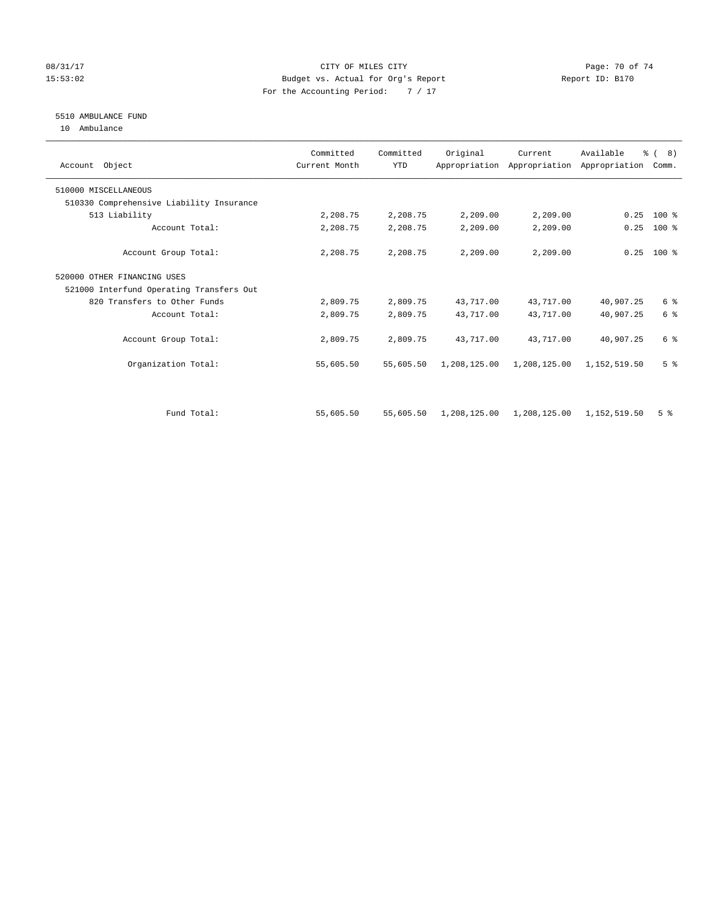#### 08/31/17 Page: 70 of 74 15:53:02 Budget vs. Actual for Org's Report Report ID: B170 For the Accounting Period: 7 / 17

#### 5510 AMBULANCE FUND

10 Ambulance

| Account Object                           | Committed<br>Current Month | Committed<br><b>YTD</b> | Original     | Current      | Available<br>Appropriation Appropriation Appropriation | $\frac{6}{6}$ ( 8)<br>Comm. |
|------------------------------------------|----------------------------|-------------------------|--------------|--------------|--------------------------------------------------------|-----------------------------|
| 510000 MISCELLANEOUS                     |                            |                         |              |              |                                                        |                             |
| 510330 Comprehensive Liability Insurance |                            |                         |              |              |                                                        |                             |
| 513 Liability                            | 2,208.75                   | 2,208.75                | 2,209.00     | 2,209.00     | 0.25                                                   | $100*$                      |
| Account Total:                           | 2,208.75                   | 2,208.75                | 2,209.00     | 2,209.00     | 0.25                                                   | $100*$                      |
| Account Group Total:                     | 2,208.75                   | 2,208.75                | 2,209.00     | 2,209.00     | 0.25                                                   | $100*$                      |
| 520000 OTHER FINANCING USES              |                            |                         |              |              |                                                        |                             |
| 521000 Interfund Operating Transfers Out |                            |                         |              |              |                                                        |                             |
| 820 Transfers to Other Funds             | 2,809.75                   | 2,809.75                | 43,717.00    | 43,717.00    | 40,907.25                                              | 6 %                         |
| Account Total:                           | 2,809.75                   | 2,809.75                | 43,717.00    | 43,717.00    | 40,907.25                                              | 6 %                         |
| Account Group Total:                     | 2,809.75                   | 2,809.75                | 43,717.00    | 43,717.00    | 40,907.25                                              | 6 %                         |
| Organization Total:                      | 55,605.50                  | 55,605.50               | 1,208,125.00 | 1,208,125.00 | 1,152,519.50                                           | 5 <sup>8</sup>              |
|                                          |                            |                         |              |              |                                                        |                             |
| Fund Total:                              | 55,605.50                  | 55,605.50               | 1,208,125.00 | 1,208,125.00 | 1,152,519.50                                           | 5 <sup>8</sup>              |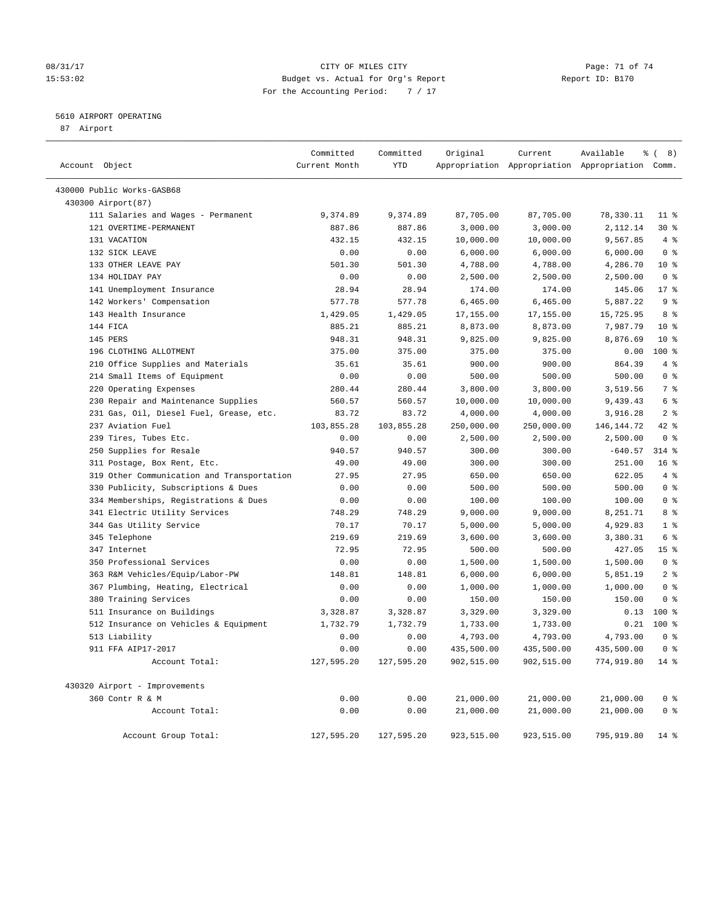#### 08/31/17 Page: 71 of 74 15:53:02 Budget vs. Actual for Org's Report Report ID: B170 For the Accounting Period: 7 / 17

#### 5610 AIRPORT OPERATING

87 Airport

| Account Object |                                            | Committed<br>Current Month | Committed<br>YTD | Original   | Current    | Available<br>Appropriation Appropriation Appropriation Comm. | $\frac{6}{6}$ ( 8) |
|----------------|--------------------------------------------|----------------------------|------------------|------------|------------|--------------------------------------------------------------|--------------------|
|                | 430000 Public Works-GASB68                 |                            |                  |            |            |                                                              |                    |
|                | 430300 Airport(87)                         |                            |                  |            |            |                                                              |                    |
|                | 111 Salaries and Wages - Permanent         | 9,374.89                   | 9,374.89         | 87,705.00  | 87,705.00  | 78,330.11                                                    | $11$ %             |
|                | 121 OVERTIME-PERMANENT                     | 887.86                     | 887.86           | 3,000.00   | 3,000.00   | 2,112.14                                                     | $30*$              |
|                | 131 VACATION                               | 432.15                     | 432.15           | 10,000.00  | 10,000.00  | 9,567.85                                                     | 4%                 |
|                | 132 SICK LEAVE                             | 0.00                       | 0.00             | 6,000.00   | 6,000.00   | 6,000.00                                                     | 0 <sup>8</sup>     |
|                | 133 OTHER LEAVE PAY                        | 501.30                     | 501.30           | 4,788.00   | 4,788.00   | 4,286.70                                                     | $10*$              |
|                | 134 HOLIDAY PAY                            | 0.00                       | 0.00             | 2,500.00   | 2,500.00   | 2,500.00                                                     | 0 <sup>8</sup>     |
|                | 141 Unemployment Insurance                 | 28.94                      | 28.94            | 174.00     | 174.00     | 145.06                                                       | $17*$              |
|                | 142 Workers' Compensation                  | 577.78                     | 577.78           | 6,465.00   | 6,465.00   | 5,887.22                                                     | 9 <sup>°</sup>     |
|                | 143 Health Insurance                       | 1,429.05                   | 1,429.05         | 17,155.00  | 17,155.00  | 15,725.95                                                    | 8 %                |
|                | 144 FICA                                   | 885.21                     | 885.21           | 8,873.00   | 8,873.00   | 7,987.79                                                     | $10*$              |
|                | 145 PERS                                   | 948.31                     | 948.31           | 9,825.00   | 9,825.00   | 8,876.69                                                     | $10*$              |
|                | 196 CLOTHING ALLOTMENT                     | 375.00                     | 375.00           | 375.00     | 375.00     | 0.00                                                         | 100 %              |
|                | 210 Office Supplies and Materials          | 35.61                      | 35.61            | 900.00     | 900.00     | 864.39                                                       | 4%                 |
|                | 214 Small Items of Equipment               | 0.00                       | 0.00             | 500.00     | 500.00     | 500.00                                                       | 0 <sup>8</sup>     |
|                | 220 Operating Expenses                     | 280.44                     | 280.44           | 3,800.00   | 3,800.00   | 3,519.56                                                     | 7 %                |
|                | 230 Repair and Maintenance Supplies        | 560.57                     | 560.57           | 10,000.00  | 10,000.00  | 9,439.43                                                     | 6 %                |
|                | 231 Gas, Oil, Diesel Fuel, Grease, etc.    | 83.72                      | 83.72            | 4,000.00   | 4,000.00   | 3,916.28                                                     | 2 <sup>°</sup>     |
|                | 237 Aviation Fuel                          | 103,855.28                 | 103,855.28       | 250,000.00 | 250,000.00 | 146, 144. 72                                                 | $42$ %             |
|                | 239 Tires, Tubes Etc.                      | 0.00                       | 0.00             | 2,500.00   | 2,500.00   | 2,500.00                                                     | 0 <sup>8</sup>     |
|                | 250 Supplies for Resale                    | 940.57                     | 940.57           | 300.00     | 300.00     | $-640.57$                                                    | $314$ %            |
|                | 311 Postage, Box Rent, Etc.                | 49.00                      | 49.00            | 300.00     | 300.00     | 251.00                                                       | 16 <sup>°</sup>    |
|                | 319 Other Communication and Transportation | 27.95                      | 27.95            | 650.00     | 650.00     | 622.05                                                       | 4%                 |
|                | 330 Publicity, Subscriptions & Dues        | 0.00                       | 0.00             | 500.00     | 500.00     | 500.00                                                       | 0 <sup>8</sup>     |
|                | 334 Memberships, Registrations & Dues      | 0.00                       | 0.00             | 100.00     | 100.00     | 100.00                                                       | 0 <sup>8</sup>     |
|                | 341 Electric Utility Services              | 748.29                     | 748.29           | 9,000.00   | 9,000.00   | 8,251.71                                                     | 8 %                |
|                | 344 Gas Utility Service                    | 70.17                      | 70.17            | 5,000.00   | 5,000.00   | 4,929.83                                                     | 1 <sup>°</sup>     |
|                | 345 Telephone                              | 219.69                     | 219.69           | 3,600.00   | 3,600.00   | 3,380.31                                                     | 6 %                |
|                | 347 Internet                               | 72.95                      | 72.95            | 500.00     | 500.00     | 427.05                                                       | 15 <sup>°</sup>    |
|                | 350 Professional Services                  | 0.00                       | 0.00             | 1,500.00   | 1,500.00   | 1,500.00                                                     | 0 <sup>8</sup>     |
|                | 363 R&M Vehicles/Equip/Labor-PW            | 148.81                     | 148.81           | 6,000.00   | 6,000.00   | 5,851.19                                                     | 2 <sup>°</sup>     |
|                | 367 Plumbing, Heating, Electrical          | 0.00                       | 0.00             | 1,000.00   | 1,000.00   | 1,000.00                                                     | 0 <sup>8</sup>     |
|                | 380 Training Services                      | 0.00                       | 0.00             | 150.00     | 150.00     | 150.00                                                       | 0 <sup>8</sup>     |
|                | 511 Insurance on Buildings                 | 3,328.87                   | 3,328.87         | 3,329.00   | 3,329.00   | 0.13                                                         | 100 %              |
|                | 512 Insurance on Vehicles & Equipment      | 1,732.79                   | 1,732.79         | 1,733.00   | 1,733.00   | 0.21                                                         | $100*$             |
|                | 513 Liability                              | 0.00                       | 0.00             | 4,793.00   | 4,793.00   | 4,793.00                                                     | 0 <sup>8</sup>     |
|                | 911 FFA AIP17-2017                         | 0.00                       | 0.00             | 435,500.00 | 435,500.00 | 435,500.00                                                   | 0 <sup>8</sup>     |
|                | Account Total:                             | 127,595.20                 | 127,595.20       | 902,515.00 | 902,515.00 | 774,919.80                                                   | $14*$              |
|                | 430320 Airport - Improvements              |                            |                  |            |            |                                                              |                    |
|                | 360 Contr R & M                            | 0.00                       | 0.00             | 21,000.00  | 21,000.00  | 21,000.00                                                    | 0 <sup>8</sup>     |
|                | Account Total:                             | 0.00                       | 0.00             | 21,000.00  | 21,000.00  | 21,000.00                                                    | 0 <sup>8</sup>     |
|                | Account Group Total:                       | 127,595.20                 | 127,595.20       | 923,515.00 | 923,515.00 | 795,919.80                                                   | 14 %               |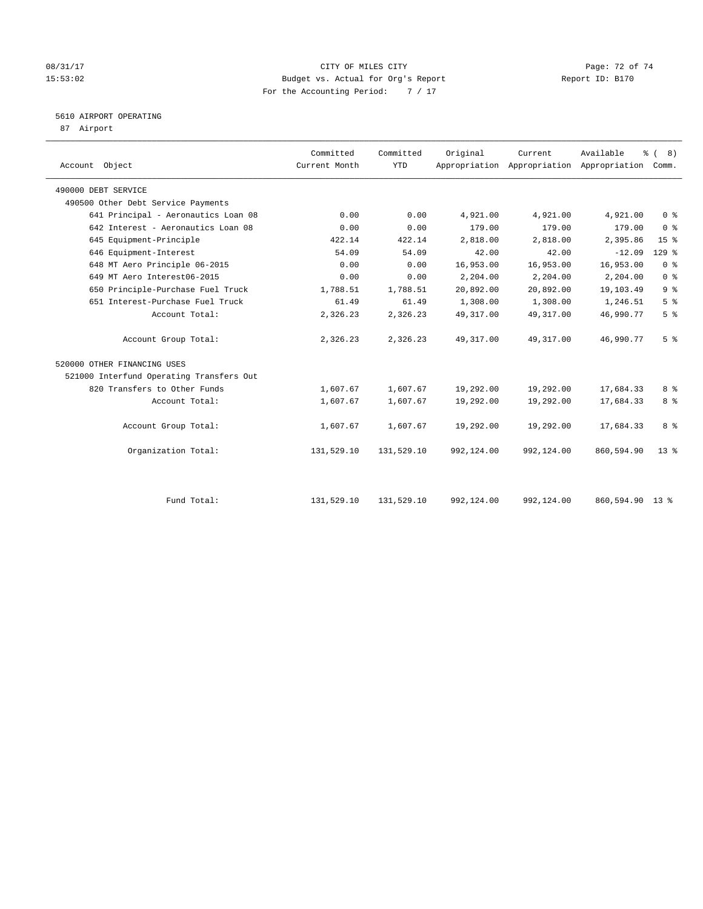#### 08/31/17 Page: 72 of 74 15:53:02 Budget vs. Actual for Org's Report Report ID: B170 For the Accounting Period: 7 / 17

#### 5610 AIRPORT OPERATING

87 Airport

| Account Object                           | Committed<br>Current Month | Committed<br><b>YTD</b> | Original   | Current<br>Appropriation Appropriation Appropriation Comm. | Available  | % (8)           |  |
|------------------------------------------|----------------------------|-------------------------|------------|------------------------------------------------------------|------------|-----------------|--|
| 490000 DEBT SERVICE                      |                            |                         |            |                                                            |            |                 |  |
| 490500 Other Debt Service Payments       |                            |                         |            |                                                            |            |                 |  |
| 641 Principal - Aeronautics Loan 08      | 0.00                       | 0.00                    | 4,921.00   | 4,921.00                                                   | 4,921.00   | 0 <sup>8</sup>  |  |
| 642 Interest - Aeronautics Loan 08       | 0.00                       | 0.00                    | 179.00     | 179.00                                                     | 179.00     | 0 <sup>8</sup>  |  |
| 645 Equipment-Principle                  | 422.14                     | 422.14                  | 2,818.00   | 2,818.00                                                   | 2,395.86   | 15 <sup>°</sup> |  |
| 646 Equipment-Interest                   | 54.09                      | 54.09                   | 42.00      | 42.00                                                      | $-12.09$   | $129$ %         |  |
| 648 MT Aero Principle 06-2015            | 0.00                       | 0.00                    | 16,953.00  | 16,953.00                                                  | 16,953.00  | 0 <sup>8</sup>  |  |
| 649 MT Aero Interest06-2015              | 0.00                       | 0.00                    | 2,204.00   | 2,204.00                                                   | 2,204.00   | 0 <sup>8</sup>  |  |
| 650 Principle-Purchase Fuel Truck        | 1,788.51                   | 1,788.51                | 20,892.00  | 20,892.00                                                  | 19,103.49  | 9 <sup>°</sup>  |  |
| 651 Interest-Purchase Fuel Truck         | 61.49                      | 61.49                   | 1,308.00   | 1,308.00                                                   | 1,246.51   | 5 <sup>8</sup>  |  |
| Account Total:                           | 2,326.23                   | 2,326.23                | 49, 317.00 | 49, 317.00                                                 | 46,990.77  | 5 <sup>°</sup>  |  |
| Account Group Total:                     | 2,326.23                   | 2,326.23                | 49, 317.00 | 49, 317.00                                                 | 46,990.77  | 5 <sup>°</sup>  |  |
| 520000 OTHER FINANCING USES              |                            |                         |            |                                                            |            |                 |  |
| 521000 Interfund Operating Transfers Out |                            |                         |            |                                                            |            |                 |  |
| 820 Transfers to Other Funds             | 1,607.67                   | 1,607.67                | 19,292.00  | 19,292.00                                                  | 17,684.33  | 8 %             |  |
| Account Total:                           | 1,607.67                   | 1,607.67                | 19,292.00  | 19,292.00                                                  | 17,684.33  | 8 <sup>°</sup>  |  |
| Account Group Total:                     | 1,607.67                   | 1,607.67                | 19,292.00  | 19,292.00                                                  | 17,684.33  | 8 %             |  |
| Organization Total:                      | 131,529.10                 | 131,529.10              | 992,124.00 | 992,124.00                                                 | 860,594.90 | $13*$           |  |
|                                          |                            |                         |            |                                                            |            |                 |  |
| Fund Total:                              | 131,529.10                 | 131,529.10              | 992,124.00 | 992,124.00                                                 | 860,594.90 | $13 \text{ }$ % |  |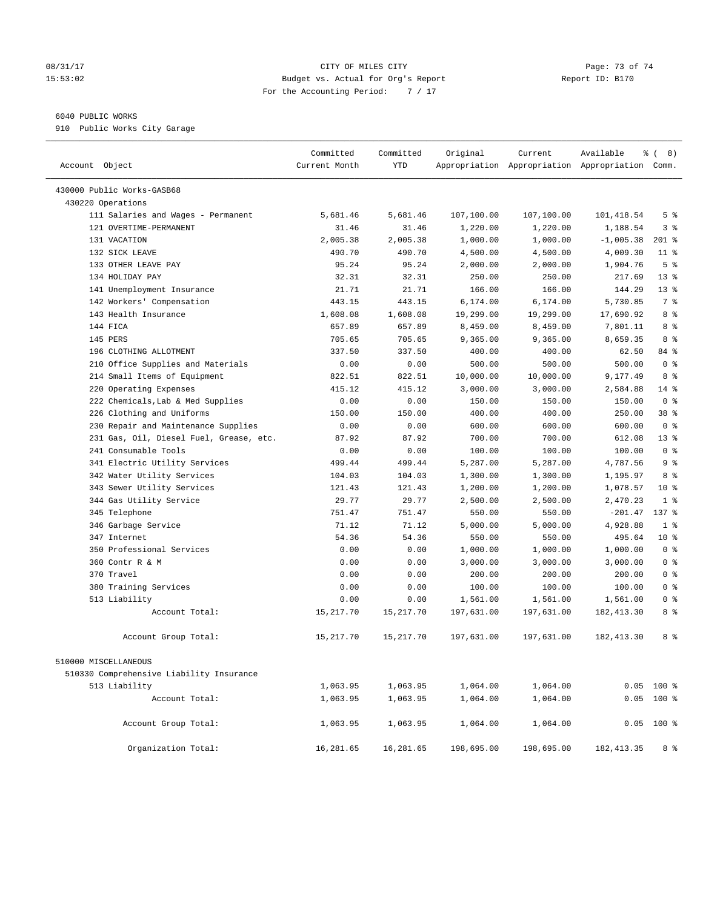## 08/31/17 Page: 73 of 74 15:53:02 Budget vs. Actual for Org's Report Report ID: B170 For the Accounting Period: 7 / 17

## 6040 PUBLIC WORKS

910 Public Works City Garage

| Account Object                           | Committed<br>Current Month | Committed<br><b>YTD</b> | Original   | Current    | Available<br>Appropriation Appropriation Appropriation Comm. | $\frac{6}{6}$ ( 8) |
|------------------------------------------|----------------------------|-------------------------|------------|------------|--------------------------------------------------------------|--------------------|
| 430000 Public Works-GASB68               |                            |                         |            |            |                                                              |                    |
| 430220 Operations                        |                            |                         |            |            |                                                              |                    |
| 111 Salaries and Wages - Permanent       | 5,681.46                   | 5,681.46                | 107,100.00 | 107,100.00 | 101,418.54                                                   | 5 <sup>°</sup>     |
| 121 OVERTIME-PERMANENT                   | 31.46                      | 31.46                   | 1,220.00   | 1,220.00   | 1,188.54                                                     | 3 <sup>8</sup>     |
| 131 VACATION                             | 2,005.38                   | 2,005.38                | 1,000.00   | 1,000.00   | $-1,005.38$                                                  | $201$ %            |
| 132 SICK LEAVE                           | 490.70                     | 490.70                  | 4,500.00   | 4,500.00   | 4,009.30                                                     | $11$ %             |
| 133 OTHER LEAVE PAY                      | 95.24                      | 95.24                   | 2,000.00   | 2,000.00   | 1,904.76                                                     | 5 <sup>°</sup>     |
| 134 HOLIDAY PAY                          | 32.31                      | 32.31                   | 250.00     | 250.00     | 217.69                                                       | $13*$              |
| 141 Unemployment Insurance               | 21.71                      | 21.71                   | 166.00     | 166.00     | 144.29                                                       | $13*$              |
| 142 Workers' Compensation                | 443.15                     | 443.15                  | 6,174.00   | 6,174.00   | 5,730.85                                                     | 7 <sup>°</sup>     |
| 143 Health Insurance                     | 1,608.08                   | 1,608.08                | 19,299.00  | 19,299.00  | 17,690.92                                                    | 8 %                |
| 144 FICA                                 | 657.89                     | 657.89                  | 8,459.00   | 8,459.00   | 7,801.11                                                     | 8 %                |
| 145 PERS                                 | 705.65                     | 705.65                  | 9,365.00   | 9,365.00   | 8,659.35                                                     | 8 %                |
| 196 CLOTHING ALLOTMENT                   | 337.50                     | 337.50                  | 400.00     | 400.00     | 62.50                                                        | 84 %               |
| 210 Office Supplies and Materials        | 0.00                       | 0.00                    | 500.00     | 500.00     | 500.00                                                       | 0 <sup>8</sup>     |
| 214 Small Items of Equipment             | 822.51                     | 822.51                  | 10,000.00  | 10,000.00  | 9,177.49                                                     | 8 %                |
| 220 Operating Expenses                   | 415.12                     | 415.12                  | 3,000.00   | 3,000.00   | 2,584.88                                                     | $14*$              |
| 222 Chemicals, Lab & Med Supplies        | 0.00                       | 0.00                    | 150.00     | 150.00     | 150.00                                                       | 0 <sup>8</sup>     |
| 226 Clothing and Uniforms                | 150.00                     | 150.00                  | 400.00     | 400.00     | 250.00                                                       | 38 %               |
| 230 Repair and Maintenance Supplies      | 0.00                       | 0.00                    | 600.00     | 600.00     | 600.00                                                       | 0 <sup>8</sup>     |
| 231 Gas, Oil, Diesel Fuel, Grease, etc.  | 87.92                      | 87.92                   | 700.00     | 700.00     | 612.08                                                       | 13 <sup>8</sup>    |
| 241 Consumable Tools                     | 0.00                       | 0.00                    | 100.00     | 100.00     | 100.00                                                       | 0 <sup>8</sup>     |
| 341 Electric Utility Services            | 499.44                     | 499.44                  | 5,287.00   | 5,287.00   | 4,787.56                                                     | 9 <sup>°</sup>     |
| 342 Water Utility Services               | 104.03                     | 104.03                  | 1,300.00   | 1,300.00   | 1,195.97                                                     | 8 %                |
| 343 Sewer Utility Services               | 121.43                     | 121.43                  | 1,200.00   | 1,200.00   | 1,078.57                                                     | $10*$              |
| 344 Gas Utility Service                  | 29.77                      | 29.77                   | 2,500.00   | 2,500.00   | 2,470.23                                                     | 1 <sup>8</sup>     |
| 345 Telephone                            | 751.47                     | 751.47                  | 550.00     | 550.00     | $-201.47$                                                    | 137 %              |
| 346 Garbage Service                      | 71.12                      | 71.12                   | 5,000.00   | 5,000.00   | 4,928.88                                                     | 1 <sup>8</sup>     |
| 347 Internet                             | 54.36                      | 54.36                   | 550.00     | 550.00     | 495.64                                                       | $10*$              |
| 350 Professional Services                | 0.00                       | 0.00                    | 1,000.00   | 1,000.00   | 1,000.00                                                     | 0 <sup>8</sup>     |
| 360 Contr R & M                          | 0.00                       | 0.00                    | 3,000.00   | 3,000.00   | 3,000.00                                                     | 0 <sup>8</sup>     |
| 370 Travel                               | 0.00                       | 0.00                    | 200.00     | 200.00     | 200.00                                                       | 0 <sup>8</sup>     |
| 380 Training Services                    | 0.00                       | 0.00                    | 100.00     | 100.00     | 100.00                                                       | 0 <sup>8</sup>     |
| 513 Liability                            | 0.00                       | 0.00                    | 1,561.00   | 1,561.00   | 1,561.00                                                     | 0 <sup>8</sup>     |
| Account Total:                           | 15,217.70                  | 15,217.70               | 197,631.00 | 197,631.00 | 182, 413.30                                                  | 8 %                |
| Account Group Total:                     | 15, 217.70                 | 15,217.70               | 197,631.00 | 197,631.00 | 182, 413.30                                                  | 8 %                |
| 510000 MISCELLANEOUS                     |                            |                         |            |            |                                                              |                    |
| 510330 Comprehensive Liability Insurance |                            |                         |            |            |                                                              |                    |
| 513 Liability                            | 1,063.95                   | 1,063.95                | 1,064.00   | 1,064.00   |                                                              | $0.05$ 100 %       |
| Account Total:                           | 1,063.95                   | 1,063.95                | 1,064.00   | 1,064.00   |                                                              | $0.05$ 100 %       |
| Account Group Total:                     | 1,063.95                   | 1,063.95                | 1,064.00   | 1,064.00   |                                                              | $0.05$ 100 %       |
| Organization Total:                      | 16,281.65                  | 16,281.65               | 198,695.00 | 198,695.00 | 182, 413.35                                                  | 8 %                |